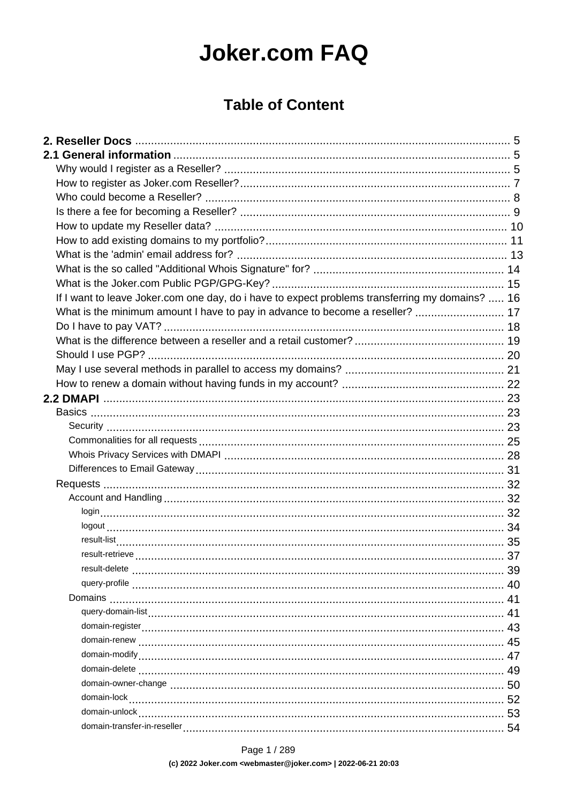# **Joker.com FAQ**

## **Table of Content**

| If I want to leave Joker.com one day, do i have to expect problems transferring my domains?  16 |    |
|-------------------------------------------------------------------------------------------------|----|
| What is the minimum amount I have to pay in advance to become a reseller?  17                   |    |
|                                                                                                 |    |
|                                                                                                 |    |
|                                                                                                 |    |
|                                                                                                 |    |
|                                                                                                 |    |
|                                                                                                 |    |
|                                                                                                 |    |
|                                                                                                 |    |
|                                                                                                 |    |
|                                                                                                 |    |
|                                                                                                 |    |
|                                                                                                 |    |
|                                                                                                 |    |
|                                                                                                 |    |
|                                                                                                 |    |
|                                                                                                 |    |
|                                                                                                 |    |
|                                                                                                 | 39 |
|                                                                                                 |    |
|                                                                                                 |    |
|                                                                                                 |    |
|                                                                                                 |    |
|                                                                                                 |    |
|                                                                                                 |    |
|                                                                                                 |    |
|                                                                                                 |    |
|                                                                                                 |    |
|                                                                                                 |    |
|                                                                                                 |    |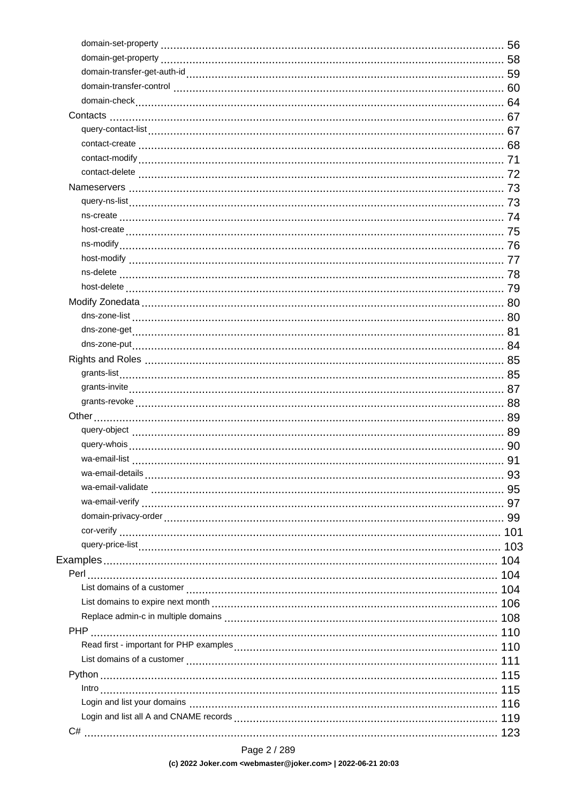Page 2 / 289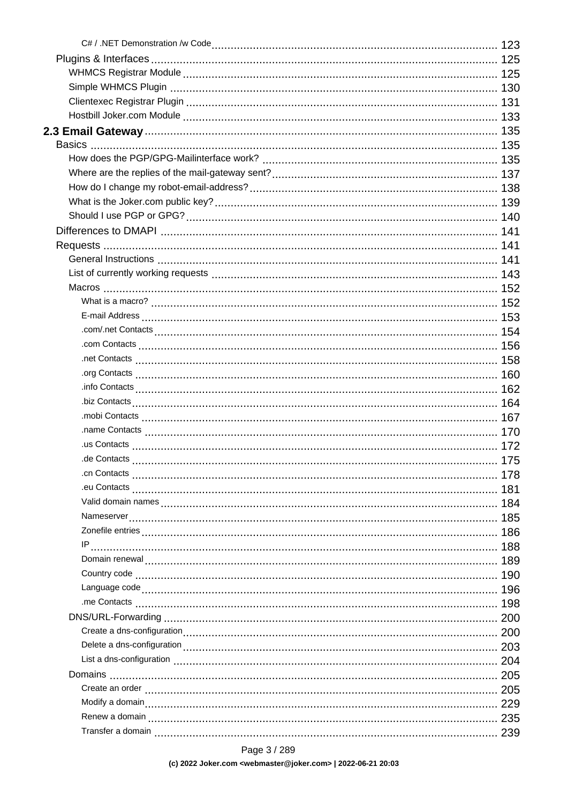Page 3 / 289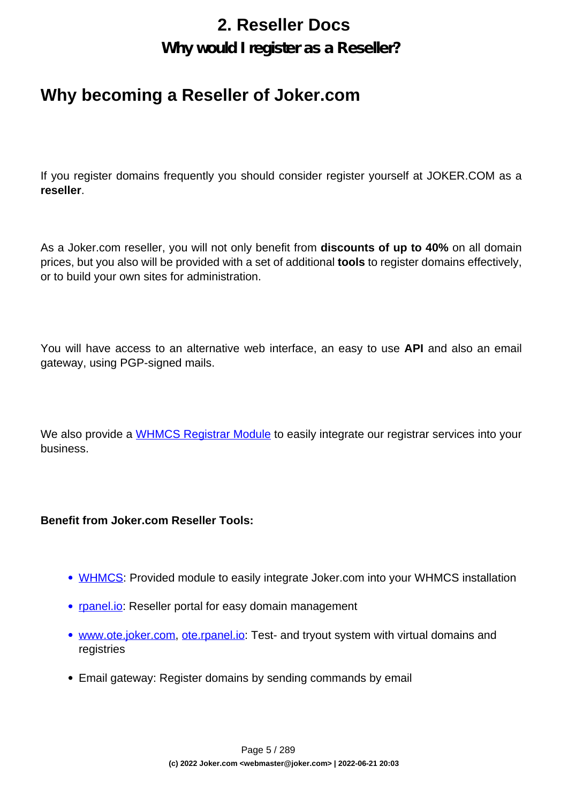## **2. Reseller Docs**

### **Why would I register as a Reseller?**

## <span id="page-4-0"></span>**Why becoming a Reseller of Joker.com**

If you register domains frequently you should consider register yourself at JOKER.COM as a **reseller**.

As a Joker.com reseller, you will not only benefit from **discounts of up to 40%** on all domain prices, but you also will be provided with a set of additional **tools** to register domains effectively, or to build your own sites for administration.

You will have access to an alternative web interface, an easy to use **API** and also an email gateway, using PGP-signed mails.

We also provide a [WHMCS Registrar Module](index.php?action=artikel&cat=84&id=488&artlang=en) to easily integrate our registrar services into your business.

#### **Benefit from Joker.com Reseller Tools:**

- [WHMCS](index.php?action=artikel&cat=84&id=488&artlang=en): Provided module to easily integrate Joker.com into your WHMCS installation
- [rpanel.io:](https://rpanel.io/) Reseller portal for easy domain management
- [www.ote.joker.com,](https://www.ote.joker.com) [ote.rpanel.io:](https://ote.rpanel.io) Test- and tryout system with virtual domains and registries
- Email gateway: Register domains by sending commands by email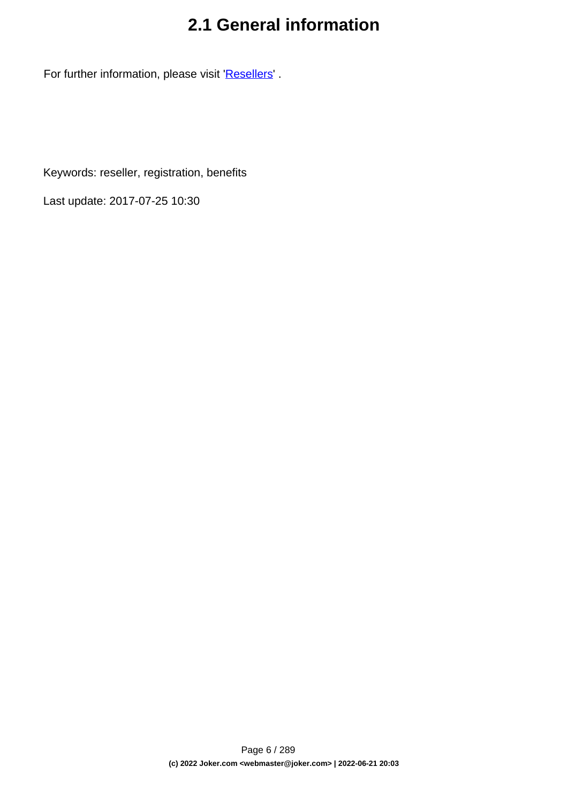## **2.1 General information**

For further information, please visit '[Resellers](/goto/2bres)' .

Keywords: reseller, registration, benefits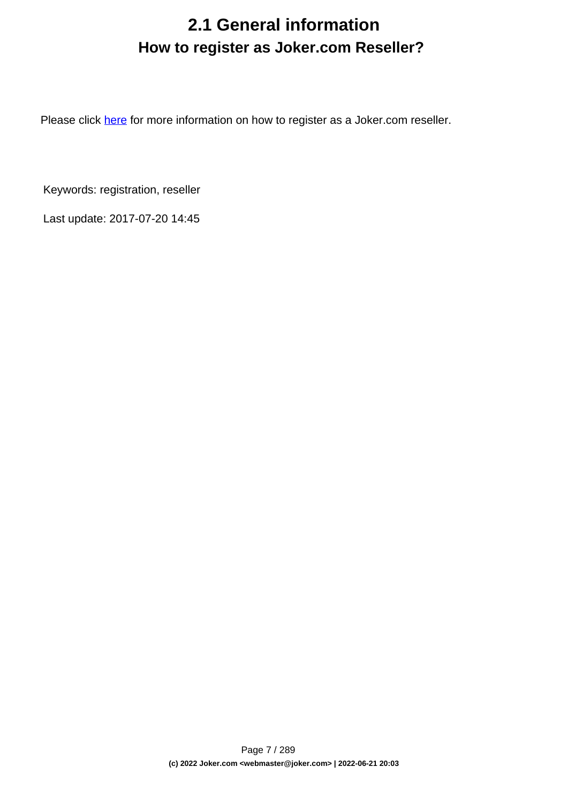## **2.1 General information How to register as Joker.com Reseller?**

<span id="page-6-0"></span>Please click [here](https://joker.com/goto/resreg) for more information on how to register as a Joker.com reseller.

Keywords: registration, reseller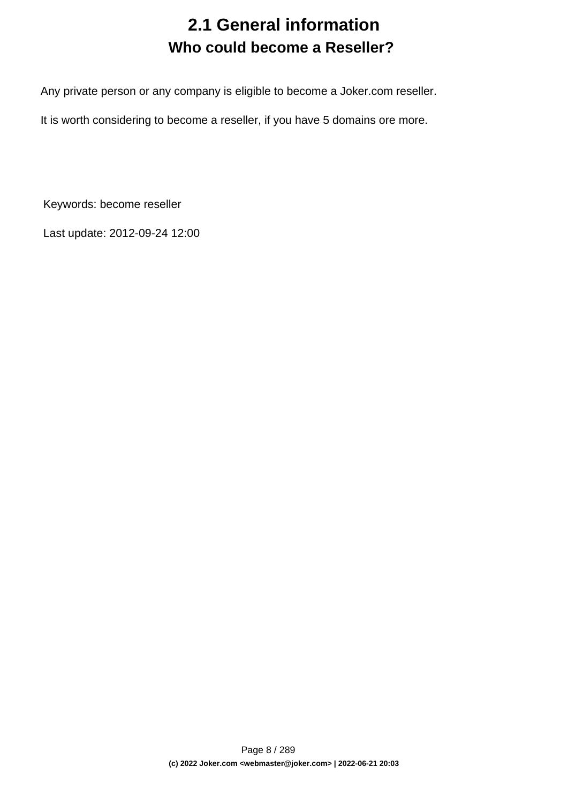## **2.1 General information Who could become a Reseller?**

<span id="page-7-0"></span>Any private person or any company is eligible to become a Joker.com reseller.

It is worth considering to become a reseller, if you have 5 domains ore more.

Keywords: become reseller

Last update: 2012-09-24 12:00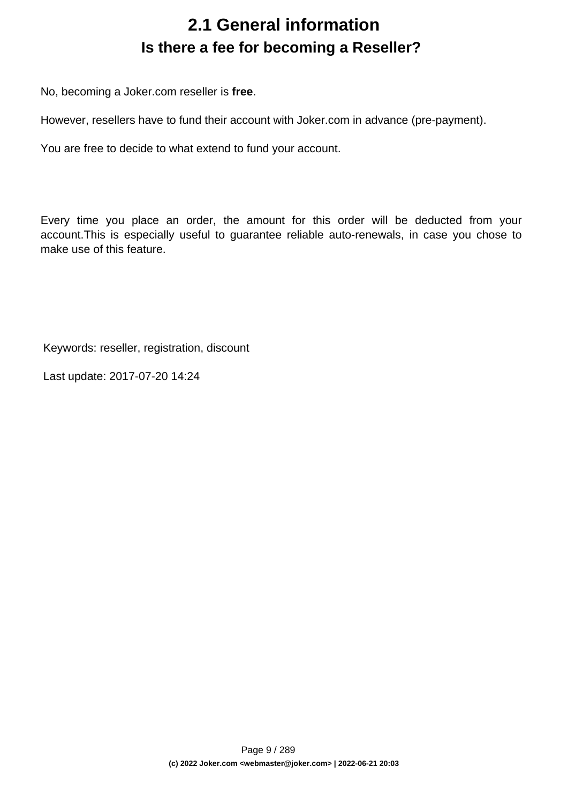## **2.1 General information Is there a fee for becoming a Reseller?**

<span id="page-8-0"></span>No, becoming a Joker.com reseller is **free**.

However, resellers have to fund their account with Joker.com in advance (pre-payment).

You are free to decide to what extend to fund your account.

Every time you place an order, the amount for this order will be deducted from your account.This is especially useful to guarantee reliable auto-renewals, in case you chose to make use of this feature.

Keywords: reseller, registration, discount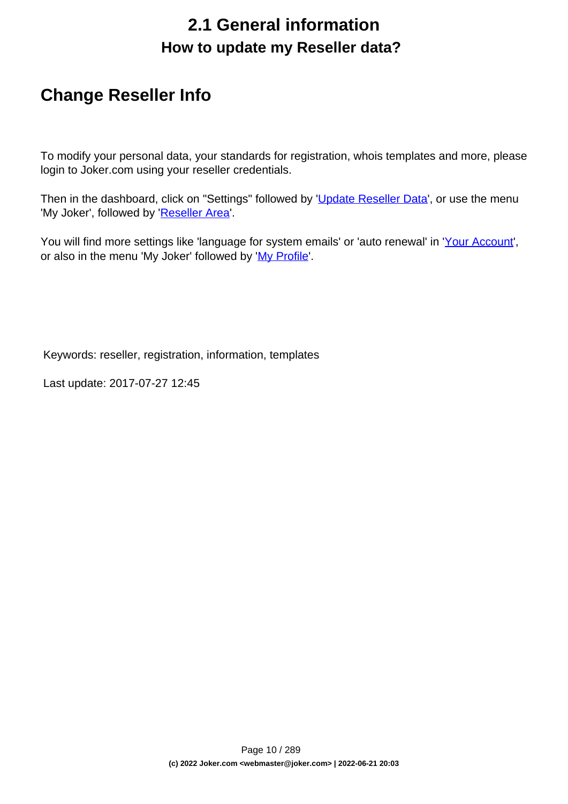## **2.1 General information How to update my Reseller data?**

## <span id="page-9-0"></span>**Change Reseller Info**

To modify your personal data, your standards for registration, whois templates and more, please login to Joker.com using your reseller credentials.

Then in the dashboard, click on "Settings" followed by '[Update Reseller Data](/goto/resprefs)', or use the menu 'My Joker', followed by '[Reseller Area](/goto/resprefs)'.

You will find more settings like 'language for system emails' or 'auto renewal' in '[Your Account](/goto/myjoker)', or also in the menu 'My Joker' followed by '[My Profile](/goto/myjoker)'.

Keywords: reseller, registration, information, templates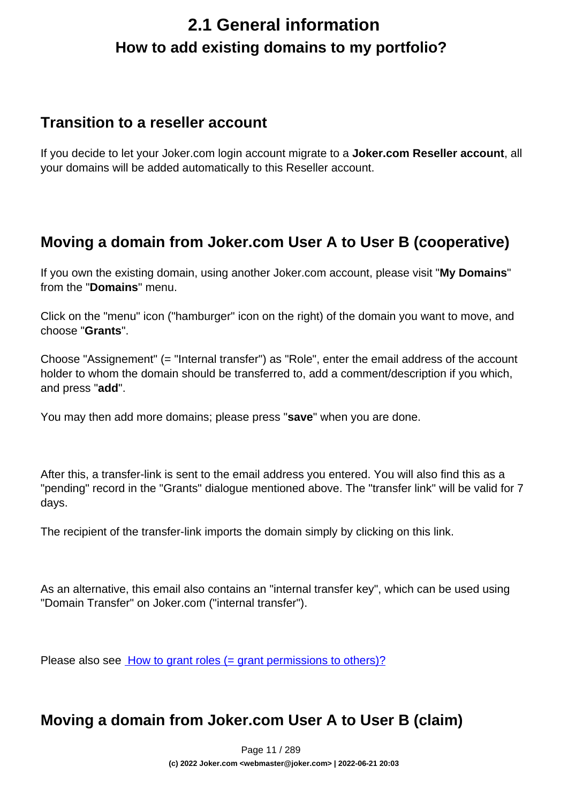## <span id="page-10-0"></span>**2.1 General information How to add existing domains to my portfolio?**

### **Transition to a reseller account**

If you decide to let your Joker.com login account migrate to a **Joker.com Reseller account**, all your domains will be added automatically to this Reseller account.

### **Moving a domain from Joker.com User A to User B (cooperative)**

If you own the existing domain, using another Joker.com account, please visit "**My Domains**" from the "**Domains**" menu.

Click on the "menu" icon ("hamburger" icon on the right) of the domain you want to move, and choose "**Grants**".

Choose "Assignement" (= "Internal transfer") as "Role", enter the email address of the account holder to whom the domain should be transferred to, add a comment/description if you which, and press "**add**".

You may then add more domains; please press "**save**" when you are done.

After this, a transfer-link is sent to the email address you entered. You will also find this as a "pending" record in the "Grants" dialogue mentioned above. The "transfer link" will be valid for 7 days.

The recipient of the transfer-link imports the domain simply by clicking on this link.

As an alternative, this email also contains an "internal transfer key", which can be used using "Domain Transfer" on Joker.com ("internal transfer").

Please also see **[How to grant roles \(= grant permissions to others\)?](index.php?action=artikel&cat=5&id=446&artlang=en)** 

### **Moving a domain from Joker.com User A to User B (claim)**

Page 11 / 289 **(c) 2022 Joker.com <webmaster@joker.com> | 2022-06-21 20:03**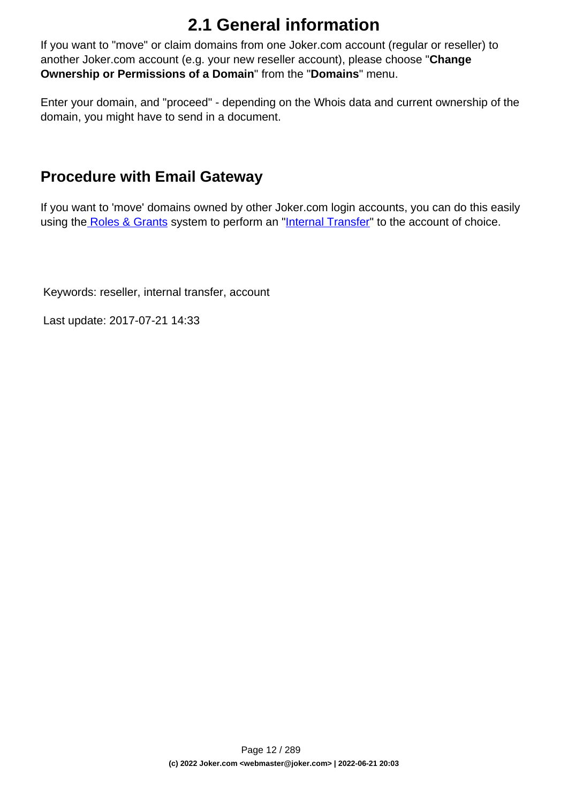# **2.1 General information**

If you want to "move" or claim domains from one Joker.com account (regular or reseller) to another Joker.com account (e.g. your new reseller account), please choose "**Change Ownership or Permissions of a Domain**" from the "**Domains**" menu.

Enter your domain, and "proceed" - depending on the Whois data and current ownership of the domain, you might have to send in a document.

### **Procedure with Email Gateway**

If you want to 'move' domains owned by other Joker.com login accounts, you can do this easily using th[e Roles & Grants](index.php?action=artikel&cat=69&id=456&artlang=en) system to perform an "[Internal Transfer"](index.php?action=artikel&cat=69&id=456&artlang=en) to the account of choice.

Keywords: reseller, internal transfer, account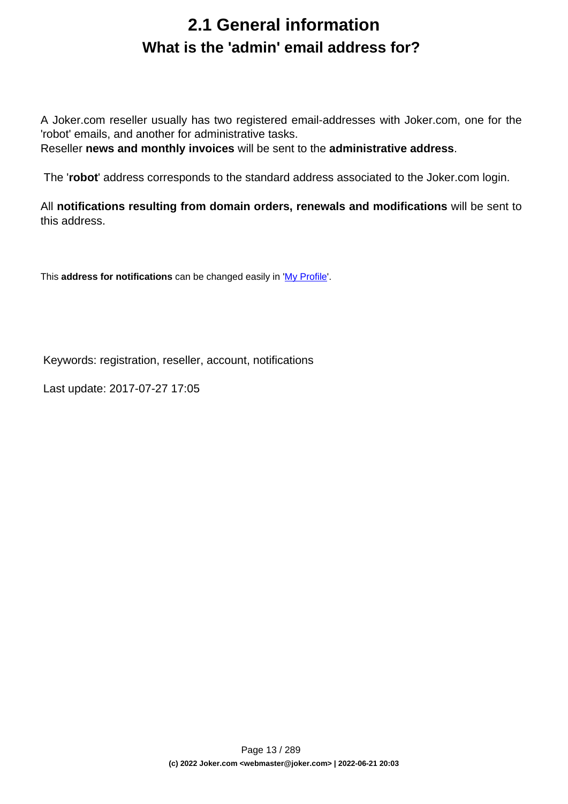## **2.1 General information What is the 'admin' email address for?**

<span id="page-12-0"></span>A Joker.com reseller usually has two registered email-addresses with Joker.com, one for the 'robot' emails, and another for administrative tasks.

Reseller **news and monthly invoices** will be sent to the **administrative address**.

The '**robot**' address corresponds to the standard address associated to the Joker.com login.

All **notifications resulting from domain orders, renewals and modifications** will be sent to this address.

This **address for notifications** can be changed easily in '[My Profile](/goto/myjoker)'.

Keywords: registration, reseller, account, notifications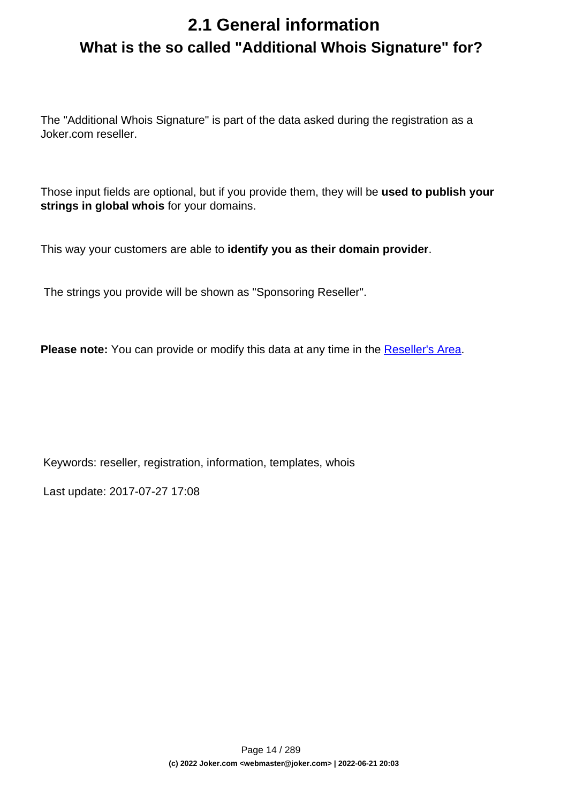## <span id="page-13-0"></span>**2.1 General information What is the so called "Additional Whois Signature" for?**

The "Additional Whois Signature" is part of the data asked during the registration as a Joker.com reseller.

Those input fields are optional, but if you provide them, they will be **used to publish your strings in global whois** for your domains.

This way your customers are able to **identify you as their domain provider**.

The strings you provide will be shown as "Sponsoring Reseller".

**Please note:** You can provide or modify this data at any time in the [Reseller's Area.](/goto/resprefs)

Keywords: reseller, registration, information, templates, whois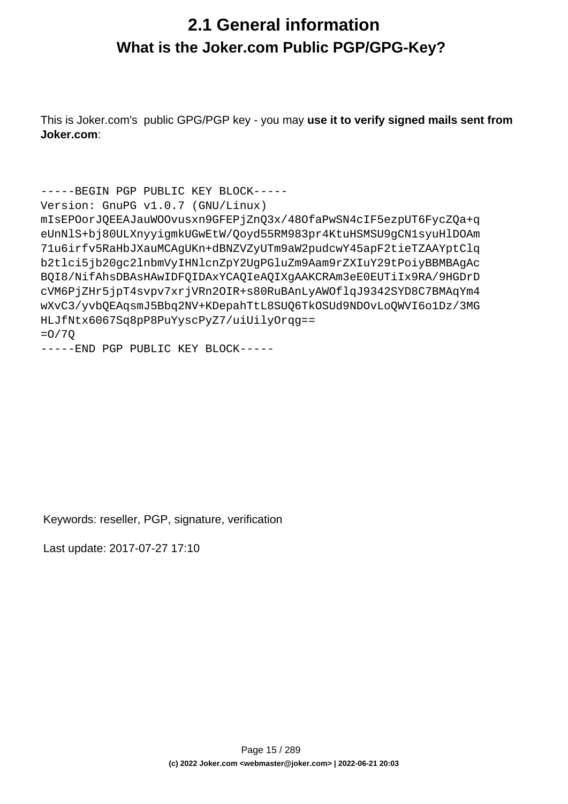## <span id="page-14-0"></span>**2.1 General information What is the Joker.com Public PGP/GPG-Key?**

This is Joker.com's public GPG/PGP key - you may **use it to verify signed mails sent from Joker.com**:

```
-----BEGIN PGP PUBLIC KEY BLOCK-----
Version: GnuPG v1.0.7 (GNU/Linux)
mIsEPOorJQEEAJauWOOvusxn9GFEPjZnQ3x/48OfaPwSN4cIF5ezpUT6FycZQa+q
eUnNlS+bj80ULXnyyigmkUGwEtW/Qoyd55RM983pr4KtuHSMSU9gCN1syuHlDOAm
71u6irfv5RaHbJXauMCAgUKn+dBNZVZyUTm9aW2pudcwY45apF2tieTZAAYptClq
b2tlci5jb20gc2lnbmVyIHNlcnZpY2UgPGluZm9Aam9rZXIuY29tPoiyBBMBAgAc
BQI8/NifAhsDBAsHAwIDFQIDAxYCAQIeAQIXgAAKCRAm3eE0EUTiIx9RA/9HGDrD
cVM6PjZHr5jpT4svpv7xrjVRn2OIR+s80RuBAnLyAWOflqJ9342SYD8C7BMAqYm4
wXvC3/yvbQEAqsmJ5Bbq2NV+KDepahTtL8SUQ6TkOSUd9NDOvLoQWVI6o1Dz/3MG
HLJfNtx6067Sq8pP8PuYyscPyZ7/uiUilyOrqg==
=O/7Q
```

```
-----END PGP PUBLIC KEY BLOCK-----
```
Keywords: reseller, PGP, signature, verification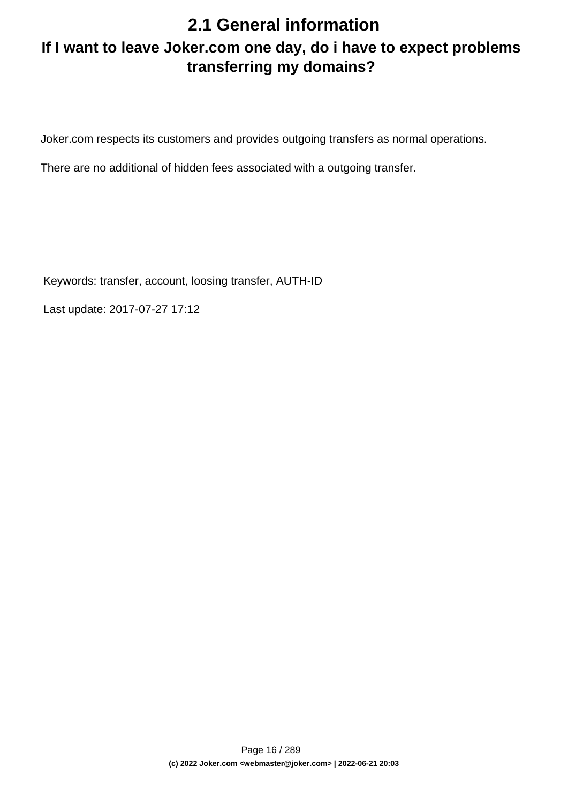## **2.1 General information**

## <span id="page-15-0"></span>**If I want to leave Joker.com one day, do i have to expect problems transferring my domains?**

Joker.com respects its customers and provides outgoing transfers as normal operations.

There are no additional of hidden fees associated with a outgoing transfer.

Keywords: transfer, account, loosing transfer, AUTH-ID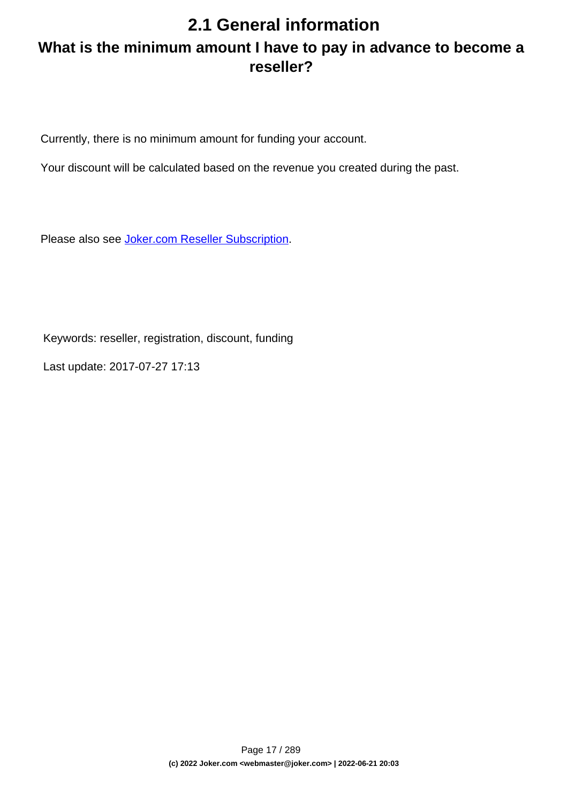## <span id="page-16-0"></span>**2.1 General information What is the minimum amount I have to pay in advance to become a reseller?**

Currently, there is no minimum amount for funding your account.

Your discount will be calculated based on the revenue you created during the past.

Please also see [Joker.com Reseller Subscription.](../goto/resreg)

Keywords: reseller, registration, discount, funding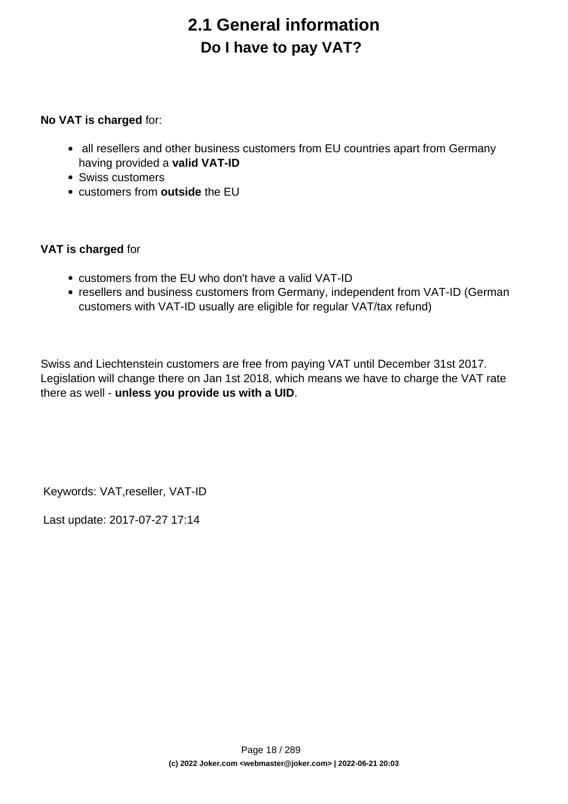# **2.1 General information Do I have to pay VAT?**

#### <span id="page-17-0"></span>**No VAT is charged** for:

- all resellers and other business customers from EU countries apart from Germany having provided a **valid VAT-ID**
- Swiss customers
- customers from **outside** the EU

### **VAT is charged** for

- customers from the EU who don't have a valid VAT-ID
- resellers and business customers from Germany, independent from VAT-ID (German customers with VAT-ID usually are eligible for regular VAT/tax refund)

Swiss and Liechtenstein customers are free from paying VAT until December 31st 2017. Legislation will change there on Jan 1st 2018, which means we have to charge the VAT rate there as well - **unless you provide us with a UID**.

Keywords: VAT,reseller, VAT-ID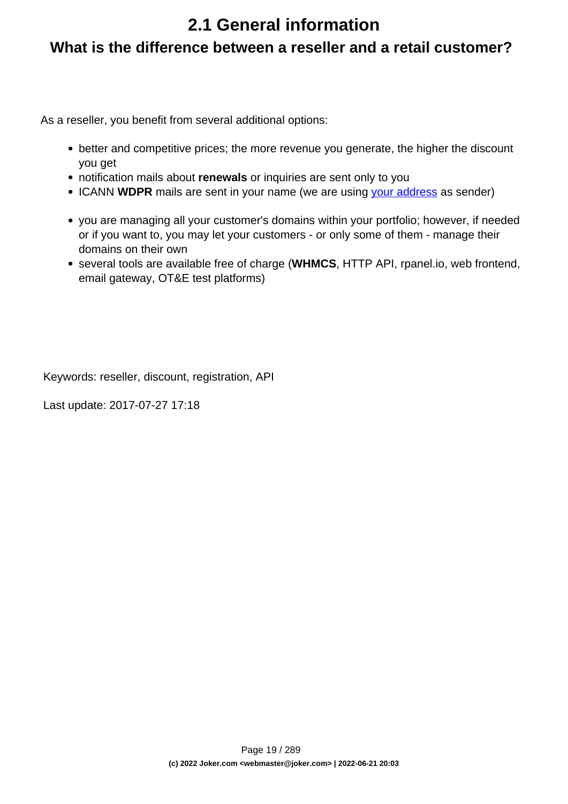## **2.1 General information**

### <span id="page-18-0"></span>**What is the difference between a reseller and a retail customer?**

As a reseller, you benefit from several additional options:

- better and competitive prices; the more revenue you generate, the higher the discount you get
- notification mails about **renewals** or inquiries are sent only to you
- ICANN WDPR mails are sent in your name (we are using [your address](/goto/resprefs) as sender)
- you are managing all your customer's domains within your portfolio; however, if needed or if you want to, you may let your customers - or only some of them - manage their domains on their own
- several tools are available free of charge (**WHMCS**, HTTP API, rpanel.io, web frontend, email gateway, OT&E test platforms)

Keywords: reseller, discount, registration, API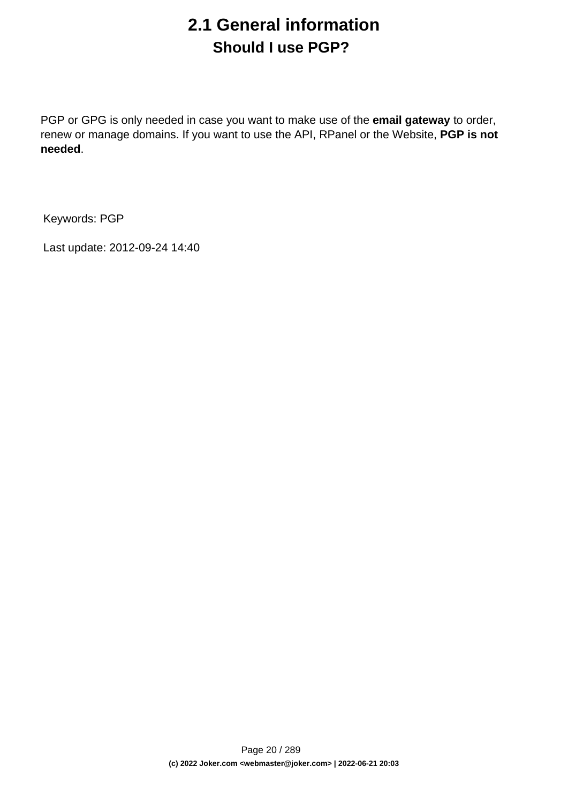## **2.1 General information Should I use PGP?**

<span id="page-19-0"></span>PGP or GPG is only needed in case you want to make use of the **email gateway** to order, renew or manage domains. If you want to use the API, RPanel or the Website, **PGP is not needed**.

Keywords: PGP

Last update: 2012-09-24 14:40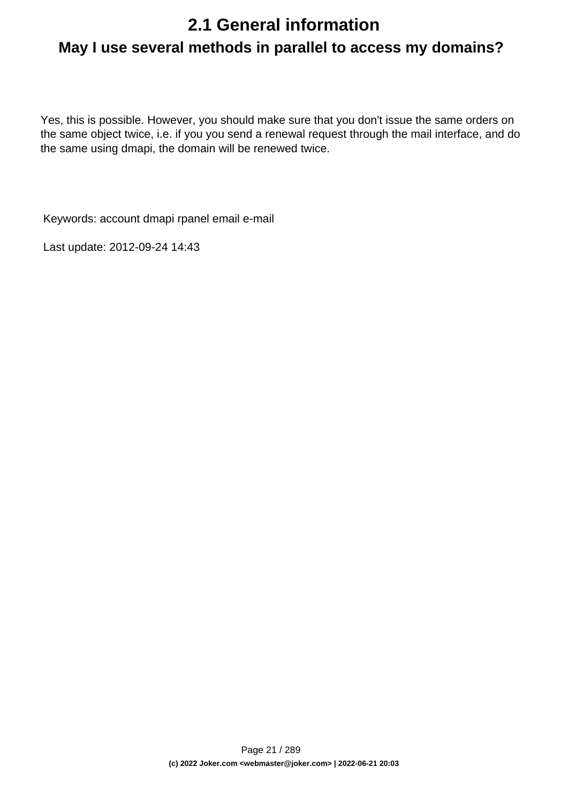# <span id="page-20-0"></span>**2.1 General information May I use several methods in parallel to access my domains?**

Yes, this is possible. However, you should make sure that you don't issue the same orders on the same object twice, i.e. if you you send a renewal request through the mail interface, and do the same using dmapi, the domain will be renewed twice.

Keywords: account dmapi rpanel email e-mail

Last update: 2012-09-24 14:43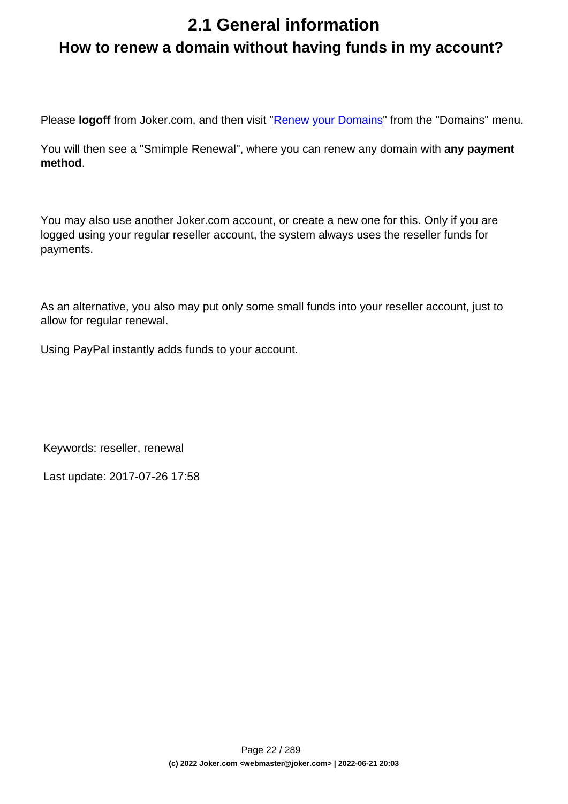# <span id="page-21-0"></span>**2.1 General information How to renew a domain without having funds in my account?**

Please **logoff** from Joker.com, and then visit "[Renew your Domains"](https://joker.com/goto/renew12) from the "Domains" menu.

You will then see a "Smimple Renewal", where you can renew any domain with **any payment method**.

You may also use another Joker.com account, or create a new one for this. Only if you are logged using your regular reseller account, the system always uses the reseller funds for payments.

As an alternative, you also may put only some small funds into your reseller account, just to allow for regular renewal.

Using PayPal instantly adds funds to your account.

Keywords: reseller, renewal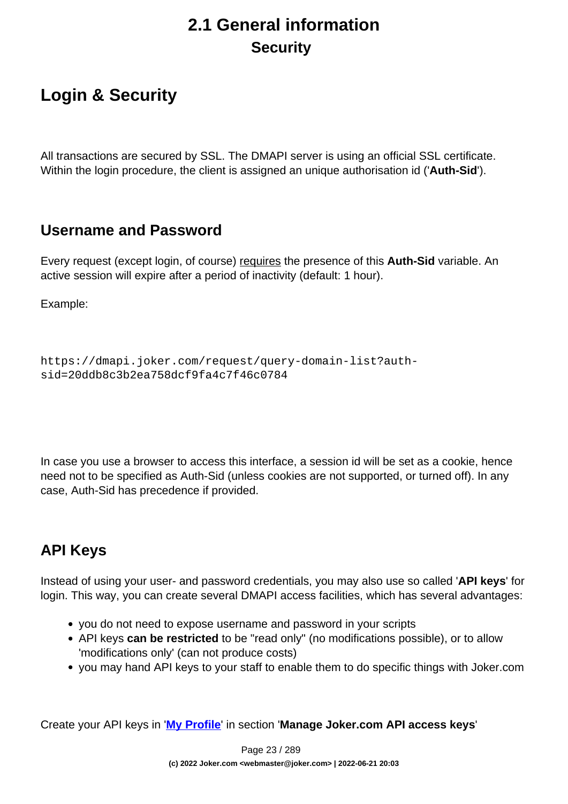## **2.1 General information Security**

## <span id="page-22-0"></span>**Login & Security**

All transactions are secured by SSL. The DMAPI server is using an official SSL certificate. Within the login procedure, the client is assigned an unique authorisation id ('**Auth-Sid**').

### **Username and Password**

Every request (except login, of course) requires the presence of this **Auth-Sid** variable. An active session will expire after a period of inactivity (default: 1 hour).

Example:

```
https://dmapi.joker.com/request/query-domain-list?auth-
sid=20ddb8c3b2ea758dcf9fa4c7f46c0784
```
In case you use a browser to access this interface, a session id will be set as a cookie, hence need not to be specified as Auth-Sid (unless cookies are not supported, or turned off). In any case, Auth-Sid has precedence if provided.

## **API Keys**

Instead of using your user- and password credentials, you may also use so called '**API keys**' for login. This way, you can create several DMAPI access facilities, which has several advantages:

- you do not need to expose username and password in your scripts
- API keys **can be restricted** to be "read only" (no modifications possible), or to allow 'modifications only' (can not produce costs)
- you may hand API keys to your staff to enable them to do specific things with Joker.com

Create your API keys in '**[My Profile](/goto/myjoker)**' in section '**Manage Joker.com API access keys**'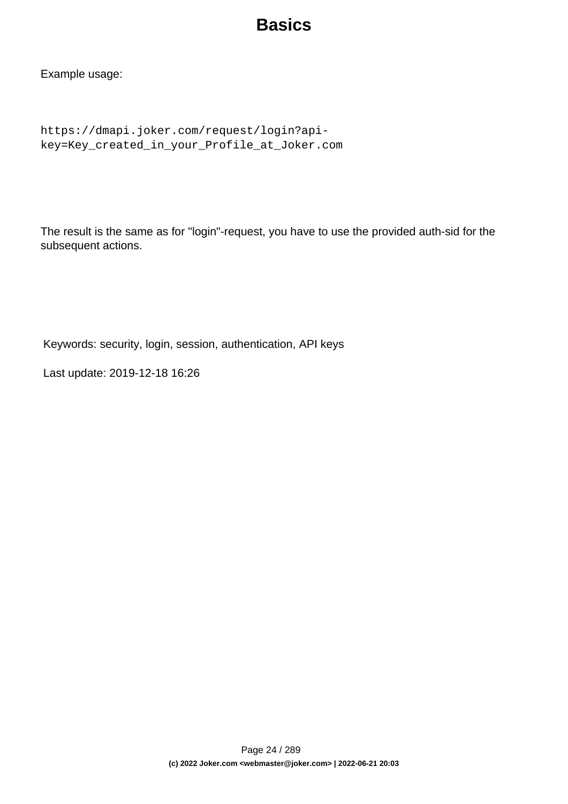## **Basics**

Example usage:

```
https://dmapi.joker.com/request/login?api-
key=Key_created_in_your_Profile_at_Joker.com
```
The result is the same as for "login"-request, you have to use the provided auth-sid for the subsequent actions.

Keywords: security, login, session, authentication, API keys

Last update: 2019-12-18 16:26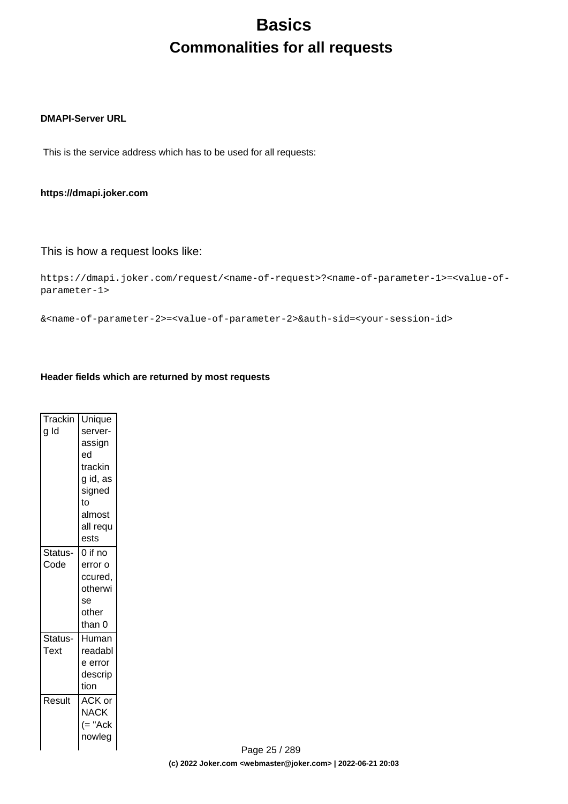## **Basics Commonalities for all requests**

#### <span id="page-24-0"></span>**DMAPI-Server URL**

This is the service address which has to be used for all requests:

#### **https://dmapi.joker.com**

#### This is how a request looks like:

```
https://dmapi.joker.com/request/<name-of-request>?<name-of-parameter-1>=<value-of-
parameter-1>
```
&<name-of-parameter-2>=<value-of-parameter-2>&auth-sid=<your-session-id>

#### **Header fields which are returned by most requests**

| Trackin<br>g Id | Unique<br>server-<br>assign<br>ed<br>trackin<br>g id, as<br>signed<br>to |
|-----------------|--------------------------------------------------------------------------|
|                 | almost<br>all requ<br>ests                                               |
| Status-<br>Code | $0$ if no<br>error o<br>ccured,<br>otherwi<br>se<br>other<br>than 0      |
| Status-<br>Text | Human<br>readabl<br>e error<br>descrip<br>tion                           |
| Result          | ACK or<br>NACK<br>$(= "Ack$<br>nowleg                                    |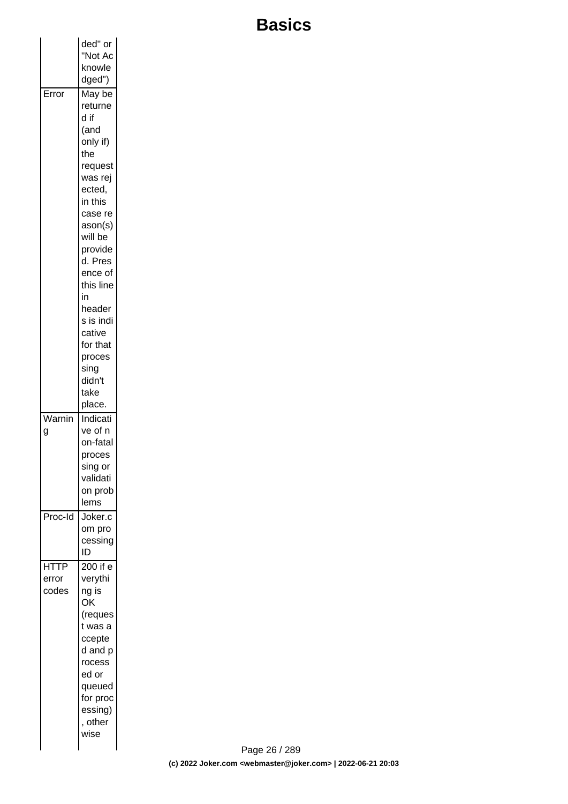# **Basics**

|             | ded" or            |  |
|-------------|--------------------|--|
|             | "Not Ac            |  |
|             | knowle             |  |
|             | dged")             |  |
| Error       | May be             |  |
|             | returne            |  |
|             | d if               |  |
|             | (and               |  |
|             | only if)           |  |
|             | the                |  |
|             | request            |  |
|             | was rej            |  |
|             | ected,             |  |
|             | in this            |  |
|             | case re            |  |
|             | ason(s)<br>will be |  |
|             | provide            |  |
|             | d. Pres            |  |
|             | ence of            |  |
|             | this line          |  |
|             | in                 |  |
|             | header             |  |
|             | s is indi          |  |
|             | cative             |  |
|             | for that           |  |
|             | proces             |  |
|             | sing<br>didn't     |  |
|             | take               |  |
|             | place.             |  |
| Warnin      | Indicati           |  |
| g           | ve of n            |  |
|             | on-fatal           |  |
|             | proces             |  |
|             | sing or            |  |
|             | validati           |  |
|             | on prob            |  |
|             | lems               |  |
| Proc-Id     | Joker.c            |  |
|             | om pro             |  |
|             | cessing            |  |
|             | ID                 |  |
| <b>HTTP</b> | 200 if e           |  |
| error       | verythi            |  |
| codes       | ng is<br>OK        |  |
|             | (reques            |  |
|             | t was a            |  |
|             | ccepte             |  |
|             | d and p            |  |
|             | rocess             |  |
|             | ed or              |  |
|             | queued             |  |
|             | for proc           |  |
|             | essing)            |  |
|             | , other            |  |
|             | wise               |  |
|             |                    |  |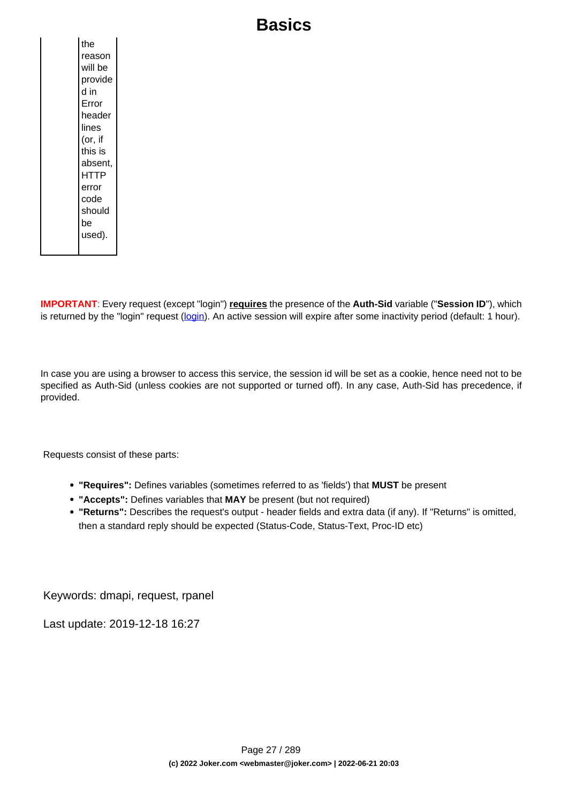## **Basics**

**IMPORTANT**: Every request (except "login") **requires** the presence of the **Auth-Sid** variable ("**Session ID**"), which is returned by the "login" request [\(login](index.php?action=artikel&cat=26&id=14&artlang=en)). An active session will expire after some inactivity period (default: 1 hour).

In case you are using a browser to access this service, the session id will be set as a cookie, hence need not to be specified as Auth-Sid (unless cookies are not supported or turned off). In any case, Auth-Sid has precedence, if provided.

Requests consist of these parts:

- **"Requires":** Defines variables (sometimes referred to as 'fields') that **MUST** be present
- **"Accepts":** Defines variables that **MAY** be present (but not required)
- **"Returns":** Describes the request's output header fields and extra data (if any). If "Returns" is omitted, then a standard reply should be expected (Status-Code, Status-Text, Proc-ID etc)

Keywords: dmapi, request, rpanel

Last update: 2019-12-18 16:27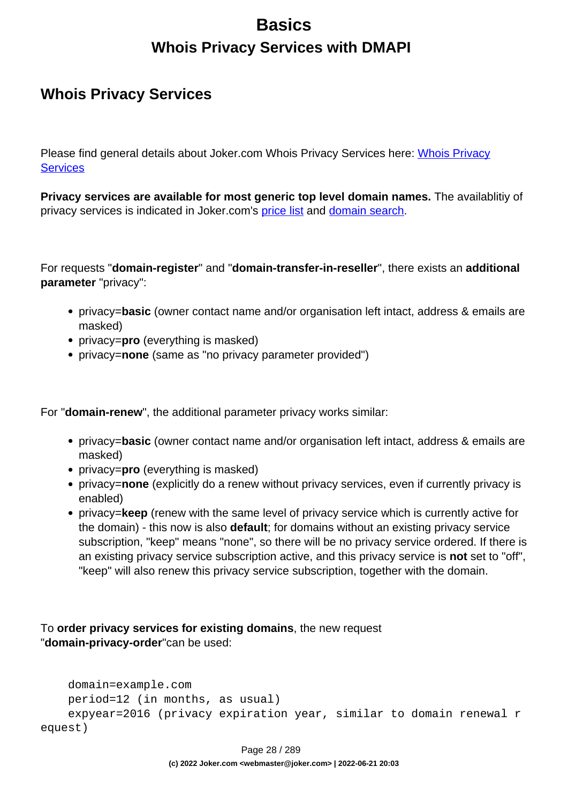## **Basics Whois Privacy Services with DMAPI**

### <span id="page-27-0"></span>**Whois Privacy Services**

Please find general details about Joker.com [Whois Privacy](index.php?action=artikel&cat=5&id=476&artlang=en) Services here: Whois Privacy **[Services](index.php?action=artikel&cat=5&id=476&artlang=en)** 

**Privacy services are available for most generic top level domain names.** The availablitiy of privacy services is indicated in Joker.com's [price list](https://joker.com/goto/prices) and [domain search.](https://joker.com/goto/order)

For requests "**domain-register**" and "**domain-transfer-in-reseller**", there exists an **additional parameter** "privacy":

- privacy=**basic** (owner contact name and/or organisation left intact, address & emails are masked)
- privacy=**pro** (everything is masked)
- privacy=**none** (same as "no privacy parameter provided")

For "**domain-renew**", the additional parameter privacy works similar:

- privacy=**basic** (owner contact name and/or organisation left intact, address & emails are masked)
- privacy=**pro** (everything is masked)
- privacy=**none** (explicitly do a renew without privacy services, even if currently privacy is enabled)
- privacy=**keep** (renew with the same level of privacy service which is currently active for the domain) - this now is also **default**; for domains without an existing privacy service subscription, "keep" means "none", so there will be no privacy service ordered. If there is an existing privacy service subscription active, and this privacy service is **not** set to "off", "keep" will also renew this privacy service subscription, together with the domain.

To **order privacy services for existing domains**, the new request "**domain-privacy-order**"can be used:

```
 domain=example.com
    period=12 (in months, as usual)
     expyear=2016 (privacy expiration year, similar to domain renewal r
equest)
```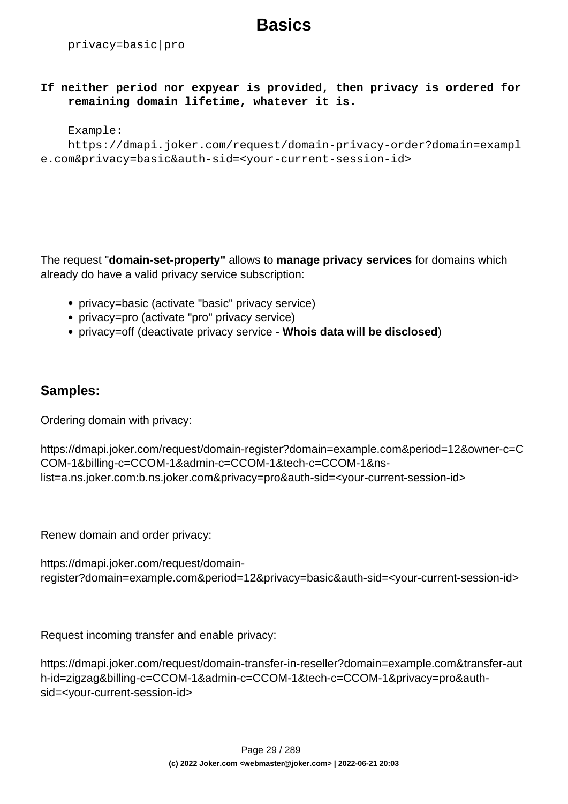## **Basics**

privacy=basic|pro

**If neither period nor expyear is provided, then privacy is ordered for remaining domain lifetime, whatever it is.**

#### Example:

```
 https://dmapi.joker.com/request/domain-privacy-order?domain=exampl
e.com&privacy=basic&auth-sid=<your-current-session-id>
```
The request "**domain-set-property"** allows to **manage privacy services** for domains which already do have a valid privacy service subscription:

- privacy=basic (activate "basic" privacy service)
- privacy=pro (activate "pro" privacy service)
- privacy=off (deactivate privacy service **Whois data will be disclosed**)

#### **Samples:**

Ordering domain with privacy:

```
https://dmapi.joker.com/request/domain-register?domain=example.com&period=12&owner-c=C
COM-1&billing-c=CCOM-1&admin-c=CCOM-1&tech-c=CCOM-1&ns-
list=a.ns.joker.com:b.ns.joker.com&privacy=pro&auth-sid=<your-current-session-id>
```
Renew domain and order privacy:

```
https://dmapi.joker.com/request/domain-
register?domain=example.com&period=12&privacy=basic&auth-sid=<your-current-session-id>
```
Request incoming transfer and enable privacy:

https://dmapi.joker.com/request/domain-transfer-in-reseller?domain=example.com&transfer-aut h-id=zigzag&billing-c=CCOM-1&admin-c=CCOM-1&tech-c=CCOM-1&privacy=pro&authsid=<your-current-session-id>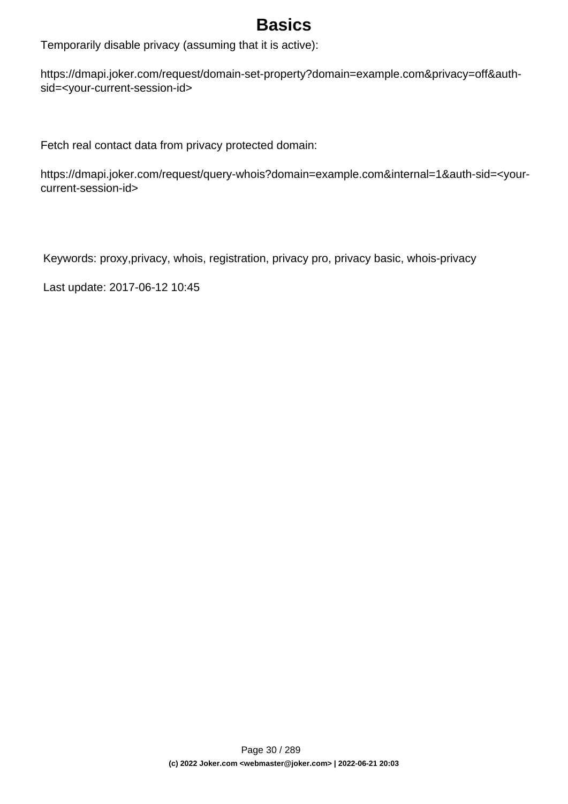## **Basics**

Temporarily disable privacy (assuming that it is active):

https://dmapi.joker.com/request/domain-set-property?domain=example.com&privacy=off&authsid=<your-current-session-id>

Fetch real contact data from privacy protected domain:

https://dmapi.joker.com/request/query-whois?domain=example.com&internal=1&auth-sid=<yourcurrent-session-id>

Keywords: proxy,privacy, whois, registration, privacy pro, privacy basic, whois-privacy

Last update: 2017-06-12 10:45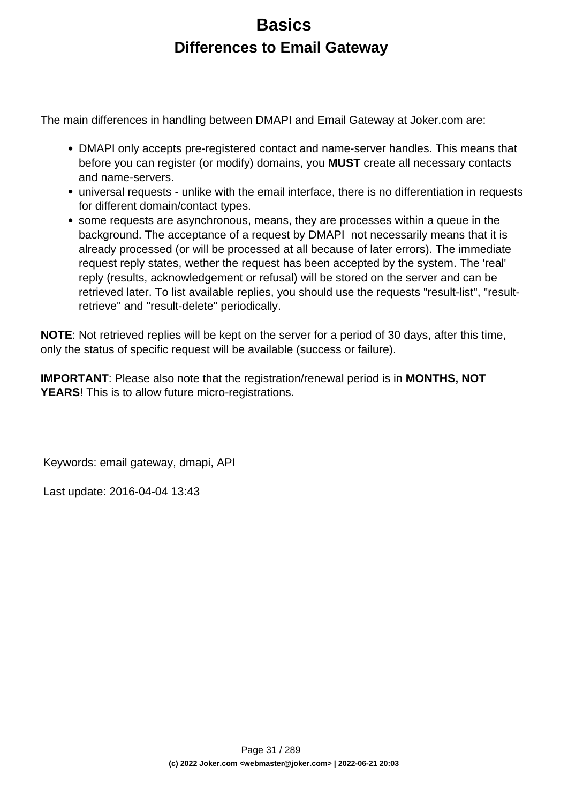## **Basics Differences to Email Gateway**

<span id="page-30-0"></span>The main differences in handling between DMAPI and Email Gateway at Joker.com are:

- DMAPI only accepts pre-registered contact and name-server handles. This means that before you can register (or modify) domains, you **MUST** create all necessary contacts and name-servers.
- universal requests unlike with the email interface, there is no differentiation in requests for different domain/contact types.
- some requests are asynchronous, means, they are processes within a queue in the background. The acceptance of a request by DMAPI not necessarily means that it is already processed (or will be processed at all because of later errors). The immediate request reply states, wether the request has been accepted by the system. The 'real' reply (results, acknowledgement or refusal) will be stored on the server and can be retrieved later. To list available replies, you should use the requests "result-list", "resultretrieve" and "result-delete" periodically.

**NOTE**: Not retrieved replies will be kept on the server for a period of 30 days, after this time, only the status of specific request will be available (success or failure).

**IMPORTANT**: Please also note that the registration/renewal period is in **MONTHS, NOT YEARS**! This is to allow future micro-registrations.

Keywords: email gateway, dmapi, API

Last update: 2016-04-04 13:43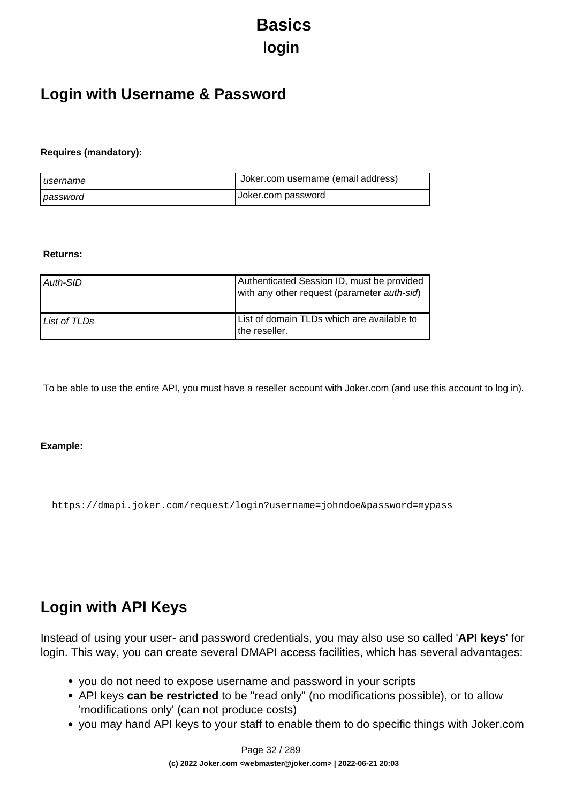# **Basics login**

### <span id="page-31-0"></span>**Login with Username & Password**

#### **Requires (mandatory):**

| I username | Uoker.com username (email address) |
|------------|------------------------------------|
| password   | Joker.com password                 |

#### **Returns:**

| Auth-SID     | Authenticated Session ID, must be provided<br>with any other request (parameter auth-sid) |
|--------------|-------------------------------------------------------------------------------------------|
| List of TLDs | List of domain TLDs which are available to<br>I the reseller.                             |

To be able to use the entire API, you must have a reseller account with Joker.com (and use this account to log in).

#### **Example:**

https://dmapi.joker.com/request/login?username=johndoe&password=mypass

### **Login with API Keys**

Instead of using your user- and password credentials, you may also use so called '**API keys**' for login. This way, you can create several DMAPI access facilities, which has several advantages:

- you do not need to expose username and password in your scripts
- API keys **can be restricted** to be "read only" (no modifications possible), or to allow 'modifications only' (can not produce costs)
- you may hand API keys to your staff to enable them to do specific things with Joker.com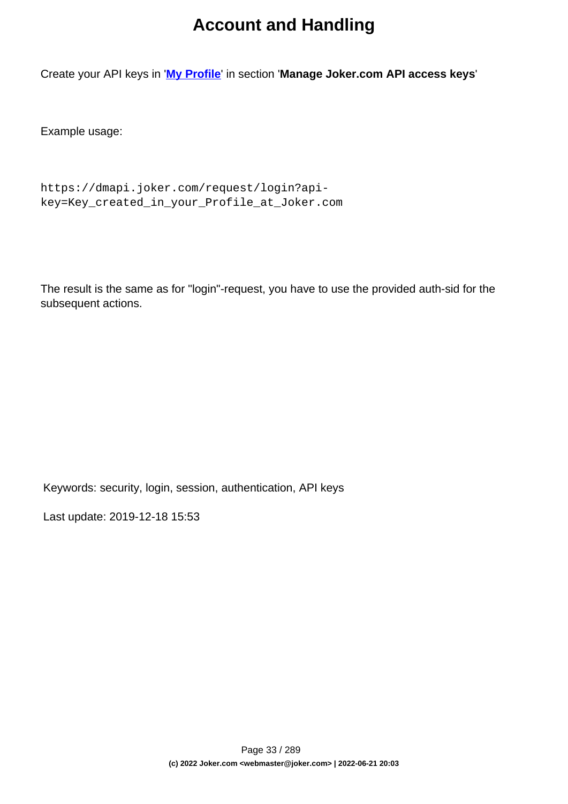## **Account and Handling**

Create your API keys in '**[My Profile](/goto/myjoker)**' in section '**Manage Joker.com API access keys**'

Example usage:

```
https://dmapi.joker.com/request/login?api-
key=Key_created_in_your_Profile_at_Joker.com
```
The result is the same as for "login"-request, you have to use the provided auth-sid for the subsequent actions.

Keywords: security, login, session, authentication, API keys

Last update: 2019-12-18 15:53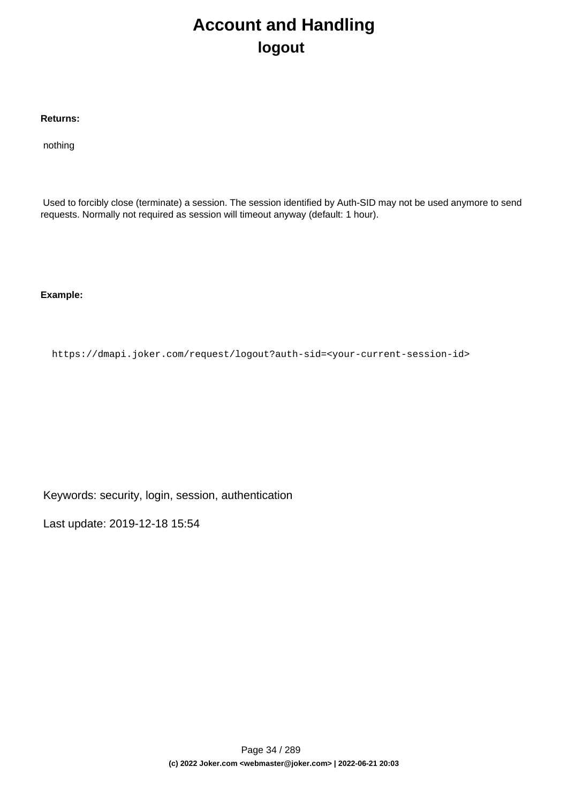## **Account and Handling logout**

#### <span id="page-33-0"></span>**Returns:**

nothing

 Used to forcibly close (terminate) a session. The session identified by Auth-SID may not be used anymore to send requests. Normally not required as session will timeout anyway (default: 1 hour).

**Example:**

https://dmapi.joker.com/request/logout?auth-sid=<your-current-session-id>

Keywords: security, login, session, authentication

Last update: 2019-12-18 15:54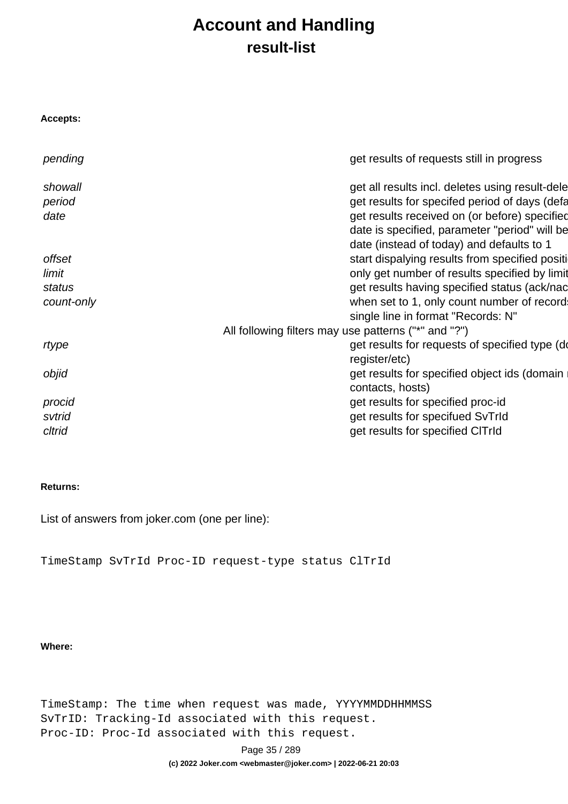## **Account and Handling result-list**

<span id="page-34-0"></span>

| <b>Accepts:</b> |                                                      |
|-----------------|------------------------------------------------------|
| pending         | get results of requests still in progress            |
| showall         | get all results incl. deletes using result-dele      |
| period          | get results for specifed period of days (defa        |
| date            | get results received on (or before) specified        |
|                 | date is specified, parameter "period" will be        |
|                 | date (instead of today) and defaults to 1            |
| offset          | start dispalying results from specified positi       |
| limit           | only get number of results specified by limit        |
| status          | get results having specified status (ack/nac         |
| count-only      | when set to 1, only count number of record           |
|                 | single line in format "Records: N"                   |
|                 | All following filters may use patterns ("*" and "?") |
| rtype           | get results for requests of specified type (do       |
|                 | register/etc)                                        |
| objid           | get results for specified object ids (domain         |
|                 | contacts, hosts)                                     |
| procid          | get results for specified proc-id                    |
| svtrid          | get results for specifued SvTrId                     |
| cltrid          | get results for specified CITrId                     |

#### **Returns:**

List of answers from joker.com (one per line):

TimeStamp SvTrId Proc-ID request-type status ClTrId

#### **Where:**

TimeStamp: The time when request was made, YYYYMMDDHHMMSS SvTrID: Tracking-Id associated with this request. Proc-ID: Proc-Id associated with this request.

Page 35 / 289

**(c) 2022 Joker.com <webmaster@joker.com> | 2022-06-21 20:03**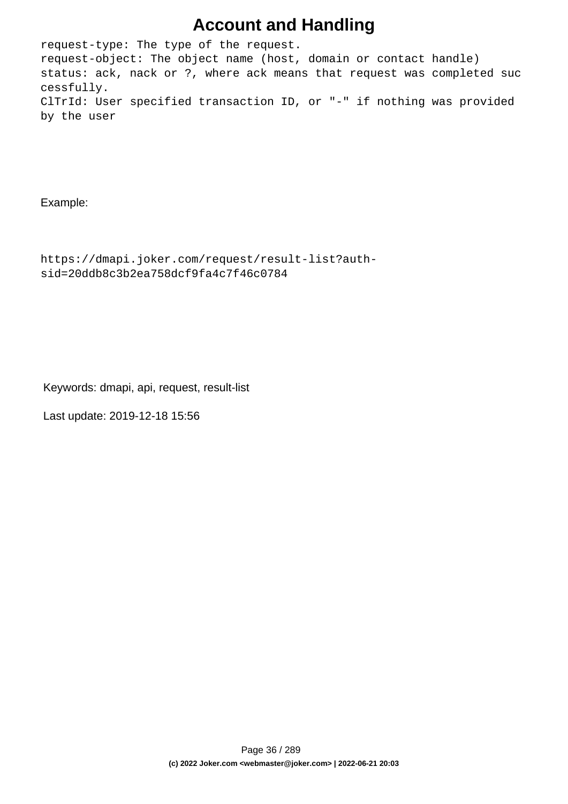## **Account and Handling**

request-type: The type of the request. request-object: The object name (host, domain or contact handle) status: ack, nack or ?, where ack means that request was completed suc cessfully. ClTrId: User specified transaction ID, or "-" if nothing was provided by the user

Example:

```
https://dmapi.joker.com/request/result-list?auth-
sid=20ddb8c3b2ea758dcf9fa4c7f46c0784
```
Keywords: dmapi, api, request, result-list

Last update: 2019-12-18 15:56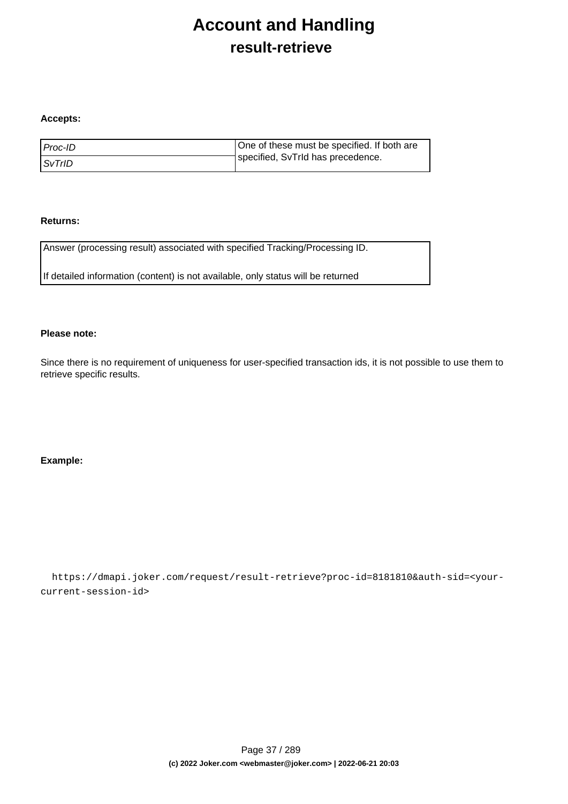## **Account and Handling result-retrieve**

#### **Accepts:**

| l Proc-ID     | One of these must be specified. If both are |
|---------------|---------------------------------------------|
| <i>SvTrID</i> | specified, SvTrId has precedence.           |

#### **Returns:**

Answer (processing result) associated with specified Tracking/Processing ID.

If detailed information (content) is not available, only status will be returned

#### **Please note:**

Since there is no requirement of uniqueness for user-specified transaction ids, it is not possible to use them to retrieve specific results.

#### **Example:**

 https://dmapi.joker.com/request/result-retrieve?proc-id=8181810&auth-sid=<yourcurrent-session-id>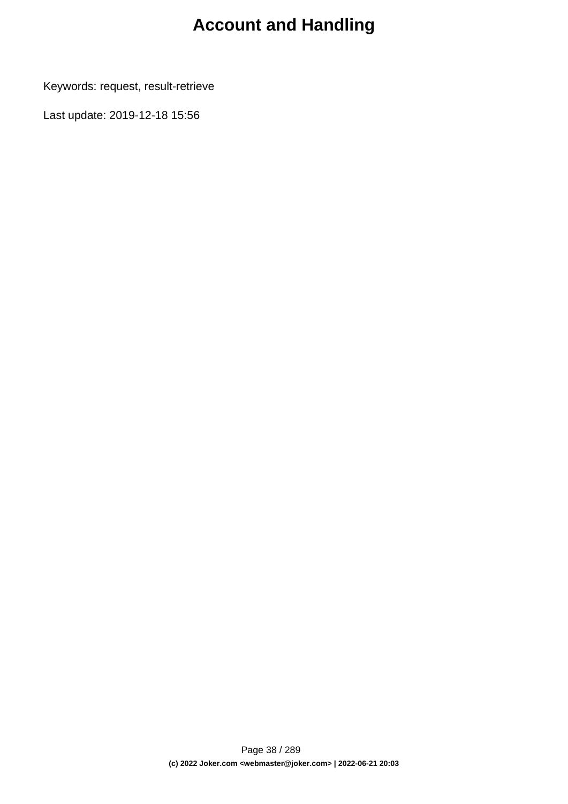# **Account and Handling**

Keywords: request, result-retrieve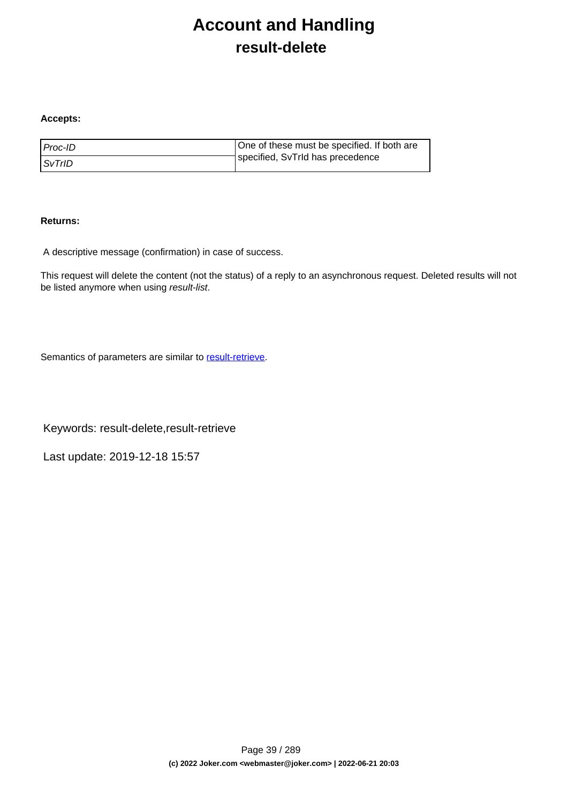# **Account and Handling result-delete**

#### **Accepts:**

| l Proc-ID     | One of these must be specified. If both are |
|---------------|---------------------------------------------|
| <i>SvTrID</i> | specified, SvTrId has precedence            |

#### **Returns:**

A descriptive message (confirmation) in case of success.

This request will delete the content (not the status) of a reply to an asynchronous request. Deleted results will not be listed anymore when using result-list.

Semantics of parameters are similar to [result-retrieve.](index.php?action=artikel&cat=26&id=17&artlang=en)

Keywords: result-delete,result-retrieve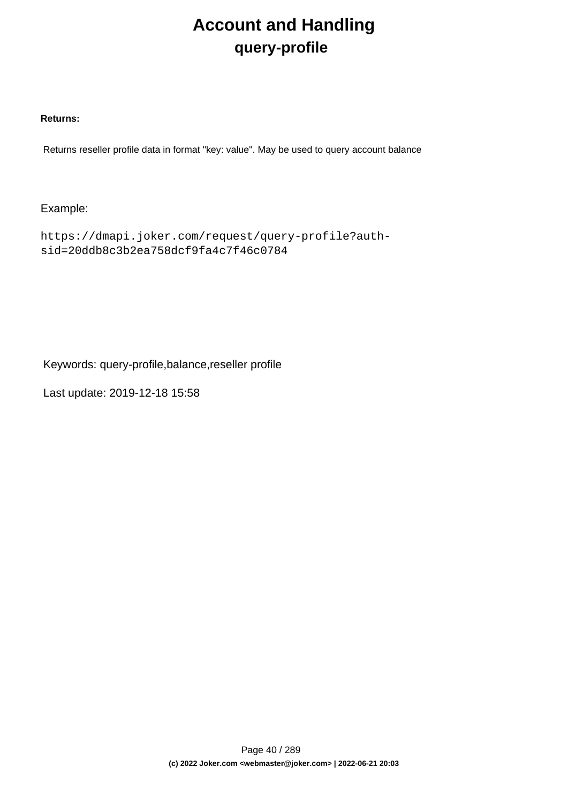# **Account and Handling query-profile**

#### **Returns:**

Returns reseller profile data in format "key: value". May be used to query account balance

### Example:

```
https://dmapi.joker.com/request/query-profile?auth-
sid=20ddb8c3b2ea758dcf9fa4c7f46c0784
```
Keywords: query-profile,balance,reseller profile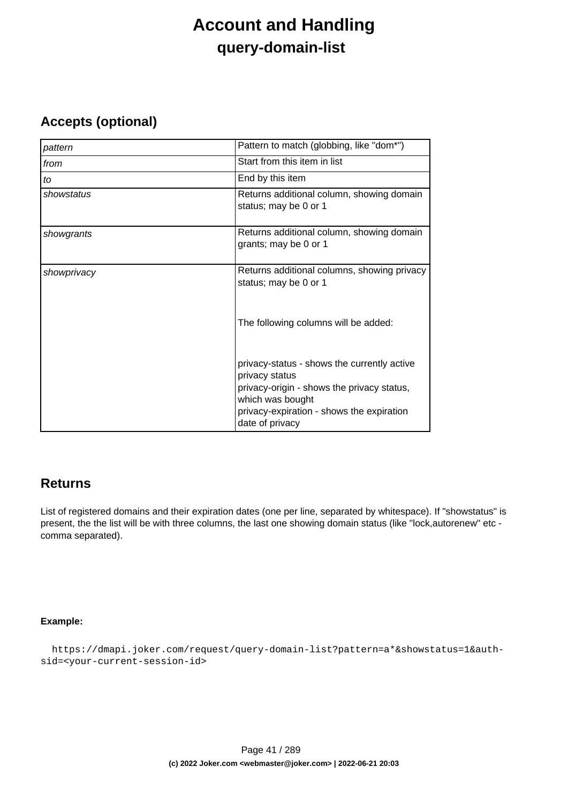## **Account and Handling query-domain-list**

### **Accepts (optional)**

| pattern     | Pattern to match (globbing, like "dom*")                                                                                                                                                        |
|-------------|-------------------------------------------------------------------------------------------------------------------------------------------------------------------------------------------------|
| from        | Start from this item in list                                                                                                                                                                    |
| to          | End by this item                                                                                                                                                                                |
| showstatus  | Returns additional column, showing domain<br>status; may be 0 or 1                                                                                                                              |
| showgrants  | Returns additional column, showing domain<br>grants; may be 0 or 1                                                                                                                              |
| showprivacy | Returns additional columns, showing privacy<br>status; may be 0 or 1                                                                                                                            |
|             | The following columns will be added:                                                                                                                                                            |
|             | privacy-status - shows the currently active<br>privacy status<br>privacy-origin - shows the privacy status,<br>which was bought<br>privacy-expiration - shows the expiration<br>date of privacy |

### **Returns**

List of registered domains and their expiration dates (one per line, separated by whitespace). If "showstatus" is present, the the list will be with three columns, the last one showing domain status (like "lock,autorenew" etc comma separated).

#### **Example:**

```
 https://dmapi.joker.com/request/query-domain-list?pattern=a*&showstatus=1&auth-
sid=<your-current-session-id>
```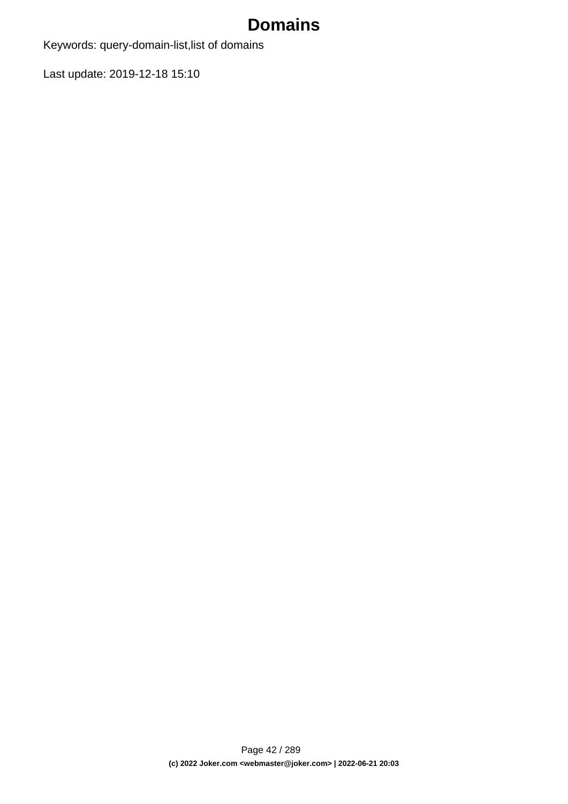Keywords: query-domain-list,list of domains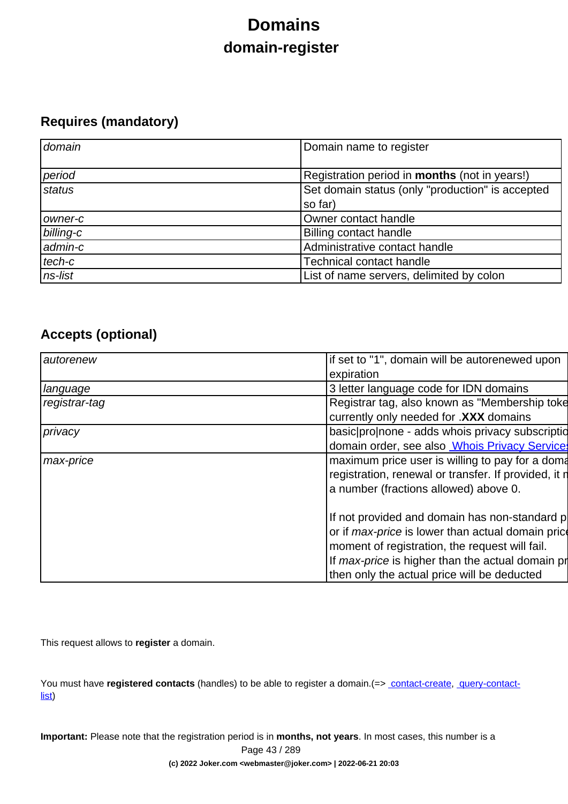# **Domains domain-register**

## **Requires (mandatory)**

| domain    | Domain name to register                              |
|-----------|------------------------------------------------------|
| period    | Registration period in <b>months</b> (not in years!) |
| status    | Set domain status (only "production" is accepted     |
|           | so far)                                              |
| owner-c   | Owner contact handle                                 |
| billing-c | <b>Billing contact handle</b>                        |
| admin-c   | Administrative contact handle                        |
| tech-c    | <b>Technical contact handle</b>                      |
| ns-list   | List of name servers, delimited by colon             |

## **Accepts (optional)**

| autorenew     | if set to "1", domain will be autorenewed upon           |
|---------------|----------------------------------------------------------|
|               | expiration                                               |
| language      | 3 letter language code for IDN domains                   |
| registrar-tag | Registrar tag, also known as "Membership toke            |
|               | currently only needed for .XXX domains                   |
| privacy       | basic pro none - adds whois privacy subscription         |
|               | domain order, see also <b>Whois Privacy Services</b>     |
| max-price     | maximum price user is willing to pay for a doma          |
|               | registration, renewal or transfer. If provided, it n     |
|               | a number (fractions allowed) above 0.                    |
|               |                                                          |
|               | If not provided and domain has non-standard p            |
|               | or if <i>max-price</i> is lower than actual domain price |
|               | moment of registration, the request will fail.           |
|               | If max-price is higher than the actual domain pr         |
|               | then only the actual price will be deducted              |

This request allows to **register** a domain.

You must have **registered contacts** (handles) to be able to register a domain.(=> [contact-create](index.php?action=artikel&cat=28&id=30&artlang=en), [query-contact](index.php?action=artikel&cat=28&id=29&artlang=en)[list\)](index.php?action=artikel&cat=28&id=29&artlang=en)

**Important:** Please note that the registration period is in **months, not years**. In most cases, this number is a Page 43 / 289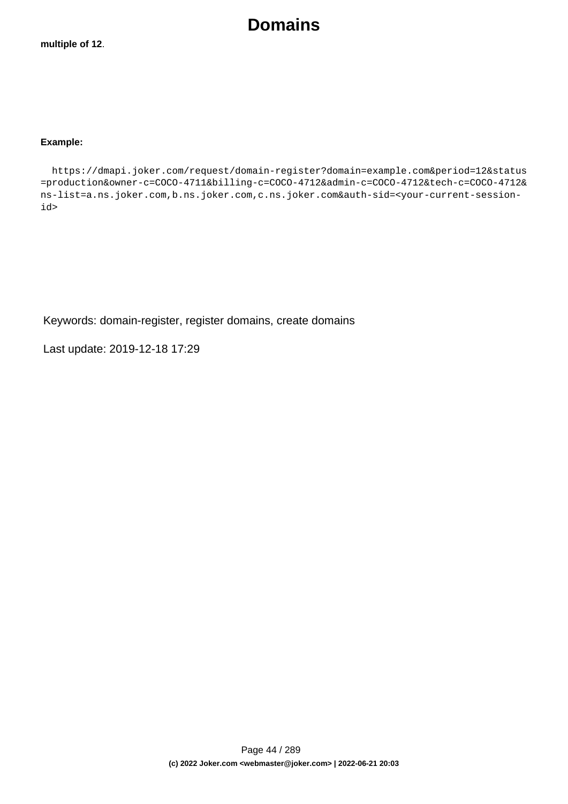#### **Example:**

 https://dmapi.joker.com/request/domain-register?domain=example.com&period=12&status =production&owner-c=COCO-4711&billing-c=COCO-4712&admin-c=COCO-4712&tech-c=COCO-4712& ns-list=a.ns.joker.com,b.ns.joker.com,c.ns.joker.com&auth-sid=<your-current-sessionid>

Keywords: domain-register, register domains, create domains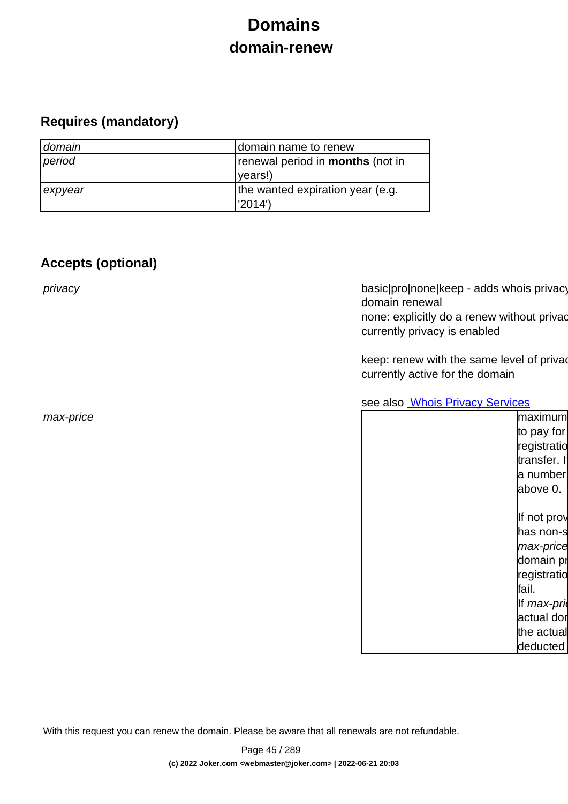# **Domains domain-renew**

## **Requires (mandatory)**

| domain  | domain name to renew                    |
|---------|-----------------------------------------|
| period  | renewal period in <b>months</b> (not in |
|         | (vears!)                                |
| expyear | the wanted expiration year (e.g.        |
|         | 2014')                                  |

## **Accepts (optional)**

privacy basic|pro|none|keep - adds whois privacy domain renewal none: explicitly do a renew without privac currently privacy is enabled

> keep: renew with the same level of priva currently active for the domain

see also **[Whois Privacy Services](index.php?action=artikel&cat=22&id=477&artlang=en)** 

| max-price | maximum      |
|-----------|--------------|
|           | to pay for   |
|           | registratio  |
|           | transfer. If |
|           | a number     |
|           | above 0.     |
|           |              |
|           | If not prov  |
|           | has non-s    |
|           | max-price    |
|           | domain pr    |
|           | registratio  |
|           | fail.        |
|           | If max-pri   |
|           | actual dor   |
|           | the actual   |
|           | deducted     |
|           |              |

With this request you can renew the domain. Please be aware that all renewals are not refundable.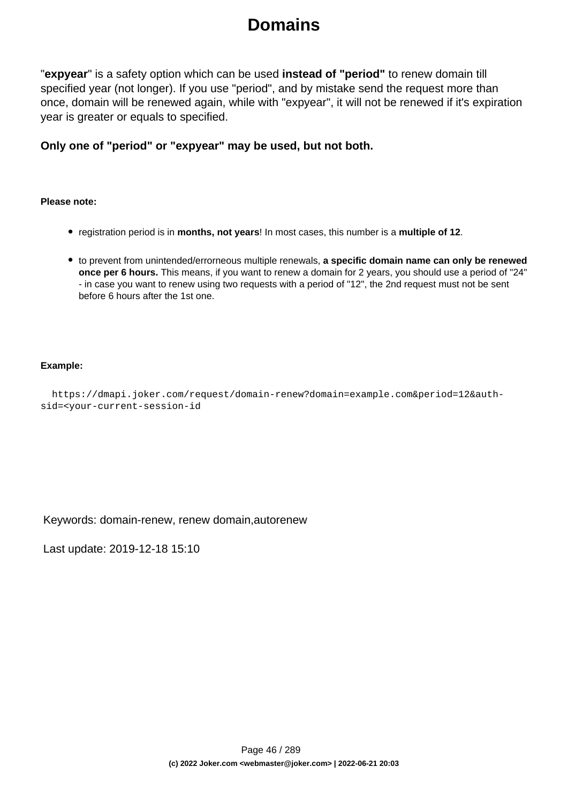"**expyear**" is a safety option which can be used **instead of "period"** to renew domain till specified year (not longer). If you use "period", and by mistake send the request more than once, domain will be renewed again, while with "expyear", it will not be renewed if it's expiration year is greater or equals to specified.

**Only one of "period" or "expyear" may be used, but not both.**

#### **Please note:**

- registration period is in **months, not years**! In most cases, this number is a **multiple of 12**.
- to prevent from unintended/errorneous multiple renewals, **a specific domain name can only be renewed once per 6 hours.** This means, if you want to renew a domain for 2 years, you should use a period of "24" - in case you want to renew using two requests with a period of "12", the 2nd request must not be sent before 6 hours after the 1st one.

#### **Example:**

```
 https://dmapi.joker.com/request/domain-renew?domain=example.com&period=12&auth-
sid=<your-current-session-id
```
Keywords: domain-renew, renew domain,autorenew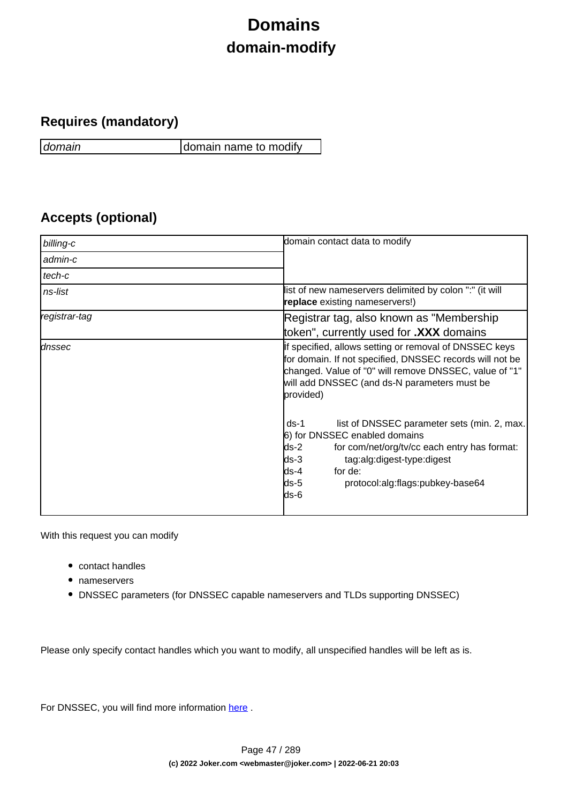# **Domains domain-modify**

## **Requires (mandatory)**

domain domain name to modify

## **Accepts (optional)**

| billing-c     | domain contact data to modify                                                                                                                                                                                                                                  |
|---------------|----------------------------------------------------------------------------------------------------------------------------------------------------------------------------------------------------------------------------------------------------------------|
| admin-c       |                                                                                                                                                                                                                                                                |
| tech-c        |                                                                                                                                                                                                                                                                |
| ns-list       | list of new nameservers delimited by colon ":" (it will<br>replace existing nameservers!)                                                                                                                                                                      |
| registrar-tag | Registrar tag, also known as "Membership"                                                                                                                                                                                                                      |
|               | token", currently used for <b>.XXX</b> domains                                                                                                                                                                                                                 |
| dnssec        | If specified, allows setting or removal of DNSSEC keys<br>for domain. If not specified, DNSSEC records will not be<br>changed. Value of "0" will remove DNSSEC, value of "1"<br>will add DNSSEC (and ds-N parameters must be<br>provided)                      |
|               | list of DNSSEC parameter sets (min. 2, max.<br>$ds-1$<br>6) for DNSSEC enabled domains<br>$ds-2$<br>for com/net/org/tv/cc each entry has format:<br>ds-3<br>tag:alg:digest-type:digest<br>for de:<br>lds-4<br>ds-5<br>protocol:alg:flags:pubkey-base64<br>ds-6 |

With this request you can modify

- contact handles
- nameservers
- DNSSEC parameters (for DNSSEC capable nameservers and TLDs supporting DNSSEC)

Please only specify contact handles which you want to modify, all unspecified handles will be left as is.

For DNSSEC, you will find more information here.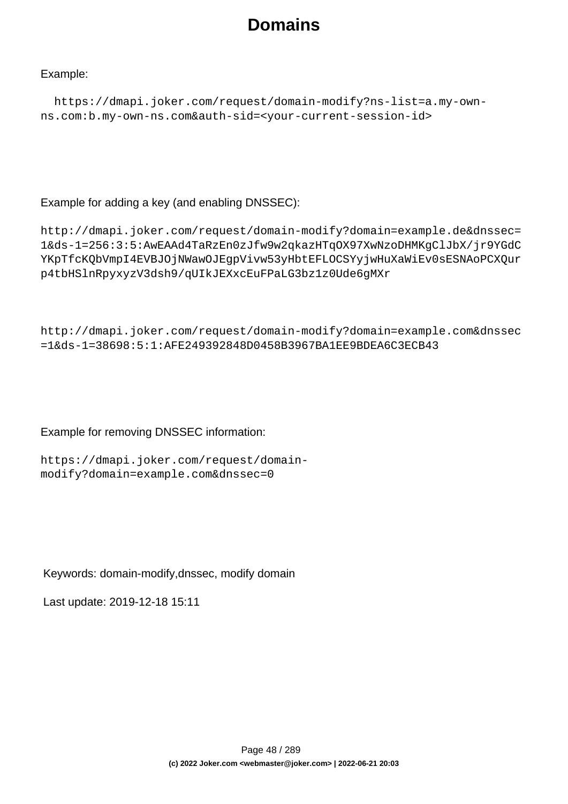### Example:

```
 https://dmapi.joker.com/request/domain-modify?ns-list=a.my-own-
ns.com:b.my-own-ns.com&auth-sid=<your-current-session-id>
```
### Example for adding a key (and enabling DNSSEC):

```
http://dmapi.joker.com/request/domain-modify?domain=example.de&dnssec=
1&ds-1=256:3:5:AwEAAd4TaRzEn0zJfw9w2qkazHTqOX97XwNzoDHMKgClJbX/jr9YGdC
YKpTfcKQbVmpI4EVBJOjNWawOJEgpVivw53yHbtEFLOCSYyjwHuXaWiEv0sESNAoPCXQur
p4tbHSlnRpyxyzV3dsh9/qUIkJEXxcEuFPaLG3bz1z0Ude6gMXr
```

```
http://dmapi.joker.com/request/domain-modify?domain=example.com&dnssec
=1&ds-1=38698:5:1:AFE249392848D0458B3967BA1EE9BDEA6C3ECB43
```
### Example for removing DNSSEC information:

```
https://dmapi.joker.com/request/domain-
modify?domain=example.com&dnssec=0
```
### Keywords: domain-modify,dnssec, modify domain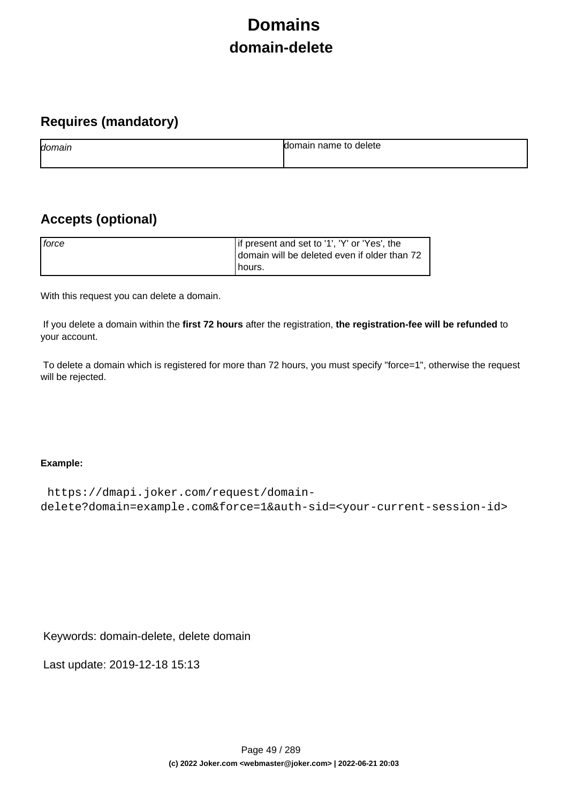# **Domains domain-delete**

## **Requires (mandatory)**

| domain | name to<br>delete<br>ы |
|--------|------------------------|
|        |                        |

## **Accepts (optional)**

| force | If present and set to '1', 'Y' or 'Yes', the<br>domain will be deleted even if older than 72 |
|-------|----------------------------------------------------------------------------------------------|
|       | Thours.                                                                                      |

With this request you can delete a domain.

 If you delete a domain within the **first 72 hours** after the registration, **the registration-fee will be refunded** to your account.

 To delete a domain which is registered for more than 72 hours, you must specify "force=1", otherwise the request will be rejected.

### **Example:**

```
 https://dmapi.joker.com/request/domain-
delete?domain=example.com&force=1&auth-sid=<your-current-session-id>
```
Keywords: domain-delete, delete domain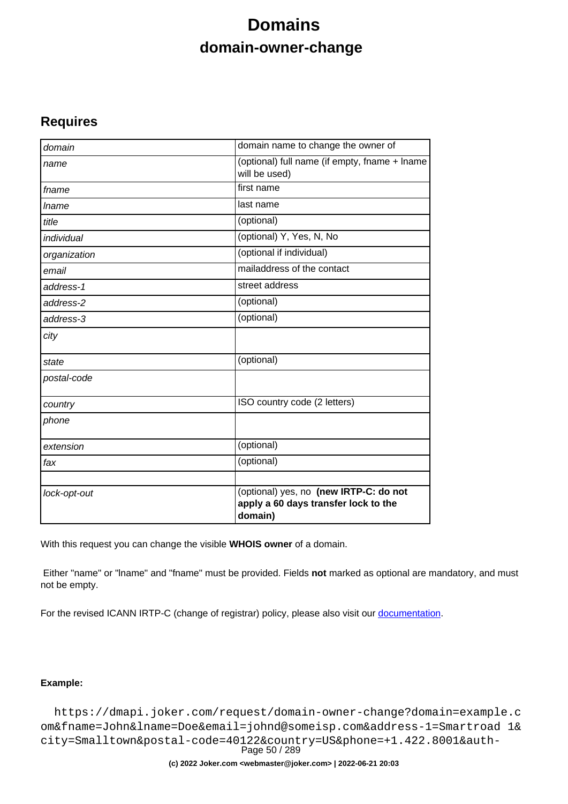# **Domains domain-owner-change**

### **Requires**

| domain       | domain name to change the owner of                                                        |
|--------------|-------------------------------------------------------------------------------------------|
| name         | (optional) full name (if empty, fname + lname<br>will be used)                            |
| fname        | first name                                                                                |
| <i>Iname</i> | last name                                                                                 |
| title        | (optional)                                                                                |
| individual   | (optional) Y, Yes, N, No                                                                  |
| organization | (optional if individual)                                                                  |
| email        | mailaddress of the contact                                                                |
| address-1    | street address                                                                            |
| address-2    | (optional)                                                                                |
| address-3    | $\overline{(\text{optional})}$                                                            |
| city         |                                                                                           |
| state        | (optional)                                                                                |
| postal-code  |                                                                                           |
| country      | ISO country code (2 letters)                                                              |
| phone        |                                                                                           |
| extension    | (optional)                                                                                |
| fax          | (optional)                                                                                |
| lock-opt-out | (optional) yes, no (new IRTP-C: do not<br>apply a 60 days transfer lock to the<br>domain) |

With this request you can change the visible **WHOIS owner** of a domain.

 Either "name" or "lname" and "fname" must be provided. Fields **not** marked as optional are mandatory, and must not be empty.

For the revised ICANN IRTP-C (change of registrar) policy, please also visit our [documentation](https://joker.com/goto/resdocs).

### **Example:**

 https://dmapi.joker.com/request/domain-owner-change?domain=example.c om&fname=John&lname=Doe&email=johnd@someisp.com&address-1=Smartroad 1& city=Smalltown&postal-code=40122&country=US&phone=+1.422.8001&auth-Page 50 / 289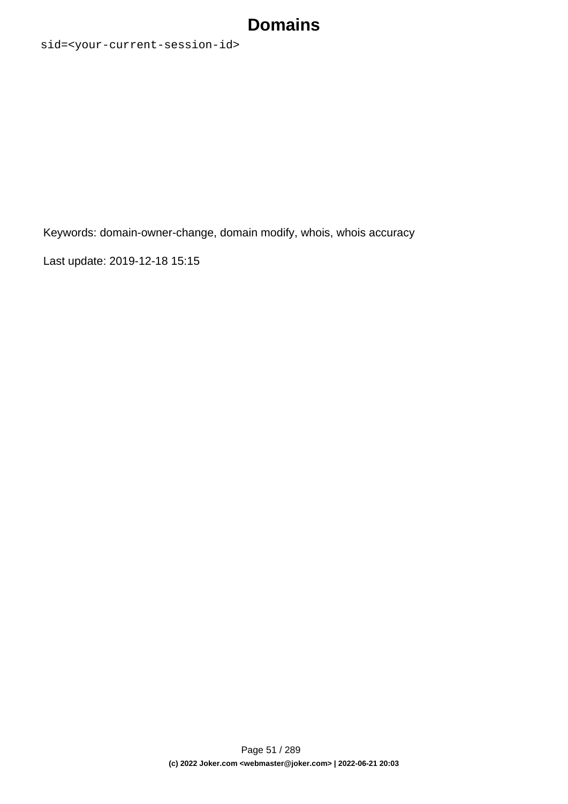sid=<your-current-session-id>

Keywords: domain-owner-change, domain modify, whois, whois accuracy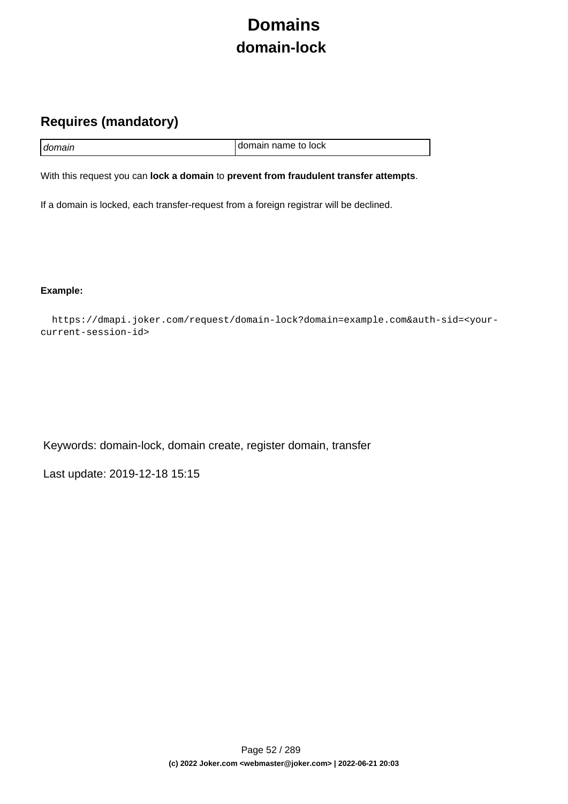# **Domains domain-lock**

## **Requires (mandatory)**

| I domain | I domain name to lock |
|----------|-----------------------|

With this request you can **lock a domain** to **prevent from fraudulent transfer attempts**.

If a domain is locked, each transfer-request from a foreign registrar will be declined.

**Example:**

 https://dmapi.joker.com/request/domain-lock?domain=example.com&auth-sid=<yourcurrent-session-id>

Keywords: domain-lock, domain create, register domain, transfer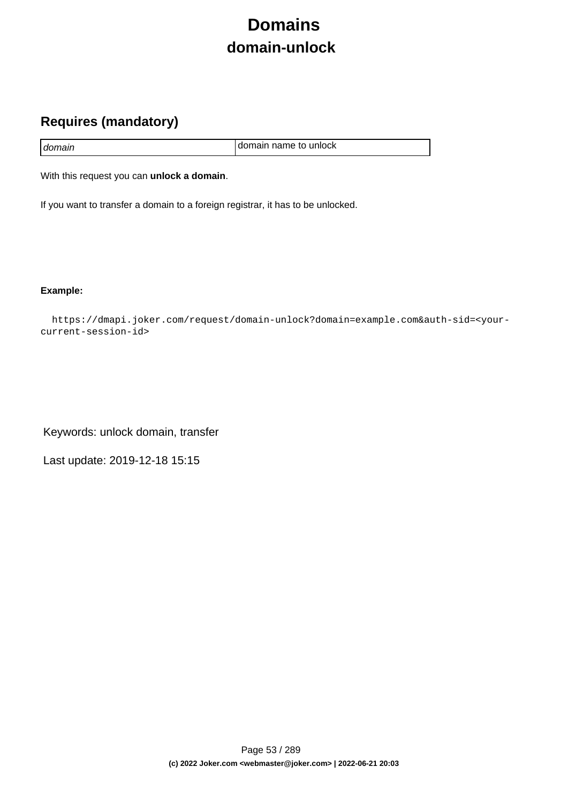# **Domains domain-unlock**

## **Requires (mandatory)**

|        | I domain name to unlock |
|--------|-------------------------|
| domain |                         |

With this request you can **unlock a domain**.

If you want to transfer a domain to a foreign registrar, it has to be unlocked.

**Example:**

 https://dmapi.joker.com/request/domain-unlock?domain=example.com&auth-sid=<yourcurrent-session-id>

Keywords: unlock domain, transfer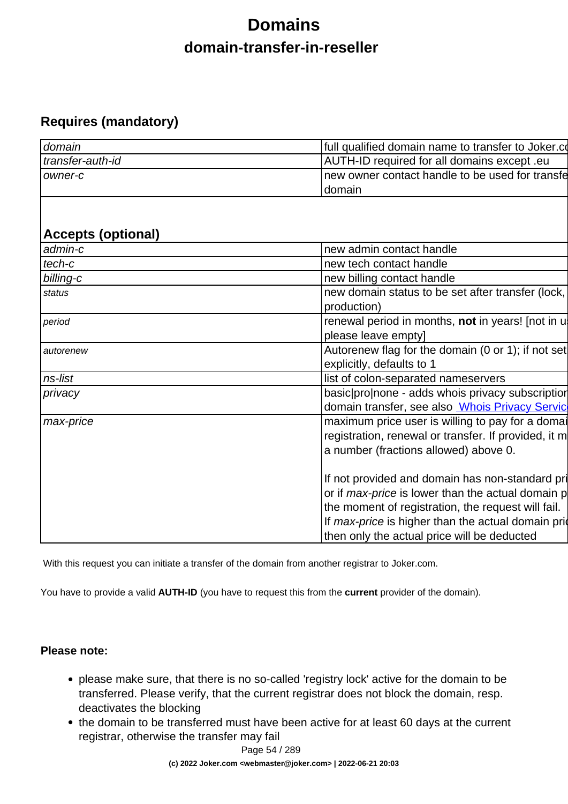# **Domains domain-transfer-in-reseller**

## **Requires (mandatory)**

| domain           | full qualified domain name to transfer to Joker.com |
|------------------|-----------------------------------------------------|
| transfer-auth-id | AUTH-ID required for all domains except .eu         |
| Towner-c         | Inew owner contact handle to be used for transfe    |
|                  | Idomain                                             |

## **Accepts (optional)**

| admin-c   | new admin contact handle                                                                                                                                                                                                                                                |
|-----------|-------------------------------------------------------------------------------------------------------------------------------------------------------------------------------------------------------------------------------------------------------------------------|
| tech-c    | new tech contact handle                                                                                                                                                                                                                                                 |
| billing-c | new billing contact handle                                                                                                                                                                                                                                              |
| status    | new domain status to be set after transfer (lock,<br>production)                                                                                                                                                                                                        |
| period    | renewal period in months, not in years! [not in u<br>please leave empty]                                                                                                                                                                                                |
| autorenew | Autorenew flag for the domain (0 or 1); if not set<br>explicitly, defaults to 1                                                                                                                                                                                         |
| ns-list   | list of colon-separated nameservers                                                                                                                                                                                                                                     |
| privacy   | basic pronone - adds whois privacy subscription                                                                                                                                                                                                                         |
|           | domain transfer, see also <b>Whois Privacy Servic</b>                                                                                                                                                                                                                   |
| max-price | maximum price user is willing to pay for a domain<br>registration, renewal or transfer. If provided, it m<br>a number (fractions allowed) above 0.                                                                                                                      |
|           | If not provided and domain has non-standard pri<br>or if <i>max-price</i> is lower than the actual domain p<br>the moment of registration, the request will fail.<br>If max-price is higher than the actual domain prior<br>then only the actual price will be deducted |

With this request you can initiate a transfer of the domain from another registrar to Joker.com.

You have to provide a valid **AUTH-ID** (you have to request this from the **current** provider of the domain).

### **Please note:**

- please make sure, that there is no so-called 'registry lock' active for the domain to be transferred. Please verify, that the current registrar does not block the domain, resp. deactivates the blocking
- the domain to be transferred must have been active for at least 60 days at the current registrar, otherwise the transfer may fail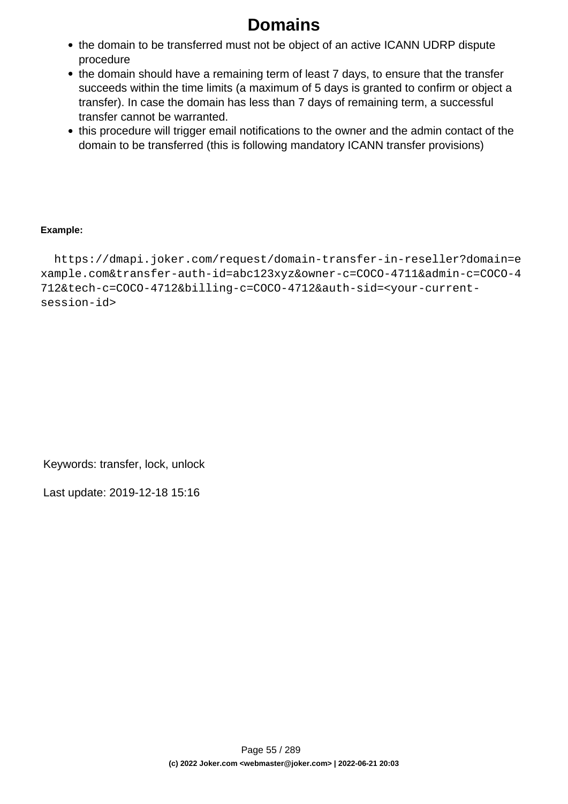- the domain to be transferred must not be object of an active ICANN UDRP dispute procedure
- the domain should have a remaining term of least 7 days, to ensure that the transfer succeeds within the time limits (a maximum of 5 days is granted to confirm or object a transfer). In case the domain has less than 7 days of remaining term, a successful transfer cannot be warranted.
- this procedure will trigger email notifications to the owner and the admin contact of the domain to be transferred (this is following mandatory ICANN transfer provisions)

### **Example:**

 https://dmapi.joker.com/request/domain-transfer-in-reseller?domain=e xample.com&transfer-auth-id=abc123xyz&owner-c=COCO-4711&admin-c=COCO-4 712&tech-c=COCO-4712&billing-c=COCO-4712&auth-sid=<your-currentsession-id>

Keywords: transfer, lock, unlock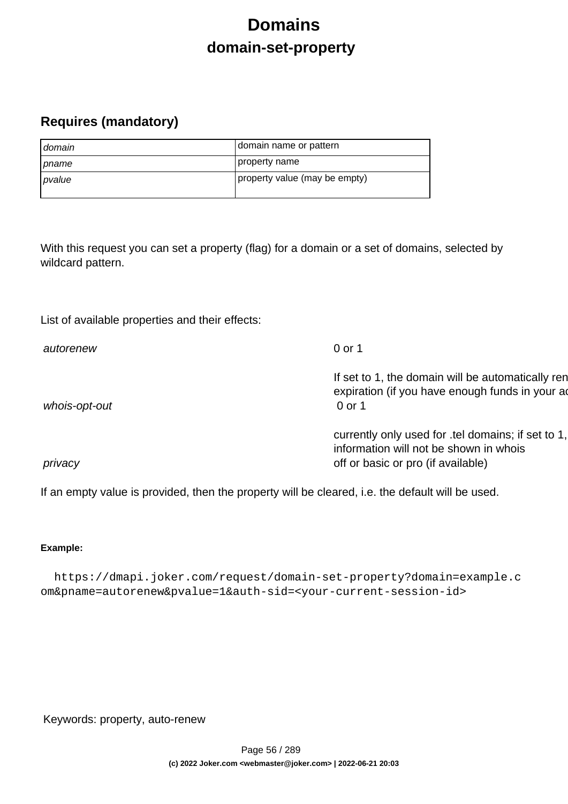# **Domains domain-set-property**

## **Requires (mandatory)**

| domain         | domain name or pattern        |
|----------------|-------------------------------|
| <i>I pname</i> | property name                 |
| pvalue         | property value (may be empty) |

With this request you can set a property (flag) for a domain or a set of domains, selected by wildcard pattern.

List of available properties and their effects:

| autorenew     | 0 or 1                                                                                                                             |
|---------------|------------------------------------------------------------------------------------------------------------------------------------|
| whois-opt-out | If set to 1, the domain will be automatically ren<br>expiration (if you have enough funds in your ad<br>0 or 1                     |
| privacy       | currently only used for .tel domains; if set to 1,<br>information will not be shown in whois<br>off or basic or pro (if available) |

If an empty value is provided, then the property will be cleared, i.e. the default will be used.

### **Example:**

 https://dmapi.joker.com/request/domain-set-property?domain=example.c om&pname=autorenew&pvalue=1&auth-sid=<your-current-session-id>

Keywords: property, auto-renew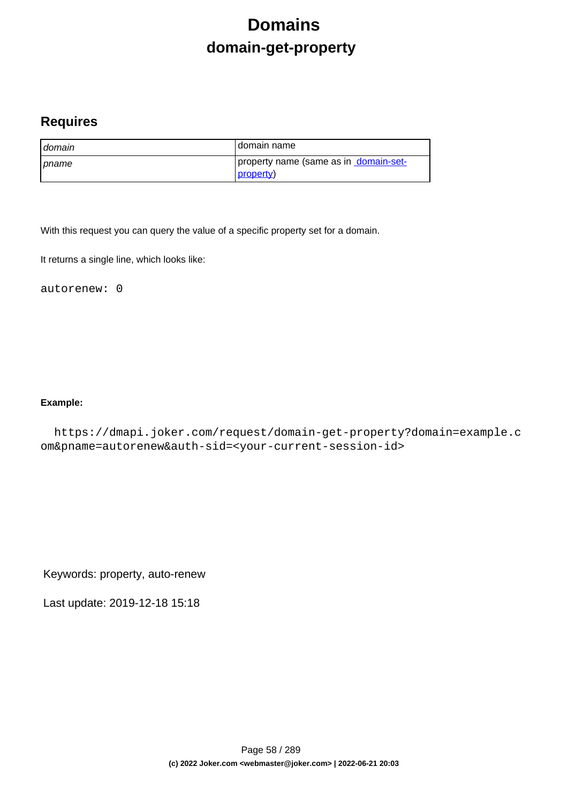# **Domains domain-get-property**

### **Requires**

| domain         | I domain name                                      |
|----------------|----------------------------------------------------|
| <b>∣</b> pname | property name (same as in domain-set-<br>property) |

With this request you can query the value of a specific property set for a domain.

It returns a single line, which looks like:

autorenew: 0

### **Example:**

 https://dmapi.joker.com/request/domain-get-property?domain=example.c om&pname=autorenew&auth-sid=<your-current-session-id>

Keywords: property, auto-renew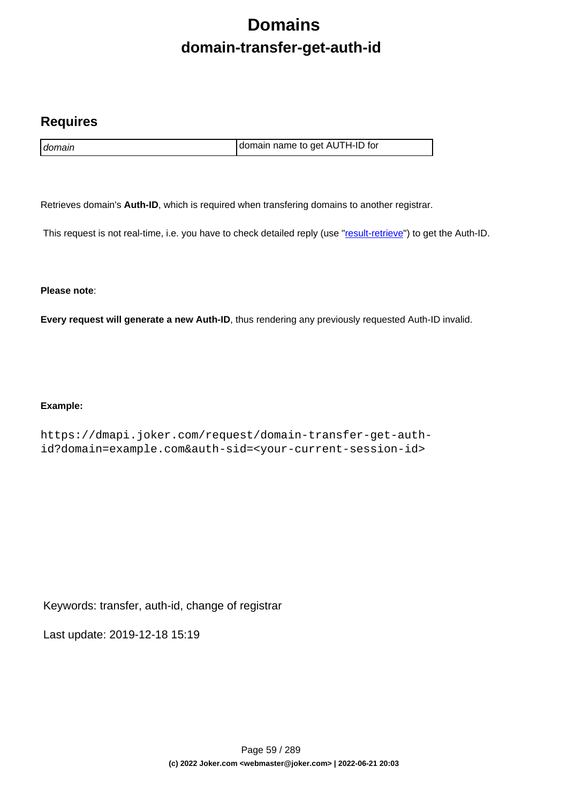# **Domains domain-transfer-get-auth-id**

### **Requires**

domain domain name to get AUTH-ID for

Retrieves domain's **Auth-ID**, which is required when transfering domains to another registrar.

This request is not real-time, i.e. you have to check detailed reply (use "[result-retrieve"](index.php?action=artikel&cat=26&id=17&artlang=en)) to get the Auth-ID.

**Please note**:

**Every request will generate a new Auth-ID**, thus rendering any previously requested Auth-ID invalid.

### **Example:**

https://dmapi.joker.com/request/domain-transfer-get-authid?domain=example.com&auth-sid=<your-current-session-id>

Keywords: transfer, auth-id, change of registrar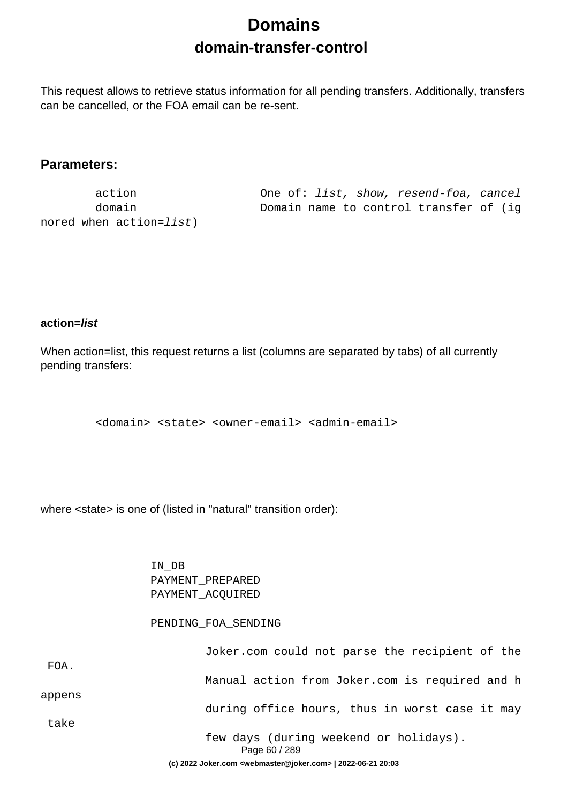# **Domains domain-transfer-control**

This request allows to retrieve status information for all pending transfers. Additionally, transfers can be cancelled, or the FOA email can be re-sent.

### **Parameters:**

nored when action=list)

 action One of: list, show, resend-foa, cancel domain Domain name to control transfer of (ig

### **action=list**

When action=list, this request returns a list (columns are separated by tabs) of all currently pending transfers:

<domain> <state> <owner-email> <admin-email>

where <state> is one of (listed in "natural" transition order):

 IN\_DB PAYMENT\_PREPARED PAYMENT\_ACQUIRED

#### PENDING\_FOA\_SENDING

|        | few days (during weekend or holidays).<br>Page 60 / 289 |
|--------|---------------------------------------------------------|
| take   |                                                         |
| appens | during office hours, thus in worst case it may          |
|        | Manual action from Joker.com is required and h          |
| FOA.   |                                                         |
|        | Joker.com could not parse the recipient of the          |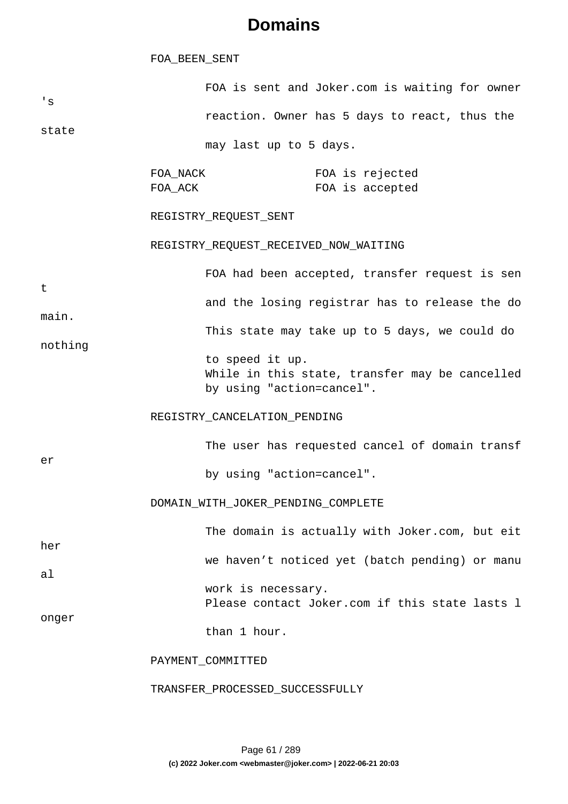#### FOA\_BEEN\_SENT

| 's      |                     | FOA is sent and Joker.com is waiting for owner                                                 |                                    |  |
|---------|---------------------|------------------------------------------------------------------------------------------------|------------------------------------|--|
|         |                     | reaction. Owner has 5 days to react, thus the                                                  |                                    |  |
| state   |                     | may last up to 5 days.                                                                         |                                    |  |
|         | FOA_NACK<br>FOA_ACK |                                                                                                | FOA is rejected<br>FOA is accepted |  |
|         |                     | REGISTRY_REQUEST_SENT                                                                          |                                    |  |
|         |                     | REGISTRY_REQUEST_RECEIVED_NOW_WAITING                                                          |                                    |  |
| t       |                     | FOA had been accepted, transfer request is sen                                                 |                                    |  |
| main.   |                     | and the losing registrar has to release the do                                                 |                                    |  |
| nothing |                     | This state may take up to 5 days, we could do                                                  |                                    |  |
|         |                     | to speed it up.<br>While in this state, transfer may be cancelled<br>by using "action=cancel". |                                    |  |
|         |                     | REGISTRY_CANCELATION_PENDING                                                                   |                                    |  |
|         |                     | The user has requested cancel of domain transf                                                 |                                    |  |
| er      |                     | by using "action=cancel".                                                                      |                                    |  |
|         |                     | DOMAIN_WITH_JOKER_PENDING_COMPLETE                                                             |                                    |  |
| her     |                     | The domain is actually with Joker.com, but eit                                                 |                                    |  |
| al      |                     | we haven't noticed yet (batch pending) or manu                                                 |                                    |  |
|         |                     | work is necessary.<br>Please contact Joker.com if this state lasts 1                           |                                    |  |
| onger   |                     | than 1 hour.                                                                                   |                                    |  |
|         |                     | PAYMENT_COMMITTED                                                                              |                                    |  |
|         |                     | TRANSFER_PROCESSED_SUCCESSFULLY                                                                |                                    |  |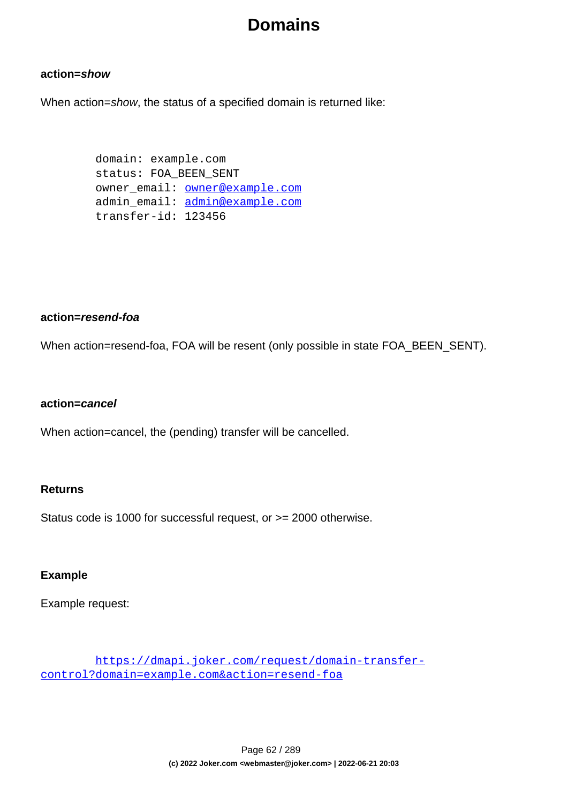### **action=show**

When action=show, the status of a specified domain is returned like:

 domain: example.com status: FOA\_BEEN\_SENT owner email: **owner@example.com**  admin\_email: admin@example.com transfer-id: 123456

### **action=resend-foa**

When action=resend-foa, FOA will be resent (only possible in state FOA\_BEEN\_SENT).

### **action=cancel**

When action=cancel, the (pending) transfer will be cancelled.

### **Returns**

Status code is 1000 for successful request, or >= 2000 otherwise.

### **Example**

Example request:

 https://dmapi.joker.com/request/domain-transfercontrol?domain=example.com&action=resend-foa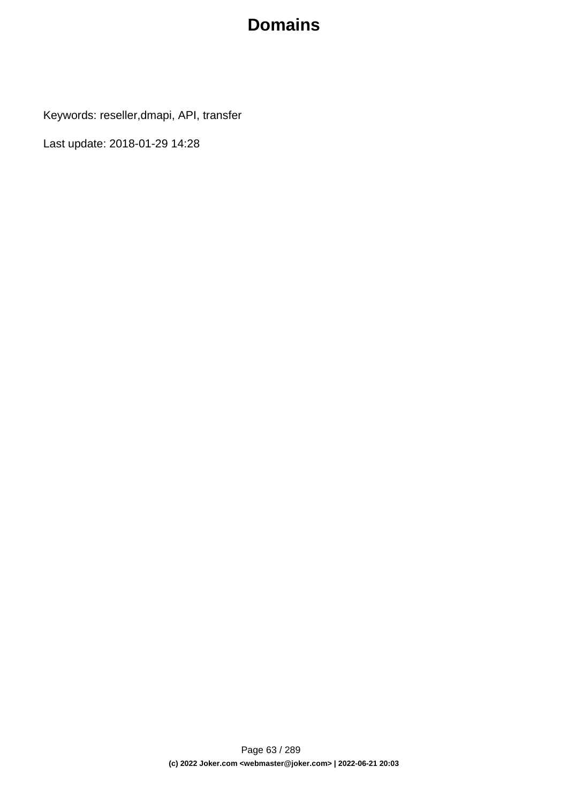Keywords: reseller,dmapi, API, transfer

Last update: 2018-01-29 14:28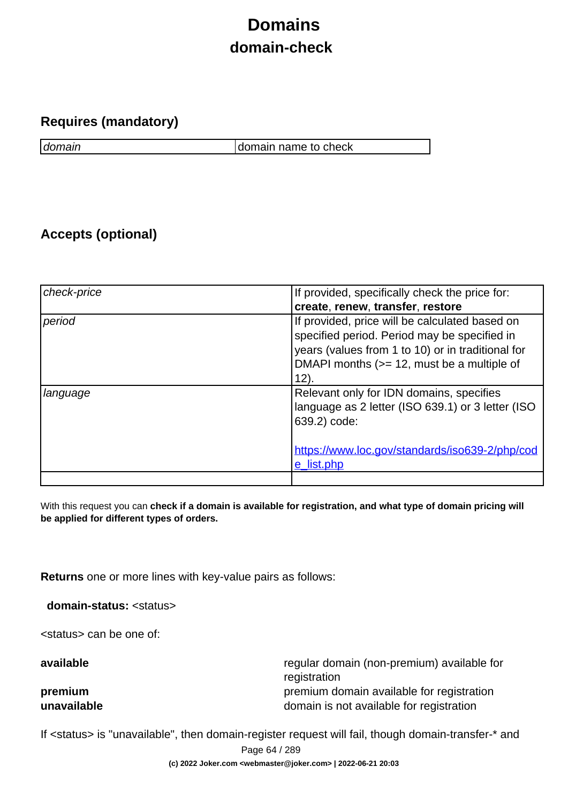# **Domains domain-check**

### **Requires (mandatory)**

domain domain name to check

## **Accepts (optional)**

| check-price | If provided, specifically check the price for:                                                                                                                                                               |
|-------------|--------------------------------------------------------------------------------------------------------------------------------------------------------------------------------------------------------------|
|             | create, renew, transfer, restore                                                                                                                                                                             |
| period      | If provided, price will be calculated based on<br>specified period. Period may be specified in<br>years (values from 1 to 10) or in traditional for<br>DMAPI months (>= 12, must be a multiple of<br>$12)$ . |
| language    | Relevant only for IDN domains, specifies<br>language as 2 letter (ISO 639.1) or 3 letter (ISO<br>639.2) code:<br>https://www.loc.gov/standards/iso639-2/php/cod<br>e list.php                                |
|             |                                                                                                                                                                                                              |

With this request you can **check if a domain is available for registration, and what type of domain pricing will be applied for different types of orders.**

**Returns** one or more lines with key-value pairs as follows:

**domain-status:** <status>

<status> can be one of:

**available** regular domain (non-premium) available for registration **premium premium** premium domain available for registration **unavailable domain is not available for registration** 

If <status> is "unavailable", then domain-register request will fail, though domain-transfer-\* and

Page 64 / 289

**(c) 2022 Joker.com <webmaster@joker.com> | 2022-06-21 20:03**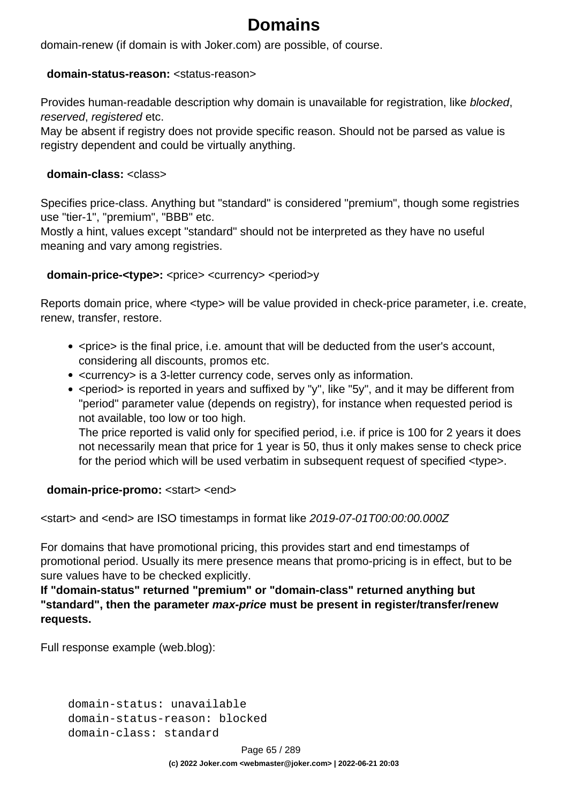domain-renew (if domain is with Joker.com) are possible, of course.

### **domain-status-reason:** <status-reason>

Provides human-readable description why domain is unavailable for registration, like blocked, reserved, registered etc.

May be absent if registry does not provide specific reason. Should not be parsed as value is registry dependent and could be virtually anything.

### **domain-class:** <class>

Specifies price-class. Anything but "standard" is considered "premium", though some registries use "tier-1", "premium", "BBB" etc.

Mostly a hint, values except "standard" should not be interpreted as they have no useful meaning and vary among registries.

### **domain-price-<type>:** <price> <currency> <period>y

Reports domain price, where <type> will be value provided in check-price parameter, i.e. create, renew, transfer, restore.

- <price> is the final price, i.e. amount that will be deducted from the user's account, considering all discounts, promos etc.
- <currency> is a 3-letter currency code, serves only as information.
- < period > is reported in years and suffixed by "y", like "5y", and it may be different from "period" parameter value (depends on registry), for instance when requested period is not available, too low or too high.

The price reported is valid only for specified period, i.e. if price is 100 for 2 years it does not necessarily mean that price for 1 year is 50, thus it only makes sense to check price for the period which will be used verbatim in subsequent request of specified <type>.

### **domain-price-promo:** <start> <end>

<start> and <end> are ISO timestamps in format like 2019-07-01T00:00:00.000Z

For domains that have promotional pricing, this provides start and end timestamps of promotional period. Usually its mere presence means that promo-pricing is in effect, but to be sure values have to be checked explicitly.

**If "domain-status" returned "premium" or "domain-class" returned anything but "standard", then the parameter max-price must be present in register/transfer/renew requests.** 

Full response example (web.blog):

 domain-status: unavailable domain-status-reason: blocked domain-class: standard

Page 65 / 289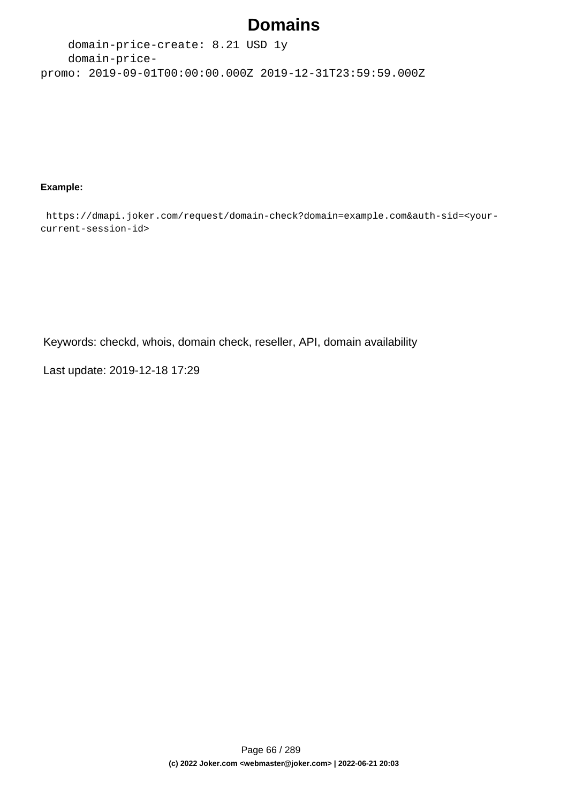domain-price-create: 8.21 USD 1y domain-pricepromo: 2019-09-01T00:00:00.000Z 2019-12-31T23:59:59.000Z

#### **Example:**

 https://dmapi.joker.com/request/domain-check?domain=example.com&auth-sid=<yourcurrent-session-id>

Keywords: checkd, whois, domain check, reseller, API, domain availability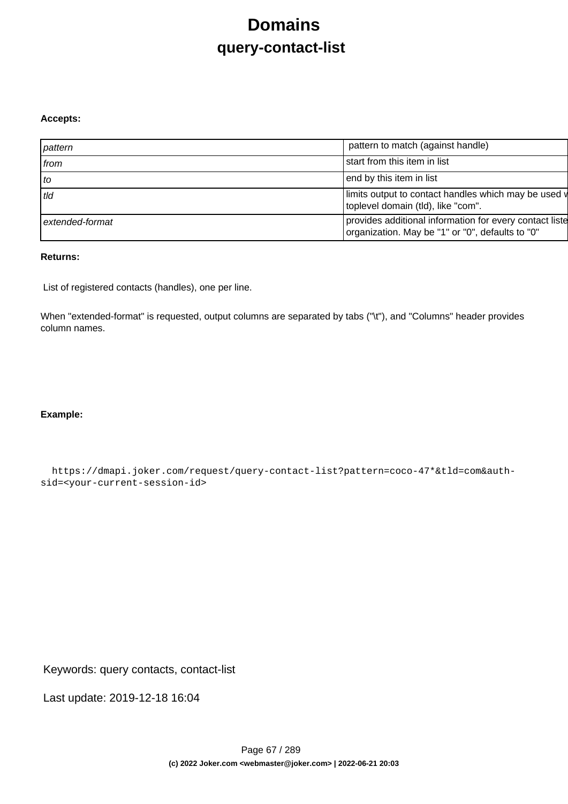# **Domains query-contact-list**

#### **Accepts:**

| pattern           | pattern to match (against handle)                                                                           |
|-------------------|-------------------------------------------------------------------------------------------------------------|
| from              | start from this item in list                                                                                |
| $\overline{1}$ to | end by this item in list                                                                                    |
| tld               | limits output to contact handles which may be used v<br>toplevel domain (tld), like "com".                  |
| extended-format   | provides additional information for every contact liste<br>organization. May be "1" or "0", defaults to "0" |

### **Returns:**

List of registered contacts (handles), one per line.

When "extended-format" is requested, output columns are separated by tabs ("\t"), and "Columns" header provides column names.

### **Example:**

 https://dmapi.joker.com/request/query-contact-list?pattern=coco-47\*&tld=com&authsid=<your-current-session-id>

Keywords: query contacts, contact-list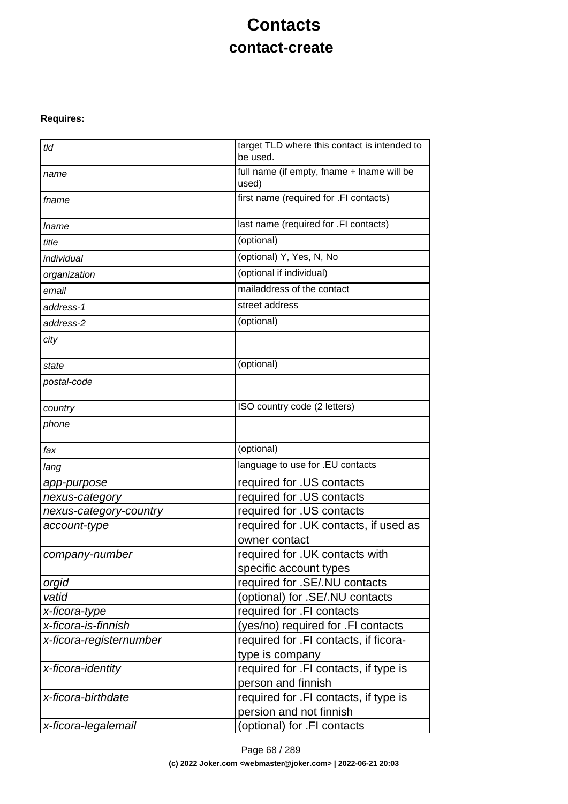# **Contacts contact-create**

### **Requires:**

| tld                     | target TLD where this contact is intended to<br>be used. |
|-------------------------|----------------------------------------------------------|
| name                    | full name (if empty, fname + lname will be<br>used)      |
| fname                   | first name (required for .FI contacts)                   |
| <i>Iname</i>            | last name (required for .FI contacts)                    |
| title                   | (optional)                                               |
| individual              | (optional) Y, Yes, N, No                                 |
| organization            | (optional if individual)                                 |
| email                   | mailaddress of the contact                               |
| address-1               | street address                                           |
| address-2               | (optional)                                               |
| city                    |                                                          |
| state                   | (optional)                                               |
| postal-code             |                                                          |
| country                 | ISO country code (2 letters)                             |
| phone                   |                                                          |
| fax                     | (optional)                                               |
| lang                    | language to use for .EU contacts                         |
| app-purpose             | required for .US contacts                                |
| nexus-category          | required for .US contacts                                |
| nexus-category-country  | required for .US contacts                                |
| account-type            | required for . UK contacts, if used as                   |
|                         | owner contact                                            |
| company-number          | required for .UK contacts with                           |
|                         | specific account types                                   |
| orgid                   | required for .SE/.NU contacts                            |
| vatid                   | (optional) for .SE/.NU contacts                          |
| x-ficora-type           | required for .FI contacts                                |
| x-ficora-is-finnish     | (yes/no) required for .FI contacts                       |
| x-ficora-registernumber | required for .FI contacts, if ficora-<br>type is company |
| x-ficora-identity       | required for .FI contacts, if type is                    |
|                         | person and finnish                                       |
| x-ficora-birthdate      | required for .FI contacts, if type is                    |
|                         | persion and not finnish                                  |
| x-ficora-legalemail     | (optional) for .FI contacts                              |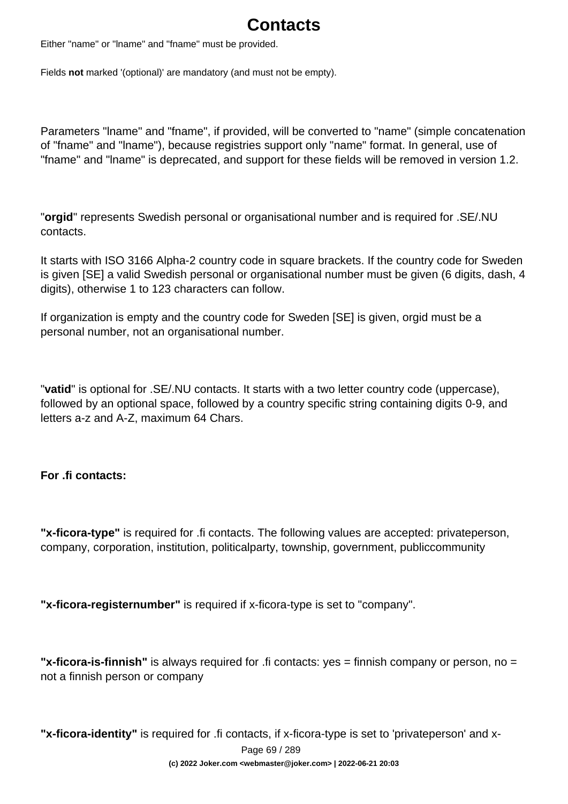# **Contacts**

Either "name" or "lname" and "fname" must be provided.

Fields **not** marked '(optional)' are mandatory (and must not be empty).

Parameters "lname" and "fname", if provided, will be converted to "name" (simple concatenation of "fname" and "lname"), because registries support only "name" format. In general, use of "fname" and "lname" is deprecated, and support for these fields will be removed in version 1.2.

"**orgid**" represents Swedish personal or organisational number and is required for .SE/.NU contacts.

It starts with ISO 3166 Alpha-2 country code in square brackets. If the country code for Sweden is given [SE] a valid Swedish personal or organisational number must be given (6 digits, dash, 4 digits), otherwise 1 to 123 characters can follow.

If organization is empty and the country code for Sweden [SE] is given, orgid must be a personal number, not an organisational number.

"**vatid**" is optional for .SE/.NU contacts. It starts with a two letter country code (uppercase), followed by an optional space, followed by a country specific string containing digits 0-9, and letters a-z and A-Z, maximum 64 Chars.

### **For .fi contacts:**

**"x-ficora-type"** is required for .fi contacts. The following values are accepted: privateperson, company, corporation, institution, politicalparty, township, government, publiccommunity

**"x-ficora-registernumber"** is required if x-ficora-type is set to "company".

**"x-ficora-is-finnish"** is always required for .fi contacts: yes = finnish company or person, no = not a finnish person or company

**"x-ficora-identity"** is required for .fi contacts, if x-ficora-type is set to 'privateperson' and x-

Page 69 / 289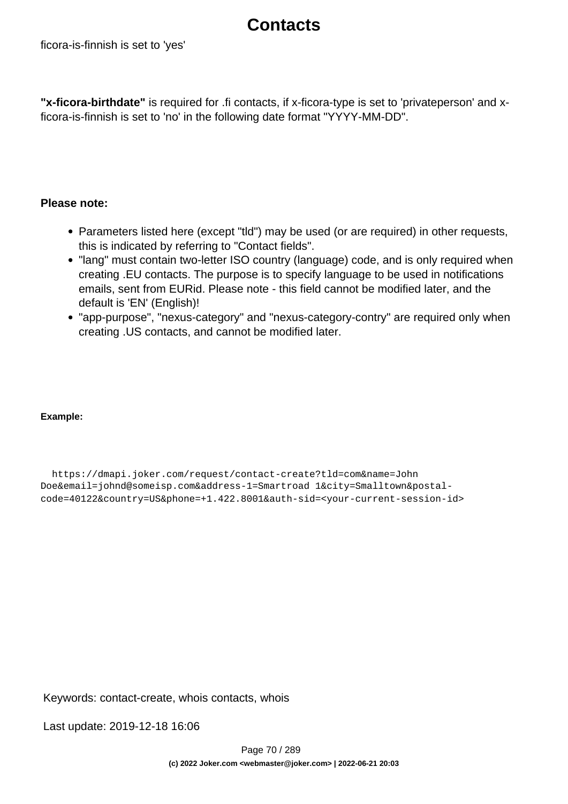## **Contacts**

**"x-ficora-birthdate"** is required for .fi contacts, if x-ficora-type is set to 'privateperson' and xficora-is-finnish is set to 'no' in the following date format "YYYY-MM-DD".

### **Please note:**

- Parameters listed here (except "tid") may be used (or are required) in other requests, this is indicated by referring to "Contact fields".
- "lang" must contain two-letter ISO country (language) code, and is only required when creating .EU contacts. The purpose is to specify language to be used in notifications emails, sent from EURid. Please note - this field cannot be modified later, and the default is 'EN' (English)!
- "app-purpose", "nexus-category" and "nexus-category-contry" are required only when creating .US contacts, and cannot be modified later.

### **Example:**

 https://dmapi.joker.com/request/contact-create?tld=com&name=John Doe&email=johnd@someisp.com&address-1=Smartroad 1&city=Smalltown&postalcode=40122&country=US&phone=+1.422.8001&auth-sid=<your-current-session-id>

Keywords: contact-create, whois contacts, whois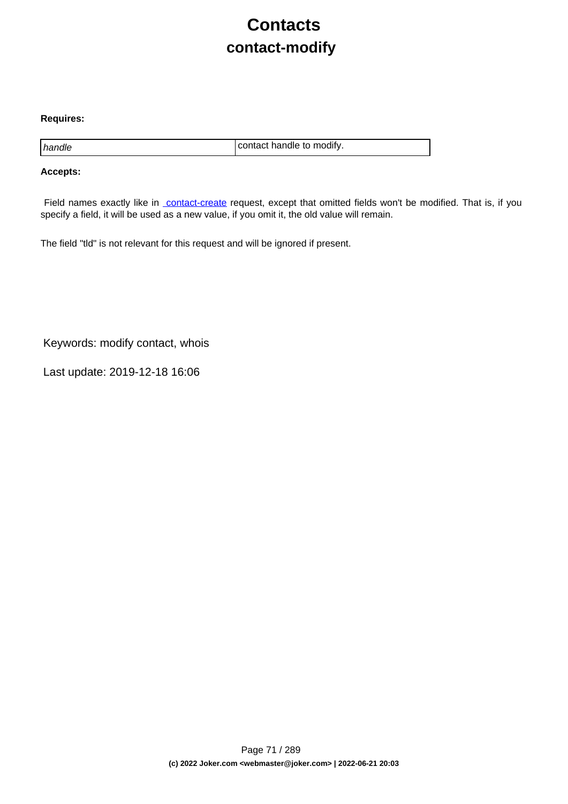# **Contacts contact-modify**

#### **Requires:**

handle contact handle to modify.

#### **Accepts:**

Field names exactly like in [contact-create](index.php?action=artikel&cat=28&id=30&artlang=en) request, except that omitted fields won't be modified. That is, if you specify a field, it will be used as a new value, if you omit it, the old value will remain.

The field "tld" is not relevant for this request and will be ignored if present.

Keywords: modify contact, whois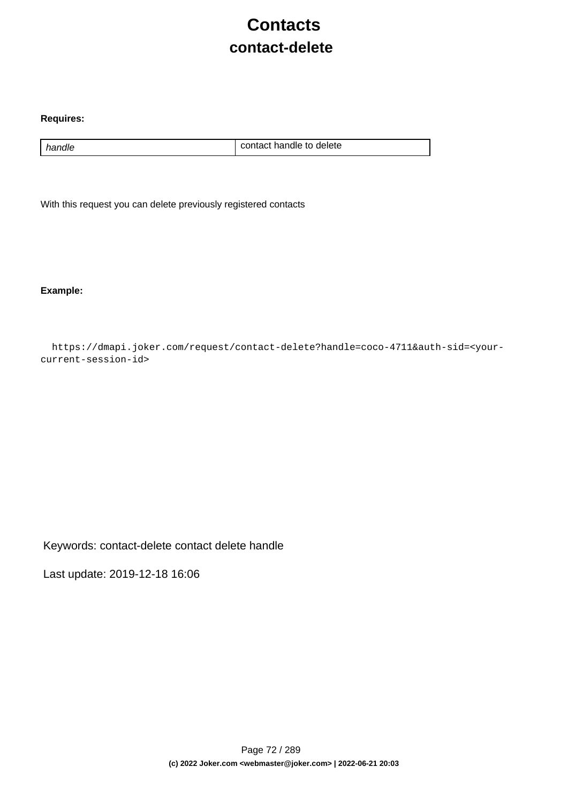# **Contacts contact-delete**

#### **Requires:**

handle handle contact handle to delete

With this request you can delete previously registered contacts

**Example:**

 https://dmapi.joker.com/request/contact-delete?handle=coco-4711&auth-sid=<yourcurrent-session-id>

Keywords: contact-delete contact delete handle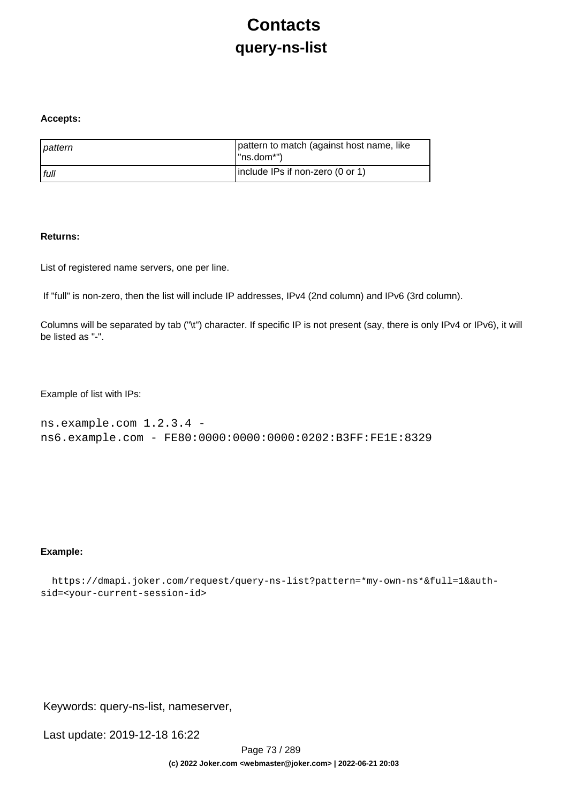# **Contacts query-ns-list**

#### **Accepts:**

| pattern | pattern to match (against host name, like<br>l "ns.dom*") |
|---------|-----------------------------------------------------------|
| l full  | include IPs if non-zero (0 or 1)                          |

#### **Returns:**

List of registered name servers, one per line.

If "full" is non-zero, then the list will include IP addresses, IPv4 (2nd column) and IPv6 (3rd column).

Columns will be separated by tab ("\t") character. If specific IP is not present (say, there is only IPv4 or IPv6), it will be listed as "-".

Example of list with IPs:

```
ns.example.com 1.2.3.4 - 
ns6.example.com - FE80:0000:0000:0000:0202:B3FF:FE1E:8329
```
### **Example:**

```
 https://dmapi.joker.com/request/query-ns-list?pattern=*my-own-ns*&full=1&auth-
sid=<your-current-session-id>
```
Keywords: query-ns-list, nameserver,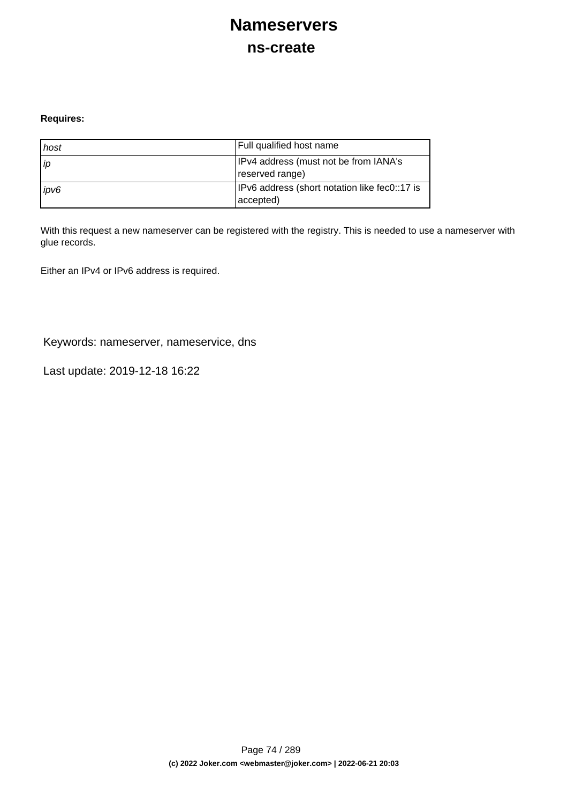## **Nameservers ns-create**

### **Requires:**

| host | Full qualified host name                                   |
|------|------------------------------------------------------------|
| l ip | IPv4 address (must not be from IANA's<br>reserved range)   |
| ipv6 | IPv6 address (short notation like fec0::17 is<br>accepted) |

With this request a new nameserver can be registered with the registry. This is needed to use a nameserver with glue records.

Either an IPv4 or IPv6 address is required.

Keywords: nameserver, nameservice, dns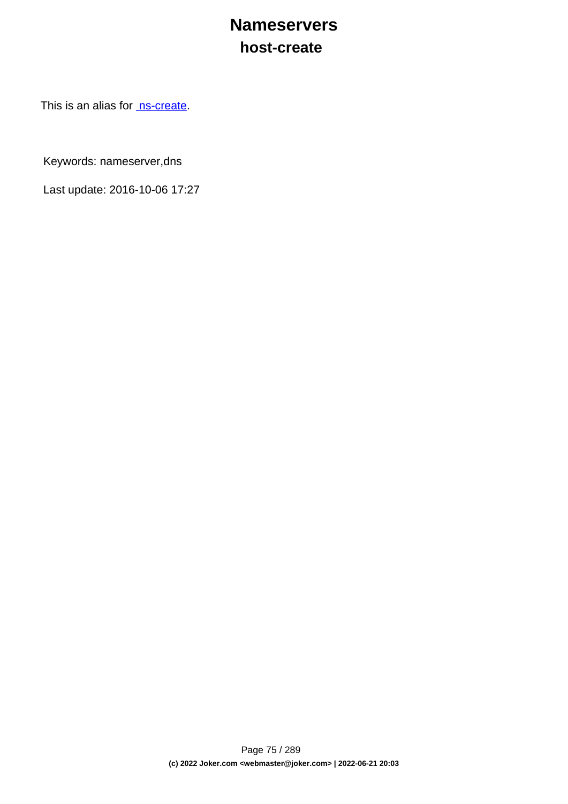## **Nameservers host-create**

This is an alias for [ns-create.](index.php?action=artikel&cat=29&id=34&artlang=en)

Keywords: nameserver,dns

Last update: 2016-10-06 17:27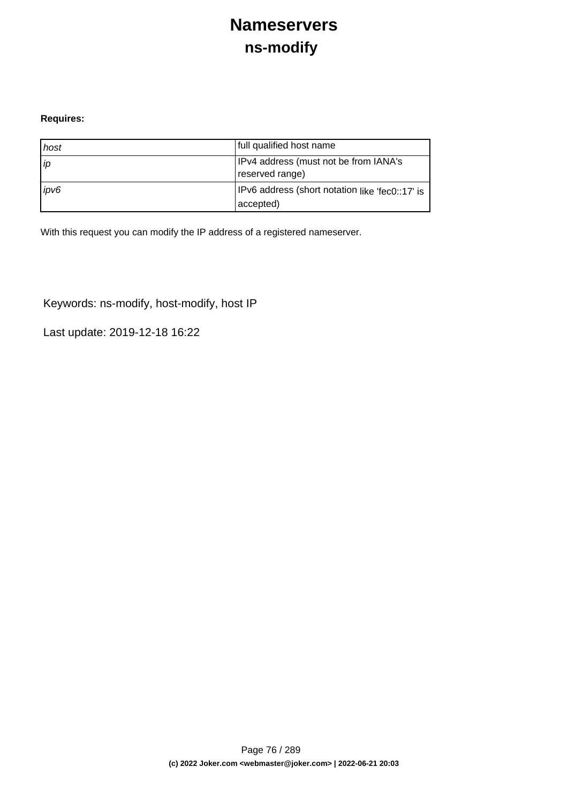## **Nameservers ns-modify**

### **Requires:**

| host | full qualified host name                                     |
|------|--------------------------------------------------------------|
| l ip | IPv4 address (must not be from IANA's<br>reserved range)     |
| ipv6 | IPv6 address (short notation like 'fec0::17' is<br>accepted) |

With this request you can modify the IP address of a registered nameserver.

Keywords: ns-modify, host-modify, host IP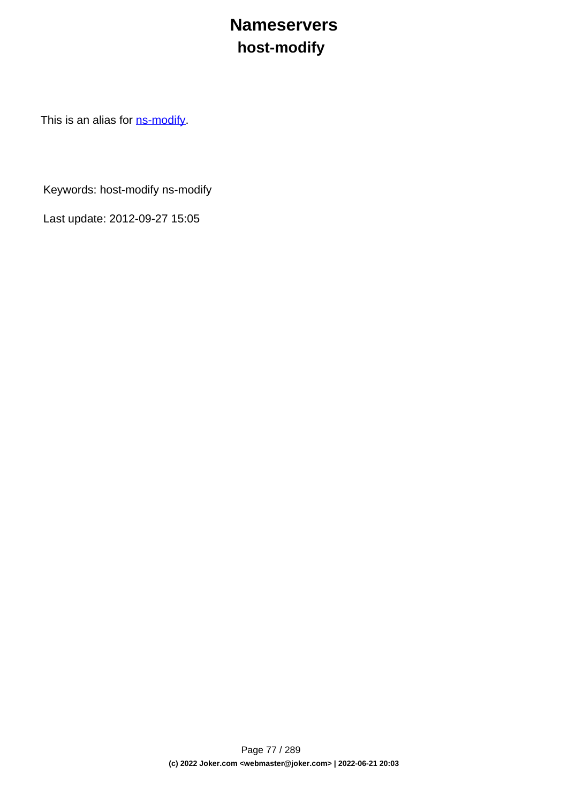# **Nameservers host-modify**

This is an alias for **ns-modify**.

Keywords: host-modify ns-modify

Last update: 2012-09-27 15:05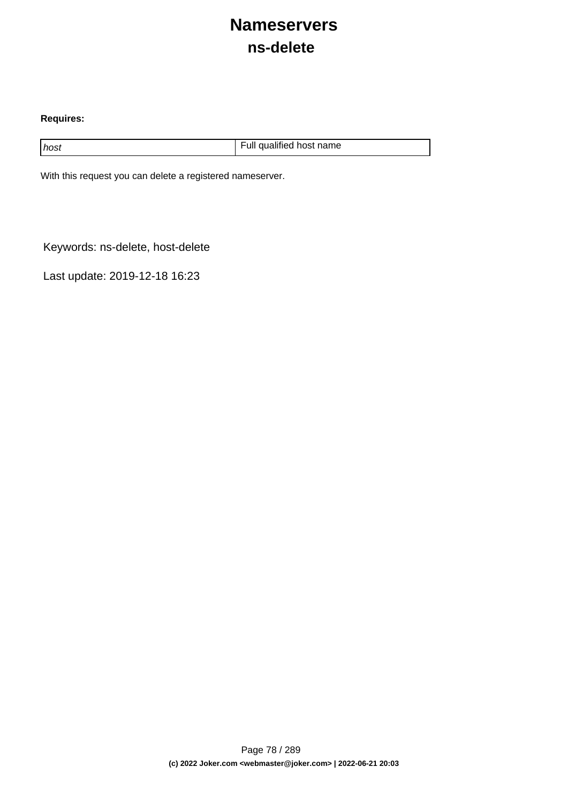## **Nameservers ns-delete**

### **Requires:**

host host host name host name host name host name host name

With this request you can delete a registered nameserver.

Keywords: ns-delete, host-delete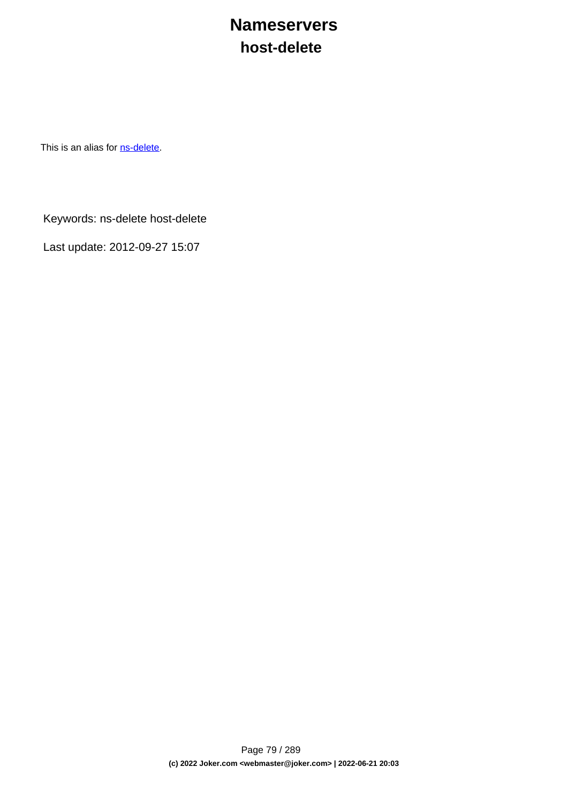## **Nameservers host-delete**

This is an alias for **[ns-delete](index.php?action=artikel&cat=29&id=38&artlang=en)**.

Keywords: ns-delete host-delete

Last update: 2012-09-27 15:07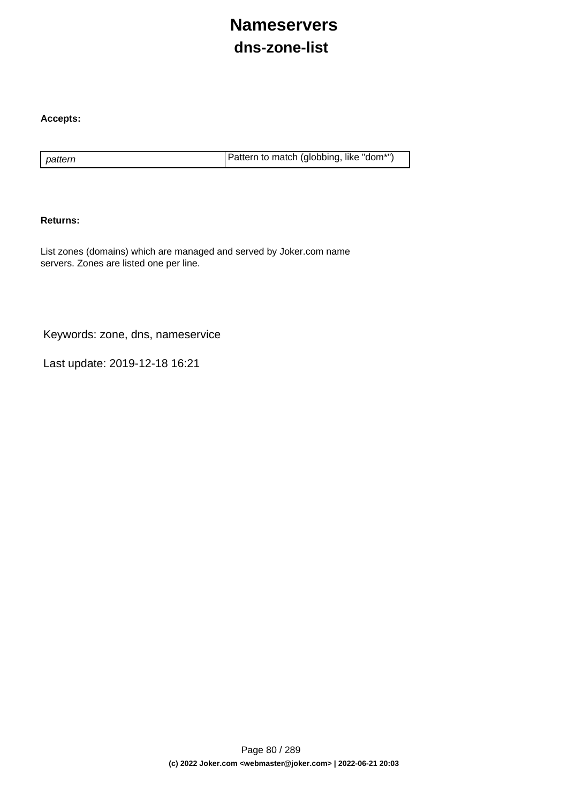# **Nameservers dns-zone-list**

### **Accepts:**

pattern **Pattern is a pattern to match (globbing, like "dom\*")** 

#### **Returns:**

List zones (domains) which are managed and served by Joker.com name servers. Zones are listed one per line.

Keywords: zone, dns, nameservice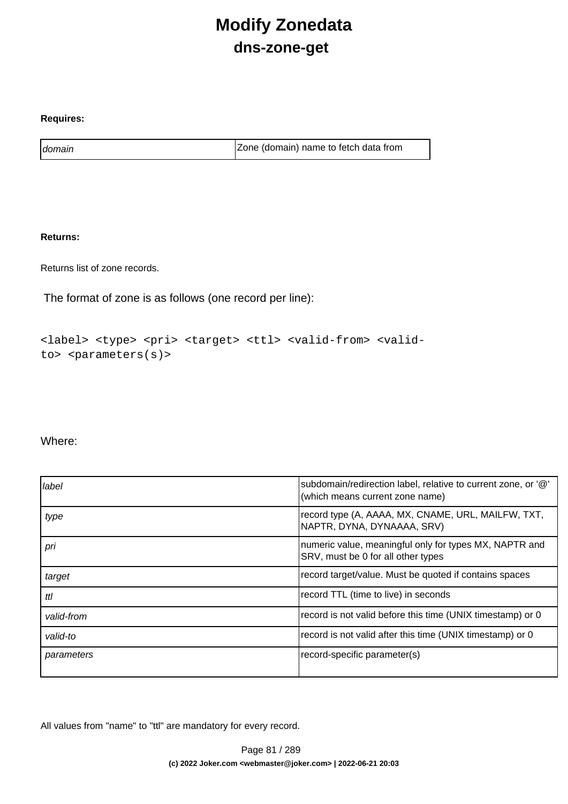# **Modify Zonedata dns-zone-get**

### **Requires:**

domain domain and a contract a contract a late of  $\vert$  Zone (domain) name to fetch data from

### **Returns:**

Returns list of zone records.

The format of zone is as follows (one record per line):

```
<label> <type> <pri> <target> <ttl> <valid-from> <valid-
to> <parameters(s)>
```
### Where:

| label      | subdomain/redirection label, relative to current zone, or '@'<br>(which means current zone name) |
|------------|--------------------------------------------------------------------------------------------------|
| type       | record type (A, AAAA, MX, CNAME, URL, MAILFW, TXT,<br>NAPTR, DYNA, DYNAAAA, SRV)                 |
| pri        | numeric value, meaningful only for types MX, NAPTR and<br>SRV, must be 0 for all other types     |
| target     | record target/value. Must be quoted if contains spaces                                           |
| ttl        | record TTL (time to live) in seconds                                                             |
| valid-from | record is not valid before this time (UNIX timestamp) or 0                                       |
| valid-to   | record is not valid after this time (UNIX timestamp) or 0                                        |
| parameters | record-specific parameter(s)                                                                     |

All values from "name" to "ttl" are mandatory for every record.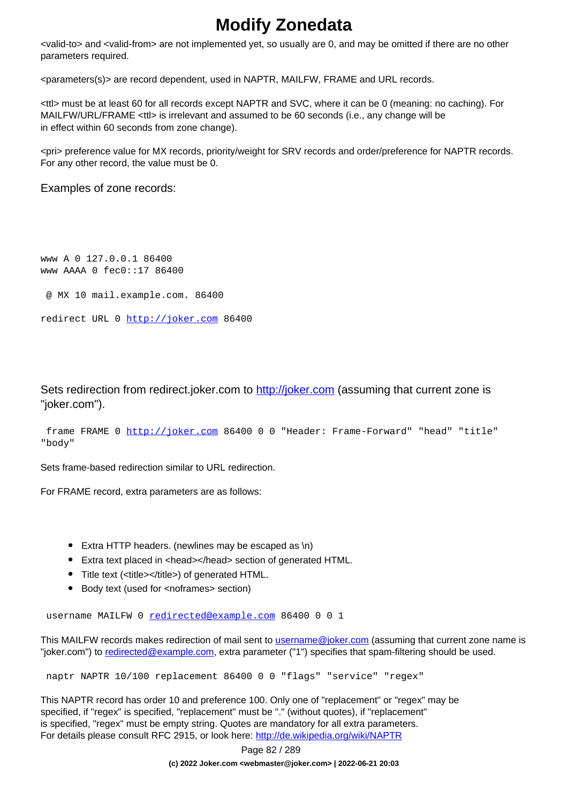## **Modify Zonedata**

<valid-to> and <valid-from> are not implemented yet, so usually are 0, and may be omitted if there are no other parameters required.

<parameters(s)> are record dependent, used in NAPTR, MAILFW, FRAME and URL records.

<ttl> must be at least 60 for all records except NAPTR and SVC, where it can be 0 (meaning: no caching). For MAILFW/URL/FRAME <ttl> is irrelevant and assumed to be 60 seconds (i.e., any change will be in effect within 60 seconds from zone change).

<pri> preference value for MX records, priority/weight for SRV records and order/preference for NAPTR records. For any other record, the value must be 0.

Examples of zone records:

www A 0 127.0.0.1 86400 www AAAA 0 fec0::17 86400 @ MX 10 mail.example.com. 86400

```
redirect URL 0 http://joker.com 86400
```
Sets redirection from redirect.joker.com to [http://joker.com](..//) (assuming that current zone is "joker.com").

```
 frame FRAME 0 http://joker.com 86400 0 0 "Header: Frame-Forward" "head" "title"
"body"
```
Sets frame-based redirection similar to URL redirection.

For FRAME record, extra parameters are as follows:

- Extra HTTP headers. (newlines may be escaped as \n)
- Extra text placed in <head></head> section of generated HTML.
- Title text (<title></title>) of generated HTML.
- Body text (used for <noframes> section)

username MAILFW 0 [redirected@example.com](mailto:redirected@example.com) 86400 0 0 1

This MAILFW records makes redirection of mail sent to [username@joker.com](mailto:username@joker.com) (assuming that current zone name is "joker.com") to [redirected@example.com](mailto:redirected@example.com), extra parameter ("1") specifies that spam-filtering should be used.

naptr NAPTR 10/100 replacement 86400 0 0 "flags" "service" "regex"

This NAPTR record has order 10 and preference 100. Only one of "replacement" or "regex" may be specified, if "regex" is specified, "replacement" must be "." (without quotes), if "replacement" is specified, "regex" must be empty string. Quotes are mandatory for all extra parameters. For details please consult RFC 2915, or look here:<http://de.wikipedia.org/wiki/NAPTR>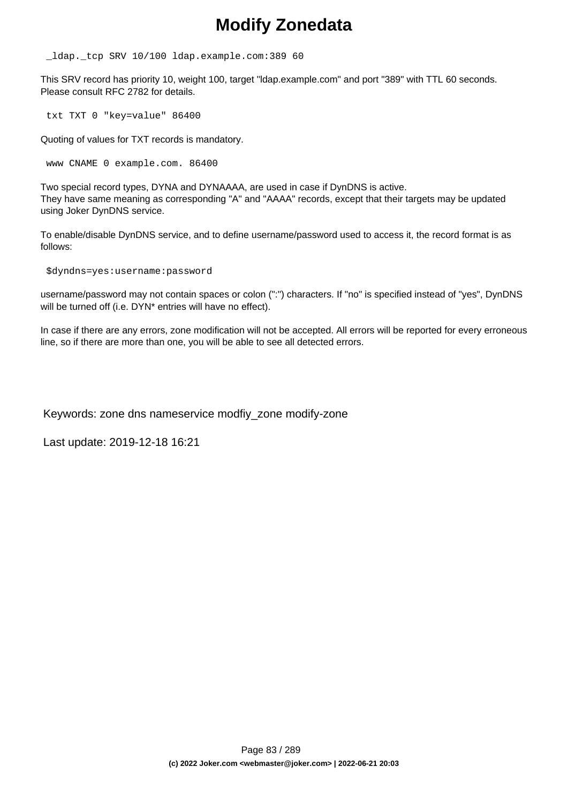## **Modify Zonedata**

\_ldap.\_tcp SRV 10/100 ldap.example.com:389 60

This SRV record has priority 10, weight 100, target "ldap.example.com" and port "389" with TTL 60 seconds. Please consult RFC 2782 for details.

txt TXT 0 "key=value" 86400

Quoting of values for TXT records is mandatory.

www CNAME 0 example.com. 86400

Two special record types, DYNA and DYNAAAA, are used in case if DynDNS is active. They have same meaning as corresponding "A" and "AAAA" records, except that their targets may be updated using Joker DynDNS service.

To enable/disable DynDNS service, and to define username/password used to access it, the record format is as follows:

\$dyndns=yes:username:password

username/password may not contain spaces or colon (":") characters. If "no" is specified instead of "yes", DynDNS will be turned off (i.e. DYN<sup>\*</sup> entries will have no effect).

In case if there are any errors, zone modification will not be accepted. All errors will be reported for every erroneous line, so if there are more than one, you will be able to see all detected errors.

Keywords: zone dns nameservice modfiy\_zone modify-zone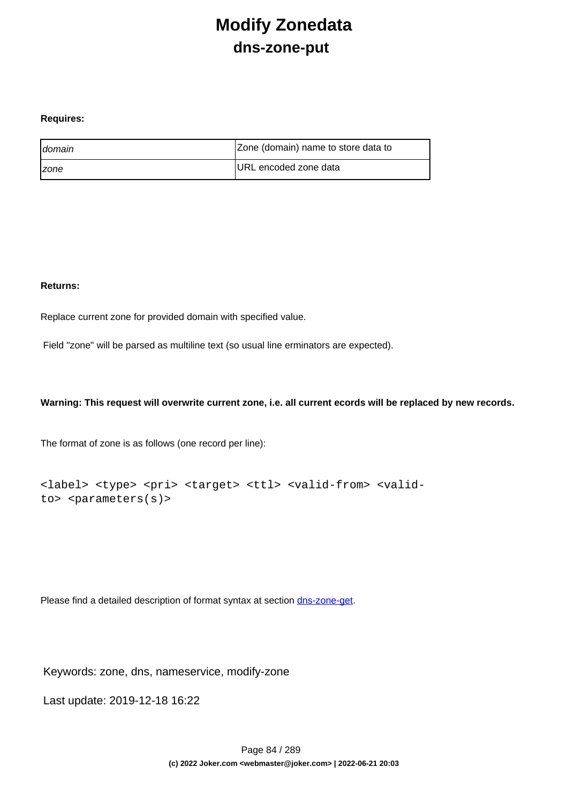## **Modify Zonedata dns-zone-put**

#### **Requires:**

| <b>I</b> domain     | Zone (domain) name to store data to |
|---------------------|-------------------------------------|
| <i><b>Izone</b></i> | URL encoded zone data               |

#### **Returns:**

Replace current zone for provided domain with specified value.

Field "zone" will be parsed as multiline text (so usual line erminators are expected).

### **Warning: This request will overwrite current zone, i.e. all current ecords will be replaced by new records.**

The format of zone is as follows (one record per line):

```
<label> <type> <pri> <target> <ttl> <valid-from> <valid-
to> <parameters(s)>
```
Please find a detailed description of format syntax at section [dns-zone-get.](index.php?action=artikel&cat=1&id=435&artlang=en)

Keywords: zone, dns, nameservice, modify-zone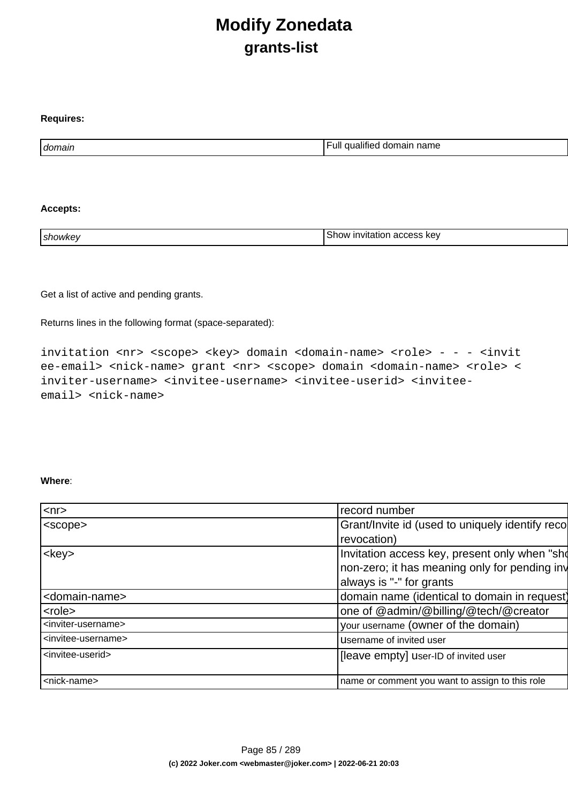## **Modify Zonedata grants-list**

| domain | <br>. .<br>name<br>ull<br>.<br>l domain<br>ш<br>ашес |
|--------|------------------------------------------------------|

#### **Accepts:**

**Requires:**

| showke <sup>.</sup> | kev<br>nn 1<br>invitation<br>700<br>א∩חר<br>auudoo |
|---------------------|----------------------------------------------------|
|                     |                                                    |

Get a list of active and pending grants.

Returns lines in the following format (space-separated):

invitation <nr> <scope> <key> domain <domain-name> <role> - - - <invit ee-email> <nick-name> grant <nr> <scope> domain <domain-name> <role> < inviter-username> <invitee-username> <invitee-userid> <inviteeemail> <nick-name>

#### **Where**:

| $<$ nr $>$                            | record number                                   |  |
|---------------------------------------|-------------------------------------------------|--|
| <scope></scope>                       | Grant/Invite id (used to uniquely identify reco |  |
|                                       | revocation)                                     |  |
| $<$ key $>$                           | Invitation access key, present only when "sho   |  |
|                                       | non-zero; it has meaning only for pending inv   |  |
|                                       | always is "-" for grants                        |  |
| <domain-name></domain-name>           | domain name (identical to domain in request)    |  |
| <role></role>                         | one of @admin/@billing/@tech/@creator           |  |
| <inviter-username></inviter-username> | your username (owner of the domain)             |  |
| <invitee-username></invitee-username> | Username of invited user                        |  |
| <invitee-userid></invitee-userid>     | [leave empty] user-ID of invited user           |  |
|                                       |                                                 |  |
| <nick-name></nick-name>               | name or comment you want to assign to this role |  |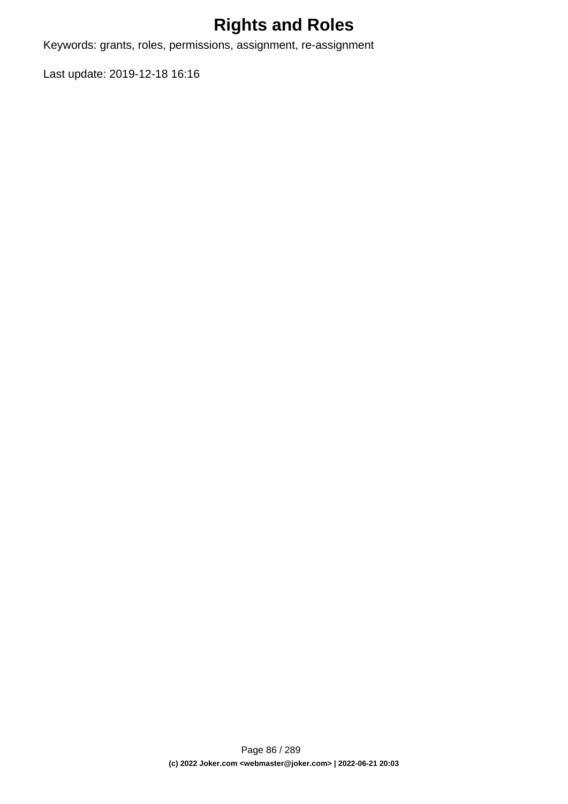# **Rights and Roles**

Keywords: grants, roles, permissions, assignment, re-assignment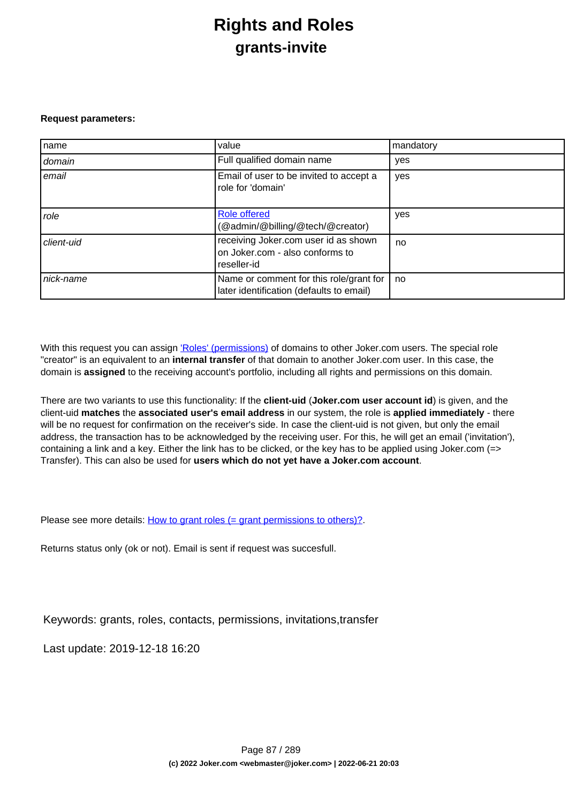## **Rights and Roles grants-invite**

#### **Request parameters:**

| name       | value                                                                                  | mandatory |
|------------|----------------------------------------------------------------------------------------|-----------|
| domain     | Full qualified domain name                                                             | yes       |
| email      | Email of user to be invited to accept a<br>role for 'domain'                           | yes       |
| role       | <b>Role offered</b><br>(@admin/@billing/@tech/@creator)                                | yes       |
| client-uid | receiving Joker.com user id as shown<br>on Joker.com - also conforms to<br>reseller-id | no        |
| nick-name  | Name or comment for this role/grant for<br>later identification (defaults to email)    | no        |

With this request you can assign ['Roles' \(permissions\)](index.php?action=artikel&cat=5&id=446&artlang=en) of domains to other Joker.com users. The special role "creator" is an equivalent to an **internal transfer** of that domain to another Joker.com user. In this case, the domain is **assigned** to the receiving account's portfolio, including all rights and permissions on this domain.

There are two variants to use this functionality: If the **client-uid** (**Joker.com user account id**) is given, and the client-uid **matches** the **associated user's email address** in our system, the role is **applied immediately** - there will be no request for confirmation on the receiver's side. In case the client-uid is not given, but only the email address, the transaction has to be acknowledged by the receiving user. For this, he will get an email ('invitation'), containing a link and a key. Either the link has to be clicked, or the key has to be applied using Joker.com (=> Transfer). This can also be used for **users which do not yet have a Joker.com account**.

Please see more details: [How to grant roles \(= grant permissions to others\)?](index.php?action=artikel&cat=5&id=446&artlang=en)

Returns status only (ok or not). Email is sent if request was succesfull.

Keywords: grants, roles, contacts, permissions, invitations,transfer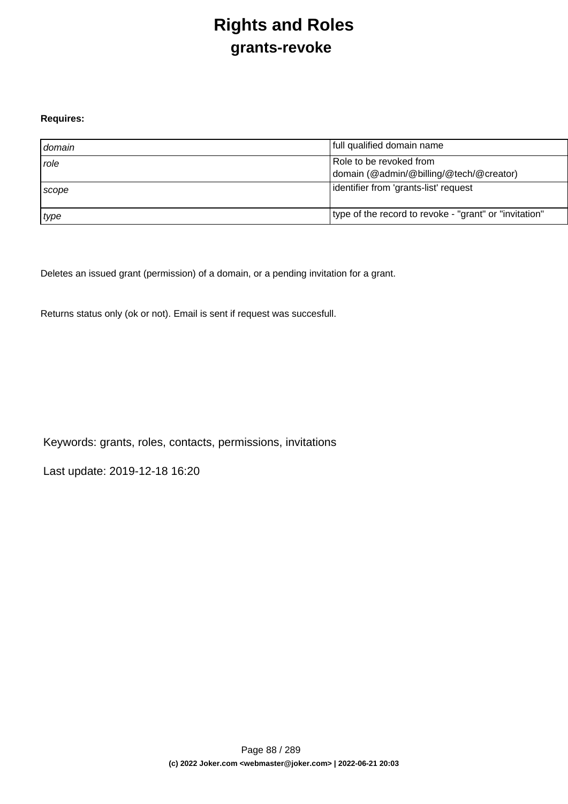# **Rights and Roles grants-revoke**

### **Requires:**

| domain      | full qualified domain name                                         |
|-------------|--------------------------------------------------------------------|
| <i>role</i> | Role to be revoked from<br>domain (@admin/@billing/@tech/@creator) |
| Scope       | lidentifier from 'grants-list' request                             |
| type        | type of the record to revoke - "grant" or "invitation"             |

Deletes an issued grant (permission) of a domain, or a pending invitation for a grant.

Returns status only (ok or not). Email is sent if request was succesfull.

Keywords: grants, roles, contacts, permissions, invitations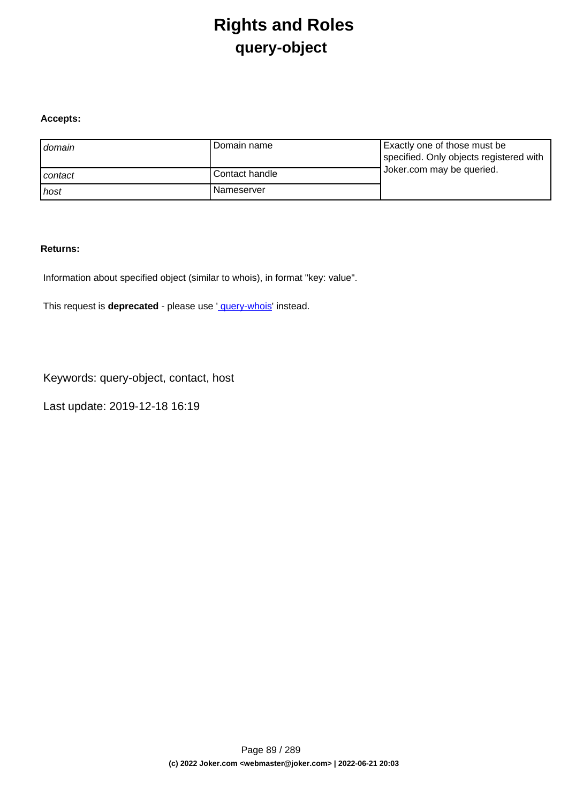## **Rights and Roles query-object**

### **Accepts:**

| domain  | l Domain name  | Exactly one of those must be<br>specified. Only objects registered with |
|---------|----------------|-------------------------------------------------------------------------|
| contact | Contact handle | Joker.com may be queried.                                               |
| host    | l Nameserver   |                                                                         |

#### **Returns:**

Information about specified object (similar to whois), in format "key: value".

This request is **deprecated** - please use ' [query-whois](index.php?action=artikel&cat=79&id=455&artlang=en)' instead.

Keywords: query-object, contact, host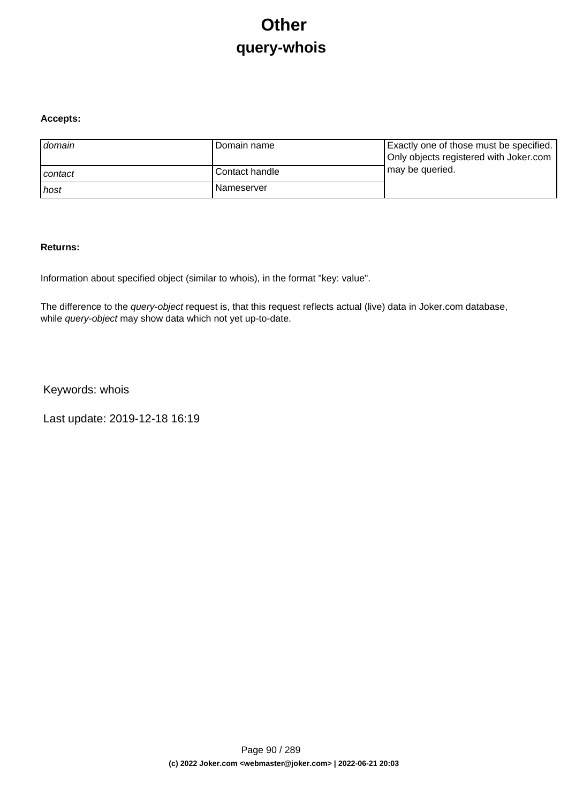# **Other query-whois**

### **Accepts:**

| domain  | Domain name       | Exactly one of those must be specified.<br>Only objects registered with Joker.com |
|---------|-------------------|-----------------------------------------------------------------------------------|
| contact | l Contact handle  | may be queried.                                                                   |
| ı host  | <b>Nameserver</b> |                                                                                   |

#### **Returns:**

Information about specified object (similar to whois), in the format "key: value".

The difference to the *query-object* request is, that this request reflects actual (live) data in Joker.com database, while *query-object* may show data which not yet up-to-date.

Keywords: whois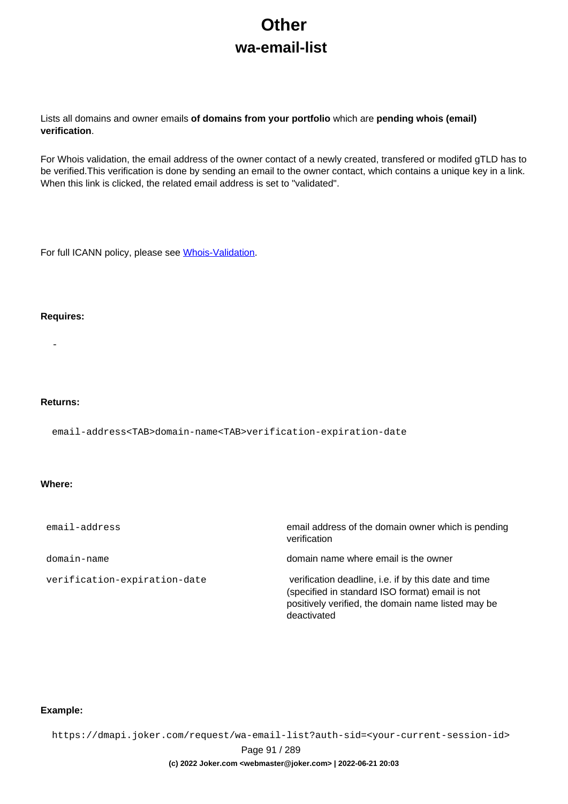# **Other wa-email-list**

Lists all domains and owner emails **of domains from your portfolio** which are **pending whois (email) verification**.

For Whois validation, the email address of the owner contact of a newly created, transfered or modifed gTLD has to be verified.This verification is done by sending an email to the owner contact, which contains a unique key in a link. When this link is clicked, the related email address is set to "validated".

For full ICANN policy, please see [Whois-Validation](https://joker.com/goto/icann_ra_whois).

#### **Requires:**

-

#### **Returns:**

email-address<TAB>domain-name<TAB>verification-expiration-date

#### **Where:**

| email-address                | email address of the domain owner which is pending<br>verification                                                                                                           |  |  |  |  |
|------------------------------|------------------------------------------------------------------------------------------------------------------------------------------------------------------------------|--|--|--|--|
| domain-name                  | domain name where email is the owner                                                                                                                                         |  |  |  |  |
| verification-expiration-date | verification deadline, i.e. if by this date and time<br>(specified in standard ISO format) email is not<br>positively verified, the domain name listed may be<br>deactivated |  |  |  |  |

#### **Example:**

https://dmapi.joker.com/request/wa-email-list?auth-sid=<your-current-session-id>

Page 91 / 289

#### **(c) 2022 Joker.com <webmaster@joker.com> | 2022-06-21 20:03**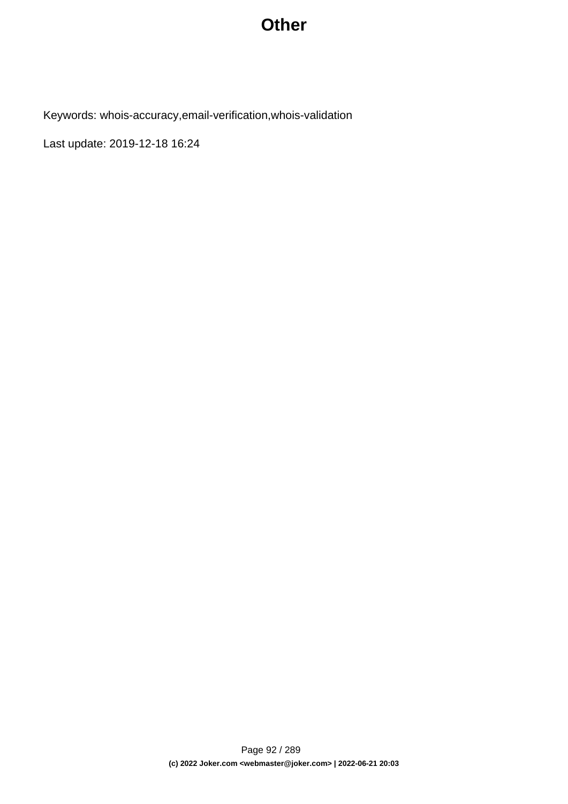## **Other**

Keywords: whois-accuracy,email-verification,whois-validation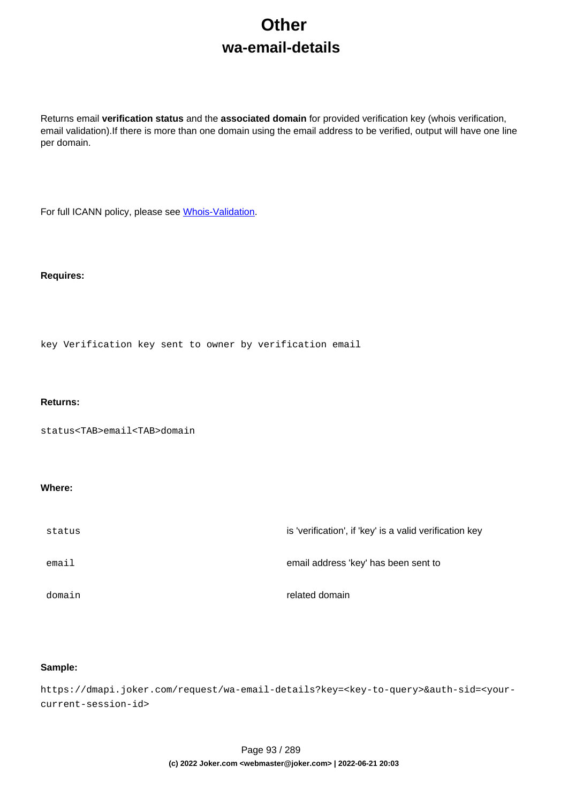# **Other wa-email-details**

Returns email **verification status** and the **associated domain** for provided verification key (whois verification, email validation).If there is more than one domain using the email address to be verified, output will have one line per domain.

For full ICANN policy, please see [Whois-Validation](https://joker.com/goto/icann_ra_whois).

#### **Requires:**

key Verification key sent to owner by verification email

#### **Returns:**

status<TAB>email<TAB>domain

#### **Where:**

| status | is 'verification', if 'key' is a valid verification key |
|--------|---------------------------------------------------------|
| email  | email address 'key' has been sent to                    |
| domain | related domain                                          |

### **Sample:**

https://dmapi.joker.com/request/wa-email-details?key=<key-to-query>&auth-sid=<yourcurrent-session-id>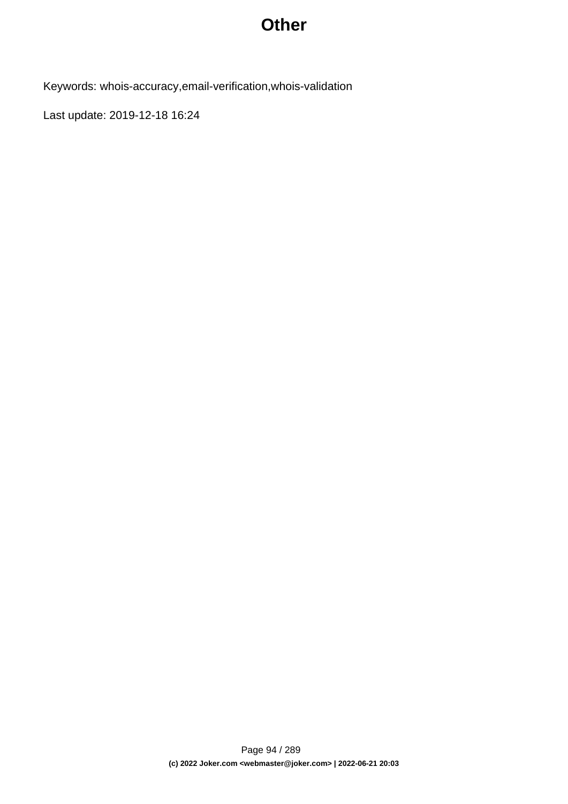## **Other**

Keywords: whois-accuracy,email-verification,whois-validation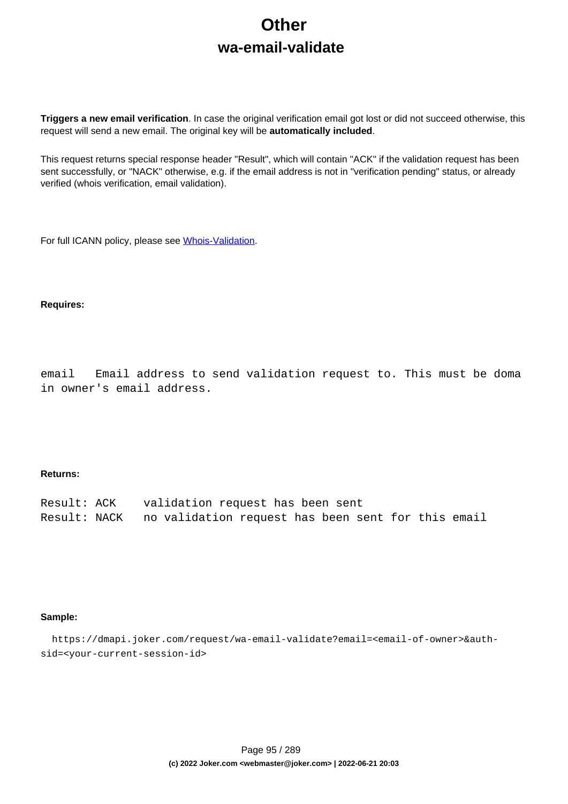# **Other wa-email-validate**

**Triggers a new email verification**. In case the original verification email got lost or did not succeed otherwise, this request will send a new email. The original key will be **automatically included**.

This request returns special response header "Result", which will contain "ACK" if the validation request has been sent successfully, or "NACK" otherwise, e.g. if the email address is not in "verification pending" status, or already verified (whois verification, email validation).

For full ICANN policy, please see [Whois-Validation](https://joker.com/goto/icann_ra_whois).

#### **Requires:**

email Email address to send validation request to. This must be doma in owner's email address.

#### **Returns:**

| Result: ACK | validation request has been sent                                |
|-------------|-----------------------------------------------------------------|
|             | Result: NACK no validation request has been sent for this email |

#### **Sample:**

 https://dmapi.joker.com/request/wa-email-validate?email=<email-of-owner>&authsid=<your-current-session-id>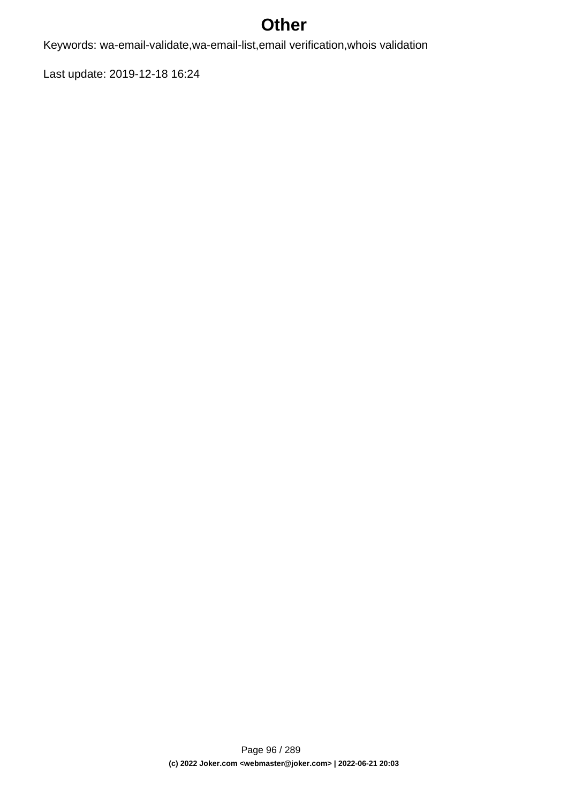## **Other**

Keywords: wa-email-validate,wa-email-list,email verification,whois validation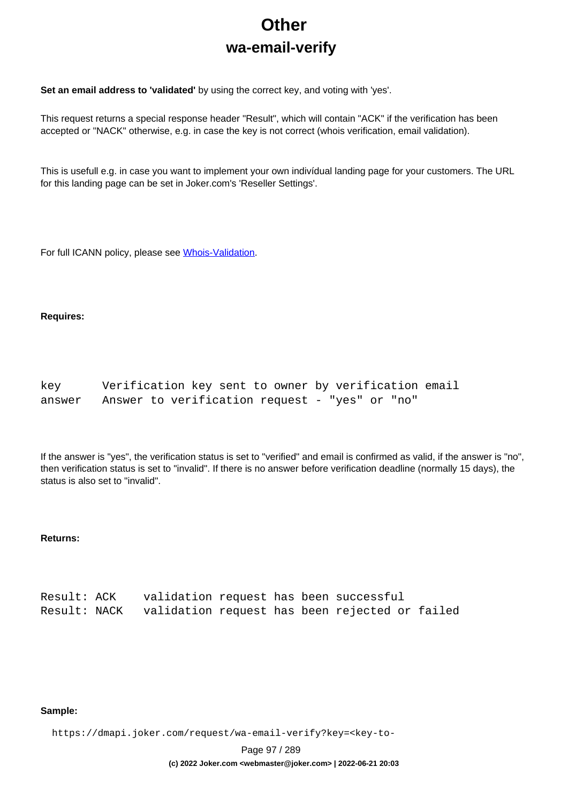# **Other wa-email-verify**

**Set an email address to 'validated'** by using the correct key, and voting with 'yes'.

This request returns a special response header "Result", which will contain "ACK" if the verification has been accepted or "NACK" otherwise, e.g. in case the key is not correct (whois verification, email validation).

This is usefull e.g. in case you want to implement your own indivídual landing page for your customers. The URL for this landing page can be set in Joker.com's 'Reseller Settings'.

For full ICANN policy, please see [Whois-Validation](https://joker.com/goto/icann_ra_whois).

#### **Requires:**

| key    | Verification key sent to owner by verification email |  |
|--------|------------------------------------------------------|--|
| answer | Answer to verification request - "yes" or "no"       |  |

If the answer is "yes", the verification status is set to "verified" and email is confirmed as valid, if the answer is "no", then verification status is set to "invalid". If there is no answer before verification deadline (normally 15 days), the status is also set to "invalid".

### **Returns:**

| Result: ACK | validation request has been successful                      |  |  |  |
|-------------|-------------------------------------------------------------|--|--|--|
|             | Result: NACK validation request has been rejected or failed |  |  |  |

#### **Sample:**

https://dmapi.joker.com/request/wa-email-verify?key=<key-to-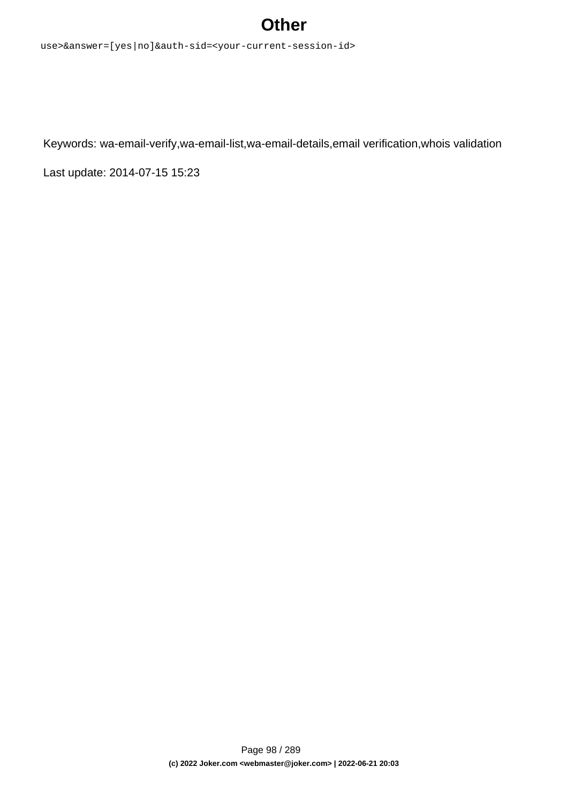## **Other**

use>&answer=[yes|no]&auth-sid=<your-current-session-id>

Keywords: wa-email-verify,wa-email-list,wa-email-details,email verification,whois validation

Last update: 2014-07-15 15:23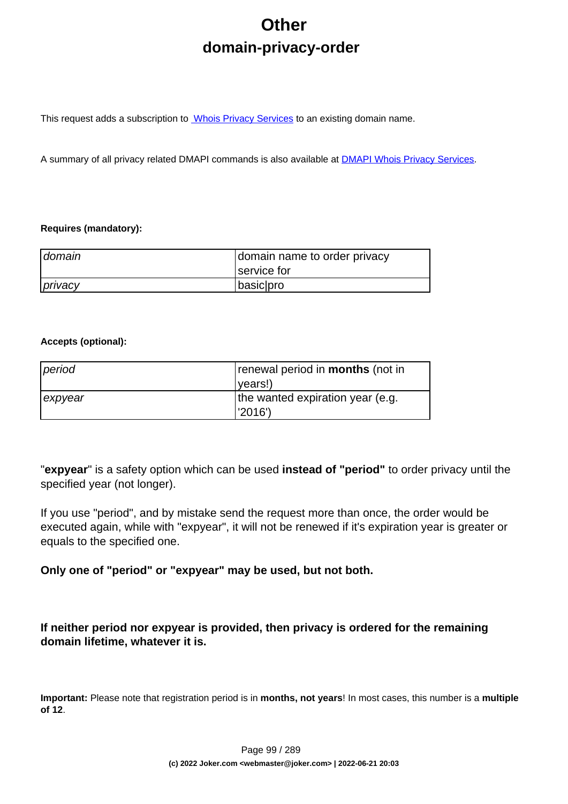# **Other domain-privacy-order**

This request adds a subscription to **Whois Privacy Services** to an existing domain name.

A summary of all privacy related DMAPI commands is also available at [DMAPI Whois Privacy Services](index.php?action=artikel&cat=22&id=477&artlang=en).

### **Requires (mandatory):**

| domain  | domain name to order privacy |  |  |  |
|---------|------------------------------|--|--|--|
|         | service for                  |  |  |  |
| privacy | basic pro                    |  |  |  |

### **Accepts (optional):**

| period  | renewal period in <b>months</b> (not in |  |  |  |
|---------|-----------------------------------------|--|--|--|
|         | ( <i>vears!</i>                         |  |  |  |
| expyear | the wanted expiration year (e.g.        |  |  |  |
|         | l'2016')                                |  |  |  |

"**expyear**" is a safety option which can be used **instead of "period"** to order privacy until the specified year (not longer).

If you use "period", and by mistake send the request more than once, the order would be executed again, while with "expyear", it will not be renewed if it's expiration year is greater or equals to the specified one.

**Only one of "period" or "expyear" may be used, but not both.**

**If neither period nor expyear is provided, then privacy is ordered for the remaining domain lifetime, whatever it is.**

**Important:** Please note that registration period is in **months, not years**! In most cases, this number is a **multiple of 12**.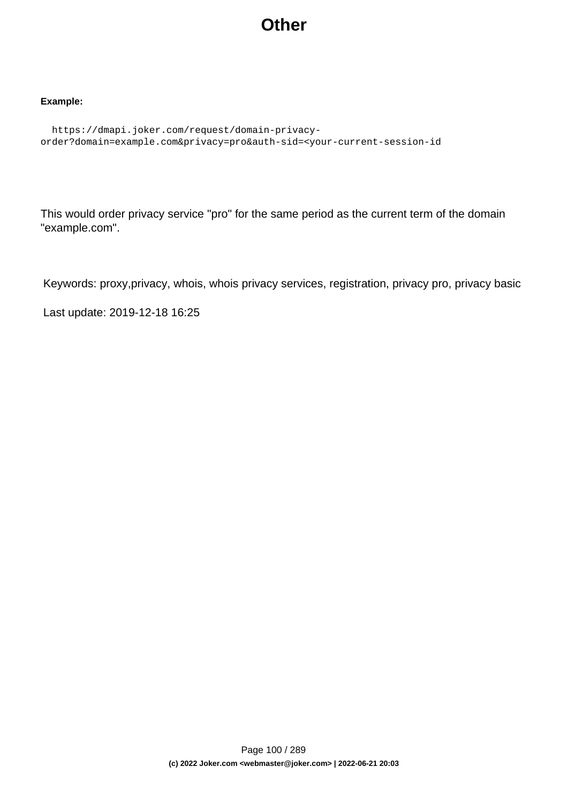## **Other**

### **Example:**

```
 https://dmapi.joker.com/request/domain-privacy-
order?domain=example.com&privacy=pro&auth-sid=<your-current-session-id
```
This would order privacy service "pro" for the same period as the current term of the domain "example.com".

Keywords: proxy,privacy, whois, whois privacy services, registration, privacy pro, privacy basic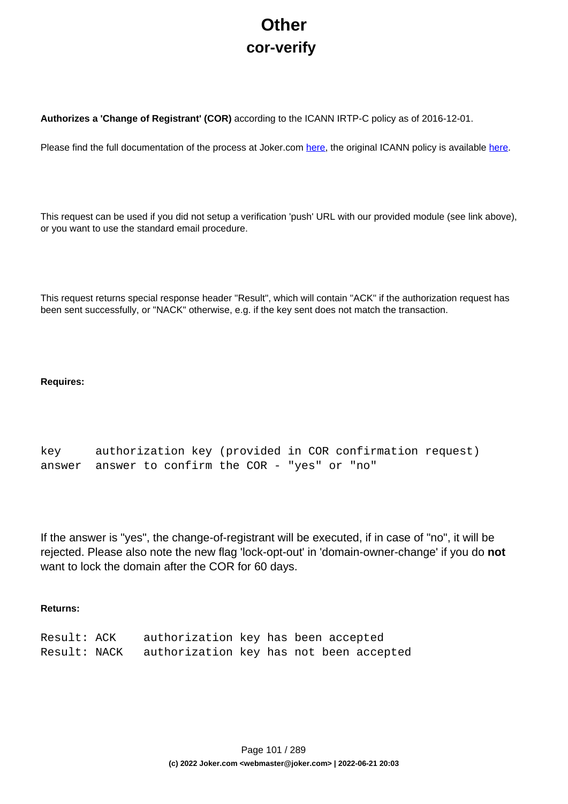# **Other cor-verify**

**Authorizes a 'Change of Registrant' (COR)** according to the ICANN IRTP-C policy as of 2016-12-01.

Please find the full documentation of the process at Joker.com [here,](https://joker.com/goto/resdocs) the original ICANN policy is available [here.](https://joker.com/goto/icann_irtp)

This request can be used if you did not setup a verification 'push' URL with our provided module (see link above), or you want to use the standard email procedure.

This request returns special response header "Result", which will contain "ACK" if the authorization request has been sent successfully, or "NACK" otherwise, e.g. if the key sent does not match the transaction.

### **Requires:**

```
key authorization key (provided in COR confirmation request)
answer answer to confirm the COR - "yes" or "no"
```
If the answer is "yes", the change-of-registrant will be executed, if in case of "no", it will be rejected. Please also note the new flag 'lock-opt-out' in 'domain-owner-change' if you do **not** want to lock the domain after the COR for 60 days.

### **Returns:**

| Result: ACK  | authorization key has been accepted     |  |  |  |
|--------------|-----------------------------------------|--|--|--|
| Result: NACK | authorization key has not been accepted |  |  |  |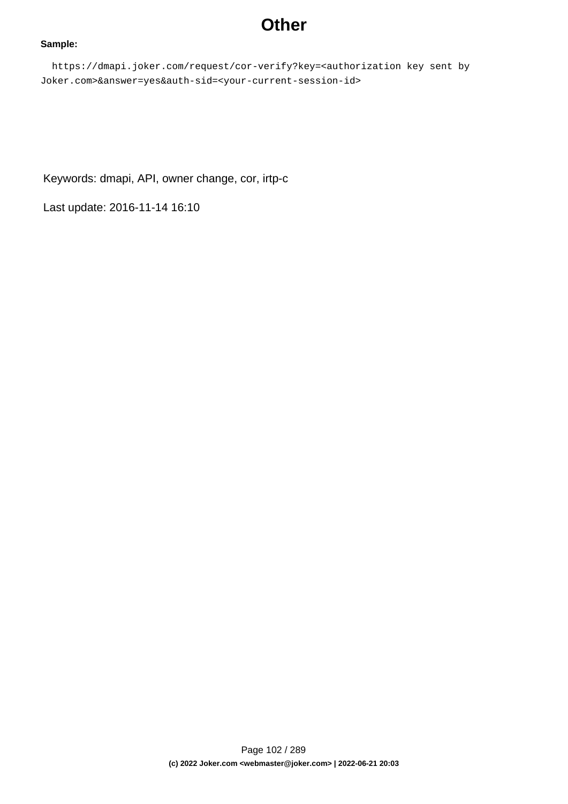## **Other**

#### **Sample:**

 https://dmapi.joker.com/request/cor-verify?key=<authorization key sent by Joker.com>&answer=yes&auth-sid=<your-current-session-id>

Keywords: dmapi, API, owner change, cor, irtp-c

Last update: 2016-11-14 16:10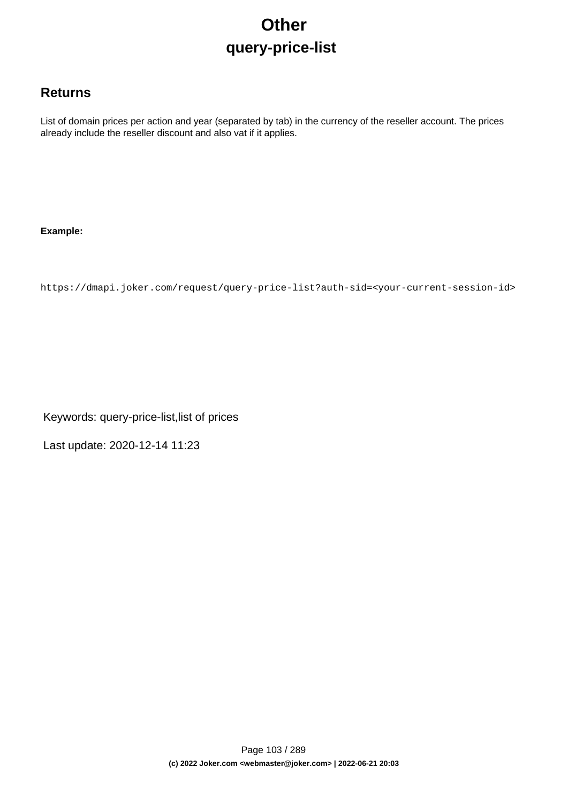# **Other query-price-list**

### **Returns**

List of domain prices per action and year (separated by tab) in the currency of the reseller account. The prices already include the reseller discount and also vat if it applies.

### **Example:**

https://dmapi.joker.com/request/query-price-list?auth-sid=<your-current-session-id>

Keywords: query-price-list,list of prices

Last update: 2020-12-14 11:23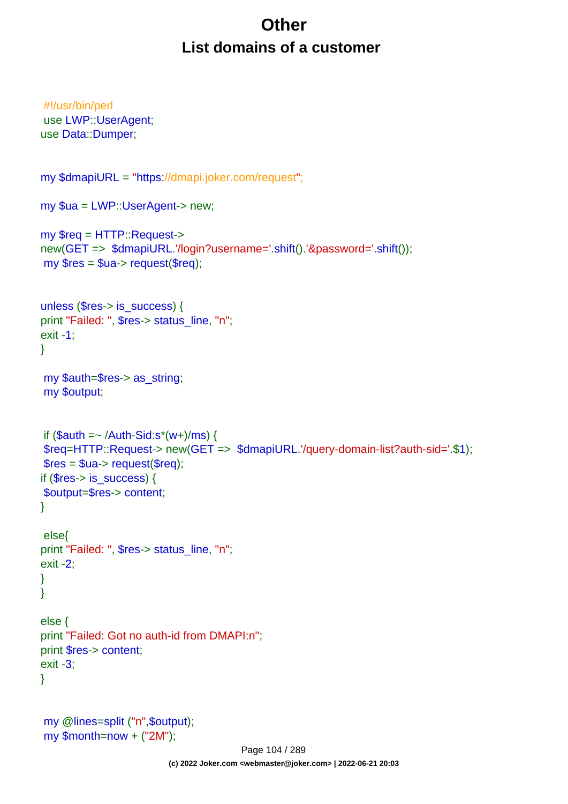# **Other List domains of a customer**

```
#!/usr/bin/perl
use LWP::UserAgent;
use Data::Dumper;
my $dmapiURL = "https://dmapi.joker.com/request";
my $ua = LWP::UserAgent-> new;
my $req = HTTP::Request->
new(GET => $dmapiURL.'/login?username='.shift().'&password='.shift());
my $res = $ua-> request($req);
unless ($res-> is_success) {
print "Failed: ", $res-> status_line, "n";
exit -1;
}
my $auth=$res-> as_string;
my $output;
if (Sauth = \sim /Author-Sid:s^*(w+)/ms) {
$req=HTTP::Request-> new(GET => $dmapiURL.'/query-domain-list?auth-sid='.$1);
$res = $ua->request($req);if ($res-> is {}success) {
$output=$res-> content;
}
 else{
print "Failed: ", $res-> status_line, "n";
exit -2;
}
}
else {
print "Failed: Got no auth-id from DMAPI:n";
print $res-> content;
exit -3;
}
my @lines=split ("n",$output);
my $month=now + ("2M");
```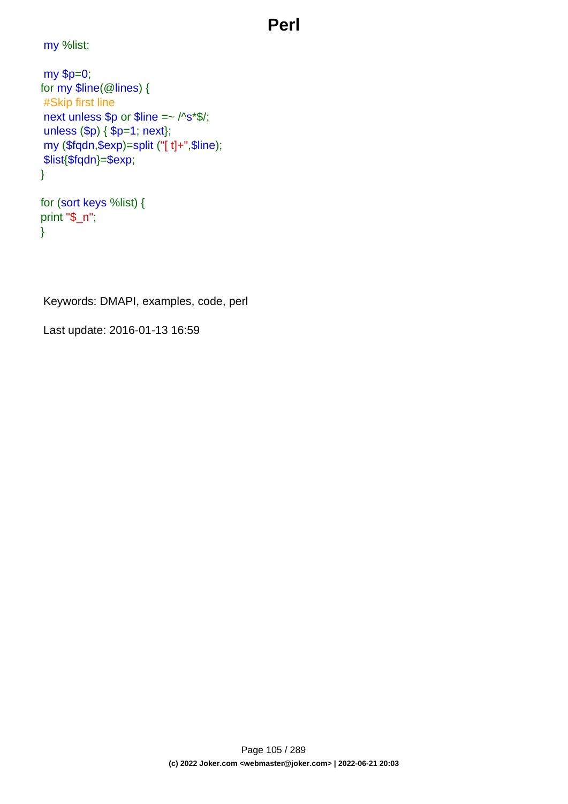## **Perl**

my %list;

```
my $p=0;
for my $line(@lines) {
#Skip first line
next unless $p or $line =~ /^s*$/;
unless ($p) { $p=1; next};
my ($fqdn,$exp)=split ("[ t]+",$line);
$list{$fqdn}=$exp;
}
```

```
for (sort keys %list) {
print "$_n";
}
```
Keywords: DMAPI, examples, code, perl

Last update: 2016-01-13 16:59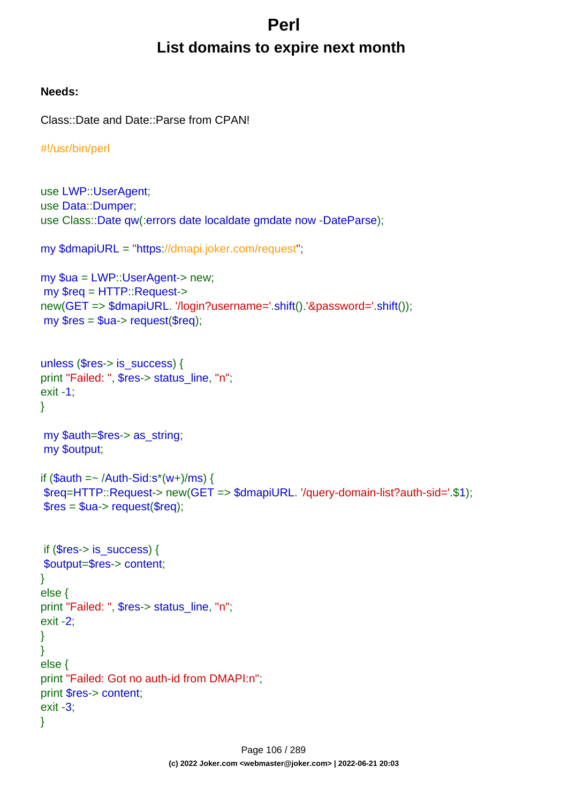# **Perl List domains to expire next month**

### **Needs:**

Class::Date and Date::Parse from CPAN!

```
#!/usr/bin/perl
```

```
use LWP::UserAgent;
use Data::Dumper;
use Class::Date qw(:errors date localdate gmdate now -DateParse);
my $dmapiURL = "https://dmapi.joker.com/request";
my $ua = LWP::UserAgent-> new;
my $req = HTTP::Request->
new(GET => $dmapiURL. '/login?username='.shift().'&password='.shift());
my Sres = Sua - z request(Sreq);
unless ($res-> is_success) {
print "Failed: ", $res-> status_line, "n";
exit -1;
}
my $auth=$res-> as_string;
my $output;
if $auth = \sim /Auth-Sid:s^*(w+)/ms) {
$req=HTTP::Request-> new(GET => $dmapiURL. '/query-domain-list?auth-sid='.$1);
$res = $ua->request($rea):if ($res-> is {}success) {
$output=$res-> content;
}
else {
print "Failed: ", $res-> status_line, "n";
exit -2;
}
}
else {
print "Failed: Got no auth-id from DMAPI:n";
print $res-> content;
exit -3;
}
```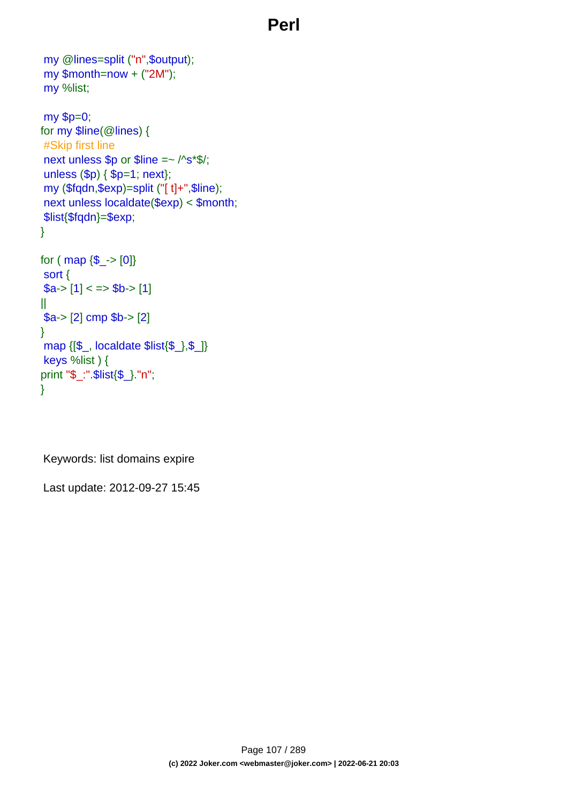## **Perl**

```
my @lines=split ("n",$output);
my $month=now + ("2M");
my %list;
my $p=0;
for my $line(@lines) {
#Skip first line
next unless $p or $line =~ /^s*$/;
unless ($p) { $p=1; next};
my ($fqdn,$exp)=split ("[ t]+",$line);
next unless localdate($exp) < $month;
$list{$fqdn}=$exp;
}
for ( map \{\$<sub>-</sub>>[0]\}sort {
a > [1] < \Rightarrow $b-> [1]
||
$a-> [2] cmp $b-> [2]
}
map {[$_, localdate $list{$_},$_]}
keys %list ) {
print "$_:".$list{$_}."n";
}
```
Keywords: list domains expire

Last update: 2012-09-27 15:45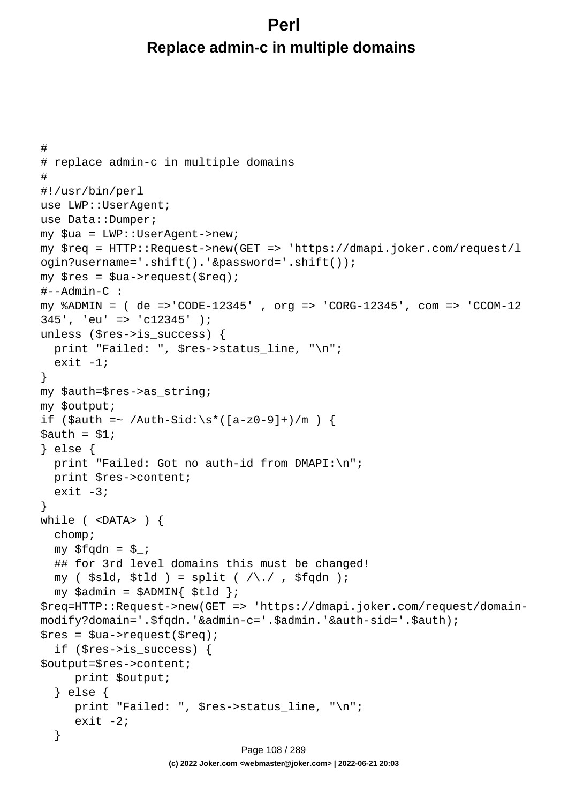## **Perl Replace admin-c in multiple domains**

```
#
# replace admin-c in multiple domains
#
#!/usr/bin/perl
use LWP::UserAgent;
use Data::Dumper;
my $ua = LWP::UserAgent->new;
my $req = HTTP::Request->new(GET => 'https://dmapi.joker.com/request/l
ogin?username='.shift().'&password='.shift());
my $res = $ua->request($req);
#--Admin-C :
my %ADMIN = ( de =>'CODE-12345' , org => 'CORG-12345', com => 'CCOM-12
345', 'eu' => 'c12345' );
unless ($res->is_success) {
  print "Failed: ", $res->status_line, "\n";
  exit -1;
}
my $auth=$res->as_string;
my $output;
if ($auth =~ /Auth-Sid:\s*([a-z0-9]+)/m) {
Sauth = S1;} else {
 print "Failed: Got no auth-id from DMAPI:\n";
   print $res->content;
  exit -3;
}
while ( <DATA> ) {
   chomp;
  my $fqdn = $;
   ## for 3rd level domains this must be changed!
  my ( $sld, $tld ) = split ( /\backslash . / , $fqdn );
  my $admin = $ADMIN{ $tld };
$req=HTTP::Request->new(GET => 'https://dmapi.joker.com/request/domain-
modify?domain='.$fqdn.'&admin-c='.$admin.'&auth-sid='.$auth);
$res = $ua->request ($req); if ($res->is_success) {
$output=$res->content;
      print $output;
   } else {
      print "Failed: ", $res->status_line, "\n";
     exit -2i }
                              Page 108 / 289
```
**(c) 2022 Joker.com <webmaster@joker.com> | 2022-06-21 20:03**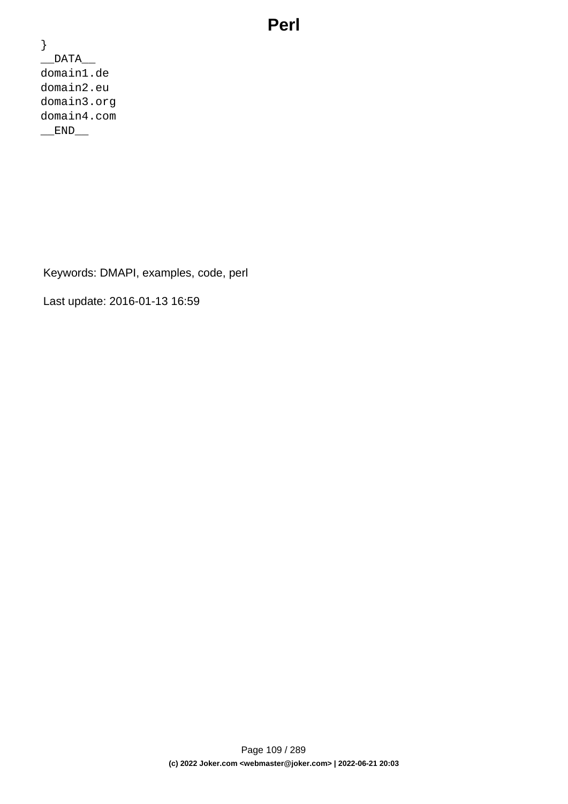### **Perl**

} \_\_DATA\_\_ domain1.de domain2.eu domain3.org domain4.com END

Keywords: DMAPI, examples, code, perl

Last update: 2016-01-13 16:59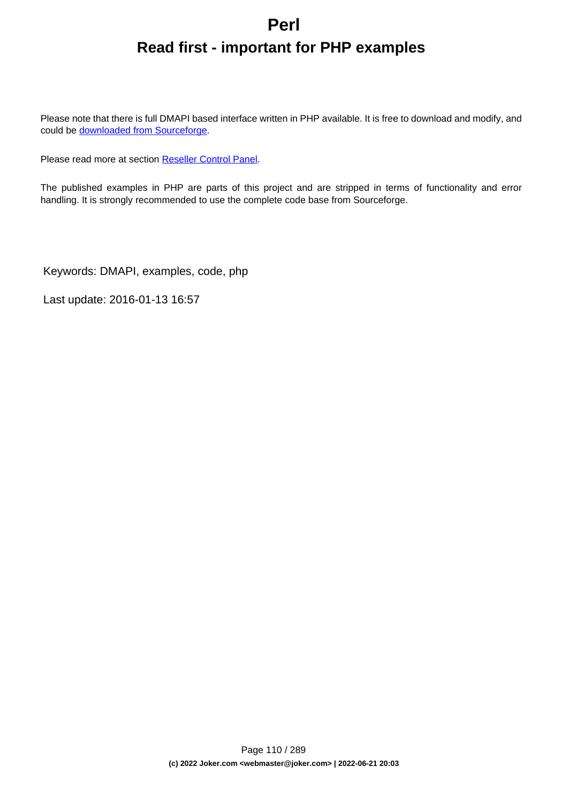# **Perl Read first - important for PHP examples**

Please note that there is full DMAPI based interface written in PHP available. It is free to download and modify, and could be [downloaded from Sourceforge](http://sourceforge.net/projects/joker-client/).

Please read more at section [Reseller Control Panel.](index.php?action=artikel&cat=32&id=44&artlang=en)

The published examples in PHP are parts of this project and are stripped in terms of functionality and error handling. It is strongly recommended to use the complete code base from Sourceforge.

Keywords: DMAPI, examples, code, php

Last update: 2016-01-13 16:57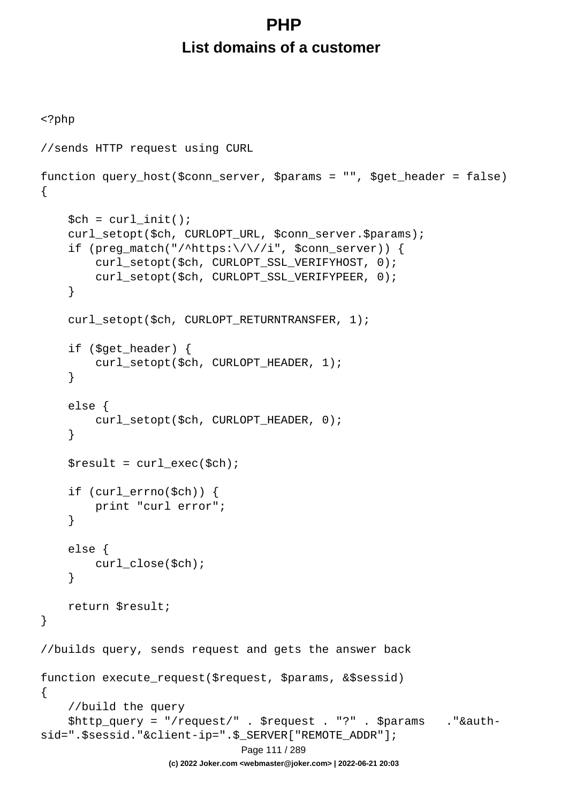# **PHP List domains of a customer**

```
<?php
//sends HTTP request using CURL
function query_host($conn_server, $params = "", $get_header = false)
{
    $ch = curl_init();
     curl_setopt($ch, CURLOPT_URL, $conn_server.$params);
    if (preg_match("/^https:\/\//i", $conn_server)) {
         curl_setopt($ch, CURLOPT_SSL_VERIFYHOST, 0);
         curl_setopt($ch, CURLOPT_SSL_VERIFYPEER, 0);
     }
    curl_setopt($ch, CURLOPT_RETURNTRANSFER, 1);
     if ($get_header) {
        curl_setopt($ch, CURLOPT_HEADER, 1);
     }
     else {
         curl_setopt($ch, CURLOPT_HEADER, 0);
     }
    $result = curl\_exec({\text{5ch}}); if (curl_errno($ch)) {
         print "curl error";
     }
     else {
         curl_close($ch);
     }
     return $result;
}
//builds query, sends request and gets the answer back
function execute_request($request, $params, &$sessid)
{
     //build the query
     $http_query = "/request/" . $request . "?" . $params ."&auth-
sid=".$sessid."&client-ip=".$_SERVER["REMOTE_ADDR"];
                                Page 111 / 289
                    (c) 2022 Joker.com <webmaster@joker.com> | 2022-06-21 20:03
```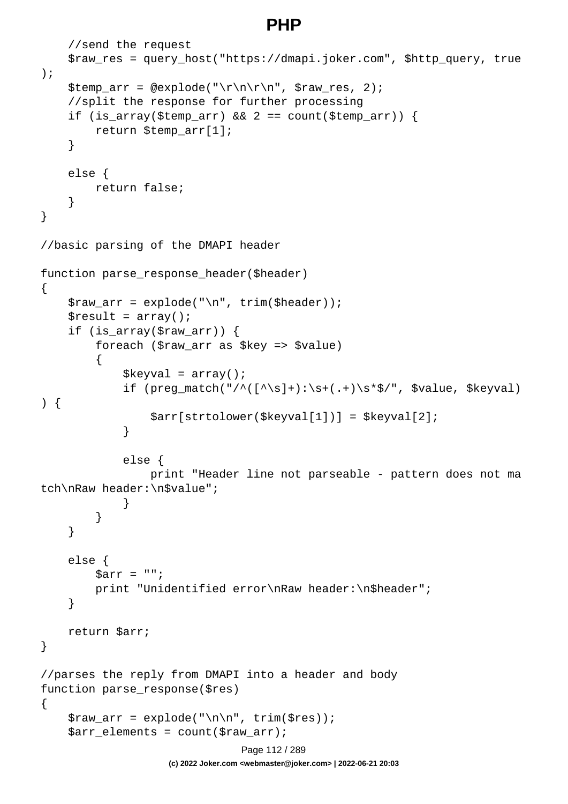### **PHP**

```
 //send the request
     $raw_res = query_host("https://dmapi.joker.com", $http_query, true
);
     $temp_arr = @explode("\r\n\r\n", $raw_res, 2);
     //split the response for further processing
    if (is_array($temp_arr) && 2 == count($temp_arr)) {
         return $temp_arr[1];
     }
     else {
         return false;
     }
}
//basic parsing of the DMAPI header
function parse_response_header($header)
\{$raw_arr = explode("n", trim({Sheader}));$result = array();
     if (is_array($raw_arr)) {
         foreach ($raw_arr as $key => $value)
\{$keyval = array();
            if (preg_match("/^([^\s]+):\s+(.+)\s*$/", $value, $keyval)
) {
                 $arr[strtolower($keyval[1])] = $keyval[2];
 }
             else {
                 print "Header line not parseable - pattern does not ma
tch\nRaw header:\n$value";
 }
 }
     }
     else {
        \text{Sarr} = " " print "Unidentified error\nRaw header:\n$header";
     }
    return $arr;
}
//parses the reply from DMAPI into a header and body
function parse_response($res)
\{$raw_arr = explode('\\n\\n", trim(Sres)); $arr_elements = count($raw_arr);
                              Page 112 / 289
```
**(c) 2022 Joker.com <webmaster@joker.com> | 2022-06-21 20:03**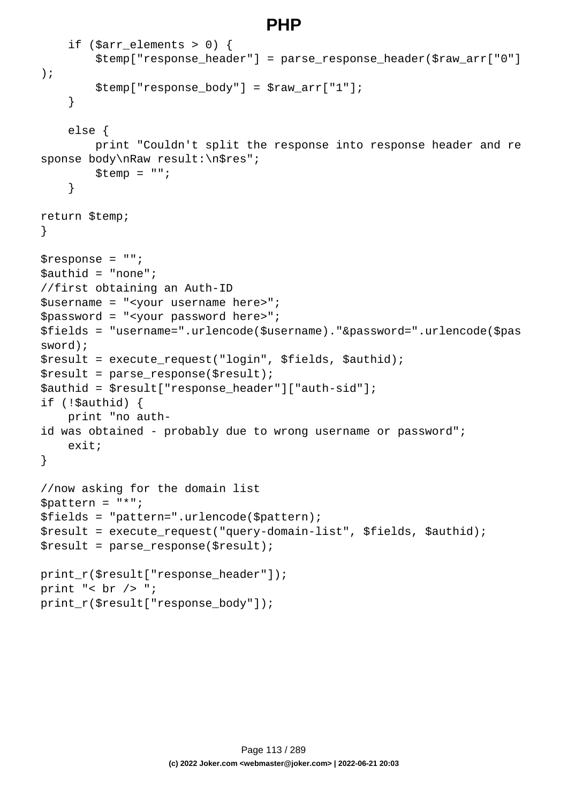### **PHP**

```
if ($arr elements > 0) {
         $temp["response_header"] = parse_response_header($raw_arr["0"]
);
        $temp['response body"] = $raw arr['1"]; }
     else {
         print "Couldn't split the response into response header and re
sponse body\nRaw result:\n$res";
        $temp = ""; }
return $temp;
}
$response = "";
$authid = "none";
//first obtaining an Auth-ID
$username = "<your username here>";
$password = "<your password here>";
$fields = "username=".urlencode($username)."&password=".urlencode($pas
sword);
$result = execute_request("login", $fields, $authid);
$result = parse response(Sresult);$authid = $result["response_header"]["auth-sid"];
if (!$authid) {
    print "no auth-
id was obtained - probably due to wrong username or password";
     exit;
}
//now asking for the domain list
$pattern = "*";
$fields = "pattern=".urlencode($pattern);
$result = execute_request("query-domain-list", $fields, $authid);
$result = parse_response($result);
print_r($result["response_header"]);
print "< br /> ";
print_r($result["response_body"]);
```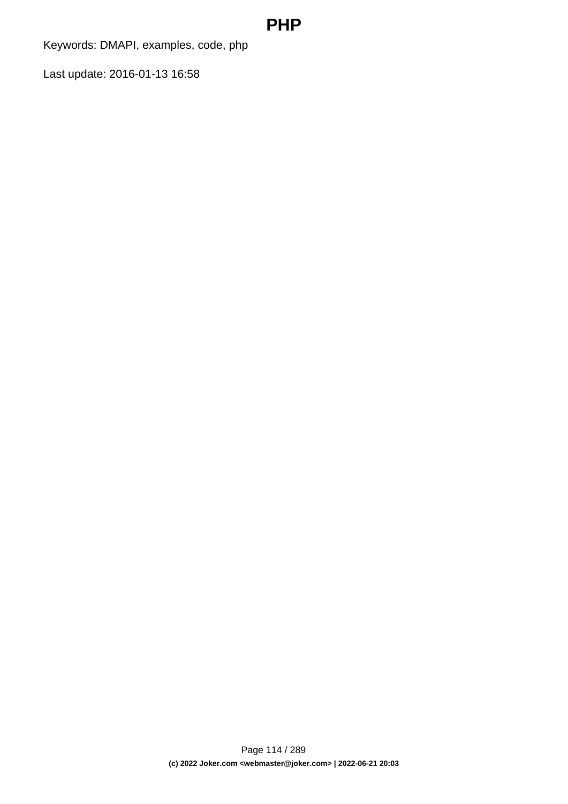### **PHP**

Keywords: DMAPI, examples, code, php

Last update: 2016-01-13 16:58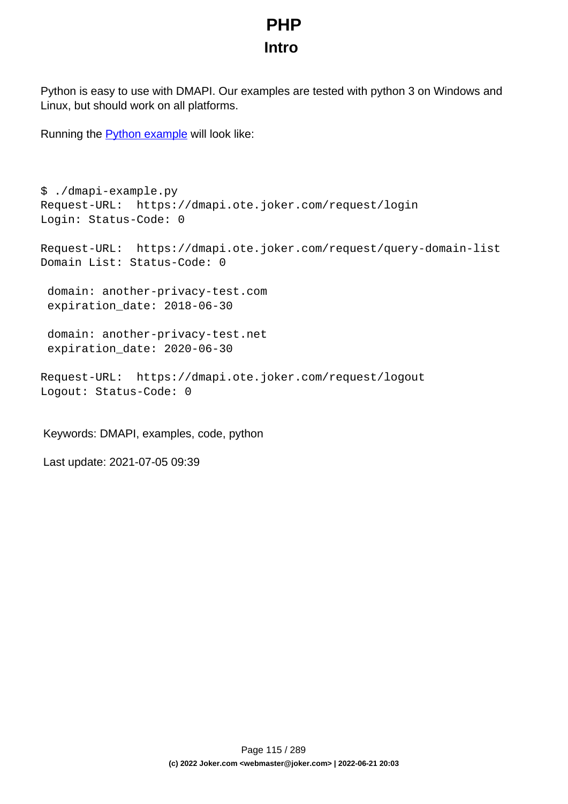# **PHP Intro**

Python is easy to use with DMAPI. Our examples are tested with python 3 on Windows and Linux, but should work on all platforms.

Running the **Python example** will look like:

```
$ ./dmapi-example.py 
Request-URL: https://dmapi.ote.joker.com/request/login
Login: Status-Code: 0
Request-URL: https://dmapi.ote.joker.com/request/query-domain-list
Domain List: Status-Code: 0
  domain: another-privacy-test.com
  expiration_date: 2018-06-30
  domain: another-privacy-test.net
  expiration_date: 2020-06-30
Request-URL: https://dmapi.ote.joker.com/request/logout
Logout: Status-Code: 0
```
Keywords: DMAPI, examples, code, python

Last update: 2021-07-05 09:39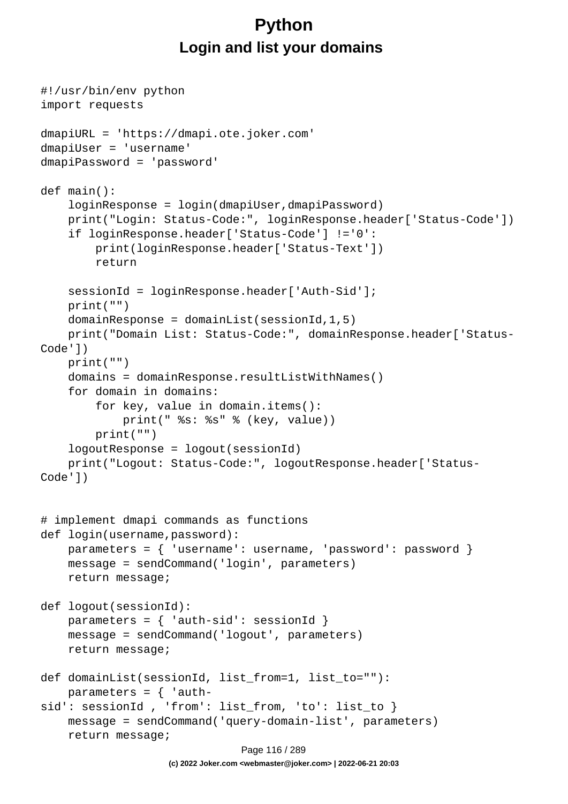# **Python Login and list your domains**

```
#!/usr/bin/env python
import requests
dmapiURL = 'https://dmapi.ote.joker.com'
dmapiUser = 'username'
dmapiPassword = 'password'
def main():
     loginResponse = login(dmapiUser,dmapiPassword)
     print("Login: Status-Code:", loginResponse.header['Status-Code'])
     if loginResponse.header['Status-Code'] !='0':
         print(loginResponse.header['Status-Text'])
         return
     sessionId = loginResponse.header['Auth-Sid'];
     print("")
    domainResponse = domainList(sessionId, 1, 5) print("Domain List: Status-Code:", domainResponse.header['Status-
Code'])
     print("")
     domains = domainResponse.resultListWithNames()
     for domain in domains:
         for key, value in domain.items():
             print(" %s: %s" % (key, value))
         print("")
     logoutResponse = logout(sessionId)
     print("Logout: Status-Code:", logoutResponse.header['Status-
Code'])
# implement dmapi commands as functions
def login(username,password):
     parameters = { 'username': username, 'password': password }
     message = sendCommand('login', parameters)
     return message;
def logout(sessionId):
    parameters = \{ 'auth-sid': sessionId \} message = sendCommand('logout', parameters)
     return message;
def domainList(sessionId, list_from=1, list_to=""):
    parameters = \{ 'auth-
sid': sessionId, 'from': list_from, 'to': list to }
     message = sendCommand('query-domain-list', parameters)
     return message;
                              Page 116 / 289
```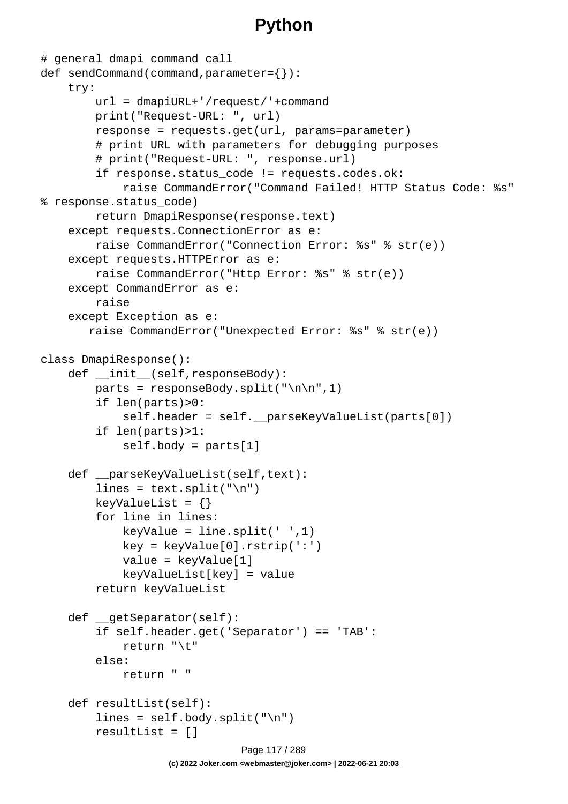```
# general dmapi command call
def sendCommand(command,parameter={}):
     try:
         url = dmapiURL+'/request/'+command
         print("Request-URL: ", url)
         response = requests.get(url, params=parameter)
         # print URL with parameters for debugging purposes
         # print("Request-URL: ", response.url)
         if response.status_code != requests.codes.ok:
             raise CommandError("Command Failed! HTTP Status Code: %s" 
% response.status_code)
         return DmapiResponse(response.text)
     except requests.ConnectionError as e:
         raise CommandError("Connection Error: %s" % str(e))
     except requests.HTTPError as e:
         raise CommandError("Http Error: %s" % str(e))
     except CommandError as e:
         raise
     except Exception as e:
        raise CommandError("Unexpected Error: %s" % str(e))
class DmapiResponse():
     def __init__(self,responseBody):
        parts = responseBody.split("\n\n",1)
         if len(parts)>0:
             self.header = self.__parseKeyValueList(parts[0])
         if len(parts)>1:
             self.body = parts[1]
    def __parseKeyValueList(self,text):
        lines = text.split("\ln")
        keyValueList = \{\} for line in lines:
            keyValue = line.split(' ' , 1) key = keyValue[0].rstrip(':')
             value = keyValue[1]
             keyValueList[key] = value
         return keyValueList
     def __getSeparator(self):
         if self.header.get('Separator') == 'TAB':
             return "\t"
         else:
             return " "
     def resultList(self):
        lines = self.body.split("\n'\n resultList = []
                               Page 117 / 289
```
**(c) 2022 Joker.com <webmaster@joker.com> | 2022-06-21 20:03**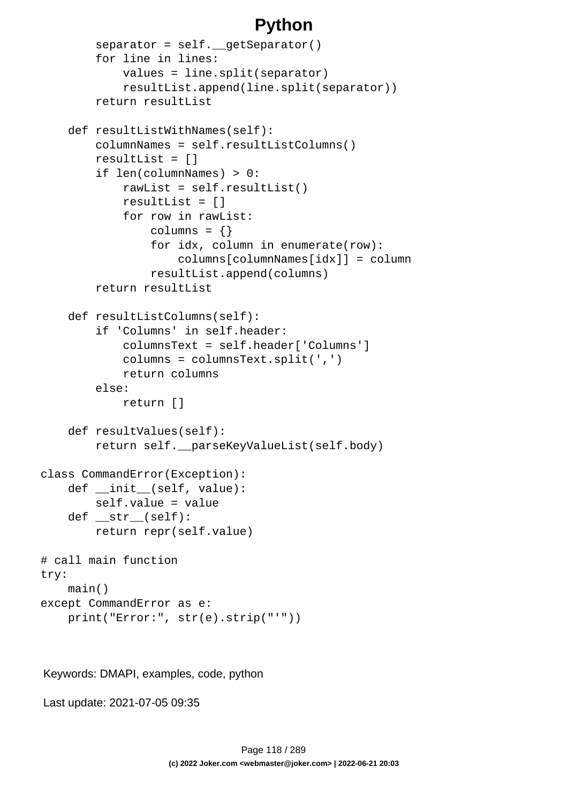```
separation = self. qetseparator() for line in lines:
             values = line.split(separator)
             resultList.append(line.split(separator))
         return resultList
     def resultListWithNames(self):
         columnNames = self.resultListColumns()
         resultList = []
         if len(columnNames) > 0:
             rawList = self.resultList()
             resultList = []
             for row in rawList:
                 columns = \{\} for idx, column in enumerate(row):
                      columns[columnNames[idx]] = column
                  resultList.append(columns)
         return resultList
     def resultListColumns(self):
         if 'Columns' in self.header:
             columnsText = self.header['Columns']
             columns = columnsText.split(',')
             return columns
         else:
             return []
     def resultValues(self):
         return self.__parseKeyValueList(self.body)
class CommandError(Exception):
    def __init__(self, value):
         self.value = value
     def __str__(self):
         return repr(self.value)
# call main function
try:
     main()
except CommandError as e:
     print("Error:", str(e).strip("'"))
```
Keywords: DMAPI, examples, code, python

Last update: 2021-07-05 09:35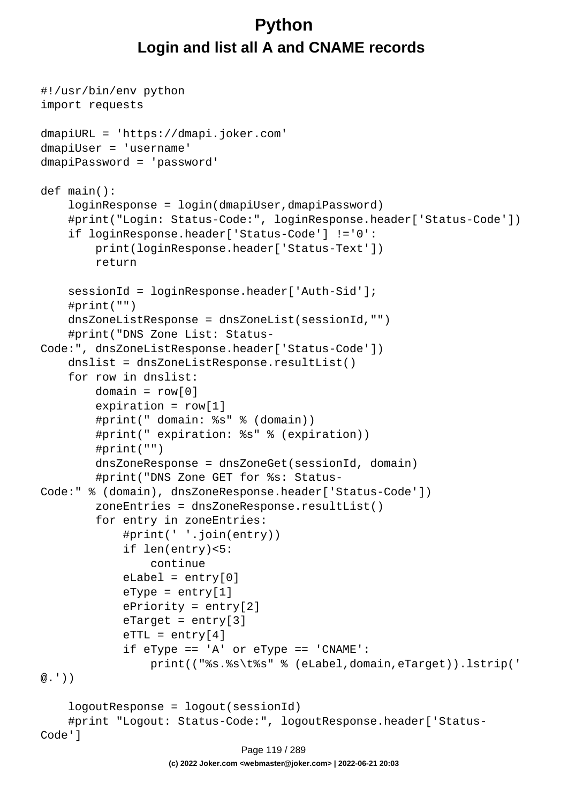# **Python Login and list all A and CNAME records**

```
#!/usr/bin/env python
import requests
dmapiURL = 'https://dmapi.joker.com'
dmapiUser = 'username'
dmapiPassword = 'password'
def main():
     loginResponse = login(dmapiUser,dmapiPassword)
     #print("Login: Status-Code:", loginResponse.header['Status-Code'])
     if loginResponse.header['Status-Code'] !='0':
         print(loginResponse.header['Status-Text'])
         return
     sessionId = loginResponse.header['Auth-Sid'];
     #print("")
     dnsZoneListResponse = dnsZoneList(sessionId,"")
     #print("DNS Zone List: Status-
Code:", dnsZoneListResponse.header['Status-Code'])
    dnslist = dnsZoneListResponse.resultList()
     for row in dnslist:
        domain = row[0]expiration = row[1] #print(" domain: %s" % (domain))
         #print(" expiration: %s" % (expiration))
         #print("")
         dnsZoneResponse = dnsZoneGet(sessionId, domain)
         #print("DNS Zone GET for %s: Status-
Code:" % (domain), dnsZoneResponse.header['Status-Code'])
         zoneEntries = dnsZoneResponse.resultList()
         for entry in zoneEntries:
             #print(' '.join(entry))
             if len(entry)<5:
                  continue
            eLabel = entry[0]eType = entry[1] ePriority = entry[2]
            \text{er}_{\text{target}} = \text{entry}[3]erTL = entry[4] if eType == 'A' or eType == 'CNAME':
                  print(("%s.%s\t%s" % (eLabel,domain,eTarget)).lstrip('
@.'))
     logoutResponse = logout(sessionId)
     #print "Logout: Status-Code:", logoutResponse.header['Status-
Code']
                               Page 119 / 289
```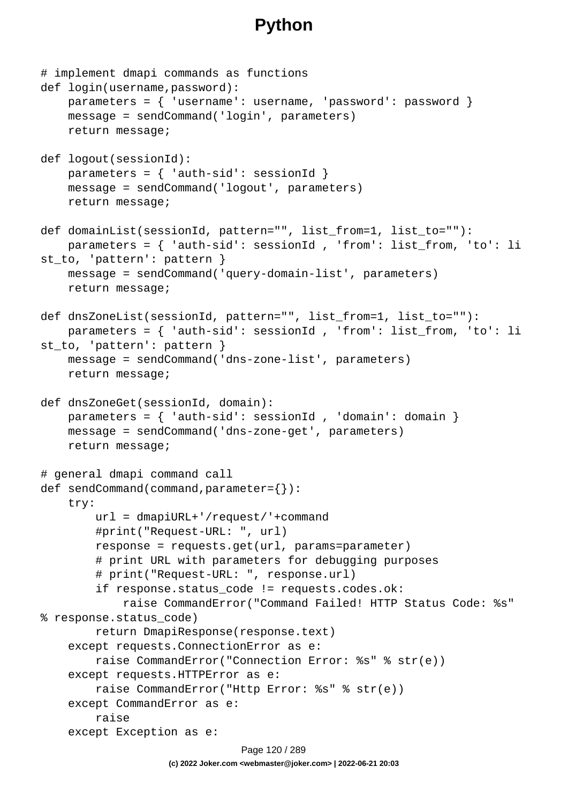```
# implement dmapi commands as functions
def login(username,password):
     parameters = { 'username': username, 'password': password }
     message = sendCommand('login', parameters)
     return message;
def logout(sessionId):
    parameters = \{ 'auth-sid': sessionId \} message = sendCommand('logout', parameters)
     return message;
def domainList(sessionId, pattern="", list_from=1, list_to=""):
     parameters = { 'auth-sid': sessionId , 'from': list_from, 'to': li
st_to, 'pattern': pattern }
     message = sendCommand('query-domain-list', parameters)
     return message;
def dnsZoneList(sessionId, pattern="", list_from=1, list_to=""):
     parameters = { 'auth-sid': sessionId , 'from': list_from, 'to': li
st_to, 'pattern': pattern }
     message = sendCommand('dns-zone-list', parameters)
     return message;
def dnsZoneGet(sessionId, domain):
    parameters = \{ 'auth-sid': sessionId , 'domain': domain \} message = sendCommand('dns-zone-get', parameters)
     return message;
# general dmapi command call
def sendCommand(command,parameter={}):
     try:
         url = dmapiURL+'/request/'+command
         #print("Request-URL: ", url)
         response = requests.get(url, params=parameter)
         # print URL with parameters for debugging purposes
         # print("Request-URL: ", response.url)
         if response.status_code != requests.codes.ok:
             raise CommandError("Command Failed! HTTP Status Code: %s" 
% response.status_code)
         return DmapiResponse(response.text)
     except requests.ConnectionError as e:
         raise CommandError("Connection Error: %s" % str(e))
     except requests.HTTPError as e:
         raise CommandError("Http Error: %s" % str(e))
     except CommandError as e:
         raise
     except Exception as e:
                              Page 120 / 289
```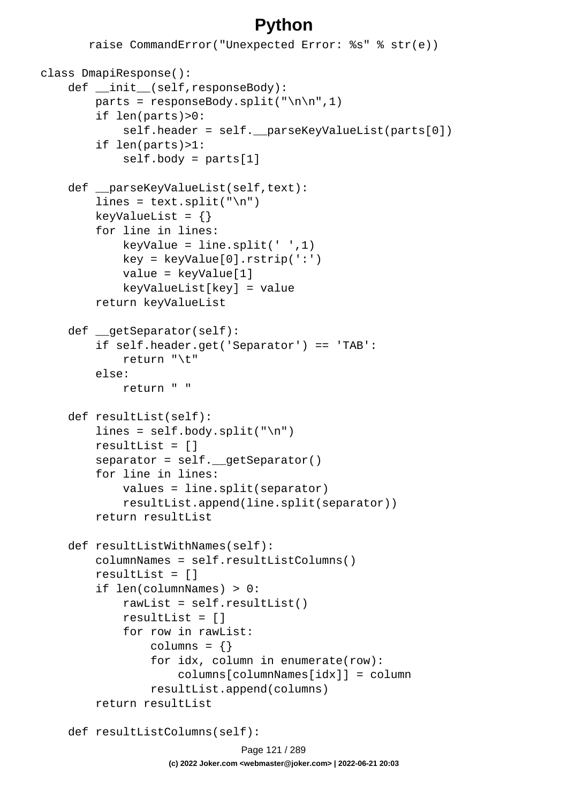```
 raise CommandError("Unexpected Error: %s" % str(e))
class DmapiResponse():
    def __init (self,responseBody):
        parts = responseBody.split("\n\n",1)
         if len(parts)>0:
            self.header = self. parseKeyValueList(parts[0])
         if len(parts)>1:
             self.body = parts[1]
    def parseKeyValueList(self,text):
        lines = text.split("\n \n \cdot")
        keyValueList = \{\} for line in lines:
            keyValue = line.split(' ' , 1) key = keyValue[0].rstrip(':')
             value = keyValue[1]
             keyValueList[key] = value
         return keyValueList
     def __getSeparator(self):
         if self.header.get('Separator') == 'TAB':
             return "\t"
         else:
             return " "
     def resultList(self):
        lines = self.body.split("n") resultList = []
         separator = self.__getSeparator()
         for line in lines:
             values = line.split(separator)
             resultList.append(line.split(separator))
         return resultList
     def resultListWithNames(self):
         columnNames = self.resultListColumns()
         resultList = []
         if len(columnNames) > 0:
             rawList = self.resultList()
             resultList = []
             for row in rawList:
                 columns = \{\} for idx, column in enumerate(row):
                      columns[columnNames[idx]] = column
                  resultList.append(columns)
         return resultList
     def resultListColumns(self):
```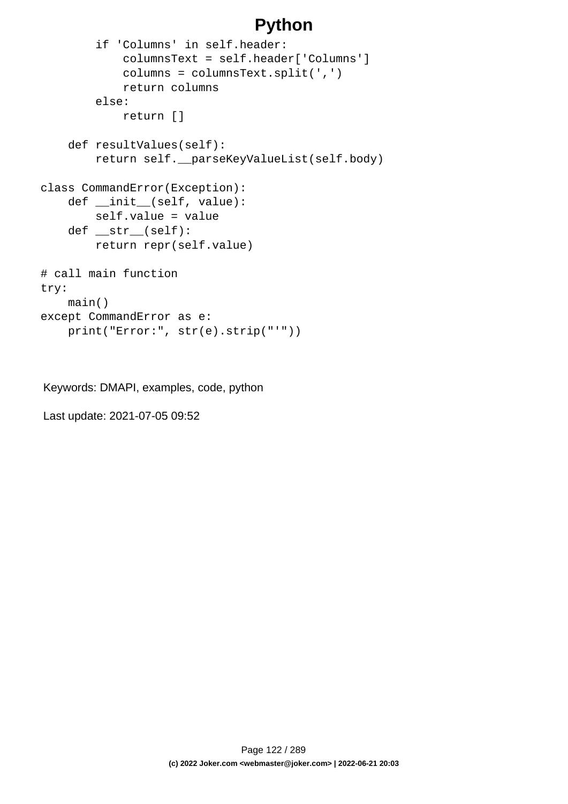```
 if 'Columns' in self.header:
             columnsText = self.header['Columns']
             columns = columnsText.split(',')
             return columns
         else:
             return []
     def resultValues(self):
         return self.__parseKeyValueList(self.body)
class CommandError(Exception):
     def __init__(self, value):
         self.value = value
     def __str__(self):
         return repr(self.value)
# call main function
try:
     main()
except CommandError as e:
     print("Error:", str(e).strip("'"))
```
Keywords: DMAPI, examples, code, python

Last update: 2021-07-05 09:52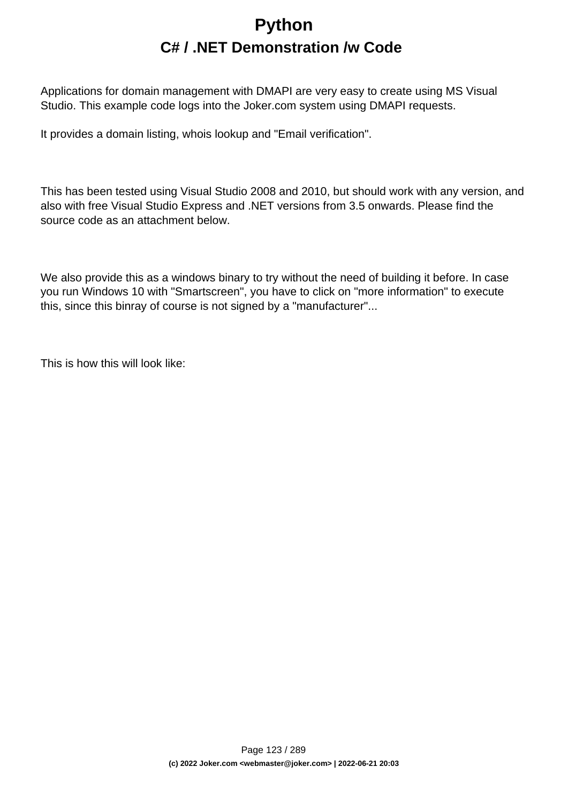# **Python C# / .NET Demonstration /w Code**

Applications for domain management with DMAPI are very easy to create using MS Visual Studio. This example code logs into the Joker.com system using DMAPI requests.

It provides a domain listing, whois lookup and "Email verification".

This has been tested using Visual Studio 2008 and 2010, but should work with any version, and also with free Visual Studio Express and .NET versions from 3.5 onwards. Please find the source code as an attachment below.

We also provide this as a windows binary to try without the need of building it before. In case you run Windows 10 with "Smartscreen", you have to click on "more information" to execute this, since this binray of course is not signed by a "manufacturer"...

This is how this will look like: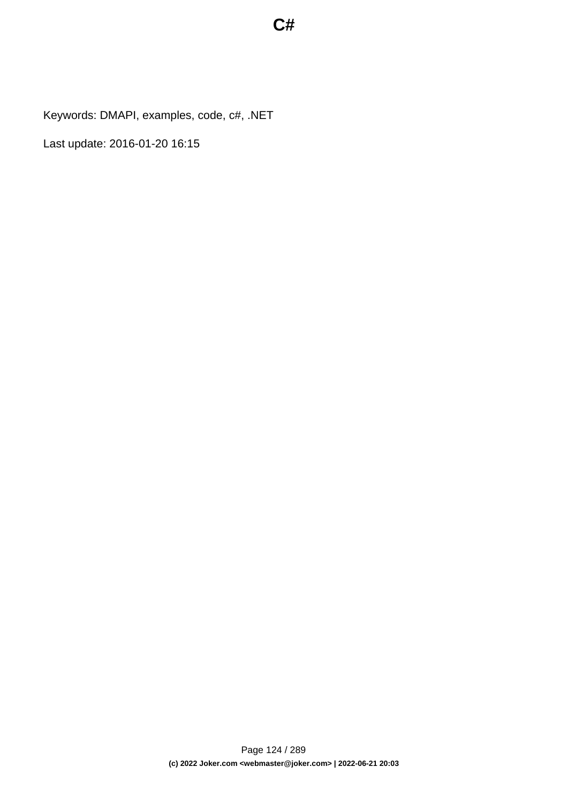Keywords: DMAPI, examples, code, c#, .NET

Last update: 2016-01-20 16:15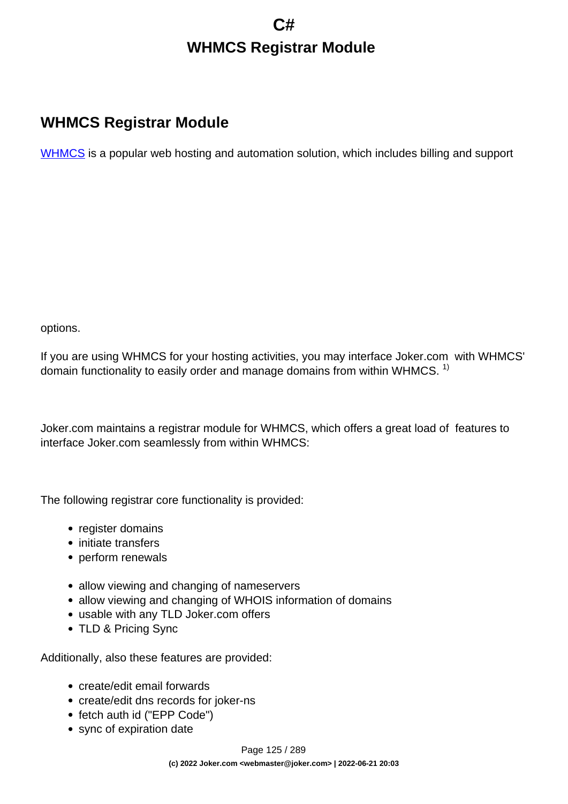# **C# WHMCS Registrar Module**

### **WHMCS Registrar Module**

[WHMCS](https://www.whmcs.com/) is a popular web hosting and automation solution, which includes billing and support

options.

If you are using WHMCS for your hosting activities, you may interface Joker.com with WHMCS' domain functionality to easily order and manage domains from within WHMCS.  $1$ 

Joker.com maintains a registrar module for WHMCS, which offers a great load of features to interface Joker.com seamlessly from within WHMCS:

The following registrar core functionality is provided:

- register domains
- initiate transfers
- perform renewals
- allow viewing and changing of nameservers
- allow viewing and changing of WHOIS information of domains
- usable with any TLD Joker.com offers
- TLD & Pricing Sync

Additionally, also these features are provided:

- create/edit email forwards
- create/edit dns records for joker-ns
- fetch auth id ("EPP Code")
- sync of expiration date

Page 125 / 289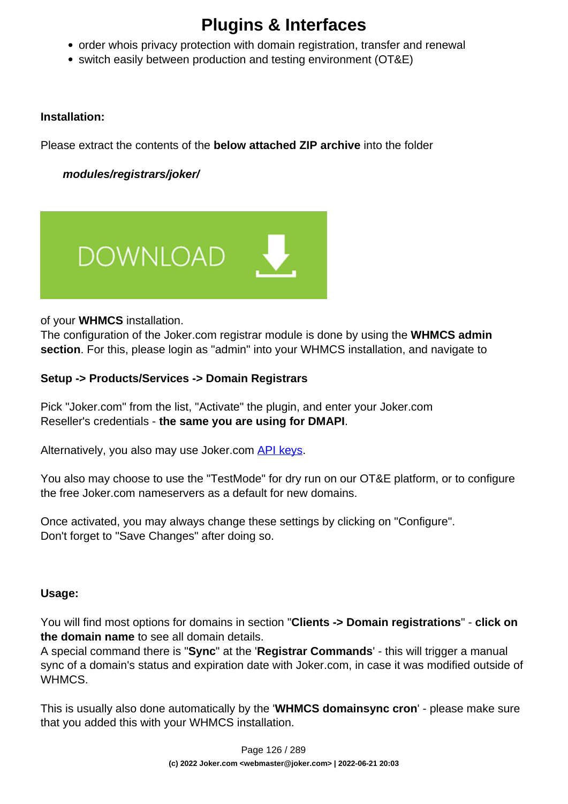- order whois privacy protection with domain registration, transfer and renewal
- switch easily between production and testing environment (OT&E)

#### **Installation:**

Please extract the contents of the **below attached ZIP archive** into the folder

 **modules/registrars/joker/**



of your **WHMCS** installation.

The configuration of the Joker.com registrar module is done by using the **WHMCS admin section**. For this, please login as "admin" into your WHMCS installation, and navigate to

#### **Setup -> Products/Services -> Domain Registrars**

Pick "Joker.com" from the list, "Activate" the plugin, and enter your Joker.com Reseller's credentials - **the same you are using for DMAPI**.

Alternatively, you also may use Joker.com [API keys](index.php?action=artikel&cat=26&id=14&artlang=en).

You also may choose to use the "TestMode" for dry run on our OT&E platform, or to configure the free Joker.com nameservers as a default for new domains.

Once activated, you may always change these settings by clicking on "Configure". Don't forget to "Save Changes" after doing so.

#### **Usage:**

You will find most options for domains in section "**Clients -> Domain registrations**" - **click on the domain name** to see all domain details.

A special command there is "**Sync**" at the '**Registrar Commands**' - this will trigger a manual sync of a domain's status and expiration date with Joker.com, in case it was modified outside of WHMCS.

This is usually also done automatically by the '**WHMCS domainsync cron**' - please make sure that you added this with your WHMCS installation.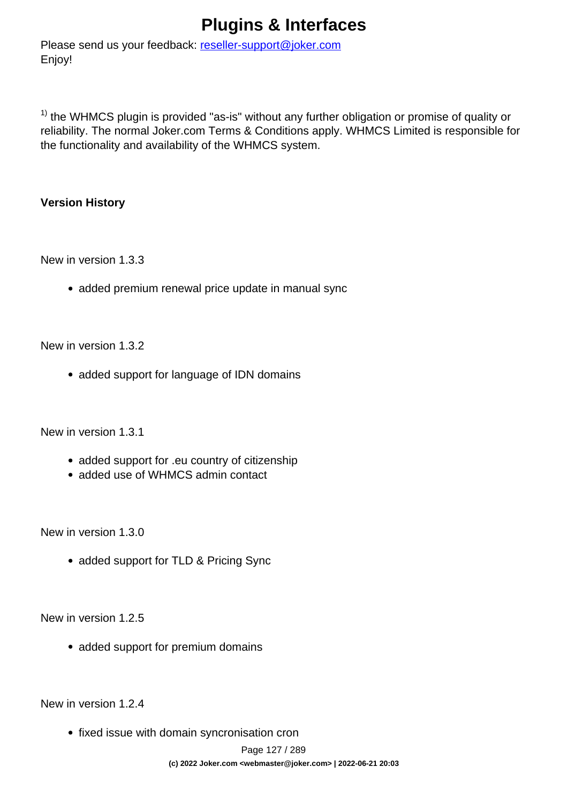Please send us your feedback: [reseller-support@joker.com](mailto:reseller-support@joker.com) Enjoy!

 $1)$  the WHMCS plugin is provided "as-is" without any further obligation or promise of quality or reliability. The normal Joker.com Terms & Conditions apply. WHMCS Limited is responsible for the functionality and availability of the WHMCS system.

#### **Version History**

New in version 1.3.3

• added premium renewal price update in manual sync

New in version 1.3.2

• added support for language of IDN domains

New in version 1.3.1

- added support for .eu country of citizenship
- added use of WHMCS admin contact

New in version 1.3.0

• added support for TLD & Pricing Sync

New in version 1.2.5

• added support for premium domains

New in version 1.2.4

• fixed issue with domain syncronisation cron

Page 127 / 289 **(c) 2022 Joker.com <webmaster@joker.com> | 2022-06-21 20:03**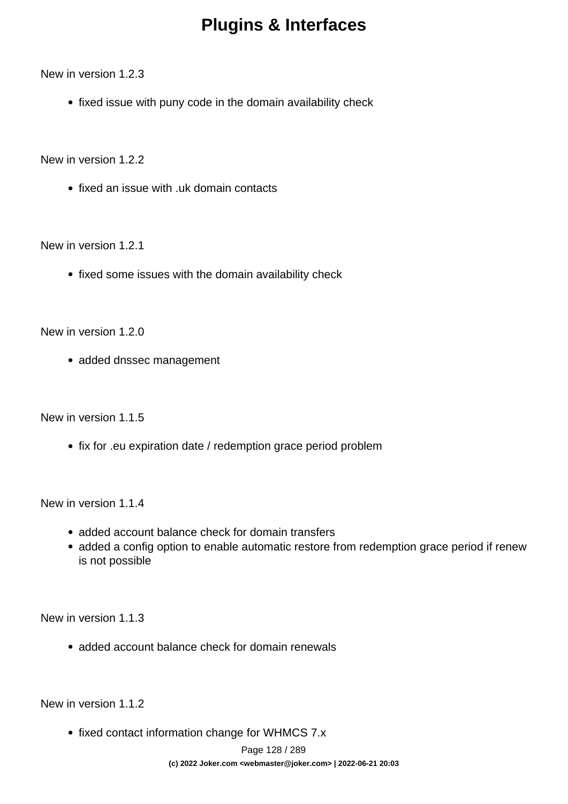New in version 1.2.3

• fixed issue with puny code in the domain availability check

New in version 1.2.2

• fixed an issue with .uk domain contacts

New in version 1.2.1

• fixed some issues with the domain availability check

New in version 1.2.0

• added dnssec management

New in version 1.1.5

• fix for .eu expiration date / redemption grace period problem

New in version 1.1.4

- added account balance check for domain transfers
- added a config option to enable automatic restore from redemption grace period if renew is not possible

New in version 1.1.3

• added account balance check for domain renewals

New in version 1.1.2

• fixed contact information change for WHMCS 7.x

Page 128 / 289 **(c) 2022 Joker.com <webmaster@joker.com> | 2022-06-21 20:03**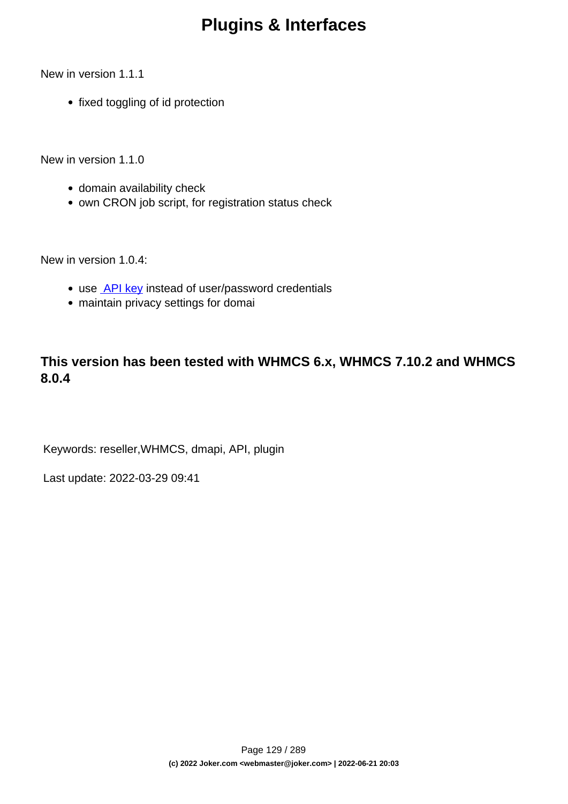New in version 1.1.1

• fixed toggling of id protection

New in version 1.1.0

- domain availability check
- own CRON job script, for registration status check

New in version 1.0.4:

- use **API key** instead of user/password credentials
- maintain privacy settings for domai

#### **This version has been tested with WHMCS 6.x, WHMCS 7.10.2 and WHMCS 8.0.4**

Keywords: reseller,WHMCS, dmapi, API, plugin

Last update: 2022-03-29 09:41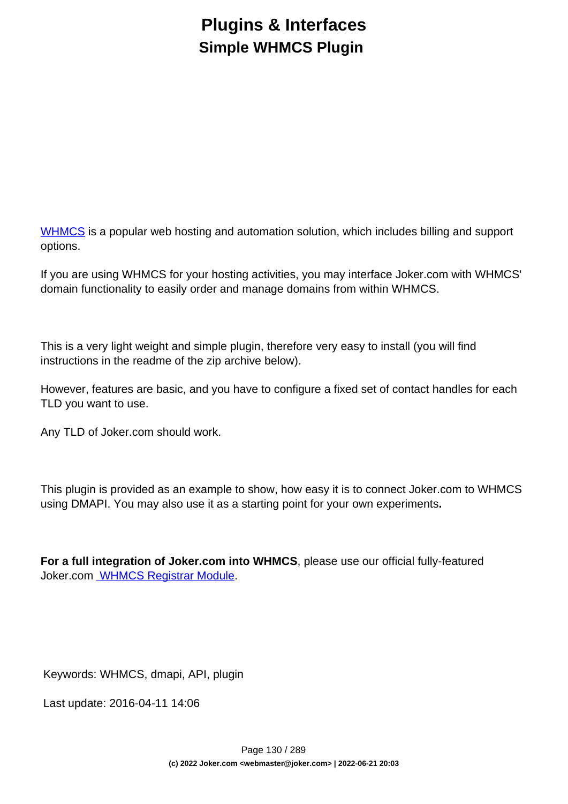# **Plugins & Interfaces Simple WHMCS Plugin**

[WHMCS](https://www.whmcs.com/) is a popular web hosting and automation solution, which includes billing and support options.

If you are using WHMCS for your hosting activities, you may interface Joker.com with WHMCS' domain functionality to easily order and manage domains from within WHMCS.

This is a very light weight and simple plugin, therefore very easy to install (you will find instructions in the readme of the zip archive below).

However, features are basic, and you have to configure a fixed set of contact handles for each TLD you want to use.

Any TLD of Joker.com should work.

This plugin is provided as an example to show, how easy it is to connect Joker.com to WHMCS using DMAPI. You may also use it as a starting point for your own experiments**.**

**For a full integration of Joker.com into WHMCS**, please use our official fully-featured Joker.com [WHMCS Registrar Module.](index.php?action=artikel&cat=84&id=488&artlang=en)

Keywords: WHMCS, dmapi, API, plugin

Last update: 2016-04-11 14:06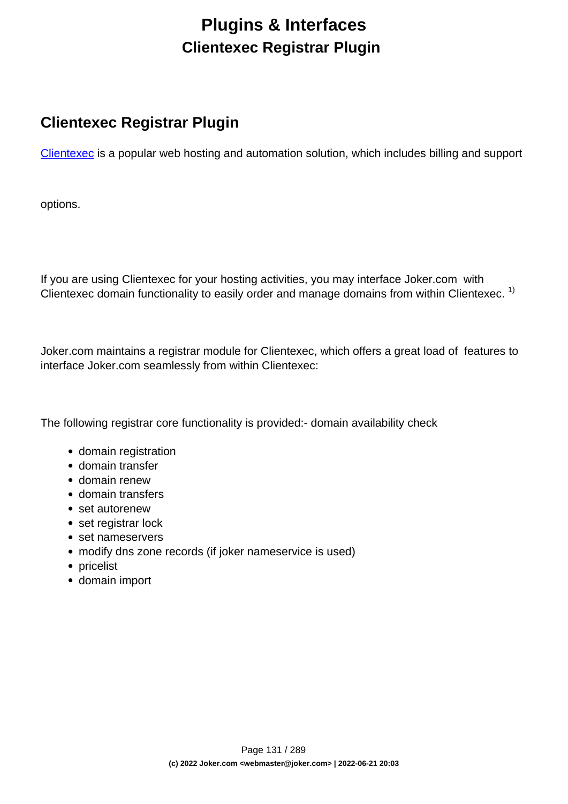# **Plugins & Interfaces Clientexec Registrar Plugin**

### **Clientexec Registrar Plugin**

[Clientexec](https://www.clientexec.com/) is a popular web hosting and automation solution, which includes billing and support

options.

If you are using Clientexec for your hosting activities, you may interface Joker.com with Clientexec domain functionality to easily order and manage domains from within Clientexec.<sup>1)</sup>

Joker.com maintains a registrar module for Clientexec, which offers a great load of features to interface Joker.com seamlessly from within Clientexec:

The following registrar core functionality is provided:- domain availability check

- domain registration
- domain transfer
- domain renew
- domain transfers
- set autorenew
- set registrar lock
- set nameservers
- modify dns zone records (if joker nameservice is used)
- pricelist
- domain import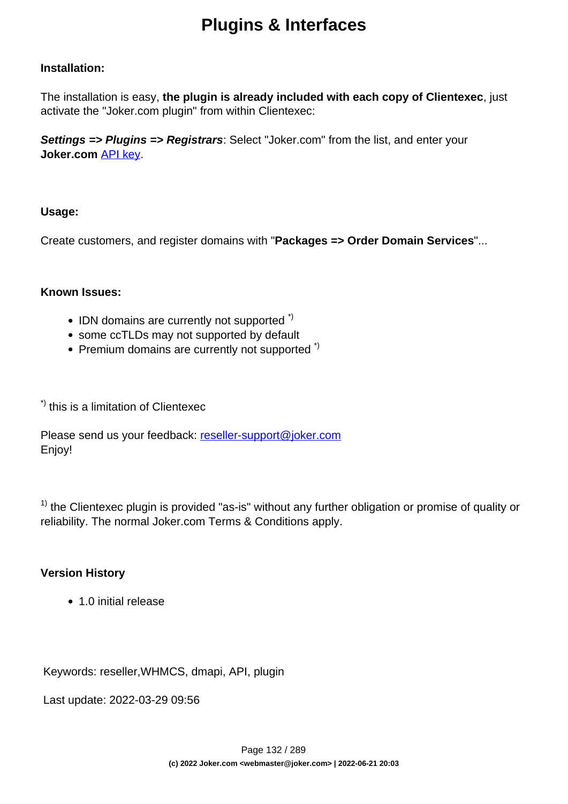#### **Installation:**

The installation is easy, **the plugin is already included with each copy of Clientexec**, just activate the "Joker.com plugin" from within Clientexec:

**Settings => Plugins => Registrars**: Select "Joker.com" from the list, and enter your **Joker.com** [API key](index.php?action=artikel&cat=26&id=14&artlang=en).

#### **Usage:**

Create customers, and register domains with "**Packages => Order Domain Services**"...

#### **Known Issues:**

- $\bullet$  IDN domains are currently not supported  $\dot{\phantom{\phi}}$
- some ccTLDs may not supported by default
- Premium domains are currently not supported<sup>\*)</sup>

\*) this is a limitation of Clientexec

Please send us your feedback: [reseller-support@joker.com](mailto:reseller-support@joker.com) Enjoy!

 $1)$  the Clientexec plugin is provided "as-is" without any further obligation or promise of quality or reliability. The normal Joker.com Terms & Conditions apply.

#### **Version History**

• 1.0 initial release

Keywords: reseller,WHMCS, dmapi, API, plugin

Last update: 2022-03-29 09:56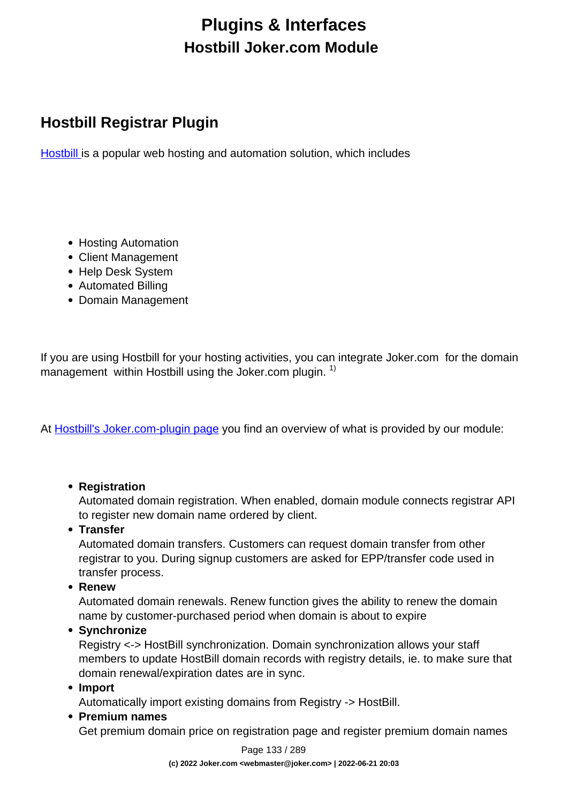# **Plugins & Interfaces Hostbill Joker.com Module**

## **Hostbill Registrar Plugin**

[Hostbill](https://hostbillapp.com/) is a popular web hosting and automation solution, which includes

- Hosting Automation
- Client Management
- Help Desk System
- Automated Billing
- Domain Management

If you are using Hostbill for your hosting activities, you can integrate Joker.com for the domain management within Hostbill using the Joker.com plugin.  $1$ )

At [Hostbill's Joker.com-plugin page](https://hostbillapp.com/hostbill/domainmanagement/registrars/joker.com/) you find an overview of what is provided by our module:

#### **Registration**

Automated domain registration. When enabled, domain module connects registrar API to register new domain name ordered by client.

**Transfer**

Automated domain transfers. Customers can request domain transfer from other registrar to you. During signup customers are asked for EPP/transfer code used in transfer process.

**Renew**

Automated domain renewals. Renew function gives the ability to renew the domain name by customer-purchased period when domain is about to expire

**Synchronize**

Registry <-> HostBill synchronization. Domain synchronization allows your staff members to update HostBill domain records with registry details, ie. to make sure that domain renewal/expiration dates are in sync.

**Import**

Automatically import existing domains from Registry -> HostBill.

**Premium names**

Get premium domain price on registration page and register premium domain names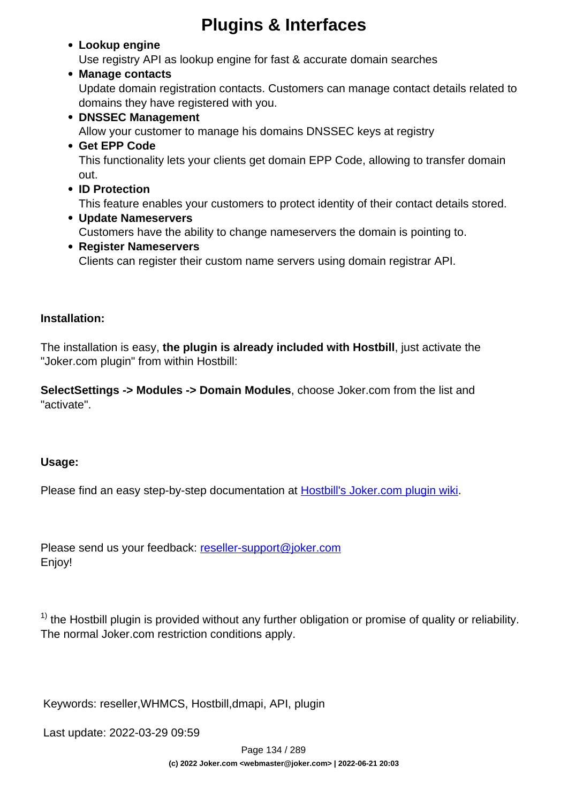#### **Lookup engine**

Use registry API as lookup engine for fast & accurate domain searches

#### **Manage contacts**

Update domain registration contacts. Customers can manage contact details related to domains they have registered with you.

#### **DNSSEC Management**

Allow your customer to manage his domains DNSSEC keys at registry

#### **Get EPP Code**

This functionality lets your clients get domain EPP Code, allowing to transfer domain out.

**ID Protection**

This feature enables your customers to protect identity of their contact details stored.

- **Update Nameservers** Customers have the ability to change nameservers the domain is pointing to.
- **Register Nameservers**

Clients can register their custom name servers using domain registrar API.

#### **Installation:**

The installation is easy, **the plugin is already included with Hostbill**, just activate the "Joker.com plugin" from within Hostbill:

**SelectSettings -> Modules -> Domain Modules**, choose Joker.com from the list and "activate".

#### **Usage:**

Please find an easy step-by-step documentation at **Hostbill's Joker.com plugin wiki**.

Please send us your feedback: [reseller-support@joker.com](mailto:reseller-support@joker.com) Enjoy!

 $1)$  the Hostbill plugin is provided without any further obligation or promise of quality or reliability. The normal Joker.com restriction conditions apply.

Keywords: reseller,WHMCS, Hostbill,dmapi, API, plugin

Last update: 2022-03-29 09:59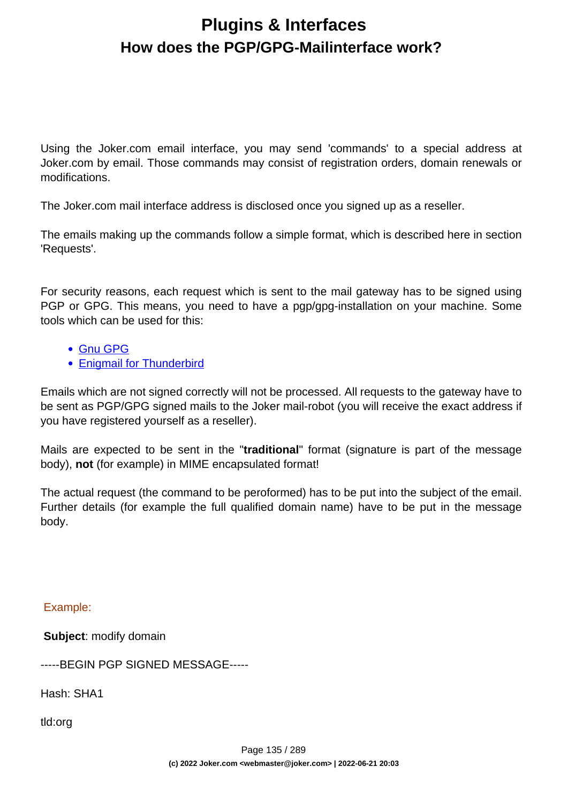## **Plugins & Interfaces How does the PGP/GPG-Mailinterface work?**

Using the Joker.com email interface, you may send 'commands' to a special address at Joker.com by email. Those commands may consist of registration orders, domain renewals or modifications.

The Joker.com mail interface address is disclosed once you signed up as a reseller.

The emails making up the commands follow a simple format, which is described here in section 'Requests'.

For security reasons, each request which is sent to the mail gateway has to be signed using PGP or GPG. This means, you need to have a pgp/gpg-installation on your machine. Some tools which can be used for this:

- [Gnu GPG](http://www.gnupg.org/)
- [Enigmail for Thunderbird](http://www.enigmail.net/home/)

Emails which are not signed correctly will not be processed. All requests to the gateway have to be sent as PGP/GPG signed mails to the Joker mail-robot (you will receive the exact address if you have registered yourself as a reseller).

Mails are expected to be sent in the "**traditional**" format (signature is part of the message body), **not** (for example) in MIME encapsulated format!

The actual request (the command to be peroformed) has to be put into the subject of the email. Further details (for example the full qualified domain name) have to be put in the message body.

Example:

 **Subject**: modify domain

-----BEGIN PGP SIGNED MESSAGE-----

Hash: SHA1

tld:org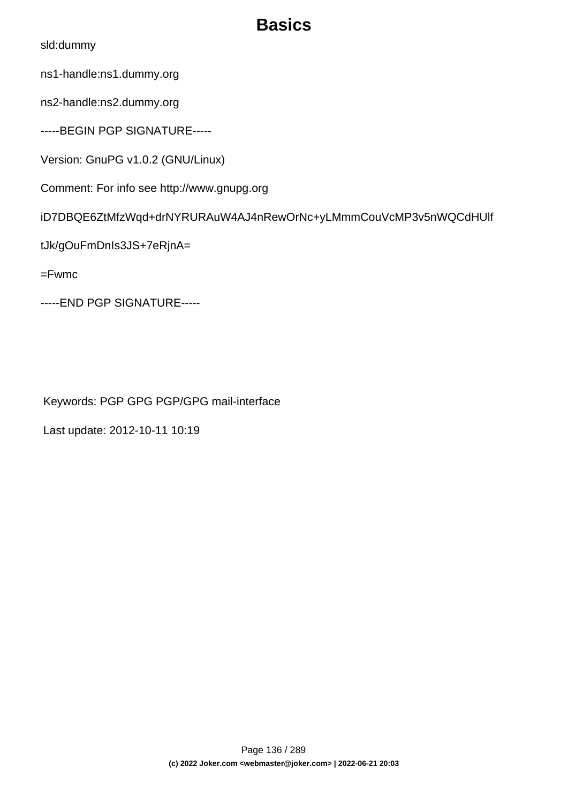# **Basics**

sld:dummy

ns1-handle:ns1.dummy.org

ns2-handle:ns2.dummy.org

-----BEGIN PGP SIGNATURE-----

Version: GnuPG v1.0.2 (GNU/Linux)

Comment: For info see http://www.gnupg.org

iD7DBQE6ZtMfzWqd+drNYRURAuW4AJ4nRewOrNc+yLMmmCouVcMP3v5nWQCdHUlf

tJk/gOuFmDnIs3JS+7eRjnA=

=Fwmc

-----END PGP SIGNATURE-----

Keywords: PGP GPG PGP/GPG mail-interface

Last update: 2012-10-11 10:19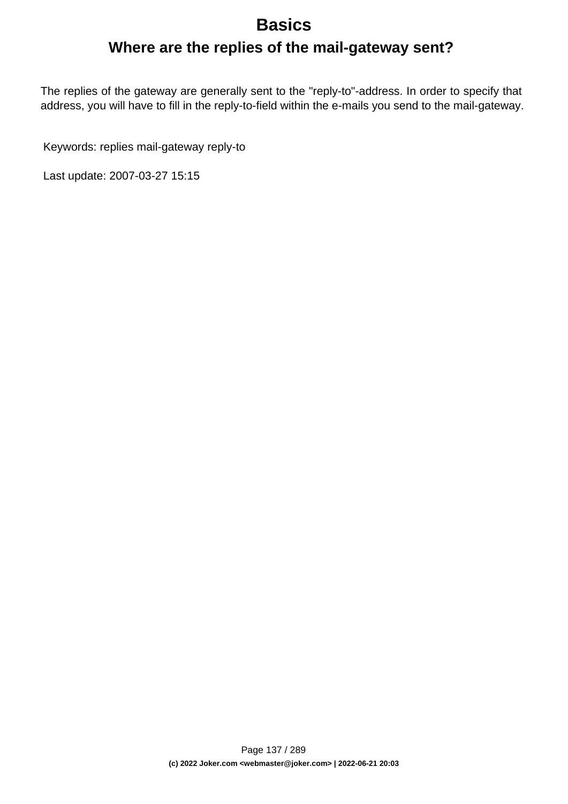### **Basics**

**Where are the replies of the mail-gateway sent?**

The replies of the gateway are generally sent to the "reply-to"-address. In order to specify that address, you will have to fill in the reply-to-field within the e-mails you send to the mail-gateway.

Keywords: replies mail-gateway reply-to

Last update: 2007-03-27 15:15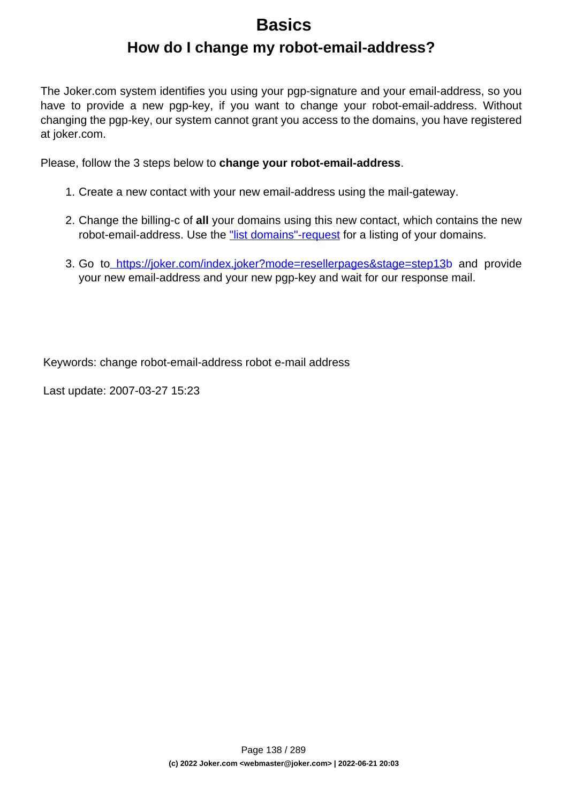### **Basics**

### **How do I change my robot-email-address?**

The Joker.com system identifies you using your pgp-signature and your email-address, so you have to provide a new pgp-key, if you want to change your robot-email-address. Without changing the pgp-key, our system cannot grant you access to the domains, you have registered at joker.com.

Please, follow the 3 steps below to **change your robot-email-address**.

- 1. Create a new contact with your new email-address using the mail-gateway.
- 2. Change the billing-c of **all** your domains using this new contact, which contains the new robot-email-address. Use the ["list domains"-request](https://joker.com/static/docs_reseller/mailgateway/requests/list_domains/01.html) for a listing of your domains.
- 3. Go to <https://joker.com/index.joker?mode=resellerpages&stage=step13b> and provide your new email-address and your new pgp-key and wait for our response mail.

Keywords: change robot-email-address robot e-mail address

Last update: 2007-03-27 15:23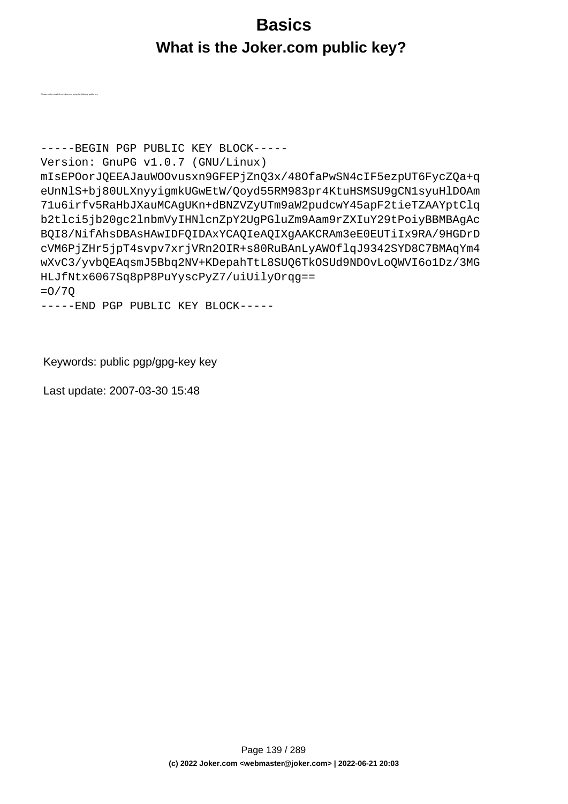# **Basics What is the Joker.com public key?**

-----BEGIN PGP PUBLIC KEY BLOCK----- Version: GnuPG v1.0.7 (GNU/Linux) mIsEPOorJQEEAJauWOOvusxn9GFEPjZnQ3x/48OfaPwSN4cIF5ezpUT6FycZQa+q eUnNlS+bj80ULXnyyigmkUGwEtW/Qoyd55RM983pr4KtuHSMSU9gCN1syuHlDOAm 71u6irfv5RaHbJXauMCAgUKn+dBNZVZyUTm9aW2pudcwY45apF2tieTZAAYptClq b2tlci5jb20gc2lnbmVyIHNlcnZpY2UgPGluZm9Aam9rZXIuY29tPoiyBBMBAgAc BQI8/NifAhsDBAsHAwIDFQIDAxYCAQIeAQIXgAAKCRAm3eE0EUTiIx9RA/9HGDrD cVM6PjZHr5jpT4svpv7xrjVRn2OIR+s80RuBAnLyAWOflqJ9342SYD8C7BMAqYm4 wXvC3/yvbQEAqsmJ5Bbq2NV+KDepahTtL8SUQ6TkOSUd9NDOvLoQWVI6o1Dz/3MG HLJfNtx6067Sq8pP8PuYyscPyZ7/uiUilyOrqg== =O/7Q

-----END PGP PUBLIC KEY BLOCK-----

Keywords: public pgp/gpg-key key

Last update: 2007-03-30 15:48

Please verify e-mails from Joker.com using the following public key: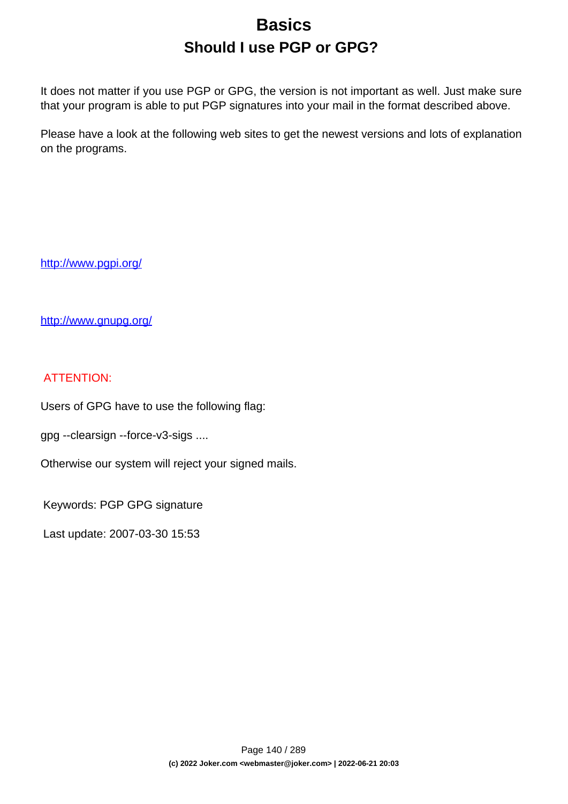# **Basics Should I use PGP or GPG?**

It does not matter if you use PGP or GPG, the version is not important as well. Just make sure that your program is able to put PGP signatures into your mail in the format described above.

Please have a look at the following web sites to get the newest versions and lots of explanation on the programs.

<http://www.pgpi.org/>

<http://www.gnupg.org/>

#### ATTENTION:

Users of GPG have to use the following flag:

gpg --clearsign --force-v3-sigs ....

Otherwise our system will reject your signed mails.

Keywords: PGP GPG signature

Last update: 2007-03-30 15:53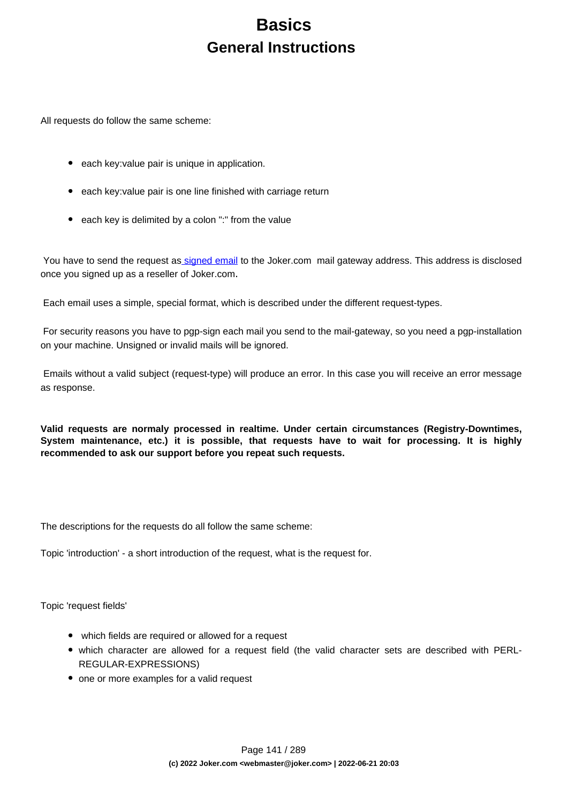## **Basics General Instructions**

All requests do follow the same scheme:

- each key: value pair is unique in application.
- each key: value pair is one line finished with carriage return
- each key is delimited by a colon ":" from the value

You have to send the request a[s signed email](index.php?action=artikel&cat=41&id=159&artlang=en) to the Joker.com mail gateway address. This address is disclosed once you signed up as a reseller of Joker.com.

Each email uses a simple, special format, which is described under the different request-types.

 For security reasons you have to pgp-sign each mail you send to the mail-gateway, so you need a pgp-installation on your machine. Unsigned or invalid mails will be ignored.

 Emails without a valid subject (request-type) will produce an error. In this case you will receive an error message as response.

**Valid requests are normaly processed in realtime. Under certain circumstances (Registry-Downtimes, System maintenance, etc.) it is possible, that requests have to wait for processing. It is highly recommended to ask our support before you repeat such requests.**

The descriptions for the requests do all follow the same scheme:

Topic 'introduction' - a short introduction of the request, what is the request for.

Topic 'request fields'

- which fields are required or allowed for a request
- which character are allowed for a request field (the valid character sets are described with PERL-REGULAR-EXPRESSIONS)
- one or more examples for a valid request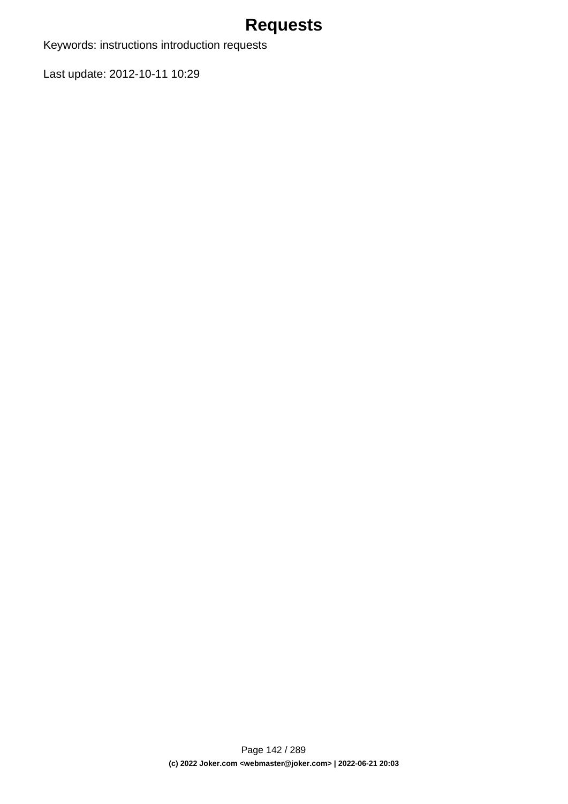## **Requests**

Keywords: instructions introduction requests

Last update: 2012-10-11 10:29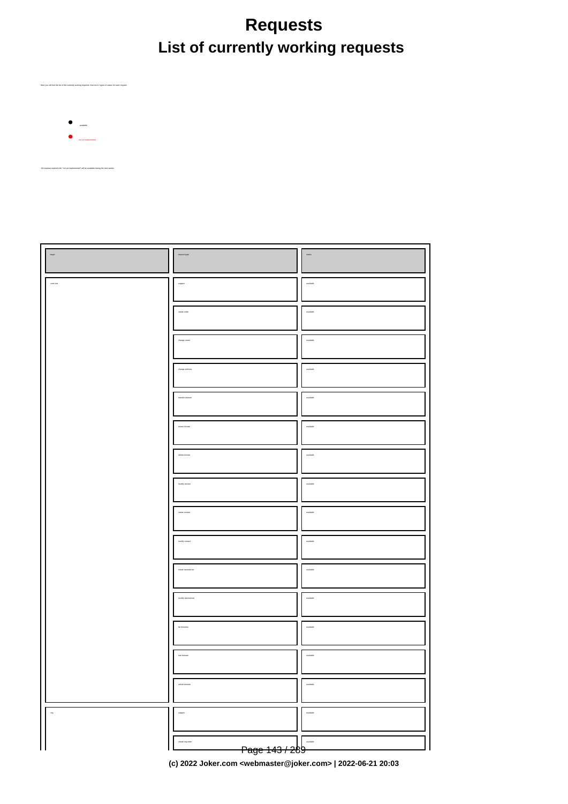# **Requests List of currently working requests**

available

Here you will find the list of the currently working requests. there are 2 types of status for each request.

not yet implemented

All requests marked with "not yet implemented" will be available during the next weeks.

| ${target}$    | request-type                                  |                                                                          |
|---------------|-----------------------------------------------|--------------------------------------------------------------------------|
|               | $\begin{array}{c} \text{support} \end{array}$ | nalabis                                                                  |
|               | $\alpha$ eate order                           | <i>malable</i>                                                           |
|               | change owner                                  | nalabis                                                                  |
|               | change address                                | malable                                                                  |
|               | transfer domain                               | <i>malable</i>                                                           |
|               | renew domain                                  | malable                                                                  |
|               | delete domain                                 |                                                                          |
|               | $mod \eta$ domain                             | $_{\rm multiable}$                                                       |
|               | create contact                                | $\label{eq:1} \begin{aligned} \text{models} \end{aligned}$               |
|               | modly contact                                 | available                                                                |
|               | create names erver                            | $\label{eq:1} \begin{aligned} \text{models} \end{aligned}$               |
|               | $\operatorname{\textsf{modl}}_f$ raneserver   | malable                                                                  |
|               | lat domains                                   | <i>malable</i>                                                           |
|               | lock domain                                   | $_{\rm multidisk}$                                                       |
|               |                                               | stable                                                                   |
| $\frac{1}{2}$ | suppor                                        | stable                                                                   |
|               | iale org-order<br><del>Page 143 / 2</del> 89  | $\footnotesize \textbf{multi} \footnotesize \textcolor{red}{\downarrow}$ |

**(c) 2022 Joker.com <webmaster@joker.com> | 2022-06-21 20:03**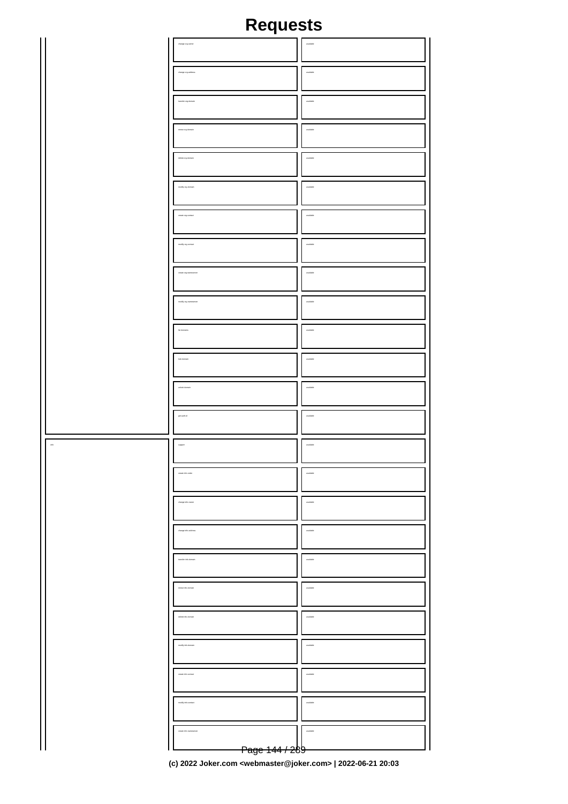# **Requests**

|          | change or<br>g-owner                             | $_{\rm multidisk}$                                                                                                                                                                                                                                                                                                                                                                                                                                          |
|----------|--------------------------------------------------|-------------------------------------------------------------------------------------------------------------------------------------------------------------------------------------------------------------------------------------------------------------------------------------------------------------------------------------------------------------------------------------------------------------------------------------------------------------|
|          | $\alpha$ and $\alpha$ and $\alpha$               | $_{\rm model}$                                                                                                                                                                                                                                                                                                                                                                                                                                              |
|          | transfer org-domain                              | $_{\rm multiabs}$                                                                                                                                                                                                                                                                                                                                                                                                                                           |
|          | $\cos\omega$ org-domain                          | $$\tt{mmin}$                                                                                                                                                                                                                                                                                                                                                                                                                                                |
|          | delete org-domain                                | $_{\rm multiable}$                                                                                                                                                                                                                                                                                                                                                                                                                                          |
|          |                                                  |                                                                                                                                                                                                                                                                                                                                                                                                                                                             |
|          | $\operatorname{mod} \mathfrak{h}$ org-domain     | $_{\rm multi$                                                                                                                                                                                                                                                                                                                                                                                                                                               |
|          | $\alpha$ and $\alpha$ are $\alpha$               | $_{\rm multidisk}$                                                                                                                                                                                                                                                                                                                                                                                                                                          |
|          | $\operatorname{mod} \mathfrak{h}_f$ org-contact  | $\,$ matches                                                                                                                                                                                                                                                                                                                                                                                                                                                |
|          | $\alpha$                                         | $_{\rm available}$                                                                                                                                                                                                                                                                                                                                                                                                                                          |
|          | $\operatorname{mod} \mathfrak{h}$ organizations. | $\,$ watchs $\,$                                                                                                                                                                                                                                                                                                                                                                                                                                            |
|          | lat domains                                      | $_{\rm multiable}$                                                                                                                                                                                                                                                                                                                                                                                                                                          |
|          | $\operatorname{\sf lock}$ domain                 | $\overline{\phantom{a}}$ available                                                                                                                                                                                                                                                                                                                                                                                                                          |
|          | unlock domain                                    | $_{\rm multiabs}$                                                                                                                                                                                                                                                                                                                                                                                                                                           |
|          |                                                  |                                                                                                                                                                                                                                                                                                                                                                                                                                                             |
|          | $\mathfrak{gen}$ auth-id                         | $\footnotesize \begin{minipage}{0.5\linewidth} \centering \begin{tabular}{ l l } \hline \multicolumn{3}{ l l } \multicolumn{3}{ l } \multicolumn{3}{ l } \multicolumn{3}{ l } \multicolumn{3}{ l } \multicolumn{3}{ l } \multicolumn{3}{ l } \multicolumn{3}{ l } \multicolumn{3}{ l } \multicolumn{3}{ l } \multicolumn{3}{ l } \multicolumn{3}{ l } \multicolumn{3}{ l } \multicolumn{3}{ l } \multicolumn{3}{ l } \multicolumn{3}{ l } \multicolumn{3}{$ |
| .<br>dni | ${\tt support}$                                  | $_{\rm multiable}$                                                                                                                                                                                                                                                                                                                                                                                                                                          |
|          | create info-order                                | aldele                                                                                                                                                                                                                                                                                                                                                                                                                                                      |
|          | dange into owner                                 | $\cdots$                                                                                                                                                                                                                                                                                                                                                                                                                                                    |
|          |                                                  | $_{\rm model}$                                                                                                                                                                                                                                                                                                                                                                                                                                              |
|          | .<br>Itanafer info-domain                        | $\,$ matches                                                                                                                                                                                                                                                                                                                                                                                                                                                |
|          |                                                  | $_{\rm multidisk}$                                                                                                                                                                                                                                                                                                                                                                                                                                          |
|          | delete info-domain                               | $\,$ matches                                                                                                                                                                                                                                                                                                                                                                                                                                                |
|          |                                                  | available                                                                                                                                                                                                                                                                                                                                                                                                                                                   |
|          | create info-contact                              | $\,$ matches                                                                                                                                                                                                                                                                                                                                                                                                                                                |
|          |                                                  |                                                                                                                                                                                                                                                                                                                                                                                                                                                             |
|          |                                                  | available                                                                                                                                                                                                                                                                                                                                                                                                                                                   |
|          | .<br>Nata informamen                             | $\begin{array}{c} \begin{array}{c} \begin{array}{c} \begin{array}{c} \end{array}\\ \end{array} \end{array} \end{array}$                                                                                                                                                                                                                                                                                                                                     |
|          | <del>Page 144 / 2</del> 89                       |                                                                                                                                                                                                                                                                                                                                                                                                                                                             |

**(c) 2022 Joker.com <webmaster@joker.com> | 2022-06-21 20:03**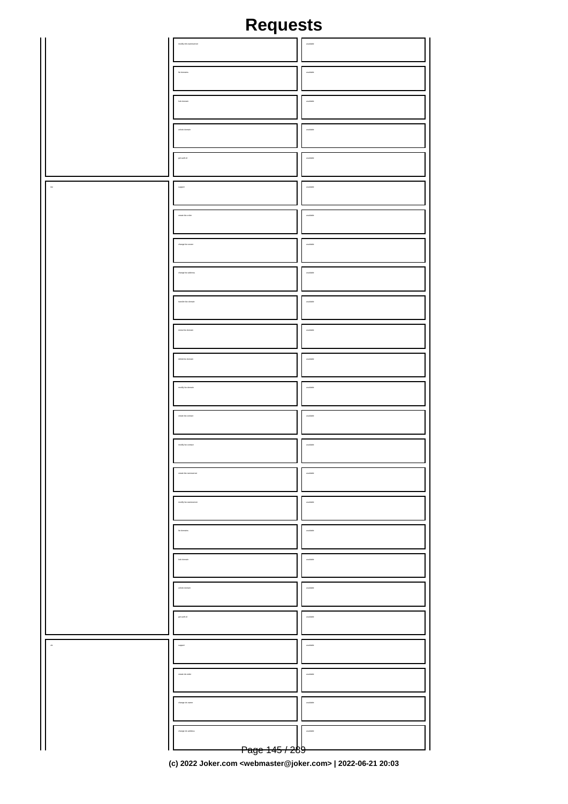|               | $\label{eq:1} \operatorname{mod} \eta$                 | $_{\rm multiabs}$                                             |
|---------------|--------------------------------------------------------|---------------------------------------------------------------|
|               |                                                        |                                                               |
|               |                                                        |                                                               |
|               | lat domains                                            | $_{\rm multiabs}$                                             |
|               | lock domain                                            | $_{\rm available}$                                            |
|               |                                                        |                                                               |
|               | unlock domain                                          | $_{\rm multidisk}$                                            |
|               |                                                        |                                                               |
|               | get auth-kl                                            | $_{\rm multi}$                                                |
|               |                                                        |                                                               |
| $_{\rm{fit}}$ | $_{\rm support}$                                       | $_{\rm multidisk}$                                            |
|               |                                                        |                                                               |
|               | create biz-order                                       | $_{\rm multi}$                                                |
|               |                                                        |                                                               |
|               | $\text{charge}$ biz-owner                              | $_{\rm available}$                                            |
|               |                                                        |                                                               |
|               | change biz-address                                     | $_{\rm multi}$                                                |
|               |                                                        |                                                               |
|               | transfer biz-domain                                    | $_{\rm available}$                                            |
|               |                                                        |                                                               |
|               | renew biz-domain                                       | $_{\rm multi}$                                                |
|               |                                                        |                                                               |
|               | delete biz-domain                                      | $_{\rm available}$                                            |
|               |                                                        |                                                               |
|               | modly biz-domain                                       | $_{\rm multab}$                                               |
|               |                                                        |                                                               |
|               | create biz-contact                                     | $_{\rm available}$                                            |
|               |                                                        |                                                               |
|               | modly bia-contact                                      | $_{\rm multi}$                                                |
|               |                                                        |                                                               |
|               | create biz-nameserver                                  | $\label{eq:1} \begin{aligned} \text{models} \end{aligned}$    |
|               |                                                        |                                                               |
|               | $\operatorname{mod} \mathfrak{h}_f$ bis-names<br>arver | $m$ alabis                                                    |
|               |                                                        |                                                               |
|               | lat domains                                            | $_{\rm multiable}$                                            |
|               |                                                        |                                                               |
|               | lock domain                                            | $\label{eq:1} \begin{aligned} \text{nonfinite} \end{aligned}$ |
|               |                                                        |                                                               |
|               | unlock domain                                          | $. 1$                                                         |
|               |                                                        |                                                               |
|               | get auth-id                                            | $m$ alabia                                                    |
|               |                                                        |                                                               |
| $\bar{a}$     | $\footnotesize \text{support}$                         | $_{\rm multi$                                                 |
|               |                                                        |                                                               |
|               | create de-order                                        | $m$ alabia                                                    |
|               |                                                        |                                                               |
|               | change de-owner                                        | $. 1$                                                         |
|               |                                                        |                                                               |
|               | change de-address                                      | $_{\rm multi}$                                                |
|               |                                                        |                                                               |
|               | <del>Page 145 / 2</del> 89                             |                                                               |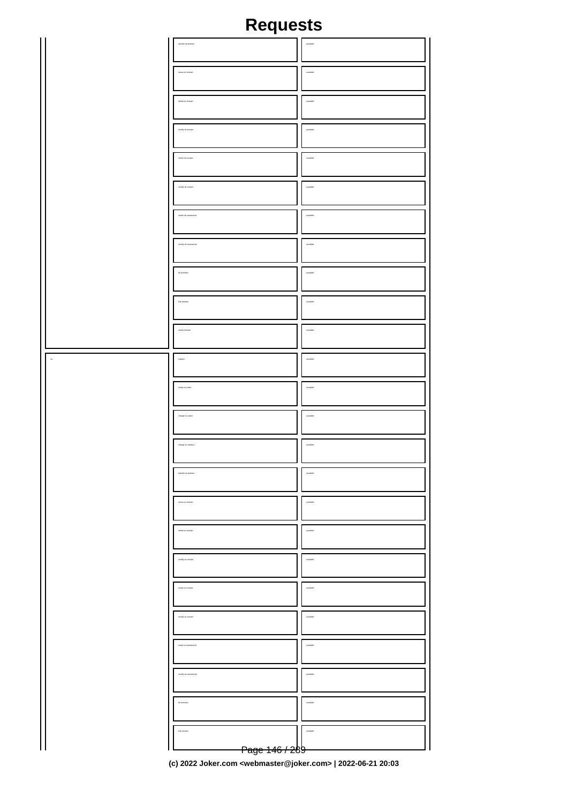|    | transfer de-domain                                           | aidsleys           |
|----|--------------------------------------------------------------|--------------------|
|    |                                                              |                    |
|    |                                                              |                    |
|    | renew de-domain                                              | $_{\rm multi}$     |
|    |                                                              |                    |
|    |                                                              |                    |
|    | delete de-domain                                             | aktieve            |
|    |                                                              |                    |
|    |                                                              |                    |
|    | modly de-domain                                              | $_{\rm multibb}$   |
|    |                                                              |                    |
|    |                                                              |                    |
|    | create de-contact                                            | aktieve            |
|    |                                                              |                    |
|    | $\operatorname{mod} \mathfrak{h}_f$ de-contact               | $_{\rm multibb}$   |
|    |                                                              |                    |
|    |                                                              |                    |
|    |                                                              | aktieve            |
|    |                                                              |                    |
|    |                                                              |                    |
|    | $\operatorname{mod} \mathfrak{f}_\mathfrak{f}$ de-nameserver | $_{\rm multidisk}$ |
|    |                                                              |                    |
|    |                                                              |                    |
|    | lat domains                                                  | malable            |
|    |                                                              |                    |
|    |                                                              |                    |
|    | lock domain                                                  | $_{\rm multiable}$ |
|    |                                                              |                    |
|    |                                                              |                    |
|    | unlock domain                                                | malable            |
|    |                                                              |                    |
|    |                                                              |                    |
| ., | $_{\rm{suppot}}$                                             | $_{\rm available}$ |
|    |                                                              |                    |
|    |                                                              |                    |
|    | create eu-order                                              | aktieve            |
|    |                                                              |                    |
|    |                                                              |                    |
|    | change su-owner                                              | $_{\rm multiable}$ |
|    |                                                              |                    |
|    | change au address                                            | malable            |
|    |                                                              |                    |
|    |                                                              |                    |
|    |                                                              |                    |
|    |                                                              |                    |
|    |                                                              |                    |
|    | ev eu-domain                                                 | available          |
|    |                                                              |                    |
|    |                                                              |                    |
|    | an an Annais                                                 |                    |
|    |                                                              |                    |
|    |                                                              |                    |
|    | dfy eu-domain                                                |                    |
|    |                                                              |                    |
|    |                                                              |                    |
|    |                                                              |                    |
|    |                                                              |                    |
|    |                                                              |                    |
|    | dfy eu-                                                      |                    |
|    |                                                              |                    |
|    |                                                              |                    |
|    |                                                              |                    |
|    |                                                              |                    |
|    |                                                              |                    |
|    |                                                              |                    |
|    |                                                              |                    |
|    |                                                              |                    |
|    |                                                              |                    |
|    |                                                              |                    |
|    | lock domai                                                   |                    |
|    |                                                              |                    |
|    |                                                              |                    |
|    | <del>Page 146 / 2</del> 89                                   |                    |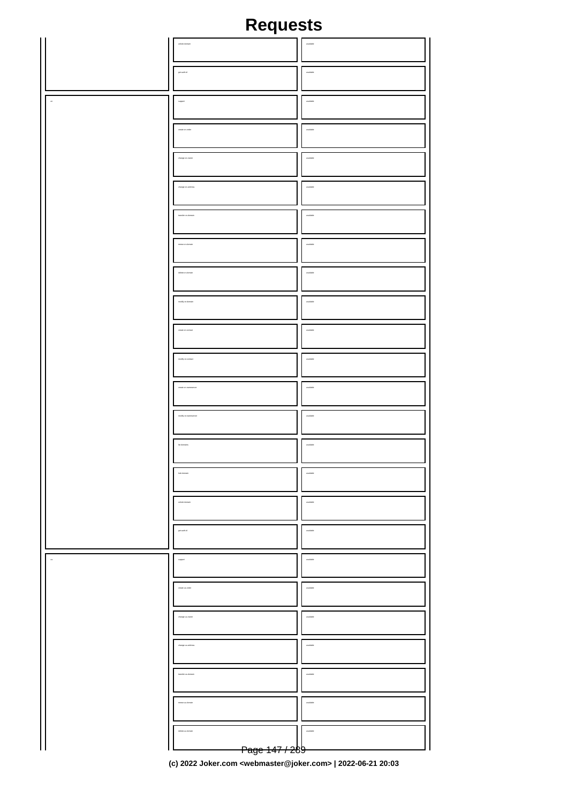|                | unlock domain                                                                                                                                  | $_{\rm multidisk}$                                                                                              |
|----------------|------------------------------------------------------------------------------------------------------------------------------------------------|-----------------------------------------------------------------------------------------------------------------|
|                |                                                                                                                                                |                                                                                                                 |
|                | get auth-id                                                                                                                                    | $_{\rm multidisk}$                                                                                              |
|                | $_{\rm support}$                                                                                                                               | $_{\rm multidisk}$                                                                                              |
|                | <u> 1980 - Jan Stein Stein Stein Stein Stein Stein Stein Stein Stein Stein Stein Stein Stein Stein Stein Stein S</u><br>$\alpha$ eate on-order | the control of the control of the control of the control of the control of<br>$_{\rm multiable}$                |
|                | the control of the control of the control of the control of the control of the control of<br>$\label{eq:2} \text{charge}\,\text{on-outer}$     | the control of the control of the control of the control of the control of the control of<br>$_{\rm multidisk}$ |
|                | the contract of the contract of the contract of the contract of the contract of<br>$\deg$ on the state $\alpha$                                | the control of the control of the control of the control of the control of<br>H<br>$_{\rm multidisk}$           |
|                | the contract of the contract of the contract of the contract of the contract of<br>transfer cri-domain                                         | the control of the control of the control of the control of the control of the control of<br>$_{\rm multidisk}$ |
|                | <u> 1980 - Johann Stoff, Amerikaansk politiker († 1901)</u><br>$\cos\omega$ or domain                                                          | <u> 1980 - John Stone, Amerikaansk politiker (</u><br>H<br>$_{\rm multi}$                                       |
|                | delete on-domain                                                                                                                               | $_{\rm multidisk}$                                                                                              |
|                | $\operatorname{\mathsf{mod}}\nolimits\mathfrak{h}$ on-domain                                                                                   | $_{\rm multi}$                                                                                                  |
|                | create on-contact                                                                                                                              | $_{\rm multiable}$                                                                                              |
|                | $\operatorname{\mathsf{mod}}\nolimits y$ on-contact                                                                                            | $_{\rm multiabs}$                                                                                               |
|                | create cn-nameserver                                                                                                                           | $_{\rm multiable}$                                                                                              |
|                | modly on-nameserver                                                                                                                            | $_{\rm multibb}$                                                                                                |
|                | let domains                                                                                                                                    | $_{\rm multidisk}$                                                                                              |
|                | lock domain                                                                                                                                    | available                                                                                                       |
|                | unlock domain                                                                                                                                  | <i>matable</i>                                                                                                  |
|                | get auth-id                                                                                                                                    | <i>matable</i>                                                                                                  |
| $\overline{a}$ | ${\scriptstyle \text{support}}$                                                                                                                | <i>walshie</i>                                                                                                  |
|                | create us-order                                                                                                                                | <i>matable</i>                                                                                                  |
|                | change us-cwhen                                                                                                                                | <i>walshie</i>                                                                                                  |
|                | change us-address                                                                                                                              | <i>matable</i>                                                                                                  |
|                | transfer us-domain                                                                                                                             | <i>walshie</i>                                                                                                  |
|                | renew us-domain                                                                                                                                | available                                                                                                       |
|                | delete us-domain<br>Page 147 / 289                                                                                                             | <i>malable</i>                                                                                                  |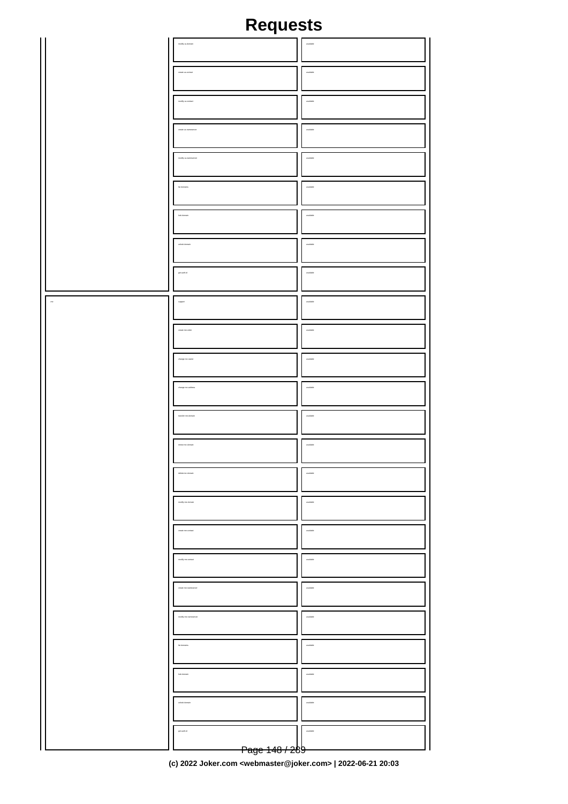|           | $\operatorname{mod} \mathfrak{h}_f$ us domain                       | $_{\rm multiable}$ |
|-----------|---------------------------------------------------------------------|--------------------|
|           | create us-contact                                                   | $_{\rm multidisk}$ |
|           | $\operatorname{mod} \mathfrak{h}_f$ us contact                      | $_{\rm multidisk}$ |
|           | $\label{eq:3.1} \textit{cross} \textit{is a-carnes} \textit{every}$ | $_{\rm multi}$     |
|           | modty us-ra<br>m                                                    | $_{\rm multidisk}$ |
|           | lat domains                                                         | $_{\rm multiable}$ |
|           | lock domain                                                         | $_{\rm multidisk}$ |
|           | urlock domain                                                       | $_{\rm multiable}$ |
|           | $\mathfrak{gen}$ auth-id                                            | $_{\rm multidisk}$ |
| $\bar{m}$ | ${\tt support}$                                                     | $_{\rm multidisk}$ |
|           |                                                                     |                    |
|           | create me-order                                                     | $_{\rm multidisk}$ |
|           | $\alpha$                                                            | $_{\rm multab}$    |
|           | change me-address                                                   | $_{\rm multidisk}$ |
|           | transfer me-domain                                                  | $_{\rm multiable}$ |
|           | renew me-domain                                                     | $_{\rm multidisk}$ |
|           | delete me-                                                          |                    |
|           | dfy ne-domain                                                       |                    |
|           |                                                                     |                    |
|           | dfy me-contact                                                      |                    |
|           |                                                                     |                    |
|           |                                                                     |                    |
|           |                                                                     |                    |
|           | lock domain                                                         |                    |
|           |                                                                     |                    |
|           | get auth-id                                                         |                    |
|           | <del>Page 148 / 2</del> 89                                          |                    |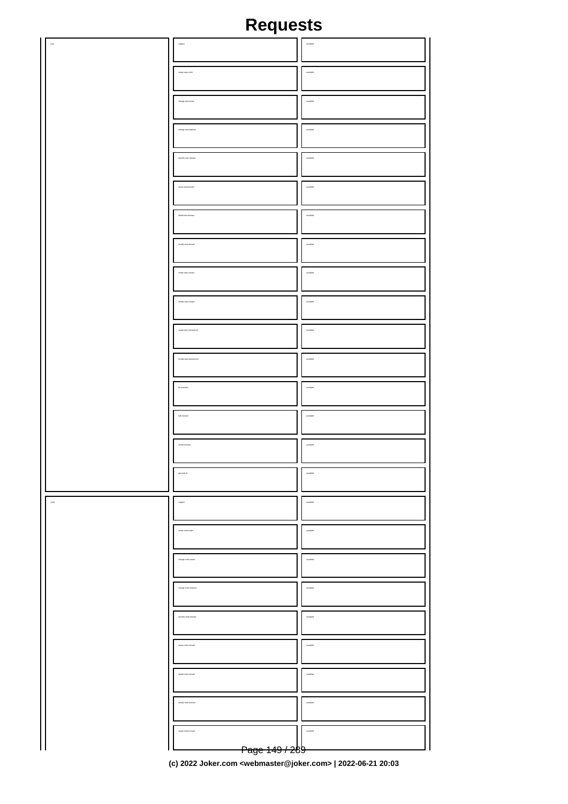|              | $_{\rm{mpport}}$                                               | $_{\rm available}$       |
|--------------|----------------------------------------------------------------|--------------------------|
|              | create asia-order                                              | $\,$ matches             |
|              | $\alpha$ and $\alpha$ and $\alpha$                             | $_{\rm models}$          |
|              | change axia-address                                            | $_{\rm model}$           |
|              | transfer asia-domain                                           | $_{\rm multable}$        |
|              | $\alpha$ may axis domain                                       | $_{\rm model}$           |
|              | delete asia-domain                                             | $_{\rm multable}$        |
|              | $\operatorname{mod} \mathfrak{p}$ asia-domain                  | $_{\rm model}$           |
|              | $\alpha$ eate asia-contact                                     | $_{\rm multiable}$       |
|              | $\operatorname{mod} \mathfrak{h}_f$ as<br>in-contact           | $_{\rm multidisk}$       |
|              | $\label{eq:3} \textit{cross} is an \textit{-} \textit{answer}$ | $_{\rm multiable}$       |
|              | $\operatorname{mod} \mathfrak{h}_f$ as a correspondent         | $_{\rm model}$           |
|              | lat domains                                                    | $_{\rm multiable}$       |
|              | lock domain                                                    | $_{\rm model}$           |
|              |                                                                |                          |
|              | unlock domain                                                  | $_{\rm multiable}$       |
|              | get auth-id                                                    | available                |
| $_{\rm mol}$ | ${\scriptstyle \text{support}}$                                | $\label{eq:1}$ available |
|              | create mobi-order                                              | available                |
|              | dange mobi-owner                                               | $.$                      |
|              |                                                                | avalable                 |
|              | tanater mobi-domain                                            | $.$                      |
|              |                                                                | available                |
|              | delete mobi-domain                                             | available                |
|              |                                                                | available                |
|              | iale mobi-contact                                              | $.$                      |
|              | <del>Page 149 / 2</del> 89                                     |                          |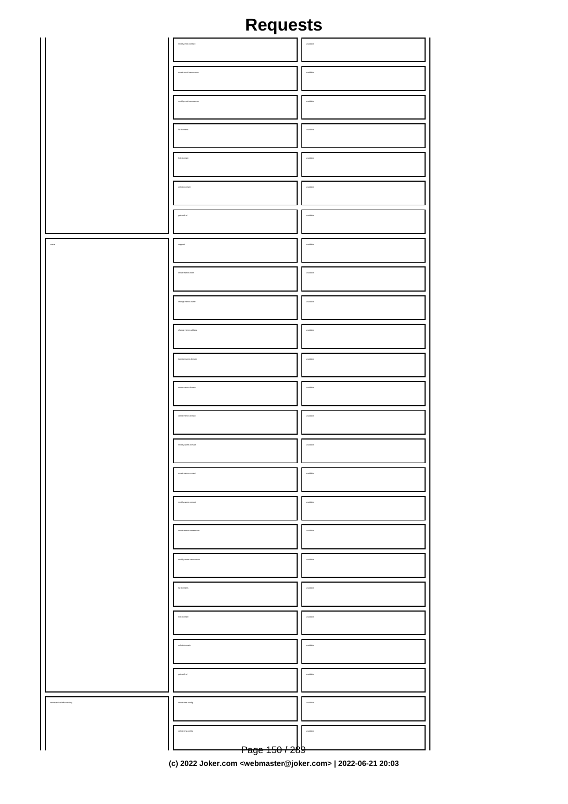|                 | $\operatorname{\mathsf{mod}}\nolimits\gamma$ mobi-contact | $_{\rm multidisk}$  |
|-----------------|-----------------------------------------------------------|---------------------|
|                 |                                                           |                     |
|                 | create mobi-nameserver                                    | $_{\rm available}$  |
|                 | sever<br>modify mobile                                    | $_{\rm multishift}$ |
|                 | lat domains                                               | $_{\rm multidisk}$  |
|                 | lock domain                                               | $_{\rm available}$  |
|                 | unlock domain                                             | $_{\rm multiable}$  |
|                 | $\mathfrak{gen}$ auto-is                                  | $_{\rm available}$  |
| $_{\rm ann}$    | ${\tt support}$                                           | $_{\rm multi}$      |
|                 |                                                           |                     |
|                 | create name-order                                         | $_{\rm available}$  |
|                 | change name-owner                                         | $_{\rm multidisk}$  |
|                 | $charge$ name-address                                     | $_{\rm available}$  |
|                 | transfer name domain                                      | $_{\rm multishift}$ |
|                 | renew name-domain                                         | available           |
|                 | delete name-domain                                        | $_{\rm multishift}$ |
|                 | modly rame-domain                                         | $_{\rm available}$  |
|                 | create name-contact                                       | available           |
|                 | modify name-contact                                       | available           |
|                 |                                                           | available           |
|                 | odly ran                                                  | available           |
|                 | lat domains                                               | available           |
|                 | lock domain                                               | available           |
|                 | unlock domain                                             | available           |
|                 | get auth-id                                               | available           |
|                 |                                                           |                     |
| calufforwarding | create dra-config                                         | available           |
|                 | delete dra-config<br><del>Page 150 / 2</del> 89           | matable             |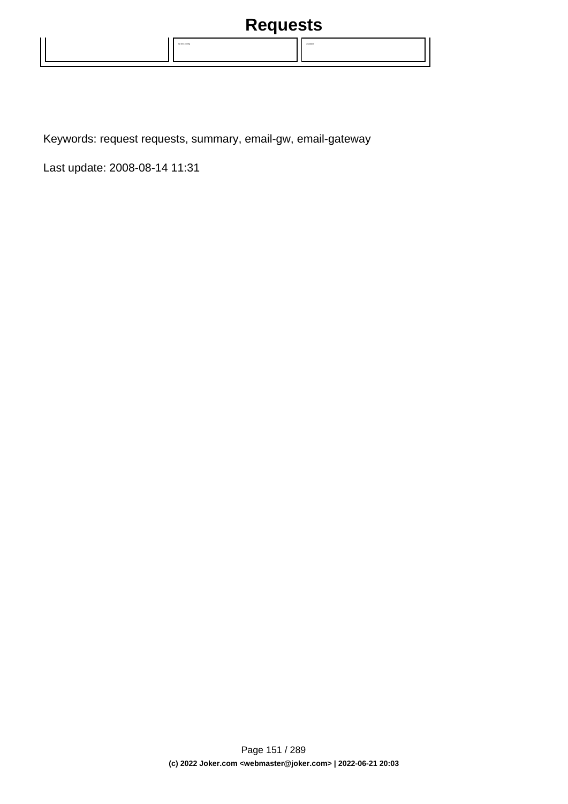

Keywords: request requests, summary, email-gw, email-gateway

Last update: 2008-08-14 11:31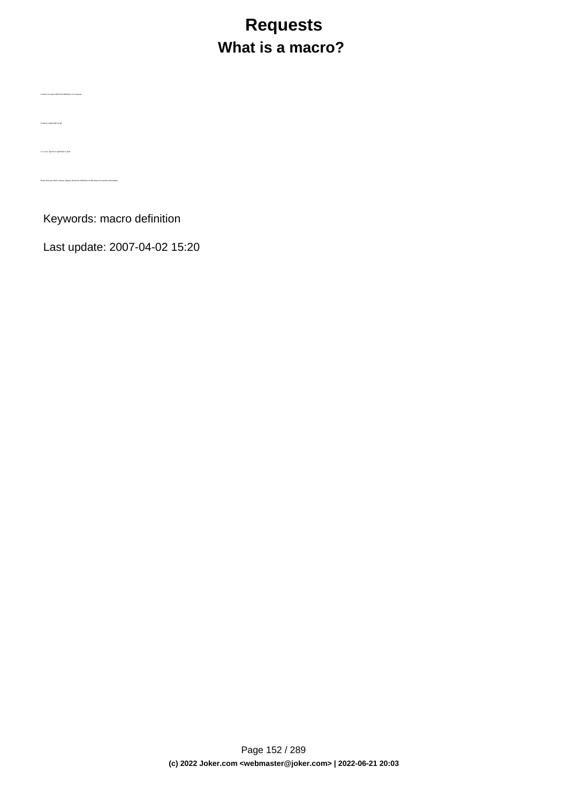# **Requests What is a macro?**

Keywords: macro definition

A macro is used within the definition of a request.

A macro starts with an @.

Example: @cont or @email or @ns

Every time you find a macro, please check the definition of this macro for further information.

Last update: 2007-04-02 15:20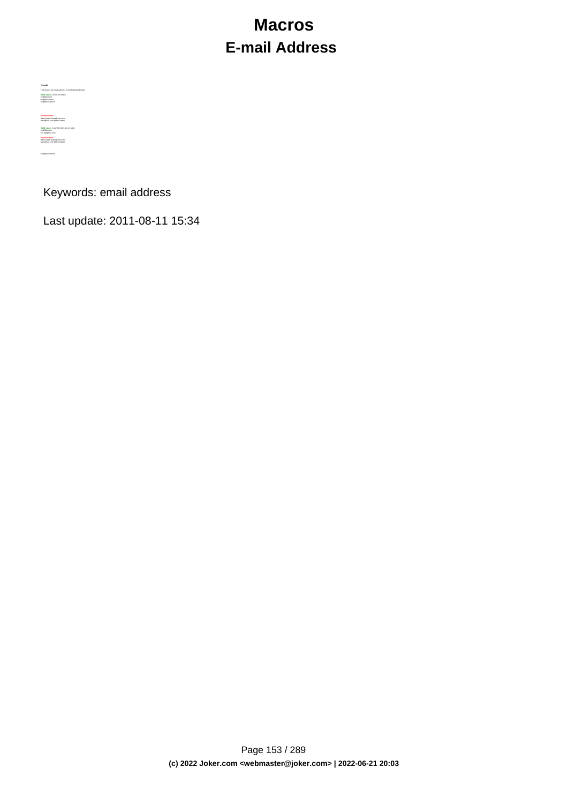## **Macros E-mail Address**

**@email<br>This means an email address in the following format<br>Valid values (.com/.net only):<br>foo@bar.com#1<br>foo@bar.com#15<br>foo@bar.com#15** 

Hans Nase <hans@foo.com> hans@foo.com (Hans Nase) **Valid values** (.org/.info/.biz/.de/.cn only): foo@bar.com foo-bar@bar.com **Invalid values:**

**Invalid values:**

Hans Nase <hans@foo.com> hans@foo.com (Hans Nase) foo@bar.com#15

Keywords: email address

Last update: 2011-08-11 15:34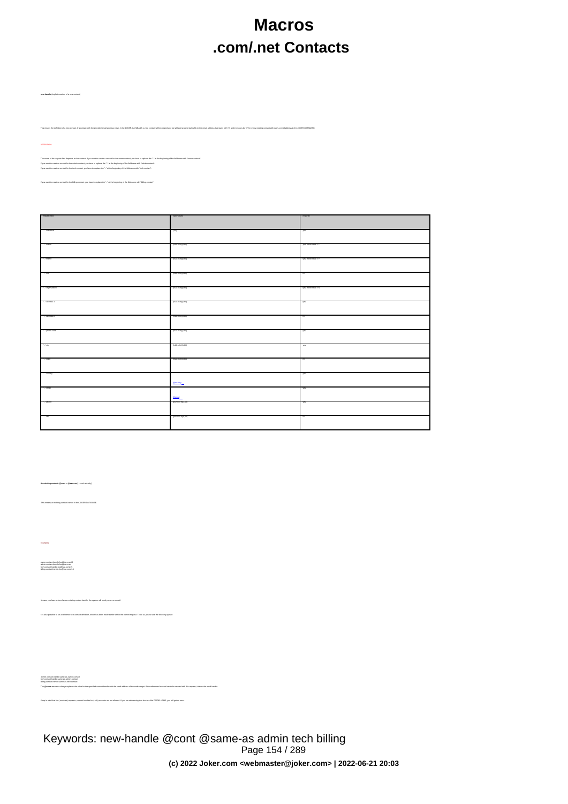## **Macros .com/.net Contacts**

.<br>I with the provided email address exists in the JOKER-DATABASE, a new contect will be created and we will add a numerical suffix to the email address that starts with "0" and increases by "1" for every existing

The name of the impass field depends on the contest. If you want to be come complex complication that in the beginning of the fields was with "owner-contest".<br>If you want to counted to the absthe contest, you have to make

If you have to replace the ".." at the beginning of the fieldname with  $\mathbb{R}$  the fieldname with  $\mathbb{R}$ 

**new-handle** (implicit creation of a new contact)

ATTENTION:

| request-field  | valid values            | required               |
|----------------|-------------------------|------------------------|
|                |                         |                        |
| - Vindvidual   | - Luyd                  | 785                    |
|                |                         |                        |
| - Viname       | [42047e]0,00]           | yes, if individual = Y |
|                |                         |                        |
| - Virane       | [4204x7a]0,00]          | yes, if individual = Y |
|                |                         |                        |
|                |                         |                        |
| -148           | $[120 - 174]0,00]$      | $\overline{10}$        |
|                |                         |                        |
| · organization | $[120 - 174]0,00]$      | yes, if individual = N |
|                |                         |                        |
| 1. address-1   | [120.47e]1,00]          | 785                    |
|                |                         |                        |
| - Address-2    | $[120 - 176]0,00]$      | $\overline{10}$        |
|                |                         |                        |
|                |                         |                        |
| postsi-code    | [1204176]1,50]          | 745                    |
|                |                         |                        |
| <b>Control</b> | [4204x76][1,00]         | 785                    |
|                |                         |                        |
| 1.1480         | $[120 - 174]0,00]$      | $\overline{10}$        |
|                |                         |                        |
| "."-country    |                         | yes                    |
|                |                         |                        |
|                | <b>Boonty</b>           |                        |
| "."-small      |                         | yes.                   |
|                | <b>Banal</b>            |                        |
| "."ghans       | $[0.20-0.7a](1,50)$     | 785                    |
|                |                         |                        |
| 1700           | $[(20.20 - 27.0)]0.50]$ | no                     |
|                |                         |                        |
|                |                         |                        |

**An existing contact** (**@cont** or **@same-as**) (.com/.net only)

This means an existing contact handle in the JOKER-DATABASE.

Examples:

owner-contact-handle:foo@bar.com#0 admin-contact-handle:foo@bar.com tech-contact-handle:foo@bar.com#15 billing-contact-handle:foo@bar.com#15

In case existing contact handle, the system will send you an errormal. It is a contact definition, which has been made earlier within the current request. To do so, please use the fo<br>.

ativicated hordis untreasemerated<br>Sing-comp-hordis save as domin costad<br>The Wassers and Sing-company was the first company of the enal address of the maksterse. If the referred contact has to be created with this request.

Keep in mind that for (.com/.net)-requests, contact handles for (.info)-contacts are not allowed. If you are referencing to a shortcut like C00783-LRMS, you will get an error.

Keywords: new-handle @cont @same-as admin tech billing Page 154 / 289 **(c) 2022 Joker.com <webmaster@joker.com> | 2022-06-21 20:03**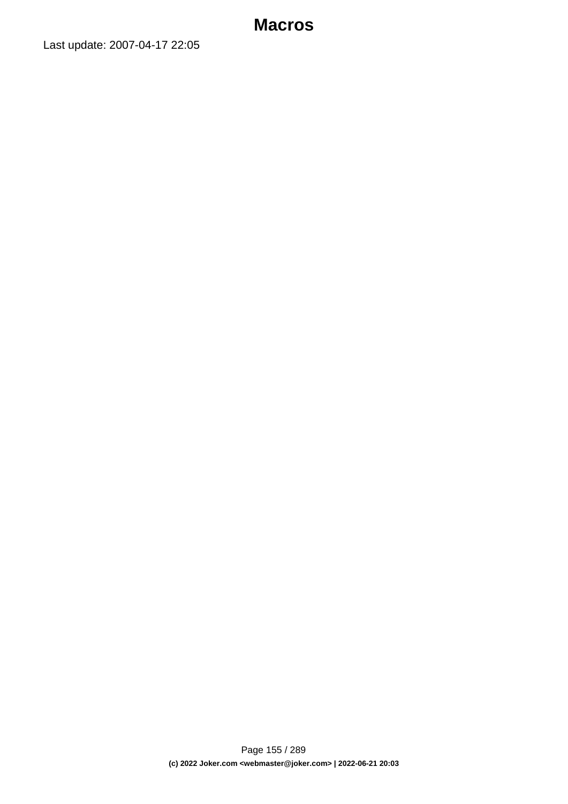Last update: 2007-04-17 22:05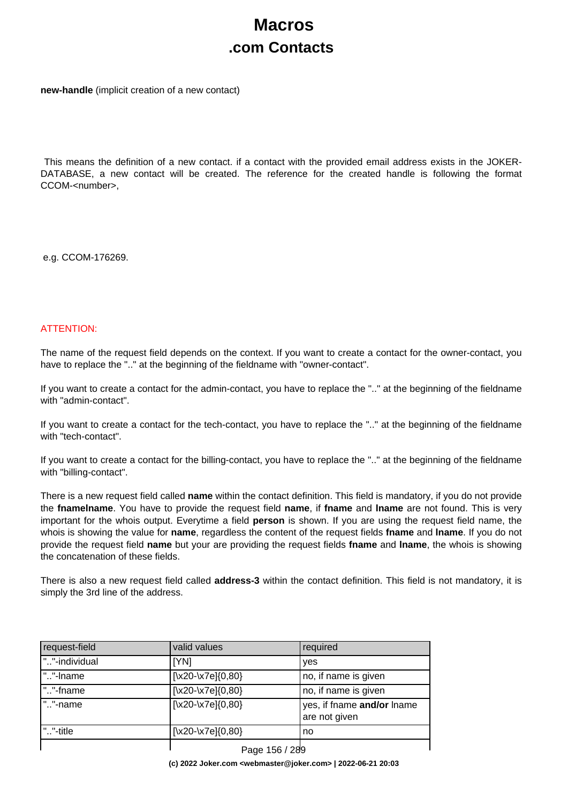## **Macros .com Contacts**

**new-handle** (implicit creation of a new contact)

 This means the definition of a new contact. if a contact with the provided email address exists in the JOKER-DATABASE, a new contact will be created. The reference for the created handle is following the format CCOM-<number>.

e.g. CCOM-176269.

### ATTENTION:

The name of the request field depends on the context. If you want to create a contact for the owner-contact, you have to replace the ".." at the beginning of the fieldname with "owner-contact".

If you want to create a contact for the admin-contact, you have to replace the ".." at the beginning of the fieldname with "admin-contact".

If you want to create a contact for the tech-contact, you have to replace the ".." at the beginning of the fieldname with "tech-contact".

If you want to create a contact for the billing-contact, you have to replace the ".." at the beginning of the fieldname with "billing-contact".

There is a new request field called **name** within the contact definition. This field is mandatory, if you do not provide the **fnamelname**. You have to provide the request field **name**, if **fname** and **lname** are not found. This is very important for the whois output. Everytime a field **person** is shown. If you are using the request field name, the whois is showing the value for **name**, regardless the content of the request fields **fname** and **lname**. If you do not provide the request field **name** but your are providing the request fields **fname** and **lname**, the whois is showing the concatenation of these fields.

There is also a new request field called **address-3** within the contact definition. This field is not mandatory, it is simply the 3rd line of the address.

| request-field | valid values           | required                                    |
|---------------|------------------------|---------------------------------------------|
| ""-individual | [YN]                   | yes                                         |
| .""-Iname     | $[\x20-\x7e]\{0,80\}$  | no, if name is given                        |
| ""-fname      | $[\x20-\x7e]\{0,80\}$  | no, if name is given                        |
| ""-name       | $[\x20-\x7e]\{0,80\}$  | yes, if fname and/or lname<br>are not given |
| ı "…"-title   | [\x20-\x7e] $\{0,80\}$ | no                                          |
|               | <b>D., JFO LOOD</b>    |                                             |

Page 156 / 289 **(c) 2022 Joker.com <webmaster@joker.com> | 2022-06-21 20:03**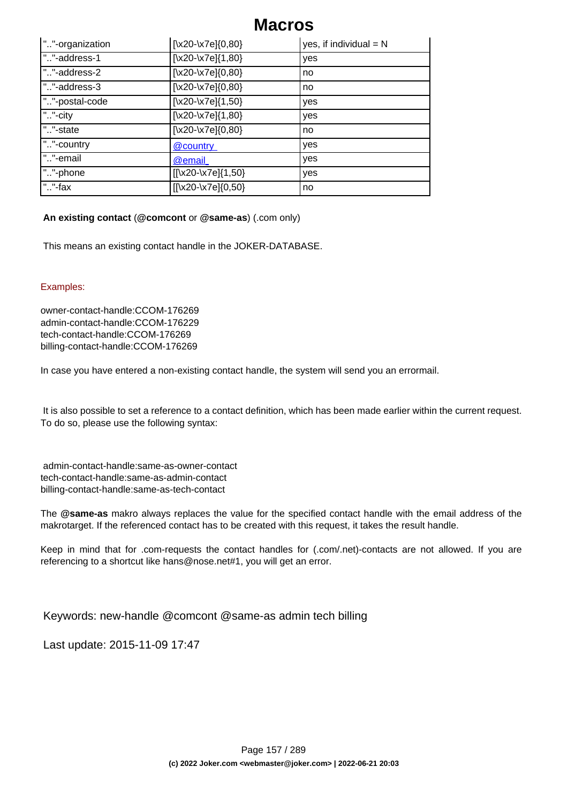| ""-organization | $[\x20-\x7e]\{0,80\}$            | yes, if individual $= N$ |
|-----------------|----------------------------------|--------------------------|
| ""-address-1    | $[\x20-\x7e]\{1,80\}$            | yes                      |
| ""-address-2    | $\left[\x20-\x7e\right]\{0,80\}$ | no                       |
| ""-address-3    | $[\x20-\x7e]\{0,80\}$            | no                       |
| ""-postal-code  | $\sqrt{x20-x7e}$ {1,50}          | yes                      |
| ""-city         | $[\x20-\x7e]\{1,80\}$            | yes                      |
| ""-state        | $[\x20-\x7e]\{0,80\}$            | no                       |
| ""-country      | @country                         | yes                      |
| ""-email        | @email                           | yes                      |
| ""-phone        | $[[\x20-\x7e][1,50]$             | yes                      |
| " $.$ "-fax     | [[\x20-\x7e]{0,50}               | no                       |

### **An existing contact** (**@comcont** or **@same-as**) (.com only)

This means an existing contact handle in the JOKER-DATABASE.

### Examples:

owner-contact-handle:CCOM-176269 admin-contact-handle:CCOM-176229 tech-contact-handle:CCOM-176269 billing-contact-handle:CCOM-176269

In case you have entered a non-existing contact handle, the system will send you an errormail.

 It is also possible to set a reference to a contact definition, which has been made earlier within the current request. To do so, please use the following syntax:

 admin-contact-handle:same-as-owner-contact tech-contact-handle:same-as-admin-contact billing-contact-handle:same-as-tech-contact

The **@same-as** makro always replaces the value for the specified contact handle with the email address of the makrotarget. If the referenced contact has to be created with this request, it takes the result handle.

Keep in mind that for .com-requests the contact handles for (.com/.net)-contacts are not allowed. If you are referencing to a shortcut like hans@nose.net#1, you will get an error.

Keywords: new-handle @comcont @same-as admin tech billing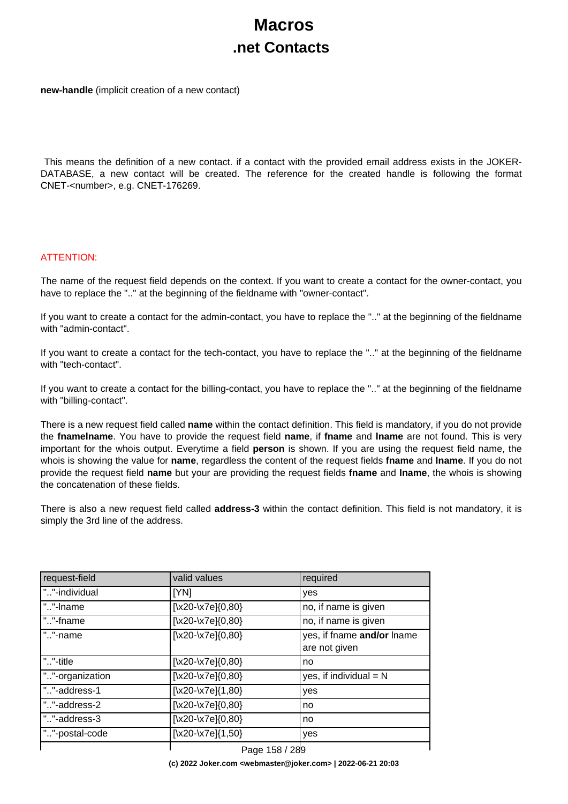## **Macros .net Contacts**

**new-handle** (implicit creation of a new contact)

 This means the definition of a new contact. if a contact with the provided email address exists in the JOKER-DATABASE, a new contact will be created. The reference for the created handle is following the format CNET-<number>, e.g. CNET-176269.

### ATTENTION:

The name of the request field depends on the context. If you want to create a contact for the owner-contact, you have to replace the ".." at the beginning of the fieldname with "owner-contact".

If you want to create a contact for the admin-contact, you have to replace the ".." at the beginning of the fieldname with "admin-contact".

If you want to create a contact for the tech-contact, you have to replace the ".." at the beginning of the fieldname with "tech-contact".

If you want to create a contact for the billing-contact, you have to replace the ".." at the beginning of the fieldname with "billing-contact".

There is a new request field called **name** within the contact definition. This field is mandatory, if you do not provide the **fnamelname**. You have to provide the request field **name**, if **fname** and **lname** are not found. This is very important for the whois output. Everytime a field **person** is shown. If you are using the request field name, the whois is showing the value for **name**, regardless the content of the request fields **fname** and **lname**. If you do not provide the request field **name** but your are providing the request fields **fname** and **lname**, the whois is showing the concatenation of these fields.

There is also a new request field called **address-3** within the contact definition. This field is not mandatory, it is simply the 3rd line of the address.

| request-field   | valid values                     | required                                    |
|-----------------|----------------------------------|---------------------------------------------|
| ""-individual   | [YN]                             | yes                                         |
| ""-Iname        | $\left[\x20-\x7e\right]\{0,80\}$ | no, if name is given                        |
| ""-fname        | $\left[\x20-\x7e\right]\{0,80\}$ | no, if name is given                        |
| ""-name         | [\x20-\x7e]{0,80}                | yes, if fname and/or lname<br>are not given |
| ""-title        | $[\x20-\x7e]\{0,80\}$            | no                                          |
| ""-organization | [\x20-\x7e]{0,80}                | yes, if individual $= N$                    |
| ""-address-1    | $[\x20-\x7e]\{1,80\}$            | yes                                         |
| ""-address-2    | $\left[\x20-\x7e\right]\{0,80\}$ | no                                          |
| ""-address-3    | $\left[\x20-\x7e\right]\{0,80\}$ | no                                          |
| ""-postal-code  | $\left[\x20-\x7e\right]\{1,50\}$ | yes                                         |
|                 | $D_{0.22}$ 450 / 200             |                                             |

Page 158 / 289 **(c) 2022 Joker.com <webmaster@joker.com> | 2022-06-21 20:03**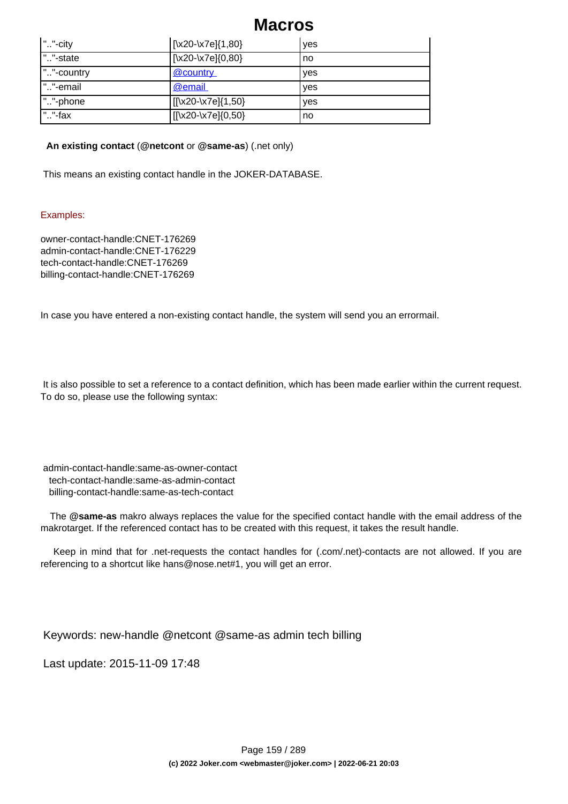| ""-city         | [\x20-\x7e]{1,80}                                                   | ves |
|-----------------|---------------------------------------------------------------------|-----|
| ""-state        | $[\x20-\x7e]\{0,80\}$                                               | no  |
| ""-country      | @country                                                            | ves |
| ""-email        | @email                                                              | yes |
| ""-phone        | $\left[ \left[ \left[ \times 20 - \times 7e \right] \right]$ (1,50) | ves |
| " $\cdot$ "-fax | [[\x20-\x7e]{0,50}                                                  | no  |

### **An existing contact** (**@netcont** or **@same-as**) (.net only)

This means an existing contact handle in the JOKER-DATABASE.

### Examples:

owner-contact-handle:CNET-176269 admin-contact-handle:CNET-176229 tech-contact-handle:CNET-176269 billing-contact-handle:CNET-176269

In case you have entered a non-existing contact handle, the system will send you an errormail.

 It is also possible to set a reference to a contact definition, which has been made earlier within the current request. To do so, please use the following syntax:

 admin-contact-handle:same-as-owner-contact tech-contact-handle:same-as-admin-contact billing-contact-handle:same-as-tech-contact

 The **@same-as** makro always replaces the value for the specified contact handle with the email address of the makrotarget. If the referenced contact has to be created with this request, it takes the result handle.

 Keep in mind that for .net-requests the contact handles for (.com/.net)-contacts are not allowed. If you are referencing to a shortcut like hans@nose.net#1, you will get an error.

Keywords: new-handle @netcont @same-as admin tech billing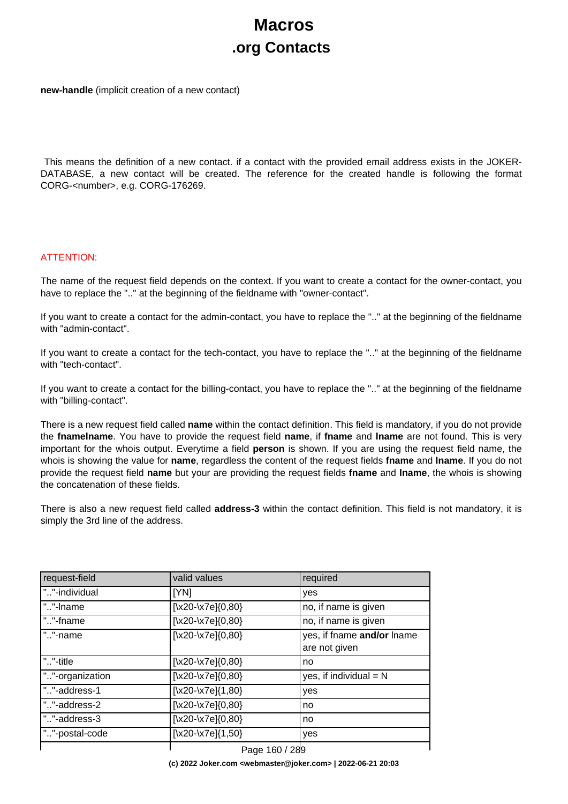# **Macros .org Contacts**

**new-handle** (implicit creation of a new contact)

 This means the definition of a new contact. if a contact with the provided email address exists in the JOKER-DATABASE, a new contact will be created. The reference for the created handle is following the format CORG-<number>, e.g. CORG-176269.

### ATTENTION:

The name of the request field depends on the context. If you want to create a contact for the owner-contact, you have to replace the ".." at the beginning of the fieldname with "owner-contact".

If you want to create a contact for the admin-contact, you have to replace the ".." at the beginning of the fieldname with "admin-contact".

If you want to create a contact for the tech-contact, you have to replace the ".." at the beginning of the fieldname with "tech-contact".

If you want to create a contact for the billing-contact, you have to replace the ".." at the beginning of the fieldname with "billing-contact".

There is a new request field called **name** within the contact definition. This field is mandatory, if you do not provide the **fnamelname**. You have to provide the request field **name**, if **fname** and **lname** are not found. This is very important for the whois output. Everytime a field **person** is shown. If you are using the request field name, the whois is showing the value for **name**, regardless the content of the request fields **fname** and **lname**. If you do not provide the request field **name** but your are providing the request fields **fname** and **lname**, the whois is showing the concatenation of these fields.

There is also a new request field called **address-3** within the contact definition. This field is not mandatory, it is simply the 3rd line of the address.

| request-field   | valid values                     | required                                    |
|-----------------|----------------------------------|---------------------------------------------|
| ""-individual   | [YN]                             | yes                                         |
| ""-Iname        | $\left[\x20-\x7e\right]\{0,80\}$ | no, if name is given                        |
| ""-fname        | $\left[\x20-\x7e\right]\{0,80\}$ | no, if name is given                        |
| ""-name         | [\x20-\x7e]{0,80}                | yes, if fname and/or lname<br>are not given |
| ""-title        | $[\x20-\x7e]\{0,80\}$            | no                                          |
| ""-organization | [\x20-\x7e]{0,80}                | yes, if individual $= N$                    |
| ""-address-1    | $[\x20-\x7e]\{1,80\}$            | yes                                         |
| ""-address-2    | $\left[\x20-\x7e\right]\{0,80\}$ | no                                          |
| ""-address-3    | $\left[\x20-\x7e\right]\{0,80\}$ | no                                          |
| ""-postal-code  | $\left[\x20-\x7e\right]\{1,50\}$ | yes                                         |
|                 | $D_{0.22}$ 4 CO / 200            |                                             |

Page 160 / 289 **(c) 2022 Joker.com <webmaster@joker.com> | 2022-06-21 20:03**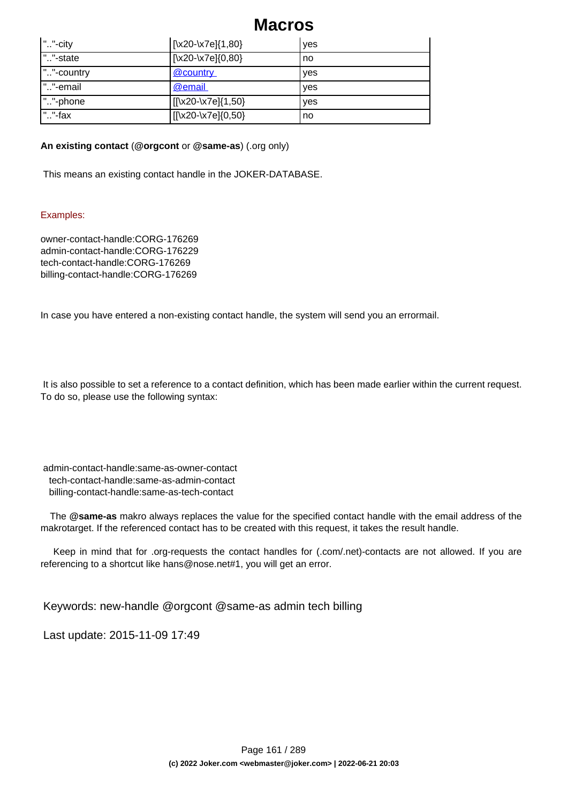| ""-city    | [\x20-\x7e]{1,80}  | ves |
|------------|--------------------|-----|
| ""-state   | [\x20-\x7e]{0,80}  | no  |
| ""-country | @country           | ves |
| ""-email   | @email             | ves |
| ""-phone   | [[\x20-\x7e]{1,50} | ves |
| ""-fax     | [[\x20-\x7e]{0,50} | no  |

### **An existing contact** (**@orgcont** or **@same-as**) (.org only)

This means an existing contact handle in the JOKER-DATABASE.

### Examples:

owner-contact-handle:CORG-176269 admin-contact-handle:CORG-176229 tech-contact-handle:CORG-176269 billing-contact-handle:CORG-176269

In case you have entered a non-existing contact handle, the system will send you an errormail.

 It is also possible to set a reference to a contact definition, which has been made earlier within the current request. To do so, please use the following syntax:

 admin-contact-handle:same-as-owner-contact tech-contact-handle:same-as-admin-contact billing-contact-handle:same-as-tech-contact

 The **@same-as** makro always replaces the value for the specified contact handle with the email address of the makrotarget. If the referenced contact has to be created with this request, it takes the result handle.

 Keep in mind that for .org-requests the contact handles for (.com/.net)-contacts are not allowed. If you are referencing to a shortcut like hans@nose.net#1, you will get an error.

Keywords: new-handle @orgcont @same-as admin tech billing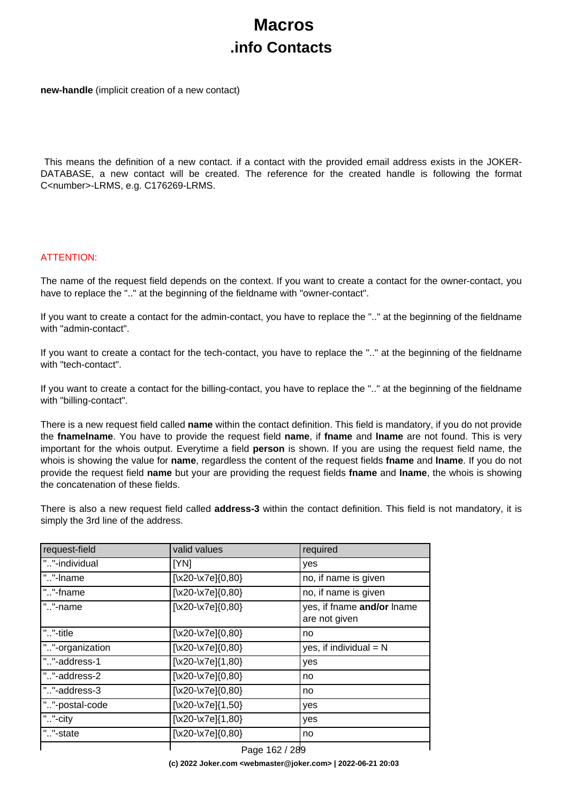## **Macros .info Contacts**

**new-handle** (implicit creation of a new contact)

 This means the definition of a new contact. if a contact with the provided email address exists in the JOKER-DATABASE, a new contact will be created. The reference for the created handle is following the format C<number>-LRMS, e.g. C176269-LRMS.

### ATTENTION:

The name of the request field depends on the context. If you want to create a contact for the owner-contact, you have to replace the ".." at the beginning of the fieldname with "owner-contact".

If you want to create a contact for the admin-contact, you have to replace the ".." at the beginning of the fieldname with "admin-contact".

If you want to create a contact for the tech-contact, you have to replace the ".." at the beginning of the fieldname with "tech-contact".

If you want to create a contact for the billing-contact, you have to replace the ".." at the beginning of the fieldname with "billing-contact".

There is a new request field called **name** within the contact definition. This field is mandatory, if you do not provide the **fnamelname**. You have to provide the request field **name**, if **fname** and **lname** are not found. This is very important for the whois output. Everytime a field **person** is shown. If you are using the request field name, the whois is showing the value for **name**, regardless the content of the request fields **fname** and **lname**. If you do not provide the request field **name** but your are providing the request fields **fname** and **lname**, the whois is showing the concatenation of these fields.

There is also a new request field called **address-3** within the contact definition. This field is not mandatory, it is simply the 3rd line of the address.

| request-field   | valid values                     | required                                    |
|-----------------|----------------------------------|---------------------------------------------|
| ""-individual   | [YN]                             | yes                                         |
| ""-Iname        | $\left[\x20-\x7e\right]\{0,80\}$ | no, if name is given                        |
| ""-fname        | $\left[\x20-\x7e\right]\{0,80\}$ | no, if name is given                        |
| ""-name         | $[\x20-\x7e]\{0,80\}$            | yes, if fname and/or lname<br>are not given |
| ""-title        | $[\x20-\x7e]\{0,80\}$            | no                                          |
| ""-organization | $\left[\x20-\x7e\right]\{0,80\}$ | yes, if individual $= N$                    |
| ""-address-1    | $\left[\x20-\x7e\right]\{1,80\}$ | yes                                         |
| ""-address-2    | $[\x20-\x7e]\{0,80\}$            | no                                          |
| ""-address-3    | $\left[\x20-\x7e\right]\{0,80\}$ | no                                          |
| ""-postal-code  | $\left[\x20-\x7e\right]\{1,50\}$ | yes                                         |
| ""-city         | $[\x20-\x7e]\{1,80\}$            | yes                                         |
| ""-state        | [\x20-\x7e]{0,80}                | no                                          |
|                 | $D_{222}$ 400 / 000              |                                             |

Page 162 / 289 **(c) 2022 Joker.com <webmaster@joker.com> | 2022-06-21 20:03**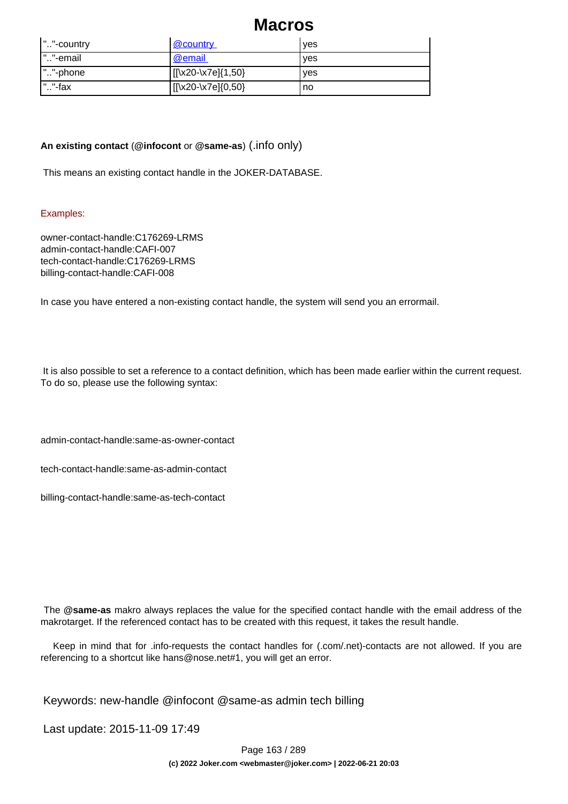| ""-country  | <u>@country</u>    | <b>ves</b> |
|-------------|--------------------|------------|
| ""-email    | @email             | yes        |
| ""-phone    | [[\x20-\x7e]{1,50} | <b>ves</b> |
| $"$ . "-fax | [[\x20-\x7e]{0,50} | no         |

### **An existing contact** (**@infocont** or **@same-as**) (.info only)

This means an existing contact handle in the JOKER-DATABASE.

### Examples:

owner-contact-handle:C176269-LRMS admin-contact-handle:CAFI-007 tech-contact-handle:C176269-LRMS billing-contact-handle:CAFI-008

In case you have entered a non-existing contact handle, the system will send you an errormail.

 It is also possible to set a reference to a contact definition, which has been made earlier within the current request. To do so, please use the following syntax:

admin-contact-handle:same-as-owner-contact

tech-contact-handle:same-as-admin-contact

billing-contact-handle:same-as-tech-contact

 The **@same-as** makro always replaces the value for the specified contact handle with the email address of the makrotarget. If the referenced contact has to be created with this request, it takes the result handle.

 Keep in mind that for .info-requests the contact handles for (.com/.net)-contacts are not allowed. If you are referencing to a shortcut like hans@nose.net#1, you will get an error.

Keywords: new-handle @infocont @same-as admin tech billing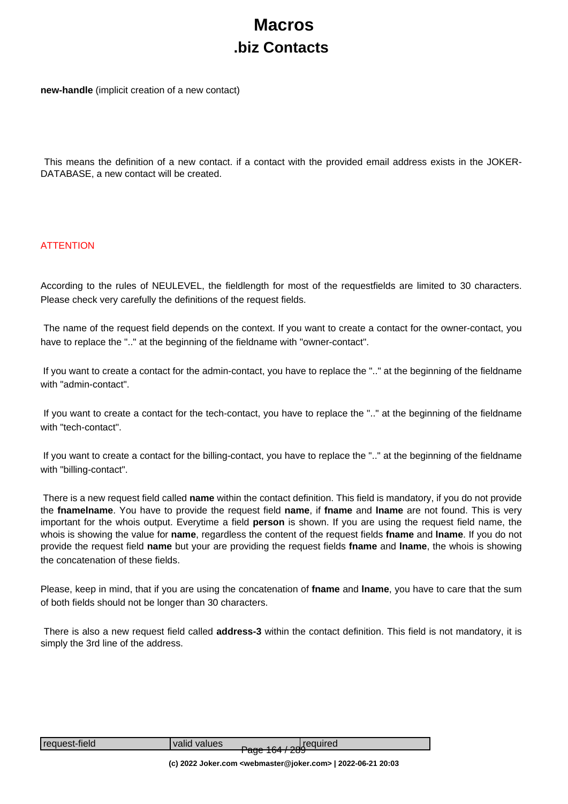# **Macros .biz Contacts**

**new-handle** (implicit creation of a new contact)

 This means the definition of a new contact. if a contact with the provided email address exists in the JOKER-DATABASE, a new contact will be created.

### **ATTENTION**

According to the rules of NEULEVEL, the fieldlength for most of the requestfields are limited to 30 characters. Please check very carefully the definitions of the request fields.

 The name of the request field depends on the context. If you want to create a contact for the owner-contact, you have to replace the ".." at the beginning of the fieldname with "owner-contact".

 If you want to create a contact for the admin-contact, you have to replace the ".." at the beginning of the fieldname with "admin-contact"

 If you want to create a contact for the tech-contact, you have to replace the ".." at the beginning of the fieldname with "tech-contact"

 If you want to create a contact for the billing-contact, you have to replace the ".." at the beginning of the fieldname with "billing-contact".

 There is a new request field called **name** within the contact definition. This field is mandatory, if you do not provide the **fnamelname**. You have to provide the request field **name**, if **fname** and **lname** are not found. This is very important for the whois output. Everytime a field **person** is shown. If you are using the request field name, the whois is showing the value for **name**, regardless the content of the request fields **fname** and **lname**. If you do not provide the request field **name** but your are providing the request fields **fname** and **lname**, the whois is showing the concatenation of these fields.

Please, keep in mind, that if you are using the concatenation of **fname** and **lname**, you have to care that the sum of both fields should not be longer than 30 characters.

 There is also a new request field called **address-3** within the contact definition. This field is not mandatory, it is simply the 3rd line of the address.

| request-field | valid values |                         | <b>Dege 164 / 20</b> Gequired |
|---------------|--------------|-------------------------|-------------------------------|
|               |              | <del>ayo 1047 zoo</del> |                               |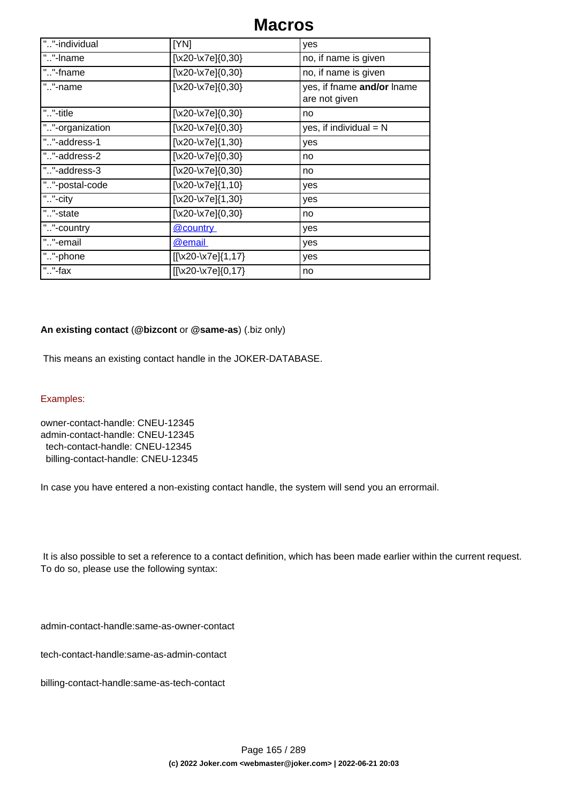| ""-individual   | [YN]                    | yes                                         |
|-----------------|-------------------------|---------------------------------------------|
| ""-Iname        | [\x20-\x7e] $\{0,30\}$  | no, if name is given                        |
| ""-fname        | $[\x20-\x7e]\{0,30\}$   | no, if name is given                        |
| ""-name         | $[\x20-\x7e]\{0,30\}$   | yes, if fname and/or lname<br>are not given |
| ""-title        | $[\x20-\x7e]\{0,30\}$   | no                                          |
| ""-organization | $[\x20-\x7e]\{0,30\}$   | yes, if individual $= N$                    |
| ""-address-1    | $[\x20-\x7e]\{1,30\}$   | yes                                         |
| ""-address-2    | [\x20-\x7e] $\{0,30\}$  | no                                          |
| ""-address-3    | [\x20-\x7e] $\{0,30\}$  | no                                          |
| ""-postal-code  | $[\x20-\x7e]\{1,10\}$   | yes                                         |
| ""-city         | $[\x20-\x7e]\{1,30\}$   | yes                                         |
| ""-state        | [\x20-\x7e] $\{0,30\}$  | no                                          |
| ""-country      | @country                | yes                                         |
| ""-email        | @email                  | yes                                         |
| ""-phone        | $[[\x20-\x7e]\{1,17\}]$ | yes                                         |
| ""-fax          | $[[\x20-\x7e][0,17]$    | no                                          |

### **An existing contact** (**@bizcont** or **@same-as**) (.biz only)

This means an existing contact handle in the JOKER-DATABASE.

#### Examples:

owner-contact-handle: CNEU-12345 admin-contact-handle: CNEU-12345 tech-contact-handle: CNEU-12345 billing-contact-handle: CNEU-12345

In case you have entered a non-existing contact handle, the system will send you an errormail.

 It is also possible to set a reference to a contact definition, which has been made earlier within the current request. To do so, please use the following syntax:

admin-contact-handle:same-as-owner-contact

tech-contact-handle:same-as-admin-contact

billing-contact-handle:same-as-tech-contact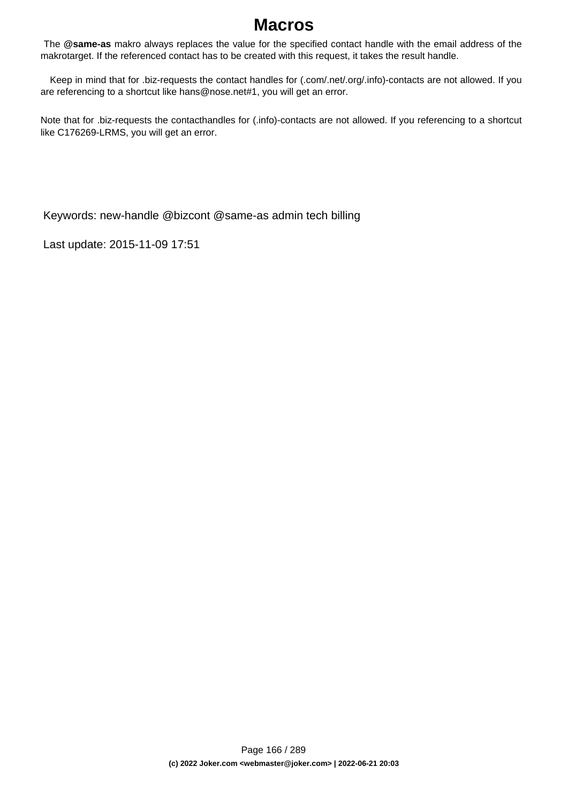The **@same-as** makro always replaces the value for the specified contact handle with the email address of the makrotarget. If the referenced contact has to be created with this request, it takes the result handle.

 Keep in mind that for .biz-requests the contact handles for (.com/.net/.org/.info)-contacts are not allowed. If you are referencing to a shortcut like hans@nose.net#1, you will get an error.

Note that for .biz-requests the contacthandles for (.info)-contacts are not allowed. If you referencing to a shortcut like C176269-LRMS, you will get an error.

Keywords: new-handle @bizcont @same-as admin tech billing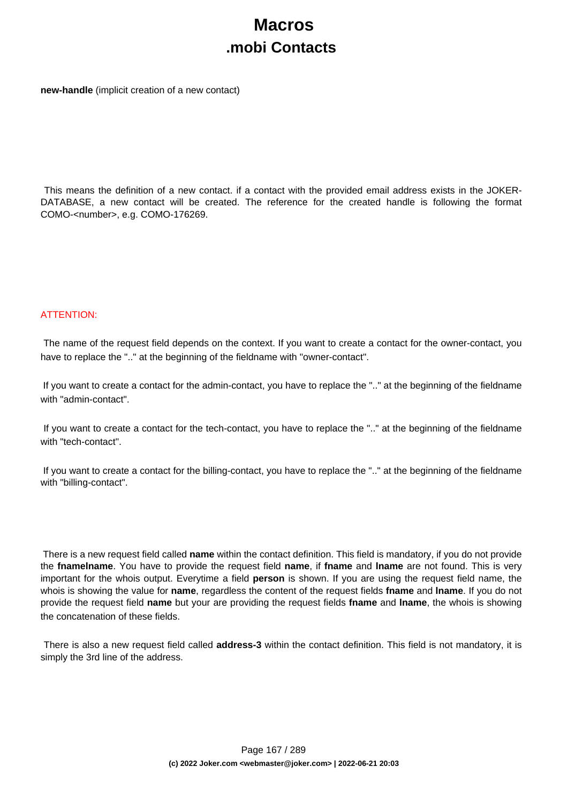## **Macros .mobi Contacts**

**new-handle** (implicit creation of a new contact)

 This means the definition of a new contact. if a contact with the provided email address exists in the JOKER-DATABASE, a new contact will be created. The reference for the created handle is following the format COMO-<number>, e.g. COMO-176269.

### ATTENTION:

 The name of the request field depends on the context. If you want to create a contact for the owner-contact, you have to replace the ".." at the beginning of the fieldname with "owner-contact".

 If you want to create a contact for the admin-contact, you have to replace the ".." at the beginning of the fieldname with "admin-contact".

 If you want to create a contact for the tech-contact, you have to replace the ".." at the beginning of the fieldname with "tech-contact".

 If you want to create a contact for the billing-contact, you have to replace the ".." at the beginning of the fieldname with "billing-contact".

 There is a new request field called **name** within the contact definition. This field is mandatory, if you do not provide the **fnamelname**. You have to provide the request field **name**, if **fname** and **lname** are not found. This is very important for the whois output. Everytime a field **person** is shown. If you are using the request field name, the whois is showing the value for **name**, regardless the content of the request fields **fname** and **lname**. If you do not provide the request field **name** but your are providing the request fields **fname** and **lname**, the whois is showing the concatenation of these fields.

 There is also a new request field called **address-3** within the contact definition. This field is not mandatory, it is simply the 3rd line of the address.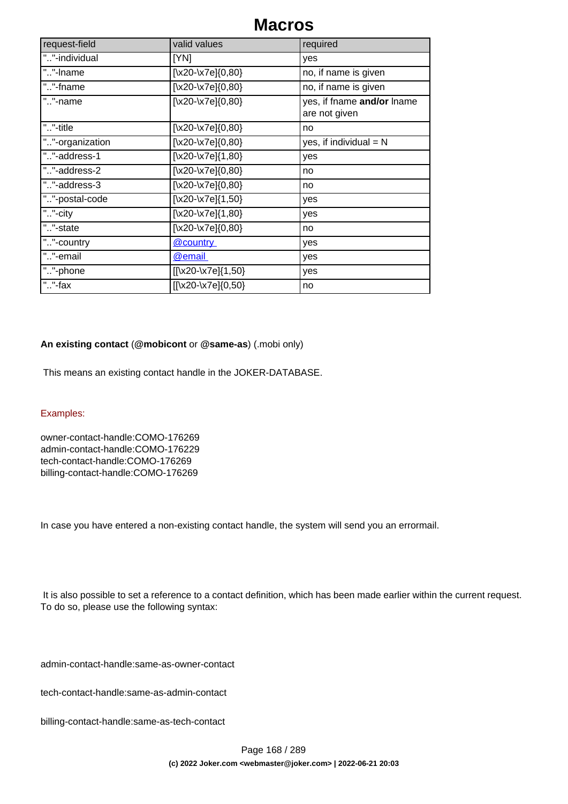| request-field   | valid values           | required                                    |
|-----------------|------------------------|---------------------------------------------|
| ""-individual   | [YN]                   | yes                                         |
| ""-Iname        | [\x20-\x7e] $\{0,80\}$ | no, if name is given                        |
| ""-fname        | $[\x20-\x7e]\{0,80\}$  | no, if name is given                        |
| ""-name         | $[\x20-\x7e]\{0,80\}$  | yes, if fname and/or lname<br>are not given |
| ""-title        | $[\x20-\x7e]\{0,80\}$  | no                                          |
| ""-organization | $[\x20-\x7e]\{0,80\}$  | yes, if individual $= N$                    |
| ""-address-1    | $[\x20-\x7e]\{1,80\}$  | yes                                         |
| ""-address-2    | $[\x20-\x7e]\{0,80\}$  | no                                          |
| ""-address-3    | [\x20-\x7e] $\{0,80\}$ | no                                          |
| ""-postal-code  | $[\x20-\x7e]\{1,50\}$  | yes                                         |
| ""-city         | $[\x20-\x7e]\{1,80\}$  | yes                                         |
| ""-state        | $[\x20-\x7e]\{0,80\}$  | no                                          |
| ""-country      | <u>@country</u>        | yes                                         |
| ""-email        | <b>@email</b>          | yes                                         |
| ""-phone        | [[\x20-\x7e]{1,50}     | yes                                         |
| ""-fax          | [[\x20-\x7e]{0,50}     | no                                          |

### **An existing contact** (**@mobicont** or **@same-as**) (.mobi only)

This means an existing contact handle in the JOKER-DATABASE.

### Examples:

owner-contact-handle:COMO-176269 admin-contact-handle:COMO-176229 tech-contact-handle:COMO-176269 billing-contact-handle:COMO-176269

In case you have entered a non-existing contact handle, the system will send you an errormail.

 It is also possible to set a reference to a contact definition, which has been made earlier within the current request. To do so, please use the following syntax:

admin-contact-handle:same-as-owner-contact

tech-contact-handle:same-as-admin-contact

billing-contact-handle:same-as-tech-contact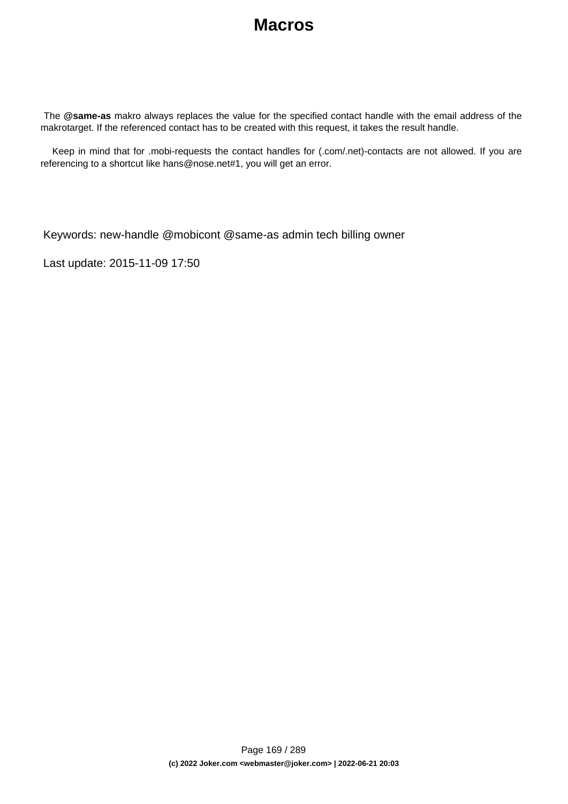The **@same-as** makro always replaces the value for the specified contact handle with the email address of the makrotarget. If the referenced contact has to be created with this request, it takes the result handle.

 Keep in mind that for .mobi-requests the contact handles for (.com/.net)-contacts are not allowed. If you are referencing to a shortcut like hans@nose.net#1, you will get an error.

Keywords: new-handle @mobicont @same-as admin tech billing owner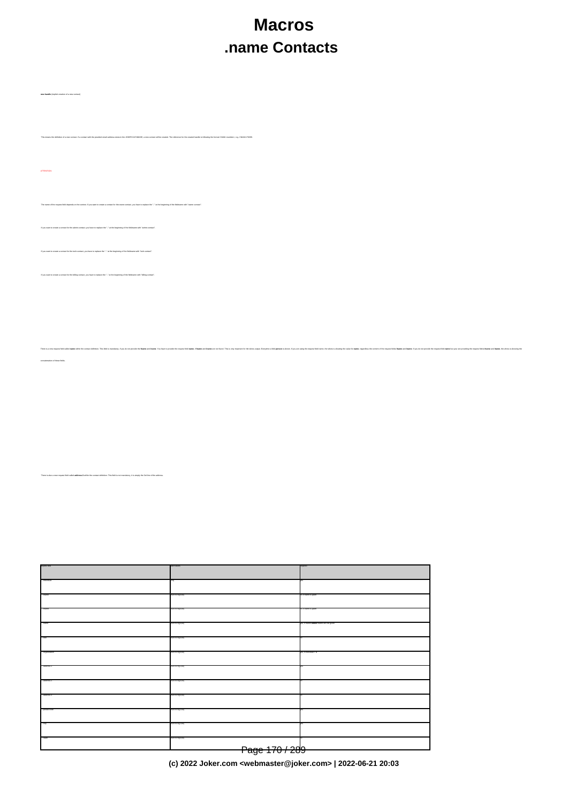# **Macros .name Contacts**

There is a new request field called name within the contect definition. This field is mandatory, if you do not provide the feares and facebook the request field name, in the water field name, if the secure is above to a ma

of a new contact. If a contact with the provided email address exists in the JOKER-DATABASE, a new contact will be created. The reference for the created handle is following the format CNAM-crumber>, e.g. City

ATTENTION:

.<br>The context on the context if you want to create a contact for the owner-contact, you have to replace the ".." at the beg

If you want to create a contact for the tech-contact, you have to replace the ".." at the beginning of the fieldname with "tech-contact".

 $\ddot{}$  that for the admin-contact, you have to replace the ".." at the beginning of the fieldname with "ad

If you want to create a contact for the billing-contact, you have to replace the ".." at the beginning of the fieldname with "billing-contact".

concatenation of these fields.

**new-handle** (implicit creation of a new contact)

There is also a new request field called **address-3** within the contact definition. This field is not mandatory, it is simply the 3rd line of the address.

request-field values request-field values request-field values request-field values request-field values required values required values of  $\alpha$  $\sim$  -individual  $\sim$  -individual  $\sim$  -individual  $\sim$  -individual  $\sim$  -individual  $\sim$  -individual  $\sim$ ".."-lname [\x20-\x7e]{0,80} no, if name is given  $\infty$   $\infty$   $\infty$   $\infty$   $\infty$   $\infty$   $\infty$   $\infty$   $\infty$   $\infty$   $\infty$   $\infty$   $\infty$   $\infty$   $\infty$   $\infty$   $\infty$   $\infty$   $\infty$   $\infty$   $\infty$   $\infty$   $\infty$   $\infty$   $\infty$   $\infty$   $\infty$   $\infty$   $\infty$   $\infty$   $\infty$   $\infty$   $\infty$   $\infty$   $\infty$   $\infty$   $\infty$ ."-name **and/or** lname and/or lname and/or lname and or lname and or lname and or lname and or lname and or given  $\{x20-076(0,80)\}$  $\sim$ ."-organization  $\sim$  $200 \, \text{V/} \, \text{eV}$  address-1  $200 \, \text{V/} \, \text{eV}$  with  $200 \, \text{V/} \, \text{eV}$  yes  $200 \, \text{V/} \, \text{eV}$  $\sim$   $200000000$ ".."-address-3 [\x20-\x7e]{0,80} no  $\sim$  200-x7e]{1,50}  $\sim$  200-x7e]{1,50}  $\sim$ ".."-city [\x20-\x7e]{1,80} yes  $\sim$   $200076(0.80)$  and  $200076(0.80)$  notation  $\sim$ Page 170 / 289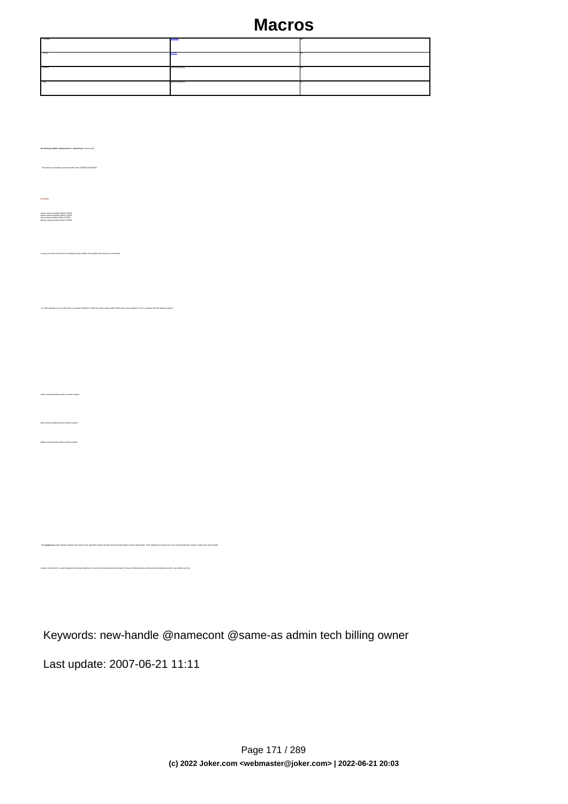| ."-country   | <b>REDUCTIV</b> |  |
|--------------|-----------------|--|
| <b>Const</b> |                 |  |
| . phone      | 420-374(1.50)   |  |
| $-250$       | 420-374(0.50)   |  |

 This means an existing contact handle in the JOKER-DATABASE. Examples: owner-contact-handle:CNAM-176269 admin-contact-handle:CNAM-176229 tech-contact-handle:CNAM-176269 billing-contact-handle:CNAM-176269 In case you have entered a non-existing contact handle, the system will send you an errormail. It is also possible to set a reference to a contact definition, which has been made earlier within the current request. To do so, please use the following syntax: admin-contact-handle:same-as-owner-contact tech-contact-handle:same-as-admin-contact billing-contact-handle:same-as-tech-contact

Keywords: new-handle @namecont @same-as admin tech billing owner

The **@same-as** makro always replaces the value for the specified contact handle with the email address of the makrotarget. If the referenced contact has to be created with this request, it takes the result handle.

Last update: 2007-06-21 11:11

keep in mind that for the contact handles for (.com/.net)-contacts are not allowed. If you are referencing to a shortcut like hans@nose.net#1, you will get an

**An existing contact** (**@namecont** or **@same-as**) (.name only)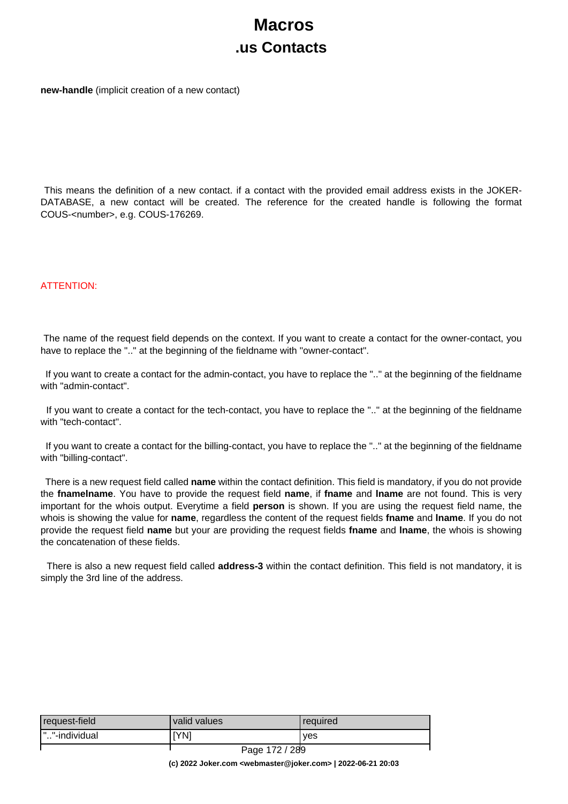# **Macros .us Contacts**

**new-handle** (implicit creation of a new contact)

 This means the definition of a new contact. if a contact with the provided email address exists in the JOKER-DATABASE, a new contact will be created. The reference for the created handle is following the format COUS-<number>, e.g. COUS-176269.

#### ATTENTION:

 The name of the request field depends on the context. If you want to create a contact for the owner-contact, you have to replace the ".." at the beginning of the fieldname with "owner-contact".

 If you want to create a contact for the admin-contact, you have to replace the ".." at the beginning of the fieldname with "admin-contact".

 If you want to create a contact for the tech-contact, you have to replace the ".." at the beginning of the fieldname with "tech-contact".

 If you want to create a contact for the billing-contact, you have to replace the ".." at the beginning of the fieldname with "billing-contact".

 There is a new request field called **name** within the contact definition. This field is mandatory, if you do not provide the **fnamelname**. You have to provide the request field **name**, if **fname** and **lname** are not found. This is very important for the whois output. Everytime a field **person** is shown. If you are using the request field name, the whois is showing the value for **name**, regardless the content of the request fields **fname** and **lname**. If you do not provide the request field **name** but your are providing the request fields **fname** and **lname**, the whois is showing the concatenation of these fields.

 There is also a new request field called **address-3** within the contact definition. This field is not mandatory, it is simply the 3rd line of the address.

| request-field  | valid values                              | required |
|----------------|-------------------------------------------|----------|
| I""-individual | [YN]                                      | ves      |
|                | $\sim$ $\sim$ $\sim$ $\sim$ $\sim$ $\sim$ |          |

Page 172 / 289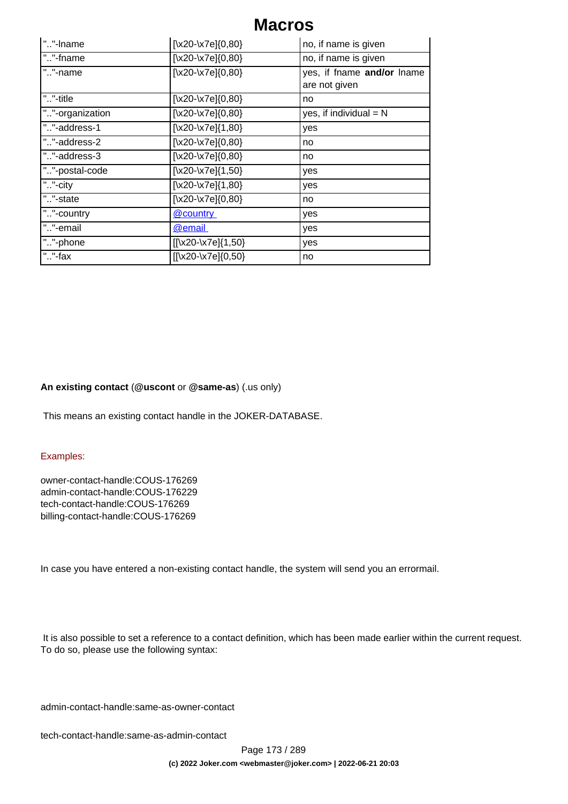| ""-Iname        | $[\x20-\x7e]\{0,80\}$  | no, if name is given                        |
|-----------------|------------------------|---------------------------------------------|
| ""-fname        | $[\x20-\x7e]\{0,80\}$  | no, if name is given                        |
| ""-name         | $[\x20-\x7e]\{0,80\}$  | yes, if fname and/or lname<br>are not given |
| ""-title        | $[\x20-\x7e]\{0,80\}$  | no                                          |
| ""-organization | $[\x20-\x7e]\{0,80\}$  | yes, if individual $= N$                    |
| ""-address-1    | $[\x20-\x7e]\{1,80\}$  | yes                                         |
| ""-address-2    | $[\x20-\x7e]\{0,80\}$  | no                                          |
| ""-address-3    | $[\x20-\x7e]\{0,80\}$  | no                                          |
| ""-postal-code  | [\x20-\x7e] $\{1,50\}$ | yes                                         |
| ""-city         | $[\x20-\x7e]\{1,80\}$  | yes                                         |
| ""-state        | $[\x20-\x7e]\{0,80\}$  | no                                          |
| ""-country      | @country               | yes                                         |
| ""-email        | <b>@email</b>          | yes                                         |
| ""-phone        | $[[\x20-\x7e][1,50]$   | yes                                         |
| ""-fax          | [[\x20-\x7e]{0,50}     | no                                          |

### **An existing contact** (**@uscont** or **@same-as**) (.us only)

This means an existing contact handle in the JOKER-DATABASE.

#### Examples:

owner-contact-handle:COUS-176269 admin-contact-handle:COUS-176229 tech-contact-handle:COUS-176269 billing-contact-handle:COUS-176269

In case you have entered a non-existing contact handle, the system will send you an errormail.

 It is also possible to set a reference to a contact definition, which has been made earlier within the current request. To do so, please use the following syntax:

admin-contact-handle:same-as-owner-contact

tech-contact-handle:same-as-admin-contact

Page 173 / 289 **(c) 2022 Joker.com <webmaster@joker.com> | 2022-06-21 20:03**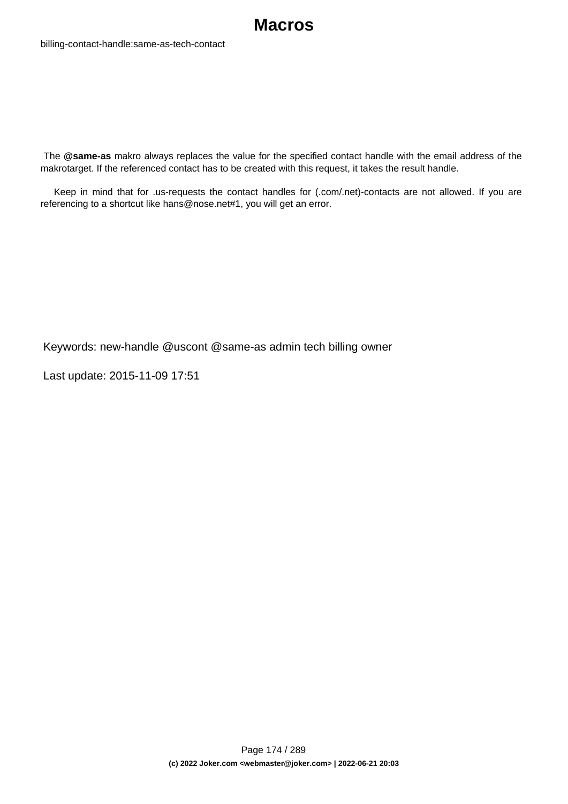

 The **@same-as** makro always replaces the value for the specified contact handle with the email address of the makrotarget. If the referenced contact has to be created with this request, it takes the result handle.

 Keep in mind that for .us-requests the contact handles for (.com/.net)-contacts are not allowed. If you are referencing to a shortcut like hans@nose.net#1, you will get an error.

Keywords: new-handle @uscont @same-as admin tech billing owner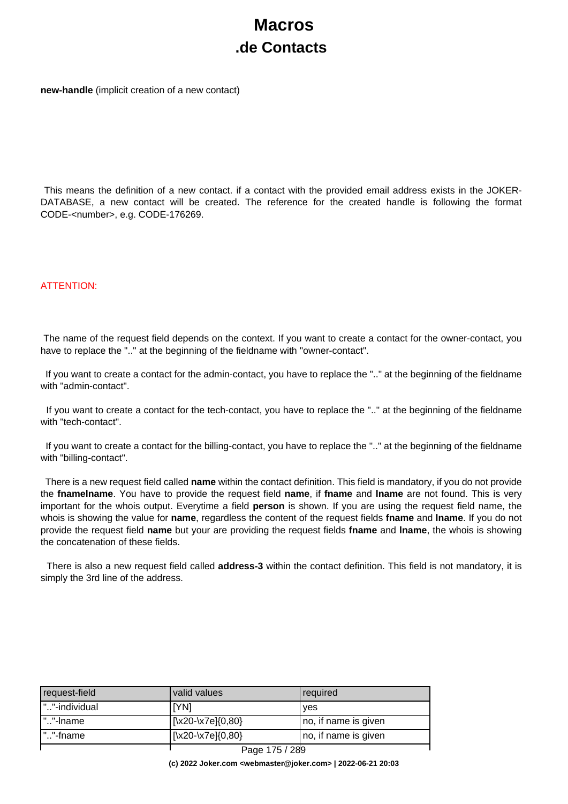# **Macros .de Contacts**

**new-handle** (implicit creation of a new contact)

 This means the definition of a new contact. if a contact with the provided email address exists in the JOKER-DATABASE, a new contact will be created. The reference for the created handle is following the format CODE-<number>, e.g. CODE-176269.

#### ATTENTION:

 The name of the request field depends on the context. If you want to create a contact for the owner-contact, you have to replace the ".." at the beginning of the fieldname with "owner-contact".

 If you want to create a contact for the admin-contact, you have to replace the ".." at the beginning of the fieldname with "admin-contact".

 If you want to create a contact for the tech-contact, you have to replace the ".." at the beginning of the fieldname with "tech-contact".

 If you want to create a contact for the billing-contact, you have to replace the ".." at the beginning of the fieldname with "billing-contact".

 There is a new request field called **name** within the contact definition. This field is mandatory, if you do not provide the **fnamelname**. You have to provide the request field **name**, if **fname** and **lname** are not found. This is very important for the whois output. Everytime a field **person** is shown. If you are using the request field name, the whois is showing the value for **name**, regardless the content of the request fields **fname** and **lname**. If you do not provide the request field **name** but your are providing the request fields **fname** and **lname**, the whois is showing the concatenation of these fields.

 There is also a new request field called **address-3** within the contact definition. This field is not mandatory, it is simply the 3rd line of the address.

| request-field | valid values                        | required             |
|---------------|-------------------------------------|----------------------|
| ""-individual | IYNI                                | yes                  |
| ""-Iname      | $\left[\x{20}\x{7e}\right]\{0,80\}$ | no, if name is given |
| .""-fname     | $[\x20-\x7e]\{0,80\}$               | no, if name is given |
|               | Page 175 / 289                      |                      |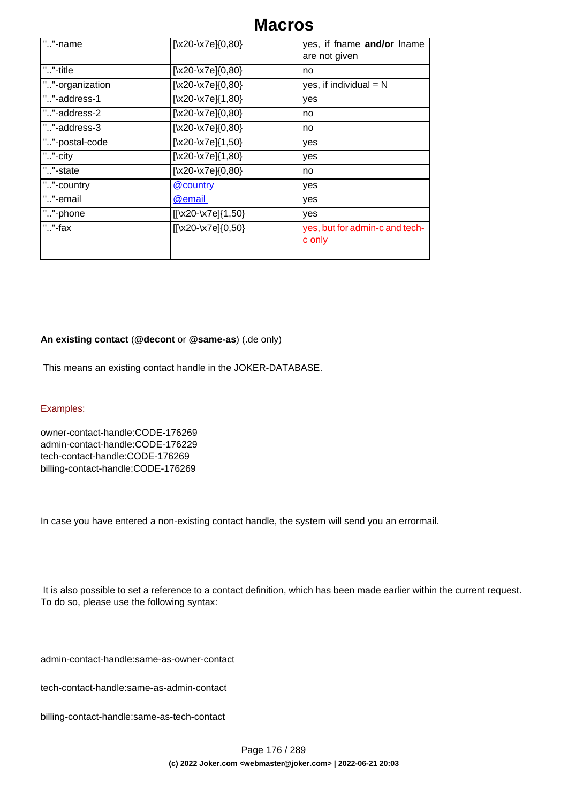| ""-name         | [\x20-\x7e]{0,80}      | yes, if fname and/or lname<br>are not given |
|-----------------|------------------------|---------------------------------------------|
| ""-title        | $[\x20-\x7e]\{0,80\}$  | no                                          |
| ""-organization | $[\x20-\x7e]\{0,80\}$  | yes, if individual $= N$                    |
| ""-address-1    | $[\x20-\x7e]\{1,80\}$  | yes                                         |
| ""-address-2    | $[\x20-\x7e]\{0,80\}$  | no                                          |
| ""-address-3    | $[\x20-\x7e]\{0,80\}$  | no                                          |
| ""-postal-code  | [\x20-\x7e] $\{1,50\}$ | yes                                         |
| ""-city         | $[\x20-\x7e]\{1,80\}$  | yes                                         |
| ""-state        | $[\x20-\x7e]\{0,80\}$  | no                                          |
| ""-country      | @country               | yes                                         |
| ""-email        | @email                 | yes                                         |
| ""-phone        | $[[\x20-\x7e][1,50]$   | yes                                         |
| ""-fax          | [[\x20-\x7e]{0,50}     | yes, but for admin-c and tech-<br>c only    |

### **An existing contact** (**@decont** or **@same-as**) (.de only)

This means an existing contact handle in the JOKER-DATABASE.

#### Examples:

owner-contact-handle:CODE-176269 admin-contact-handle:CODE-176229 tech-contact-handle:CODE-176269 billing-contact-handle:CODE-176269

In case you have entered a non-existing contact handle, the system will send you an errormail.

 It is also possible to set a reference to a contact definition, which has been made earlier within the current request. To do so, please use the following syntax:

admin-contact-handle:same-as-owner-contact

tech-contact-handle:same-as-admin-contact

billing-contact-handle:same-as-tech-contact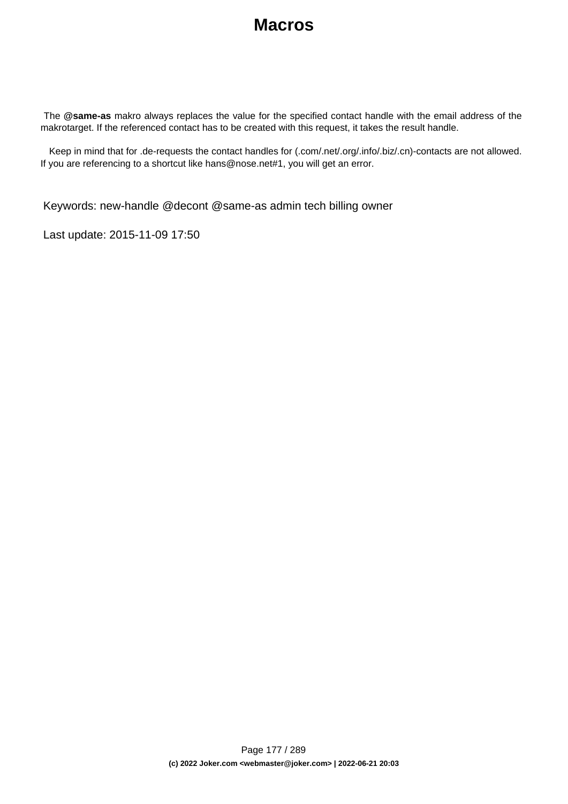The **@same-as** makro always replaces the value for the specified contact handle with the email address of the makrotarget. If the referenced contact has to be created with this request, it takes the result handle.

 Keep in mind that for .de-requests the contact handles for (.com/.net/.org/.info/.biz/.cn)-contacts are not allowed. If you are referencing to a shortcut like hans@nose.net#1, you will get an error.

Keywords: new-handle @decont @same-as admin tech billing owner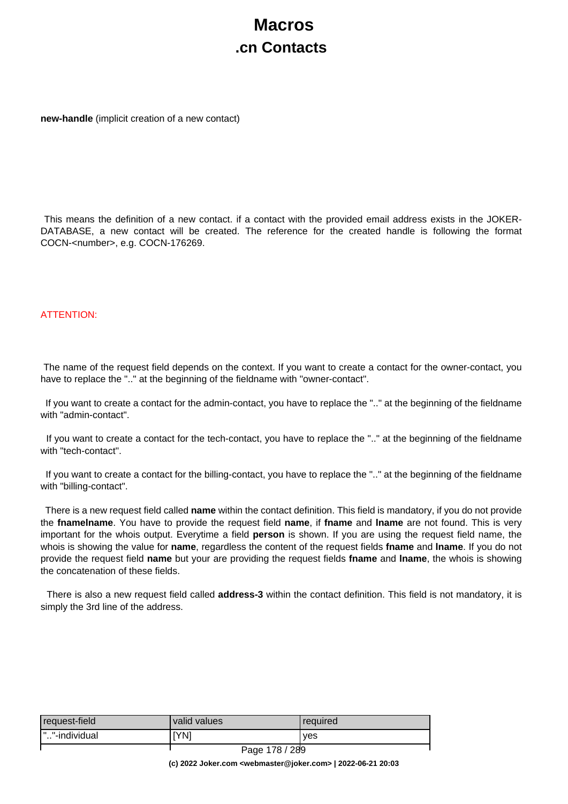# **Macros .cn Contacts**

**new-handle** (implicit creation of a new contact)

 This means the definition of a new contact. if a contact with the provided email address exists in the JOKER-DATABASE, a new contact will be created. The reference for the created handle is following the format COCN-<number>, e.g. COCN-176269.

### ATTENTION:

 The name of the request field depends on the context. If you want to create a contact for the owner-contact, you have to replace the ".." at the beginning of the fieldname with "owner-contact".

 If you want to create a contact for the admin-contact, you have to replace the ".." at the beginning of the fieldname with "admin-contact".

 If you want to create a contact for the tech-contact, you have to replace the ".." at the beginning of the fieldname with "tech-contact".

 If you want to create a contact for the billing-contact, you have to replace the ".." at the beginning of the fieldname with "billing-contact".

 There is a new request field called **name** within the contact definition. This field is mandatory, if you do not provide the **fnamelname**. You have to provide the request field **name**, if **fname** and **lname** are not found. This is very important for the whois output. Everytime a field **person** is shown. If you are using the request field name, the whois is showing the value for **name**, regardless the content of the request fields **fname** and **lname**. If you do not provide the request field **name** but your are providing the request fields **fname** and **lname**, the whois is showing the concatenation of these fields.

 There is also a new request field called **address-3** within the contact definition. This field is not mandatory, it is simply the 3rd line of the address.

| request-field  | valid values | required |
|----------------|--------------|----------|
| I""-individual | [YN]         | ves      |
|                | $1 - 2$<br>- |          |

Page 178 / 289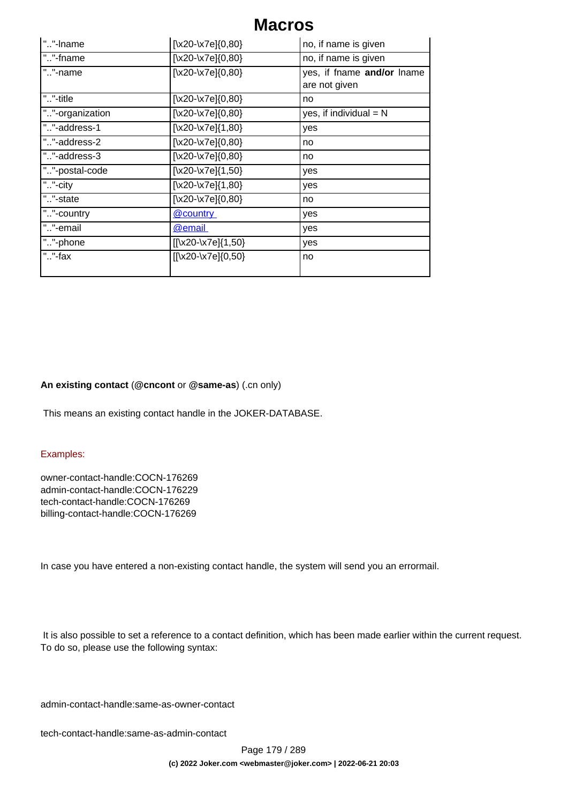| ""-Iname        | [\x20-\x7e]{0,80}                | no, if name is given                        |
|-----------------|----------------------------------|---------------------------------------------|
| ""-fname        | $\left[\x20-\x7e\right]\{0,80\}$ | no, if name is given                        |
| ""-name         | $\left[\x20-\x7e\right]\{0,80\}$ | yes, if fname and/or lname<br>are not given |
| ""-title        | $[\x20-\x7e]\{0,80\}$            | no                                          |
| ""-organization | $[\x20-\x7e]\{0,80\}$            | yes, if individual $= N$                    |
| ""-address-1    | $\left[\x20-\x7e\right]\{1,80\}$ | yes                                         |
| ""-address-2    | $\left[\x20-\x7e\right]\{0,80\}$ | no                                          |
| ""-address-3    | $[\x20-\x7e]\{0,80\}$            | no                                          |
| ""-postal-code  | $[\x20-\x7e]\{1,50\}$            | yes                                         |
| ""-city         | $\left[\x20-\x7e\right]\{1,80\}$ | yes                                         |
| ""-state        | $\left[\x20-\x7e\right]\{0,80\}$ | no                                          |
| ""-country      | @country                         | yes                                         |
| ""-email        | <b>@email</b>                    | yes                                         |
| ""-phone        | [[\x20-\x7e]{1,50}               | yes                                         |
| " $.$ "-fax     | $[[\x20-\x7e][0,50]$             | no                                          |

### **An existing contact** (**@cncont** or **@same-as**) (.cn only)

This means an existing contact handle in the JOKER-DATABASE.

#### Examples:

owner-contact-handle:COCN-176269 admin-contact-handle:COCN-176229 tech-contact-handle:COCN-176269 billing-contact-handle:COCN-176269

In case you have entered a non-existing contact handle, the system will send you an errormail.

 It is also possible to set a reference to a contact definition, which has been made earlier within the current request. To do so, please use the following syntax:

admin-contact-handle:same-as-owner-contact

tech-contact-handle:same-as-admin-contact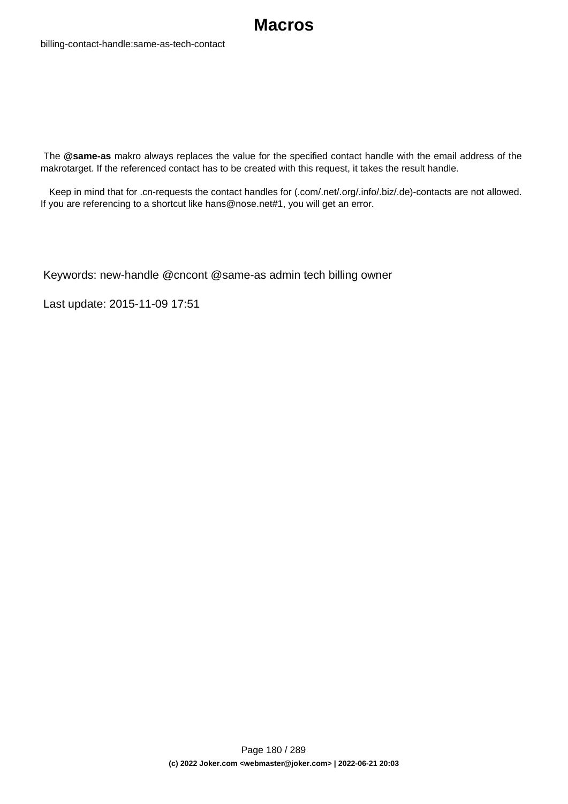

billing-contact-handle:same-as-tech-contact

 The **@same-as** makro always replaces the value for the specified contact handle with the email address of the makrotarget. If the referenced contact has to be created with this request, it takes the result handle.

 Keep in mind that for .cn-requests the contact handles for (.com/.net/.org/.info/.biz/.de)-contacts are not allowed. If you are referencing to a shortcut like hans@nose.net#1, you will get an error.

Keywords: new-handle @cncont @same-as admin tech billing owner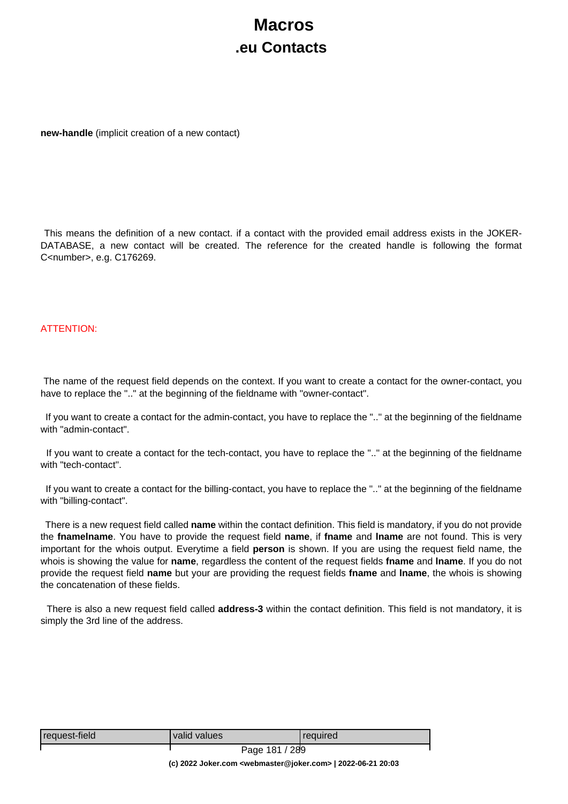# **Macros .eu Contacts**

**new-handle** (implicit creation of a new contact)

 This means the definition of a new contact. if a contact with the provided email address exists in the JOKER-DATABASE, a new contact will be created. The reference for the created handle is following the format C<number>, e.g. C176269.

#### ATTENTION:

 The name of the request field depends on the context. If you want to create a contact for the owner-contact, you have to replace the ".." at the beginning of the fieldname with "owner-contact".

 If you want to create a contact for the admin-contact, you have to replace the ".." at the beginning of the fieldname with "admin-contact".

 If you want to create a contact for the tech-contact, you have to replace the ".." at the beginning of the fieldname with "tech-contact".

 If you want to create a contact for the billing-contact, you have to replace the ".." at the beginning of the fieldname with "billing-contact".

 There is a new request field called **name** within the contact definition. This field is mandatory, if you do not provide the **fnamelname**. You have to provide the request field **name**, if **fname** and **lname** are not found. This is very important for the whois output. Everytime a field **person** is shown. If you are using the request field name, the whois is showing the value for **name**, regardless the content of the request fields **fname** and **lname**. If you do not provide the request field **name** but your are providing the request fields **fname** and **lname**, the whois is showing the concatenation of these fields.

 There is also a new request field called **address-3** within the contact definition. This field is not mandatory, it is simply the 3rd line of the address.

| request-field | valid values   | <b>required</b> |
|---------------|----------------|-----------------|
|               | Page 181 / 289 |                 |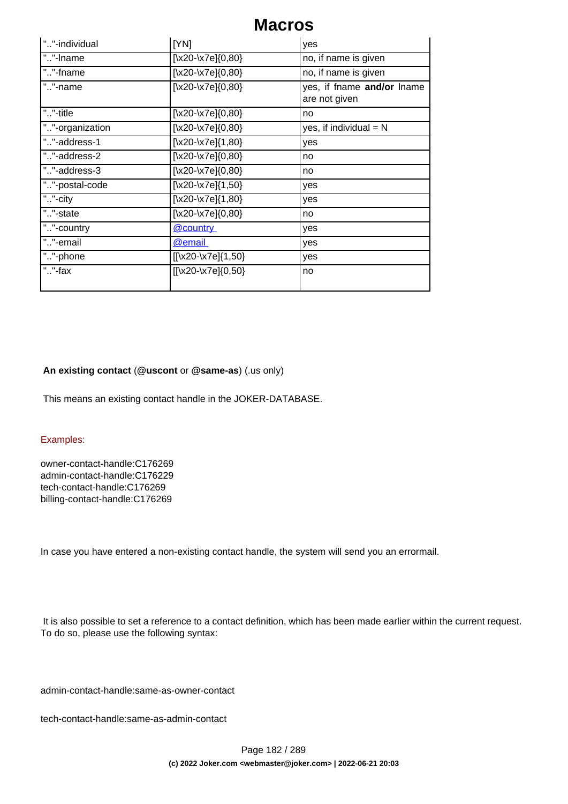| ""-individual   | [YN]                             | yes                                         |
|-----------------|----------------------------------|---------------------------------------------|
| ""-Iname        | $\left[\x20-\x7e\right]\{0,80\}$ | no, if name is given                        |
| ""-fname        | $[\x20-\x7e]\{0,80\}$            | no, if name is given                        |
| ""-name         | $[\x20-\x7e]\{0,80\}$            | yes, if fname and/or lname<br>are not given |
| ""-title        | $[\x20-\x7e]\{0,80\}$            | no                                          |
| ""-organization | $\left[\x20-\x7e\right]\{0,80\}$ | yes, if individual $= N$                    |
| ""-address-1    | $[\x20-\x7e]\{1,80\}$            | yes                                         |
| ""-address-2    | $\left[\x20-\x7e\right]\{0,80\}$ | no                                          |
| ""-address-3    | $[\x20-\x7e]\{0,80\}$            | no                                          |
| ""-postal-code  | $[\x20-\x7e]\{1,50\}$            | yes                                         |
| ""-city         | $[\x20-\x7e]\{1,80\}$            | yes                                         |
| ""-state        | $\left[\x20-\x7e\right]\{0,80\}$ | no                                          |
| ""-country      | @country                         | yes                                         |
| ""-email        | <b>@email</b>                    | yes                                         |
| ""-phone        | [[\x20-\x7e]{1,50}               | yes                                         |
| " $.$ "-fax     | [[\x20-\x7e]{0,50}               | no                                          |

#### **An existing contact** (**@uscont** or **@same-as**) (.us only)

This means an existing contact handle in the JOKER-DATABASE.

#### Examples:

owner-contact-handle:C176269 admin-contact-handle:C176229 tech-contact-handle:C176269 billing-contact-handle:C176269

In case you have entered a non-existing contact handle, the system will send you an errormail.

 It is also possible to set a reference to a contact definition, which has been made earlier within the current request. To do so, please use the following syntax:

admin-contact-handle:same-as-owner-contact

tech-contact-handle:same-as-admin-contact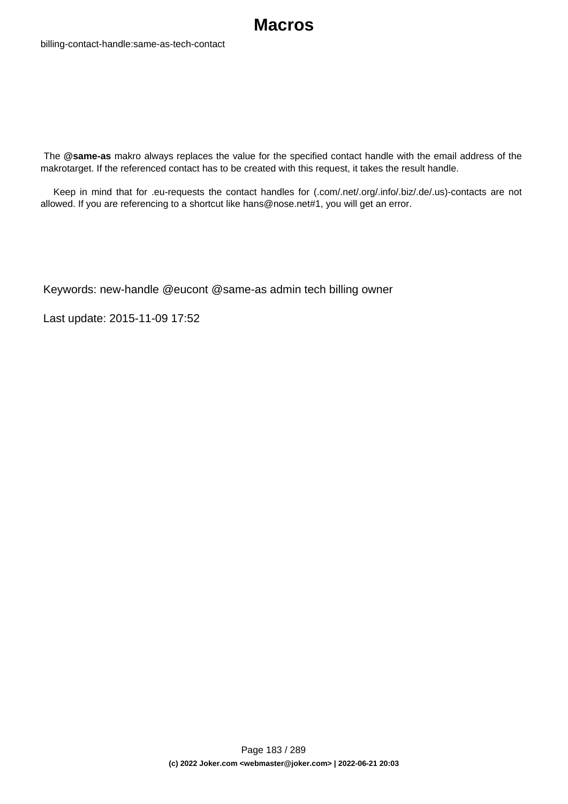

 The **@same-as** makro always replaces the value for the specified contact handle with the email address of the makrotarget. If the referenced contact has to be created with this request, it takes the result handle.

 Keep in mind that for .eu-requests the contact handles for (.com/.net/.org/.info/.biz/.de/.us)-contacts are not allowed. If you are referencing to a shortcut like hans@nose.net#1, you will get an error.

Keywords: new-handle @eucont @same-as admin tech billing owner

Last update: 2015-11-09 17:52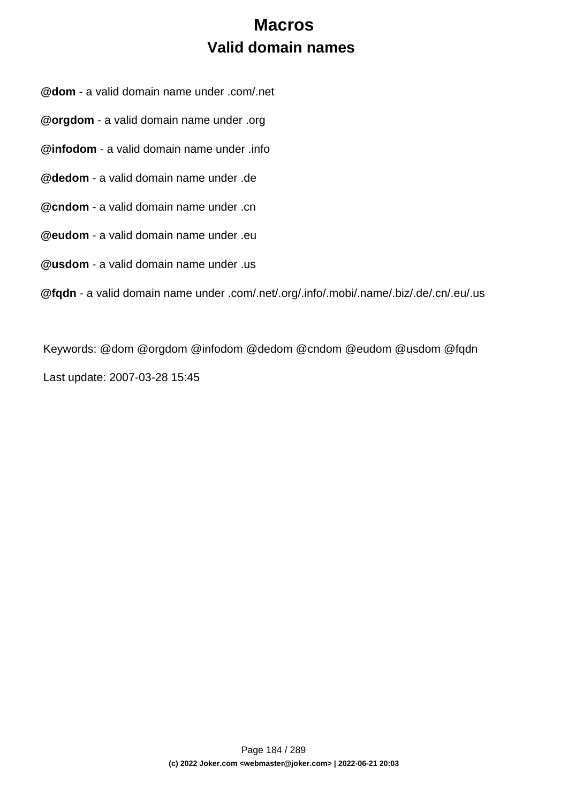# **Macros Valid domain names**

**@dom** - a valid domain name under .com/.net

**@orgdom** - a valid domain name under .org

**@infodom** - a valid domain name under .info

**@dedom** - a valid domain name under .de

**@cndom** - a valid domain name under .cn

**@eudom** - a valid domain name under .eu

**@usdom** - a valid domain name under .us

**@fqdn** - a valid domain name under .com/.net/.org/.info/.mobi/.name/.biz/.de/.cn/.eu/.us

Keywords: @dom @orgdom @infodom @dedom @cndom @eudom @usdom @fqdn Last update: 2007-03-28 15:45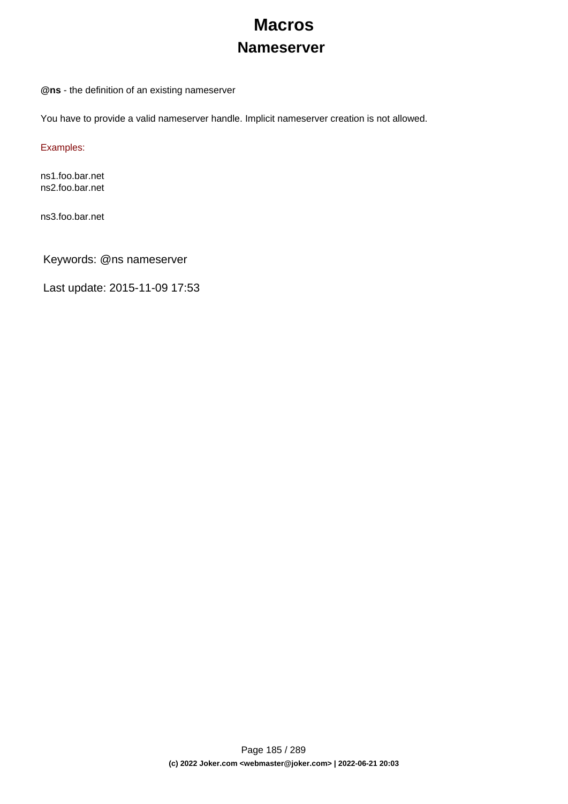# **Macros Nameserver**

**@ns** - the definition of an existing nameserver

You have to provide a valid nameserver handle. Implicit nameserver creation is not allowed.

Examples:

ns1.foo.bar.net ns2.foo.bar.net

ns3.foo.bar.net

Keywords: @ns nameserver

Last update: 2015-11-09 17:53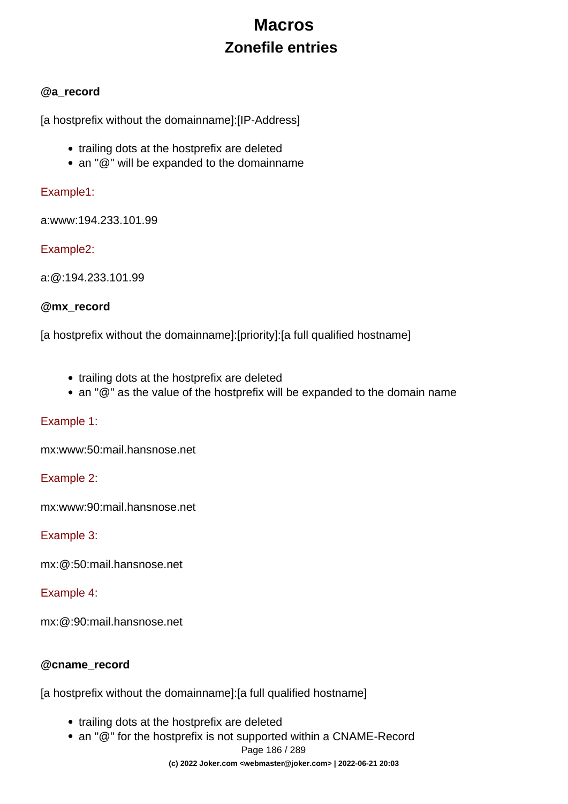# **Macros Zonefile entries**

### **@a\_record**

[a hostprefix without the domainname]:[IP-Address]

- trailing dots at the hostprefix are deleted
- an "@" will be expanded to the domainname

### Example1:

a:www:194.233.101.99

### Example2:

a:@:194.233.101.99

### **@mx\_record**

[a hostprefix without the domainname]:[priority]:[a full qualified hostname]

- trailing dots at the hostprefix are deleted
- an "@" as the value of the hostprefix will be expanded to the domain name

### Example 1:

mx:www:50:mail.hansnose.net

### Example 2:

mx:www:90:mail.hansnose.net

### Example 3:

mx:@:50:mail.hansnose.net

### Example 4:

mx:@:90:mail.hansnose.net

### **@cname\_record**

[a hostprefix without the domainname]:[a full qualified hostname]

- trailing dots at the hostprefix are deleted
- an "@" for the hostprefix is not supported within a CNAME-Record

```
Page 186 / 289
```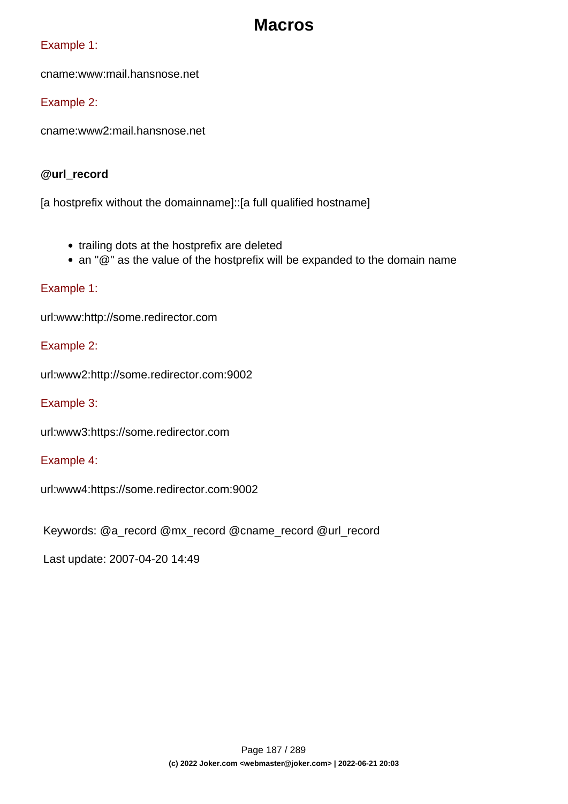### Example 1:

cname:www:mail.hansnose.net

### Example 2:

cname:www2:mail.hansnose.net

### **@url\_record**

[a hostprefix without the domainname]::[a full qualified hostname]

- trailing dots at the hostprefix are deleted
- an "@" as the value of the hostprefix will be expanded to the domain name

### Example 1:

url:www:http://some.redirector.com

### Example 2:

url:www2:http://some.redirector.com:9002

Example 3:

url:www3:https://some.redirector.com

### Example 4:

url:www4:https://some.redirector.com:9002

Keywords: @a\_record @mx\_record @cname\_record @url\_record

Last update: 2007-04-20 14:49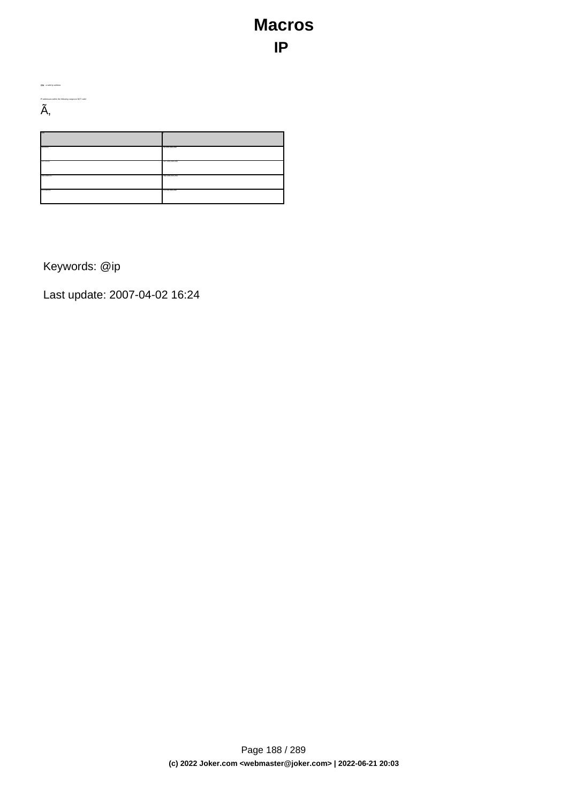# **Macros IP**

| IP-addresses within the following range are NOT valid:<br>~ |                 |
|-------------------------------------------------------------|-----------------|
| mon<br>10000                                                | 10.255.255.255  |
| 127.0.0.0                                                   | 127.255.255.255 |
| 192.168.0.0                                                 | 192.168.255.255 |
| 172.16.0.0                                                  | 172.31.255.255  |
|                                                             |                 |

Keywords: @ip

**@ip** - a valid ip-address

Last update: 2007-04-02 16:24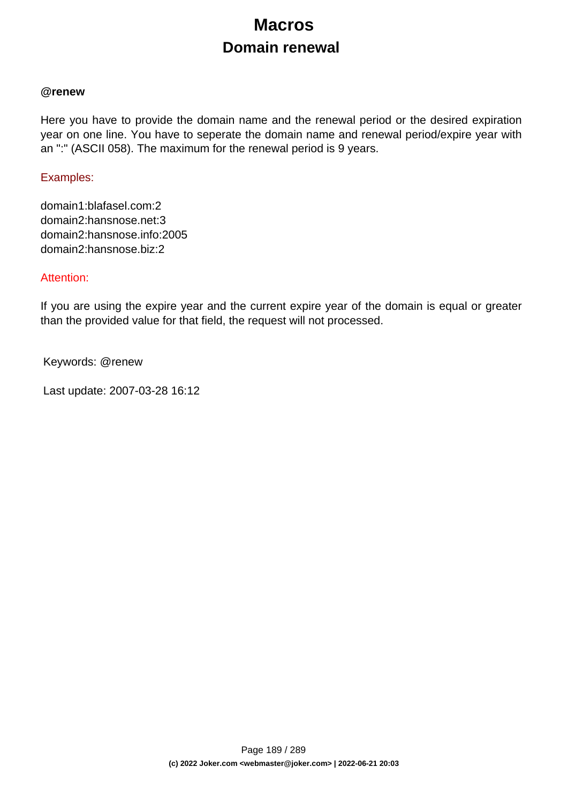# **Macros Domain renewal**

#### **@renew**

Here you have to provide the domain name and the renewal period or the desired expiration year on one line. You have to seperate the domain name and renewal period/expire year with an ":" (ASCII 058). The maximum for the renewal period is 9 years.

#### Examples:

domain1:blafasel.com:2 domain2:hansnose.net:3 domain2:hansnose.info:2005 domain2:hansnose.biz:2

#### Attention:

If you are using the expire year and the current expire year of the domain is equal or greater than the provided value for that field, the request will not processed.

Keywords: @renew

Last update: 2007-03-28 16:12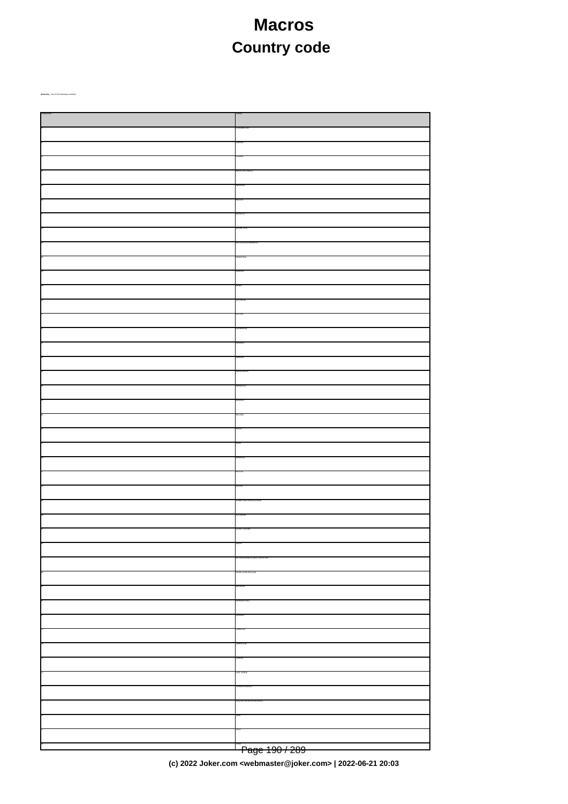# **Macros Country code**

| -<br><del>Page 190 / 289</del> |
|--------------------------------|

**(c) 2022 Joker.com <webmaster@joker.com> | 2022-06-21 20:03**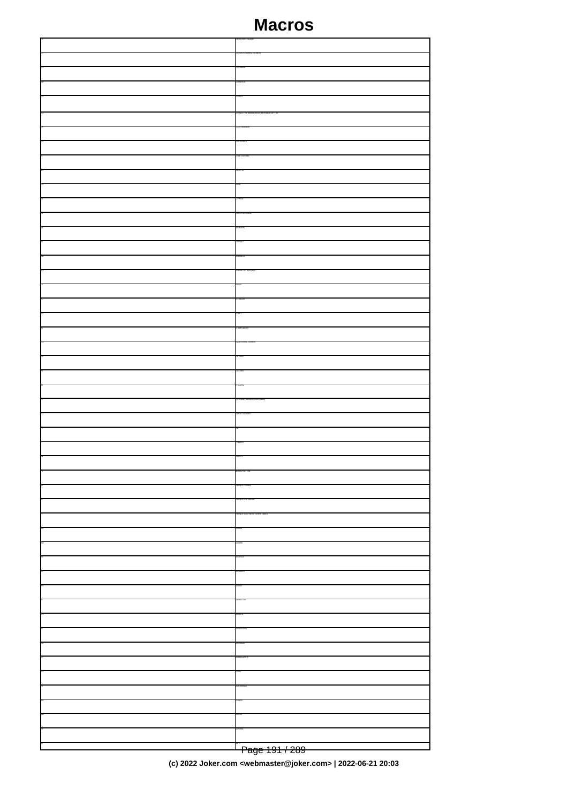| Dega 101 / 200 |
|----------------|

Page 191 / 289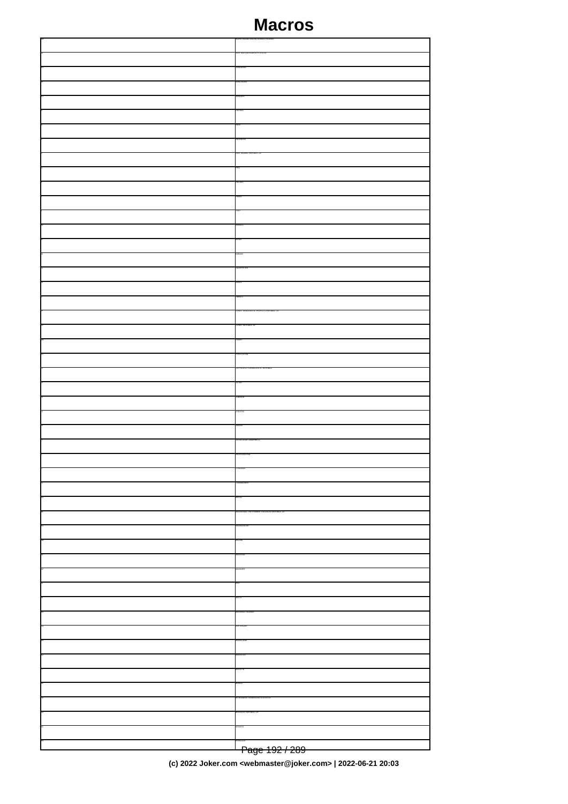| Dega 100 / 200 |
|----------------|

Page 192 / 289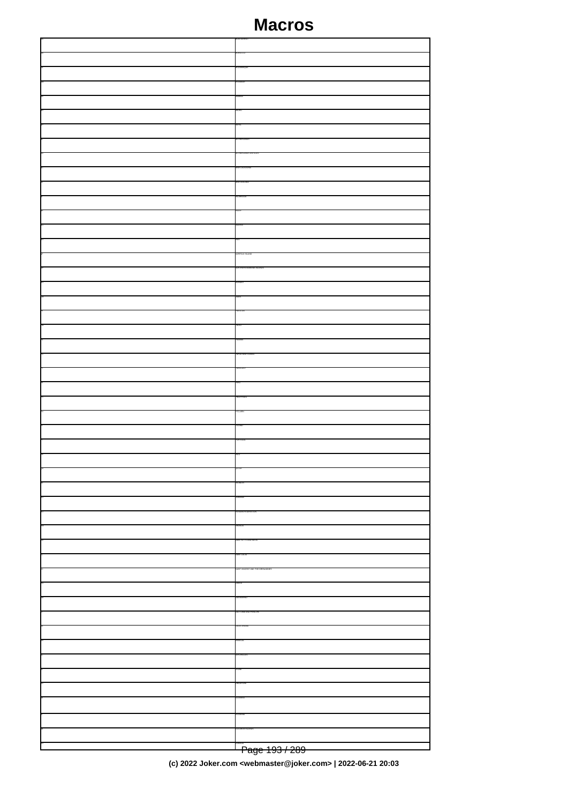| Dogo 102 / 280 |
|----------------|
|                |
|                |
|                |
|                |
|                |
|                |
|                |
|                |
|                |
|                |
|                |
|                |
|                |
|                |
|                |
|                |
|                |
|                |
|                |
|                |
|                |
|                |
|                |
|                |
|                |
|                |
|                |
|                |
|                |
|                |
|                |
|                |
|                |
|                |
|                |
|                |
|                |
|                |
|                |
|                |
|                |
|                |
|                |
|                |
|                |
|                |
|                |
|                |
|                |
|                |

Page 193 / 289

**(c) 2022 Joker.com <webmaster@joker.com> | 2022-06-21 20:03**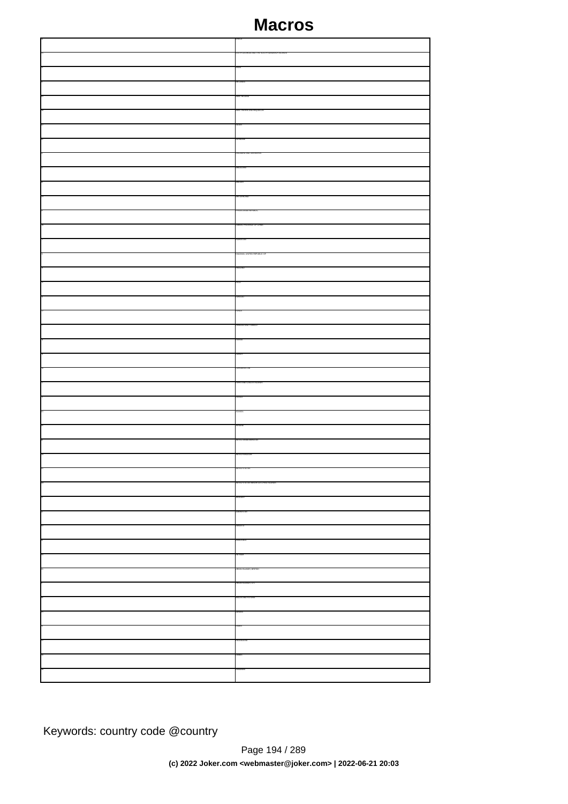Keywords: country code @country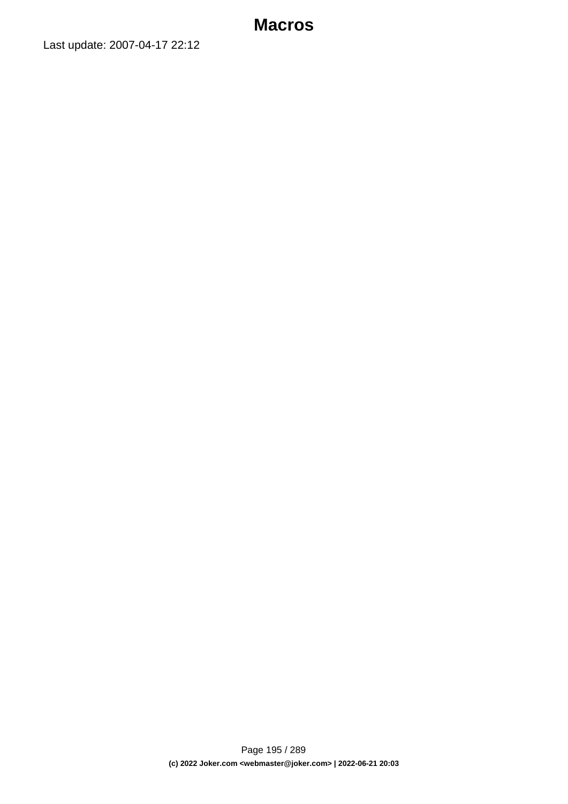Last update: 2007-04-17 22:12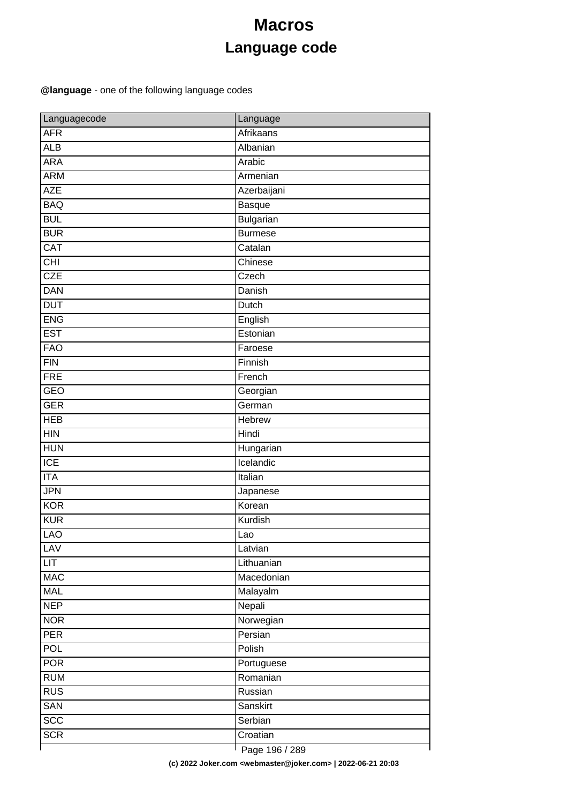# **Macros Language code**

### **@language** - one of the following language codes

| Languagecode     | Language         |
|------------------|------------------|
| <b>AFR</b>       | <b>Afrikaans</b> |
| <b>ALB</b>       | Albanian         |
| <b>ARA</b>       | Arabic           |
| <b>ARM</b>       | Armenian         |
| <b>AZE</b>       | Azerbaijani      |
| <b>BAQ</b>       | Basque           |
| <b>BUL</b>       | <b>Bulgarian</b> |
| <b>BUR</b>       | <b>Burmese</b>   |
| <b>CAT</b>       | Catalan          |
| $\overline{CHI}$ | Chinese          |
| <b>CZE</b>       | Czech            |
| <b>DAN</b>       | Danish           |
| <b>DUT</b>       | Dutch            |
| <b>ENG</b>       | English          |
| <b>EST</b>       | Estonian         |
| <b>FAO</b>       | Faroese          |
| FIN              | Finnish          |
| <b>FRE</b>       | French           |
| <b>GEO</b>       | Georgian         |
| <b>GER</b>       | German           |
| <b>HEB</b>       | <b>Hebrew</b>    |
| HIN              | Hindi            |
| <b>HUN</b>       | Hungarian        |
| $\overline{ICE}$ | Icelandic        |
| <b>ITA</b>       | Italian          |
| <b>JPN</b>       | Japanese         |
| <b>KOR</b>       | Korean           |
| <b>KUR</b>       | Kurdish          |
| <b>LAO</b>       | Lao              |
| <b>LAV</b>       | Latvian          |
| <b>LIT</b>       | Lithuanian       |
| <b>MAC</b>       | Macedonian       |
| <b>MAL</b>       | Malayalm         |
| <b>NEP</b>       | Nepali           |
| <b>NOR</b>       | Norwegian        |
| PER              | Persian          |
| <b>POL</b>       | Polish           |
| <b>POR</b>       | Portuguese       |
| <b>RUM</b>       | Romanian         |
| RUS              | Russian          |
| <b>SAN</b>       | Sanskirt         |
| $\overline{SCC}$ | Serbian          |
| <b>SCR</b>       | Croatian         |
|                  | Dogo 106 / 200   |

Page 196 / 289

**(c) 2022 Joker.com <webmaster@joker.com> | 2022-06-21 20:03**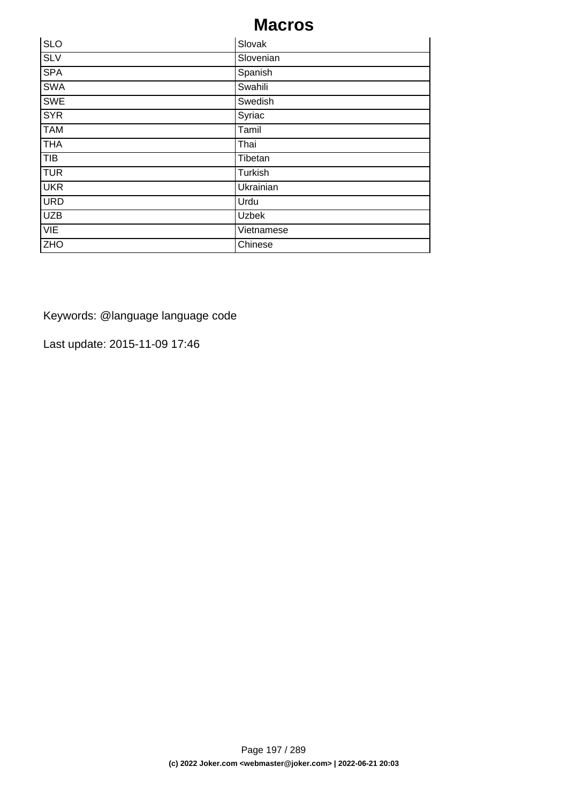| <b>SLO</b> | Slovak     |
|------------|------------|
| SLV        | Slovenian  |
| <b>SPA</b> | Spanish    |
| <b>SWA</b> | Swahili    |
| <b>SWE</b> | Swedish    |
| <b>SYR</b> | Syriac     |
| <b>TAM</b> | Tamil      |
| <b>THA</b> | Thai       |
| TIB        | Tibetan    |
| <b>TUR</b> | Turkish    |
| <b>UKR</b> | Ukrainian  |
| <b>URD</b> | Urdu       |
| <b>UZB</b> | Uzbek      |
| <b>VIE</b> | Vietnamese |
| <b>ZHO</b> | Chinese    |

Keywords: @language language code

Last update: 2015-11-09 17:46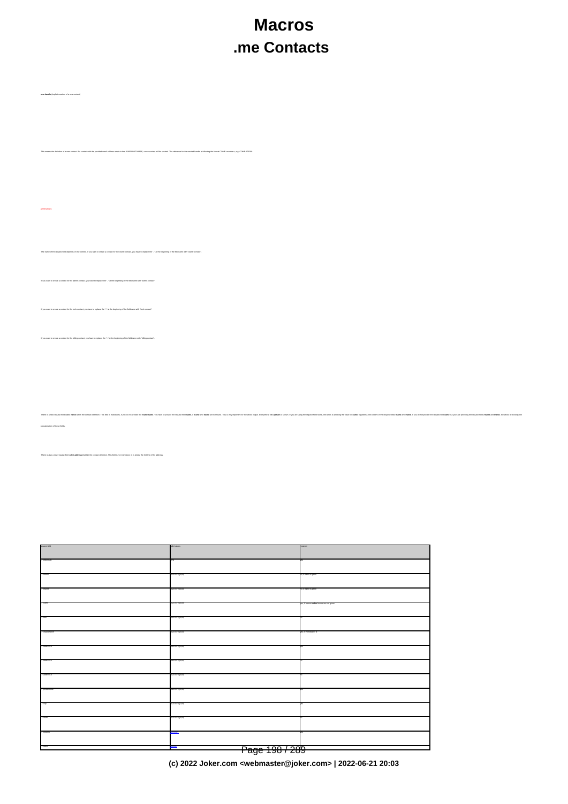# **Macros .me Contacts**

**new-handle** (implicit creation of a new contact)

n of a new contact. If a contact with the provided email address exists in the JOKER-OATABASE, a new contact will be created. The reference for the created handle is following the format COME-murriten-, e.g. COME-17628

| <b>ATTENTION:</b>                                                                                                                                                                               |                |                                                                                                                                                                                                                                |  |
|-------------------------------------------------------------------------------------------------------------------------------------------------------------------------------------------------|----------------|--------------------------------------------------------------------------------------------------------------------------------------------------------------------------------------------------------------------------------|--|
|                                                                                                                                                                                                 |                |                                                                                                                                                                                                                                |  |
|                                                                                                                                                                                                 |                |                                                                                                                                                                                                                                |  |
| The name of the request field depends on the context. If you want to create a contact for the owner-contact, you have to replace the "" at the beginning of the fieldname with "owner-contact". |                |                                                                                                                                                                                                                                |  |
|                                                                                                                                                                                                 |                |                                                                                                                                                                                                                                |  |
| If you want to create a contact for the admin-contact, you have to replace the "" at the beginning of the fieldname with "admin-contact".                                                       |                |                                                                                                                                                                                                                                |  |
|                                                                                                                                                                                                 |                |                                                                                                                                                                                                                                |  |
| If you want to create a contact for the tech-contact, you have to replace the "" at the beginning of the fieldname with "tech-contact".                                                         |                |                                                                                                                                                                                                                                |  |
|                                                                                                                                                                                                 |                |                                                                                                                                                                                                                                |  |
| If you want to create a contact for the billing-contact, you have to replace the "" at the beginning of the fieldname with "billing-contact".                                                   |                |                                                                                                                                                                                                                                |  |
|                                                                                                                                                                                                 |                |                                                                                                                                                                                                                                |  |
|                                                                                                                                                                                                 |                |                                                                                                                                                                                                                                |  |
|                                                                                                                                                                                                 |                |                                                                                                                                                                                                                                |  |
|                                                                                                                                                                                                 |                |                                                                                                                                                                                                                                |  |
|                                                                                                                                                                                                 |                | There is a new mount field called name withi the control delition. This list innodeny, if you do not provide the mount into the mount informal man in the mount of the mount of the mount of the web control in the control of |  |
| concateration of these fields.                                                                                                                                                                  |                |                                                                                                                                                                                                                                |  |
|                                                                                                                                                                                                 |                |                                                                                                                                                                                                                                |  |
| There is also a new request field called address-3 within the contact definition. This field is not mandatory, it is simply the 3rd line of the address.                                        |                |                                                                                                                                                                                                                                |  |
|                                                                                                                                                                                                 |                |                                                                                                                                                                                                                                |  |
|                                                                                                                                                                                                 |                |                                                                                                                                                                                                                                |  |
|                                                                                                                                                                                                 |                |                                                                                                                                                                                                                                |  |
|                                                                                                                                                                                                 |                |                                                                                                                                                                                                                                |  |
|                                                                                                                                                                                                 |                |                                                                                                                                                                                                                                |  |
|                                                                                                                                                                                                 |                |                                                                                                                                                                                                                                |  |
|                                                                                                                                                                                                 |                |                                                                                                                                                                                                                                |  |
|                                                                                                                                                                                                 |                |                                                                                                                                                                                                                                |  |
|                                                                                                                                                                                                 |                |                                                                                                                                                                                                                                |  |
|                                                                                                                                                                                                 |                |                                                                                                                                                                                                                                |  |
|                                                                                                                                                                                                 |                |                                                                                                                                                                                                                                |  |
|                                                                                                                                                                                                 |                |                                                                                                                                                                                                                                |  |
|                                                                                                                                                                                                 |                |                                                                                                                                                                                                                                |  |
|                                                                                                                                                                                                 |                |                                                                                                                                                                                                                                |  |
|                                                                                                                                                                                                 |                |                                                                                                                                                                                                                                |  |
|                                                                                                                                                                                                 |                |                                                                                                                                                                                                                                |  |
|                                                                                                                                                                                                 |                |                                                                                                                                                                                                                                |  |
|                                                                                                                                                                                                 |                |                                                                                                                                                                                                                                |  |
|                                                                                                                                                                                                 |                |                                                                                                                                                                                                                                |  |
| 'ensi                                                                                                                                                                                           |                |                                                                                                                                                                                                                                |  |
|                                                                                                                                                                                                 | Page 198 / 289 |                                                                                                                                                                                                                                |  |

**(c) 2022 Joker.com <webmaster@joker.com> | 2022-06-21 20:03**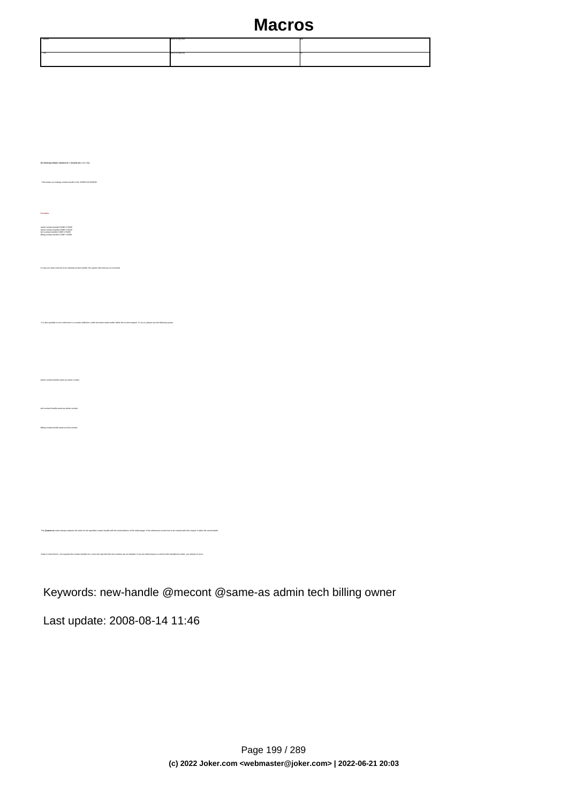| ."-phone | V20-V24(1.50)    |  |
|----------|------------------|--|
| $-500$   | (420-1474(83.50) |  |

The makro as me-as me-as me-as me-as me-as me-as me-as address of the makrotarget. If the referenced contact has to be created with this request, it takes the r

.<br>Keep in mind that contact handles for (.com/.net/.org/.info/.biz/.de)-contacts are not allowed. If you are referencing to a shortcut like hans@nose.net#1, you will get an error.

**An existing contact** (**@mecont** or **@same-as**) (.me only)

Examples:

owner-contact-handle:COME-176269 admin-contact-handle:COME-176229 tech-contact-handle:COME-176269 billing-contact-handle:COME-176269

admin-contact-handle:same-as-owner-contact

tech-contact-handle:same-as-admin-contact

billing-contact-handle:same-as-tech-contact

This means an existing contact handle in the JOKER-DATABASE.

In case you have entered a non-existing contact handle, the system will send you an errormail.

It is also possible to set a reference to a contact definition, which has been made earlier within the current request. To do so, please use the following syntax:

Keywords: new-handle @mecont @same-as admin tech billing owner

Last update: 2008-08-14 11:46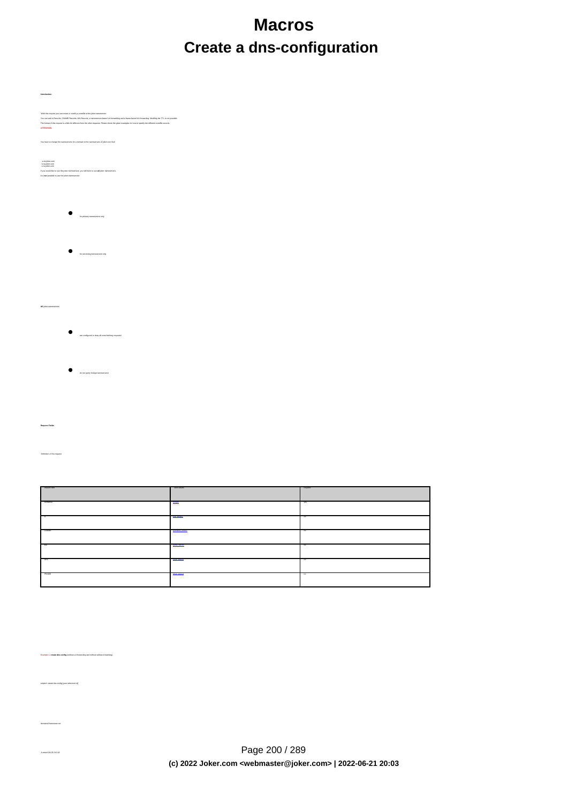# **Macros Create a dns-configuration**

**Introduction** With this request you can create or modify a zonefile at the joker-nameserver. You can add A-Records, CNAME-Records, MX-Records, a nameserice-based Uni-Iowanding and a trame-based Uni-Iowandeg. Modiling the TTL is not possible<br>The format of this request is a little bit different from the other reques **ATTENTION:** You have to change the nameservers for a domain to the nameservers of joker.com first! - a.ns.joker.com - b.ns.joker.com - c.ns.joker.com If you would like to use the joker-nameservice, you will have to use **all** joker-nameservers. It is **not** possible to use the joker-nameservice for primary nameservice only for secondarynameservice only **All** joker-nameservers are configured to deny all zone-fetching requests! do not query foreign nameservers! **Request Fields** Definition of this request request-field values required values walld values was approximately assumed values of the control of the control of the control of the control of the control of the control of the control of the control of the control of t domains0 **@footh** yes are all the contract of the contract of the contract of the contract of the contract of the contract of the contract of the contract of the contract of the contract of the contract of the contract of A @arecord not a more contract to the cord not a second notation of the cord not a more contract to the cord not a second not a second not a second not a second not a second not a second not a second not a second not a sec

CNAME [@cname\\_record](index.php?action=artikel&cat=67&id=397&artlang=en#cname_record) notation and contact and contact and contact and contact and contact and contact and contact and contact and contact and contact and contact and contact and contact and contact and contact and contact a  $MN$  . The cord notation of the cord notation of the cord notation of the cord notation of the cord notation of the cord notation of the cord notation of the cord notation of the cord notation of the cord notation of the c URL CONTINUES AND DESCRIPTION OF THE CONTINUES OF THE CONTINUES OF THE CONTINUES OF THE CONTINUES OF THE CONTINUES OF THE CONTINUES OF THE CONTINUES OF THE CONTINUES OF THE CONTINUES OF THE CONTINUES OF THE CONTINUES OF TH FRAME [@url\\_record](index.php?action=artikel&cat=67&id=397&artlang=en#url_record) not a material notation of the cord notation of the cord notation of the cord notation of the cord notation of the cord notation of the cord notation of the cord notation of the cord notation of the cord

Example 1: **create dns-config** (without url-forwarding and without wildcard-matching)

s<br>subsecte id]

domains0:hansnose.net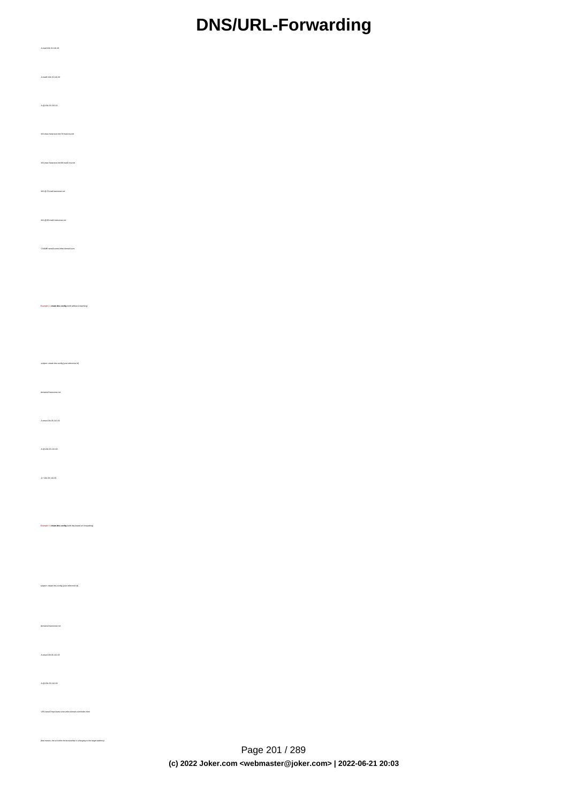# **DNS/URL-Forwarding**

| Amail:194.33.110.19                                                           |  |
|-------------------------------------------------------------------------------|--|
| Amai2:194.33.110.20                                                           |  |
| A 8:194.33.110.10                                                             |  |
| MX:www.hansness.net/Streat.nrw.net                                            |  |
| MX:www.hansnoss.net@cmai2.nrw.net                                             |  |
| $MX \otimes 70$ mal.haranose.net                                              |  |
| MX @:00.mai2.hananose.net                                                     |  |
| CNAME www.2 some other domain com                                             |  |
|                                                                               |  |
| Example 2: create dre-config (with wildcard-matching)                         |  |
| subject: create dra-config [your reference id]                                |  |
| domains0 hananose.net                                                         |  |
| Awww.194.33.110.19                                                            |  |
| $A = 194.33.110.19$                                                           |  |
| A1:194.33.110.20                                                              |  |
|                                                                               |  |
| Example 3: create dra-config (with dra-based uri-forwarding)                  |  |
|                                                                               |  |
| subject create dra-config (your reference $\mathrm{id}$ )                     |  |
| $d$ orraina<br>2 hananose.net                                                 |  |
| Awww.194.33.110.19                                                            |  |
| A 8:194.33.110.19                                                             |  |
| URL:www2.http://www.sone.other.domain.com/index.html                          |  |
| (that means, the un' within the browsector is changing to the terpet address) |  |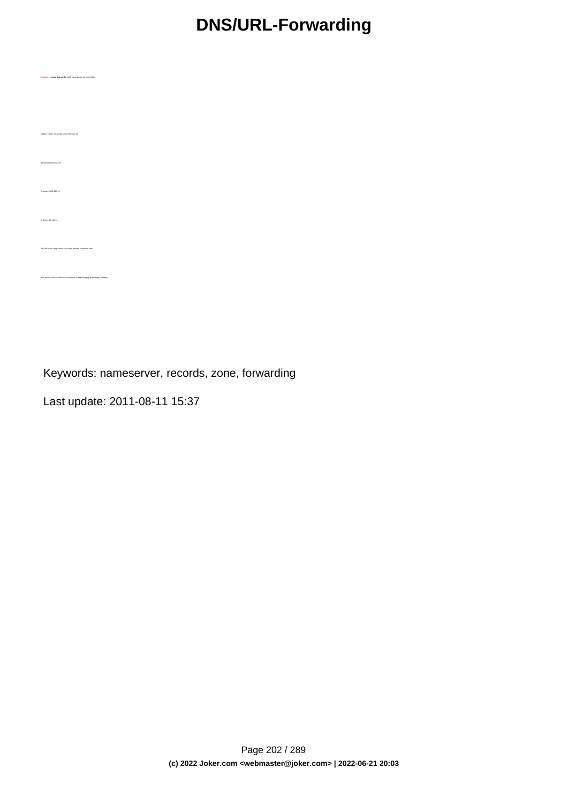# **DNS/URL-Forwarding**

Keywords: nameserver, records, zone, forwarding

Last update: 2011-08-11 15:37

Example 4: **create dns-config** (with frame**-**based url-forwarding)

subject: create dns-config [your reference id]

domains0:hansnose.net

A:www:194.33.110.19

A:@:194.33.110.19

FRAME:www2:http://www.sone.other.domain.com/index.html

(that means, the url within the browserbar is **not** changing to the target address)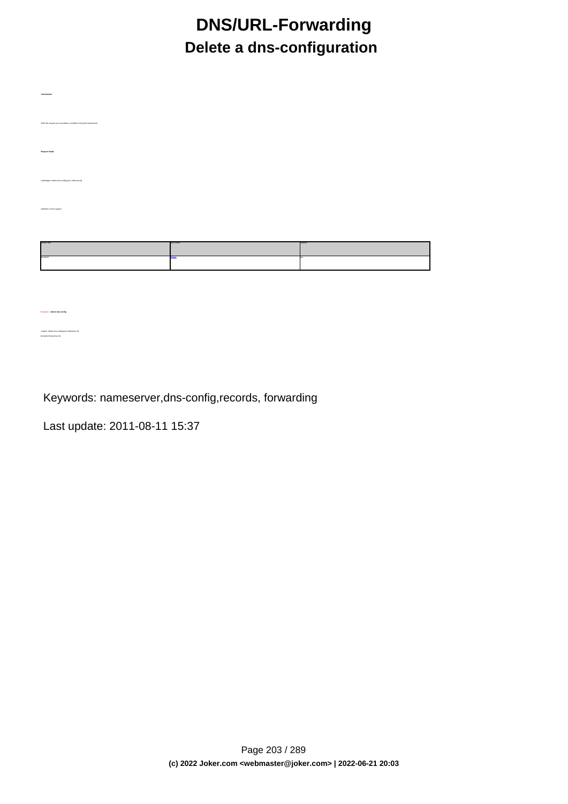# **DNS/URL-Forwarding Delete a dns-configuration**

 **Introduction** wit you can delete a zonefile at the joker-nameser  **Request fields** mailsubject: delete dns-config [your reference id] Definition of this request requested values of the control of the control of the control of the control of the control of the control of the control of the control of the control of the control of the control of the control of the control of the con domains0 [@fqdn](index.php?action=artikel&cat=67&id=395&artlang=en) yesus and westlike the control of the control of the control of the control of the control of the control of the control of the control of the control of the control of the control of the control of the cont

Keywords: nameserver,dns-config,records, forwarding

Last update: 2011-08-11 15:37

Example 1: **delete dns-config**

subject: delete dns-config [your reference id] domains0:hansnose.net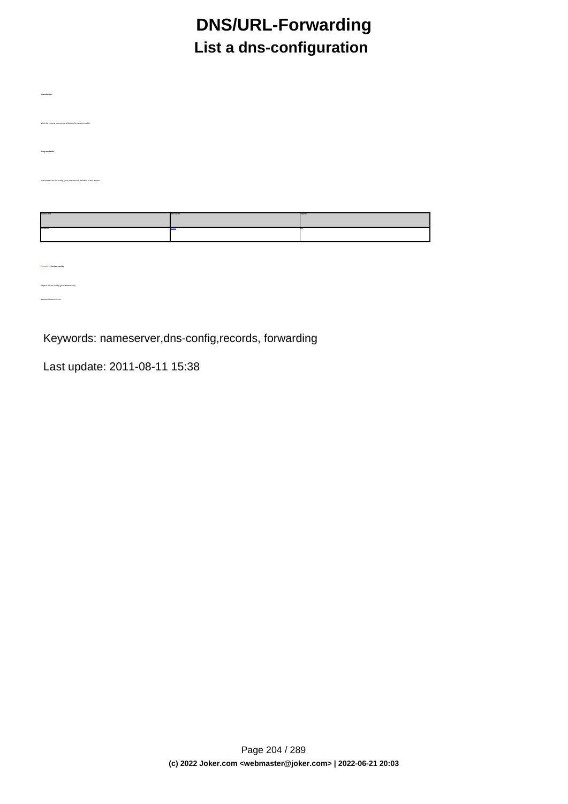# **DNS/URL-Forwarding List a dns-configuration**

| Introduction                                                               |          |  |
|----------------------------------------------------------------------------|----------|--|
| With this request you can get a listing of a current zonellie.             |          |  |
| Request fields                                                             |          |  |
|                                                                            |          |  |
| mailsubject list dns-config [your reference id] definition of this request |          |  |
|                                                                            | anum bir |  |
| ommen                                                                      | 1000     |  |
|                                                                            |          |  |
|                                                                            |          |  |
| Example 1: list dra-config                                                 |          |  |
| subject list dns-config [your reference id]                                |          |  |

Keywords: nameserver,dns-config,records, forwarding

Last update: 2011-08-11 15:38

domains0:hansnose.net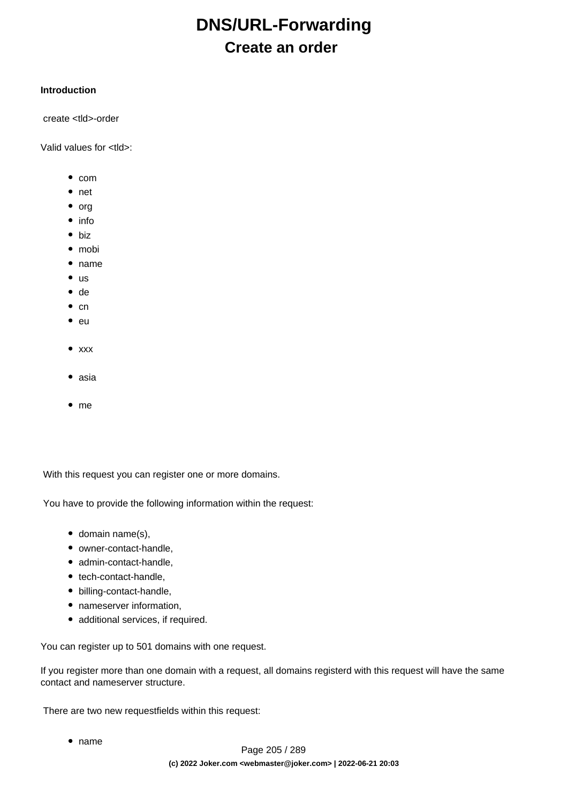# **DNS/URL-Forwarding Create an order**

#### **Introduction**

create <tld>-order

Valid values for <tld>:

- $\bullet$  com
- net
- $\bullet$  org
- info
- biz
- mobi
- name
- $\bullet$  us
- de
- $\bullet$  cn
- eu
- $\bullet$  xxx
- asia
- $em$ e me

With this request you can register one or more domains.

You have to provide the following information within the request:

- $\bullet$  domain name(s),
- owner-contact-handle,
- admin-contact-handle,
- tech-contact-handle,
- billing-contact-handle,
- nameserver information,
- additional services, if required.

You can register up to 501 domains with one request.

If you register more than one domain with a request, all domains registerd with this request will have the same contact and nameserver structure.

There are two new requestfields within this request:

name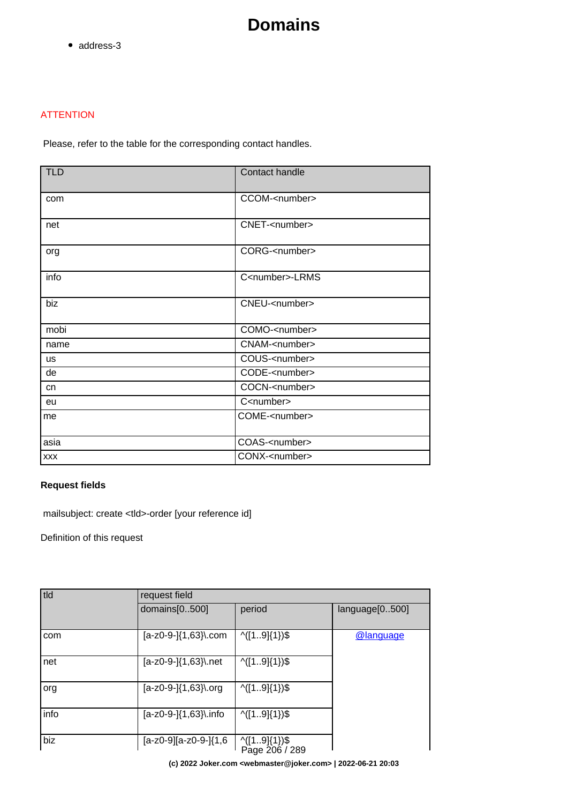• address-3

#### **ATTENTION**

Please, refer to the table for the corresponding contact handles.

| <b>TLD</b> | Contact handle           |  |
|------------|--------------------------|--|
| com        | CCOM- <number></number>  |  |
| net        | CNET- <number></number>  |  |
| org        | CORG- <number></number>  |  |
| info       | C <number>-LRMS</number> |  |
| biz        | CNEU- <number></number>  |  |
| mobi       | COMO- <number></number>  |  |
| name       | CNAM- <number></number>  |  |
| <b>us</b>  | COUS- <number></number>  |  |
| de         | CODE- <number></number>  |  |
| cn         | COCN- <number></number>  |  |
| eu         | C <number></number>      |  |
| me         | COME- <number></number>  |  |
| asia       | COAS- <number></number>  |  |
| <b>XXX</b> | CONX- <number></number>  |  |

#### **Request fields**

mailsubject: create <tld>-order [your reference id]

Definition of this request

| tld  | request field          |                                |                |  |
|------|------------------------|--------------------------------|----------------|--|
|      | domains[0500]          | period                         | language[0500] |  |
| com  | $[a-z0-9-](1,63)$ .com | $\wedge$ ([19] {1}) \$         | @language      |  |
| net  | [a-z0-9-]{1,63}\.net   | $\wedge$ ([19] {1}) \$         |                |  |
| org  | [a-z0-9-]{1,63}\.org   | $\wedge$ ([19] {1}) \$         |                |  |
| info | [a-z0-9-]{1,63}\.info  | $\wedge$ ([19] {1}) \$         |                |  |
| biz  | [a-z0-9][a-z0-9-]{1,6  | ^([19]{1})\$<br>Page 206 / 289 |                |  |

**(c) 2022 Joker.com <webmaster@joker.com> | 2022-06-21 20:03**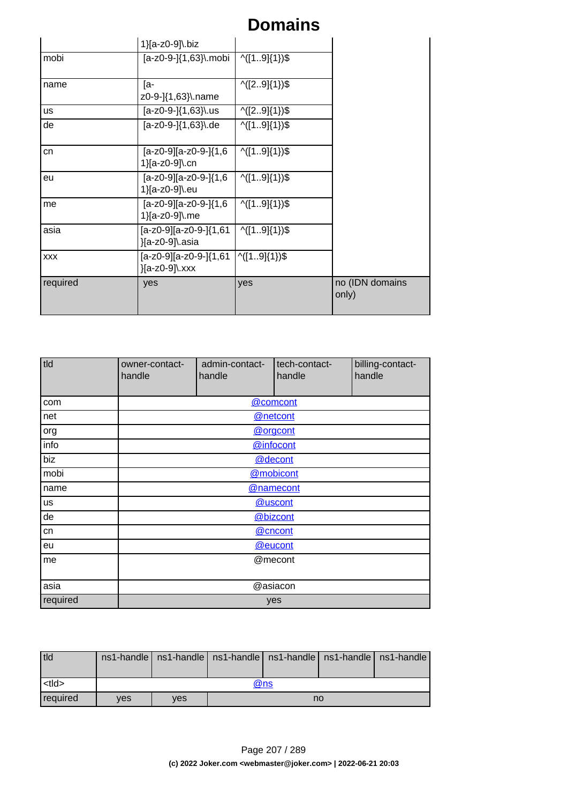|                                                  | 1}[a-z0-9]\.biz                              |                        |                          |
|--------------------------------------------------|----------------------------------------------|------------------------|--------------------------|
| mobi                                             | [a-z0-9-]{1,63}\.mobi                        | $\wedge$ ([19]{1})\$   |                          |
| name                                             | [a-<br>z0-9-]{1,63}\.name                    | $\binom{1}{2.9}(1)$    |                          |
| <b>us</b>                                        | [a-z0-9-]{1,63}\.us                          | $\binom{1}{2.9}(1)$    |                          |
| de                                               | $[a-z0-9-](1,63)$ .de                        | $\wedge$ ([19] {1}) \$ |                          |
| $[a-z0-9][a-z0-9-](1,6)$<br>cn<br>1}[a-z0-9]\.cn |                                              | $\wedge$ ([19] {1}) \$ |                          |
| eu                                               | $[a-z0-9][a-z0-9-](1,6)$<br>1}[a-z0-9]\.eu   | $\wedge$ ([19] {1}) \$ |                          |
| me                                               | $[a-z0-9][a-z0-9-](1,6)$<br>1}[a-z0-9]\.me   | $\binom{1.9}{1.3}$     |                          |
| asia                                             | $[a-z0-9][a-z0-9-](1,61)$<br>}[a-z0-9]\.asia | $\binom{1.9}{1.3}$     |                          |
| <b>XXX</b>                                       | $[a-z0-9][a-z0-9-](1,61)$<br>}[a-z0-9]\.xxx  | ^([19]{1})\$           |                          |
| required                                         | yes                                          | yes                    | no (IDN domains<br>only) |

| tld      | owner-contact-<br>handle | admin-contact-<br>handle | tech-contact-<br>handle | billing-contact-<br>handle |  |
|----------|--------------------------|--------------------------|-------------------------|----------------------------|--|
| com      |                          |                          | @comcont                |                            |  |
| net      |                          |                          | @netcont                |                            |  |
| org      |                          | @orgcont                 |                         |                            |  |
| info     |                          |                          | @infocont               |                            |  |
| biz      |                          | @decont                  |                         |                            |  |
| mobi     |                          | @mobicont                |                         |                            |  |
| name     | @namecont                |                          |                         |                            |  |
| us       | @uscont                  |                          |                         |                            |  |
| de       | @bizcont                 |                          |                         |                            |  |
| cn       | @cncont                  |                          |                         |                            |  |
| eu       | @eucont                  |                          |                         |                            |  |
| me       | @mecont                  |                          |                         |                            |  |
| asia     | @asiacon                 |                          |                         |                            |  |
| required | yes                      |                          |                         |                            |  |

| tld             |            |     |    |  |  | ns1-handle   ns1-handle   ns1-handle   ns1-handle   ns1-handle   ns1-handle |
|-----------------|------------|-----|----|--|--|-----------------------------------------------------------------------------|
|                 |            |     |    |  |  |                                                                             |
| <tld></tld>     | @ns        |     |    |  |  |                                                                             |
| <b>required</b> | <b>ves</b> | ves | no |  |  |                                                                             |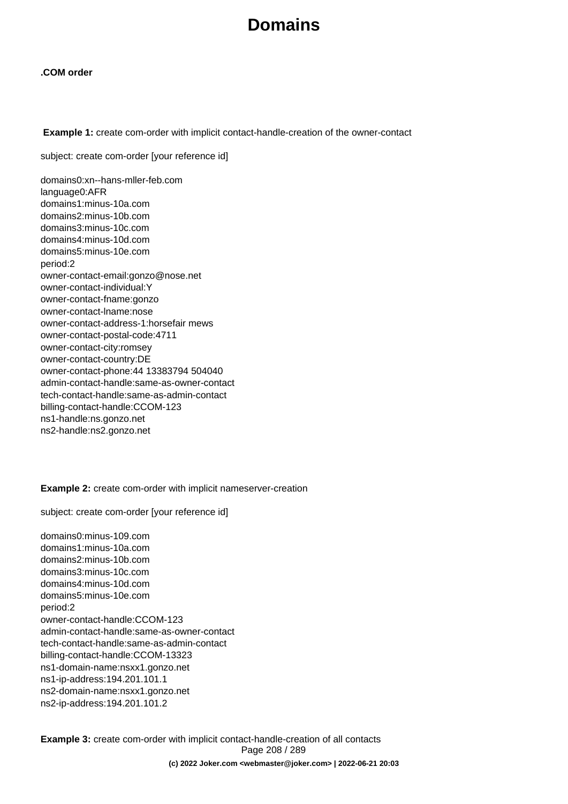#### **.COM order**

 **Example 1:** create com-order with implicit contact-handle-creation of the owner-contact

subject: create com-order [your reference id]

domains0:xn--hans-mller-feb.com language0:AFR domains1:minus-10a.com domains2:minus-10b.com domains3:minus-10c.com domains4:minus-10d.com domains5:minus-10e.com period:2 owner-contact-email:gonzo@nose.net owner-contact-individual:Y owner-contact-fname:gonzo owner-contact-lname:nose owner-contact-address-1:horsefair mews owner-contact-postal-code:4711 owner-contact-city:romsey owner-contact-country:DE owner-contact-phone:44 13383794 504040 admin-contact-handle:same-as-owner-contact tech-contact-handle:same-as-admin-contact billing-contact-handle:CCOM-123 ns1-handle:ns.gonzo.net ns2-handle:ns2.gonzo.net

#### **Example 2:** create com-order with implicit nameserver-creation

subject: create com-order [your reference id]

domains0:minus-109.com domains1:minus-10a.com domains2:minus-10b.com domains3:minus-10c.com domains4:minus-10d.com domains5:minus-10e.com period:2 owner-contact-handle:CCOM-123 admin-contact-handle:same-as-owner-contact tech-contact-handle:same-as-admin-contact billing-contact-handle:CCOM-13323 ns1-domain-name:nsxx1.gonzo.net ns1-ip-address:194.201.101.1 ns2-domain-name:nsxx1.gonzo.net ns2-ip-address:194.201.101.2

**Example 3:** create com-order with implicit contact-handle-creation of all contacts Page 208 / 289 **(c) 2022 Joker.com <webmaster@joker.com> | 2022-06-21 20:03**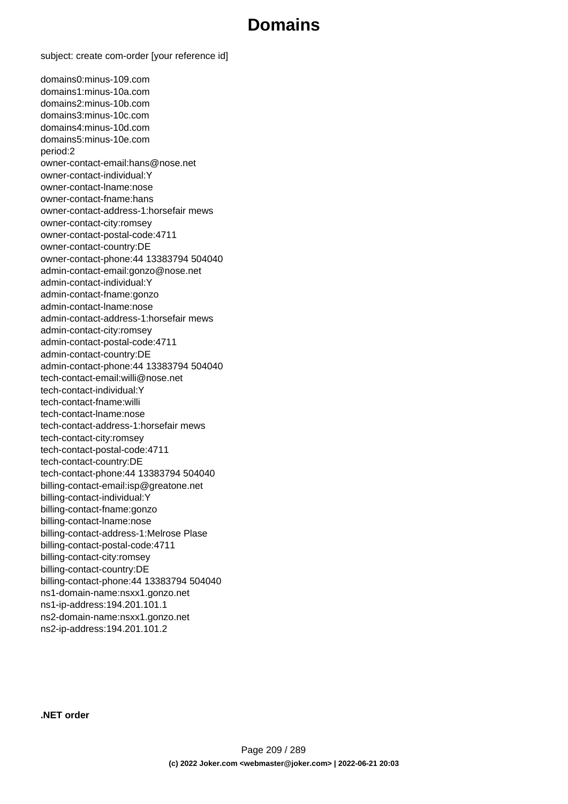subject: create com-order [your reference id]

domains0:minus-109.com domains1:minus-10a.com domains2:minus-10b.com domains3:minus-10c.com domains4:minus-10d.com domains5:minus-10e.com period:2 owner-contact-email:hans@nose.net owner-contact-individual:Y owner-contact-lname:nose owner-contact-fname:hans owner-contact-address-1:horsefair mews owner-contact-city:romsey owner-contact-postal-code:4711 owner-contact-country:DE owner-contact-phone:44 13383794 504040 admin-contact-email:gonzo@nose.net admin-contact-individual:Y admin-contact-fname:gonzo admin-contact-lname:nose admin-contact-address-1:horsefair mews admin-contact-city:romsey admin-contact-postal-code:4711 admin-contact-country:DE admin-contact-phone:44 13383794 504040 tech-contact-email:willi@nose.net tech-contact-individual:Y tech-contact-fname:willi tech-contact-lname:nose tech-contact-address-1:horsefair mews tech-contact-city:romsey tech-contact-postal-code:4711 tech-contact-country:DE tech-contact-phone:44 13383794 504040 billing-contact-email:isp@greatone.net billing-contact-individual:Y billing-contact-fname:gonzo billing-contact-lname:nose billing-contact-address-1:Melrose Plase billing-contact-postal-code:4711 billing-contact-city:romsey billing-contact-country:DE billing-contact-phone:44 13383794 504040 ns1-domain-name:nsxx1.gonzo.net ns1-ip-address:194.201.101.1 ns2-domain-name:nsxx1.gonzo.net ns2-ip-address:194.201.101.2

**.NET order**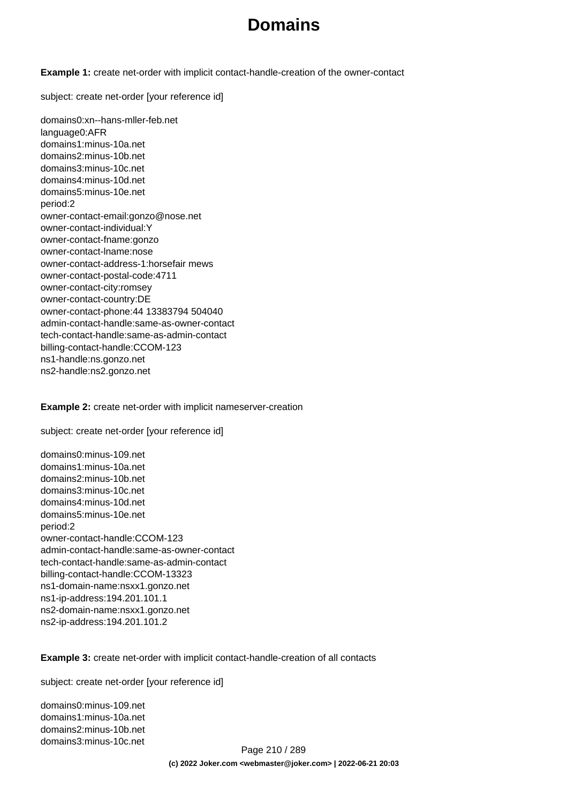**Example 1:** create net-order with implicit contact-handle-creation of the owner-contact

subject: create net-order [your reference id]

domains0:xn--hans-mller-feb.net language0:AFR domains1:minus-10a.net domains2:minus-10b.net domains3:minus-10c.net domains4:minus-10d.net domains5:minus-10e.net period:2 owner-contact-email:gonzo@nose.net owner-contact-individual:Y owner-contact-fname:gonzo owner-contact-lname:nose owner-contact-address-1:horsefair mews owner-contact-postal-code:4711 owner-contact-city:romsey owner-contact-country:DE owner-contact-phone:44 13383794 504040 admin-contact-handle:same-as-owner-contact tech-contact-handle:same-as-admin-contact billing-contact-handle:CCOM-123 ns1-handle:ns.gonzo.net ns2-handle:ns2.gonzo.net

**Example 2:** create net-order with implicit nameserver-creation

subject: create net-order [your reference id]

domains0:minus-109.net domains1:minus-10a.net domains2:minus-10b.net domains3:minus-10c.net domains4:minus-10d.net domains5:minus-10e.net period:2 owner-contact-handle:CCOM-123 admin-contact-handle:same-as-owner-contact tech-contact-handle:same-as-admin-contact billing-contact-handle:CCOM-13323 ns1-domain-name:nsxx1.gonzo.net ns1-ip-address:194.201.101.1 ns2-domain-name:nsxx1.gonzo.net ns2-ip-address:194.201.101.2

**Example 3:** create net-order with implicit contact-handle-creation of all contacts

subject: create net-order [your reference id]

domains0:minus-109.net domains1:minus-10a.net domains2:minus-10b.net domains3:minus-10c.net

Page 210 / 289 **(c) 2022 Joker.com <webmaster@joker.com> | 2022-06-21 20:03**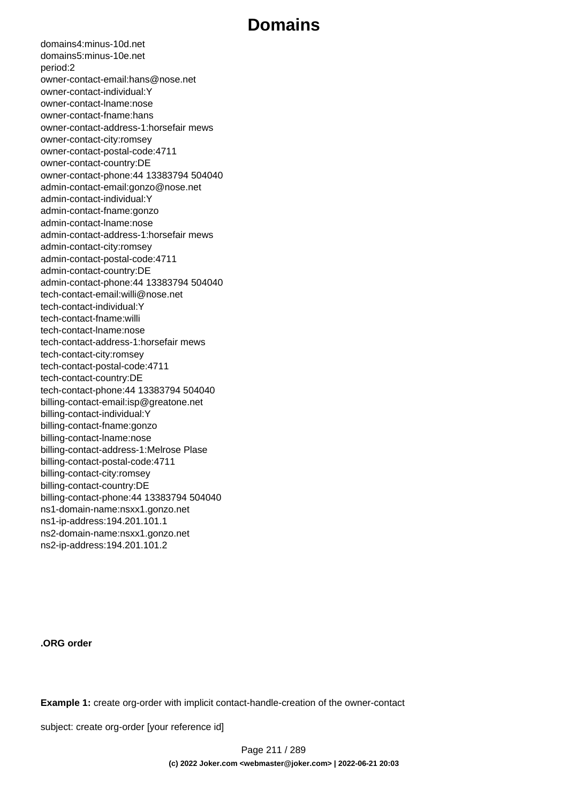domains4:minus-10d.net domains5:minus-10e.net period:2 owner-contact-email:hans@nose.net owner-contact-individual:Y owner-contact-lname:nose owner-contact-fname:hans owner-contact-address-1:horsefair mews owner-contact-city:romsey owner-contact-postal-code:4711 owner-contact-country:DE owner-contact-phone:44 13383794 504040 admin-contact-email:gonzo@nose.net admin-contact-individual:Y admin-contact-fname:gonzo admin-contact-lname:nose admin-contact-address-1:horsefair mews admin-contact-city:romsey admin-contact-postal-code:4711 admin-contact-country:DE admin-contact-phone:44 13383794 504040 tech-contact-email:willi@nose.net tech-contact-individual:Y tech-contact-fname:willi tech-contact-lname:nose tech-contact-address-1:horsefair mews tech-contact-city:romsey tech-contact-postal-code:4711 tech-contact-country:DE tech-contact-phone:44 13383794 504040 billing-contact-email:isp@greatone.net billing-contact-individual:Y billing-contact-fname:gonzo billing-contact-lname:nose billing-contact-address-1:Melrose Plase billing-contact-postal-code:4711 billing-contact-city:romsey billing-contact-country:DE billing-contact-phone:44 13383794 504040 ns1-domain-name:nsxx1.gonzo.net ns1-ip-address:194.201.101.1 ns2-domain-name:nsxx1.gonzo.net ns2-ip-address:194.201.101.2

**.ORG order** 

**Example 1:** create org-order with implicit contact-handle-creation of the owner-contact

subject: create org-order [your reference id]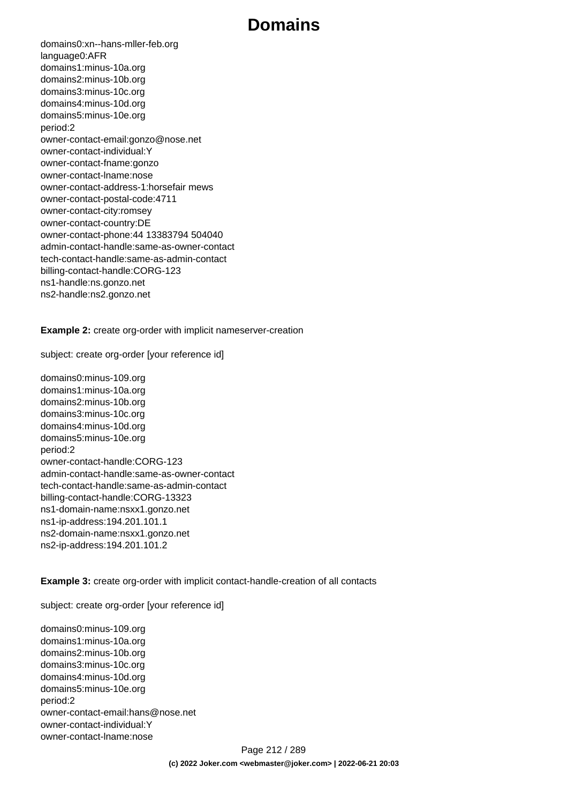domains0:xn--hans-mller-feb.org language0:AFR domains1:minus-10a.org domains2:minus-10b.org domains3:minus-10c.org domains4:minus-10d.org domains5:minus-10e.org period:2 owner-contact-email:gonzo@nose.net owner-contact-individual:Y owner-contact-fname:gonzo owner-contact-lname:nose owner-contact-address-1:horsefair mews owner-contact-postal-code:4711 owner-contact-city:romsey owner-contact-country:DE owner-contact-phone:44 13383794 504040 admin-contact-handle:same-as-owner-contact tech-contact-handle:same-as-admin-contact billing-contact-handle:CORG-123 ns1-handle:ns.gonzo.net ns2-handle:ns2.gonzo.net

**Example 2:** create org-order with implicit nameserver-creation

subject: create org-order [your reference id]

domains0:minus-109.org domains1:minus-10a.org domains2:minus-10b.org domains3:minus-10c.org domains4:minus-10d.org domains5:minus-10e.org period:2 owner-contact-handle:CORG-123 admin-contact-handle:same-as-owner-contact tech-contact-handle:same-as-admin-contact billing-contact-handle:CORG-13323 ns1-domain-name:nsxx1.gonzo.net ns1-ip-address:194.201.101.1 ns2-domain-name:nsxx1.gonzo.net ns2-ip-address:194.201.101.2

**Example 3:** create org-order with implicit contact-handle-creation of all contacts

subject: create org-order [your reference id]

domains0:minus-109.org domains1:minus-10a.org domains2:minus-10b.org domains3:minus-10c.org domains4:minus-10d.org domains5:minus-10e.org period:2 owner-contact-email:hans@nose.net owner-contact-individual:Y owner-contact-lname:nose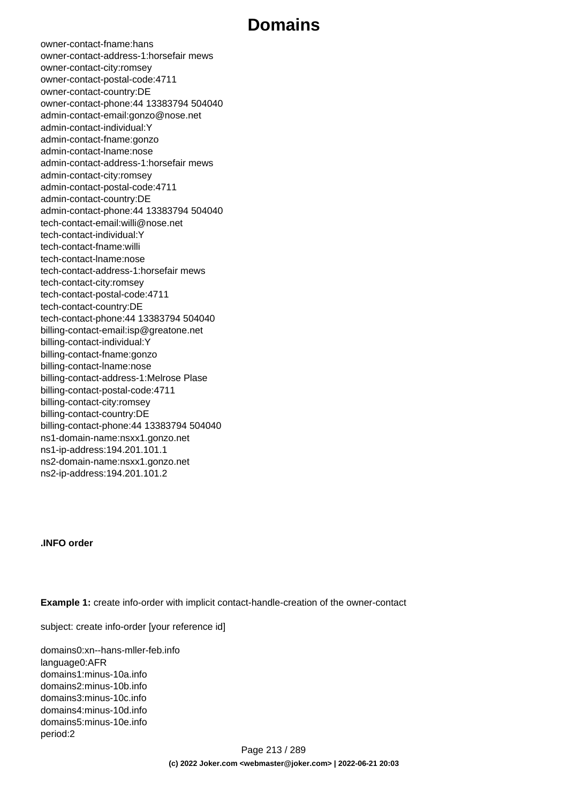owner-contact-fname:hans owner-contact-address-1:horsefair mews owner-contact-city:romsey owner-contact-postal-code:4711 owner-contact-country:DE owner-contact-phone:44 13383794 504040 admin-contact-email:gonzo@nose.net admin-contact-individual:Y admin-contact-fname:gonzo admin-contact-lname:nose admin-contact-address-1:horsefair mews admin-contact-city:romsey admin-contact-postal-code:4711 admin-contact-country:DE admin-contact-phone:44 13383794 504040 tech-contact-email:willi@nose.net tech-contact-individual:Y tech-contact-fname:willi tech-contact-lname:nose tech-contact-address-1:horsefair mews tech-contact-city:romsey tech-contact-postal-code:4711 tech-contact-country:DE tech-contact-phone:44 13383794 504040 billing-contact-email:isp@greatone.net billing-contact-individual:Y billing-contact-fname:gonzo billing-contact-lname:nose billing-contact-address-1:Melrose Plase billing-contact-postal-code:4711 billing-contact-city:romsey billing-contact-country:DE billing-contact-phone:44 13383794 504040 ns1-domain-name:nsxx1.gonzo.net ns1-ip-address:194.201.101.1 ns2-domain-name:nsxx1.gonzo.net ns2-ip-address:194.201.101.2

#### **.INFO order**

**Example 1:** create info-order with implicit contact-handle-creation of the owner-contact

subject: create info-order [your reference id]

domains0:xn--hans-mller-feb.info language0:AFR domains1:minus-10a.info domains2:minus-10b.info domains3:minus-10c.info domains4:minus-10d.info domains5:minus-10e.info period:2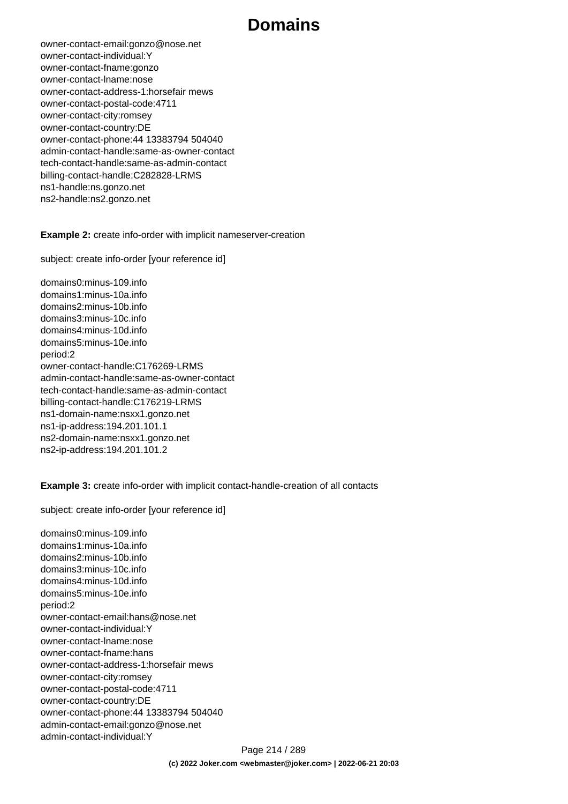owner-contact-email:gonzo@nose.net owner-contact-individual:Y owner-contact-fname:gonzo owner-contact-lname:nose owner-contact-address-1:horsefair mews owner-contact-postal-code:4711 owner-contact-city:romsey owner-contact-country:DE owner-contact-phone:44 13383794 504040 admin-contact-handle:same-as-owner-contact tech-contact-handle:same-as-admin-contact billing-contact-handle:C282828-LRMS ns1-handle:ns.gonzo.net ns2-handle:ns2.gonzo.net

#### **Example 2:** create info-order with implicit nameserver-creation

subject: create info-order [your reference id]

domains0:minus-109.info domains1:minus-10a.info domains2:minus-10b.info domains3:minus-10c.info domains4:minus-10d.info domains5:minus-10e.info period:2 owner-contact-handle:C176269-LRMS admin-contact-handle:same-as-owner-contact tech-contact-handle:same-as-admin-contact billing-contact-handle:C176219-LRMS ns1-domain-name:nsxx1.gonzo.net ns1-ip-address:194.201.101.1 ns2-domain-name:nsxx1.gonzo.net ns2-ip-address:194.201.101.2

**Example 3:** create info-order with implicit contact-handle-creation of all contacts

subject: create info-order [your reference id]

domains0:minus-109.info domains1:minus-10a.info domains2:minus-10b.info domains3:minus-10c.info domains4:minus-10d.info domains5:minus-10e.info period:2 owner-contact-email:hans@nose.net owner-contact-individual:Y owner-contact-lname:nose owner-contact-fname:hans owner-contact-address-1:horsefair mews owner-contact-city:romsey owner-contact-postal-code:4711 owner-contact-country:DE owner-contact-phone:44 13383794 504040 admin-contact-email:gonzo@nose.net admin-contact-individual:Y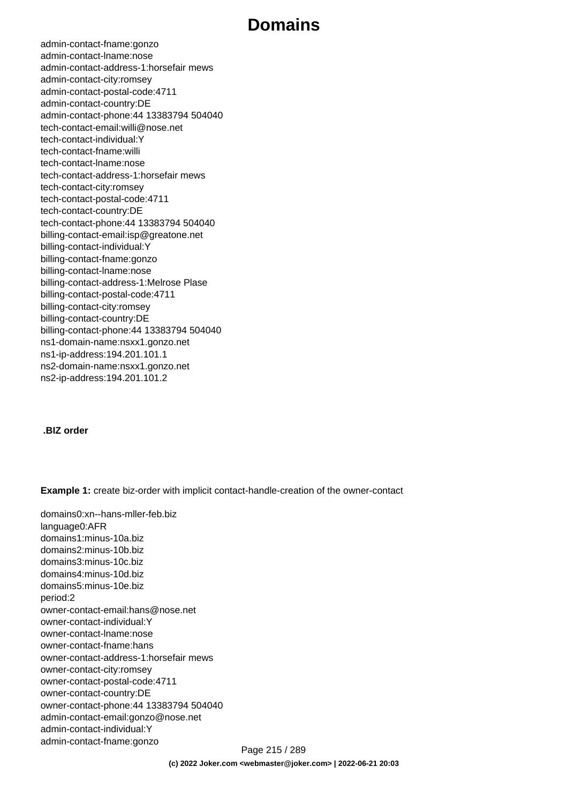admin-contact-fname:gonzo admin-contact-lname:nose admin-contact-address-1:horsefair mews admin-contact-city:romsey admin-contact-postal-code:4711 admin-contact-country:DE admin-contact-phone:44 13383794 504040 tech-contact-email:willi@nose.net tech-contact-individual:Y tech-contact-fname:willi tech-contact-lname:nose tech-contact-address-1:horsefair mews tech-contact-city:romsey tech-contact-postal-code:4711 tech-contact-country:DE tech-contact-phone:44 13383794 504040 billing-contact-email:isp@greatone.net billing-contact-individual:Y billing-contact-fname:gonzo billing-contact-lname:nose billing-contact-address-1:Melrose Plase billing-contact-postal-code:4711 billing-contact-city:romsey billing-contact-country:DE billing-contact-phone:44 13383794 504040 ns1-domain-name:nsxx1.gonzo.net ns1-ip-address:194.201.101.1 ns2-domain-name:nsxx1.gonzo.net ns2-ip-address:194.201.101.2

#### **.BIZ order**

**Example 1:** create biz-order with implicit contact-handle-creation of the owner-contact

domains0:xn--hans-mller-feb.biz language0:AFR domains1:minus-10a.biz domains2:minus-10b.biz domains3:minus-10c.biz domains4:minus-10d.biz domains5:minus-10e.biz period:2 owner-contact-email:hans@nose.net owner-contact-individual:Y owner-contact-lname:nose owner-contact-fname:hans owner-contact-address-1:horsefair mews owner-contact-city:romsey owner-contact-postal-code:4711 owner-contact-country:DE owner-contact-phone:44 13383794 504040 admin-contact-email:gonzo@nose.net admin-contact-individual:Y admin-contact-fname:gonzo Page 215 / 289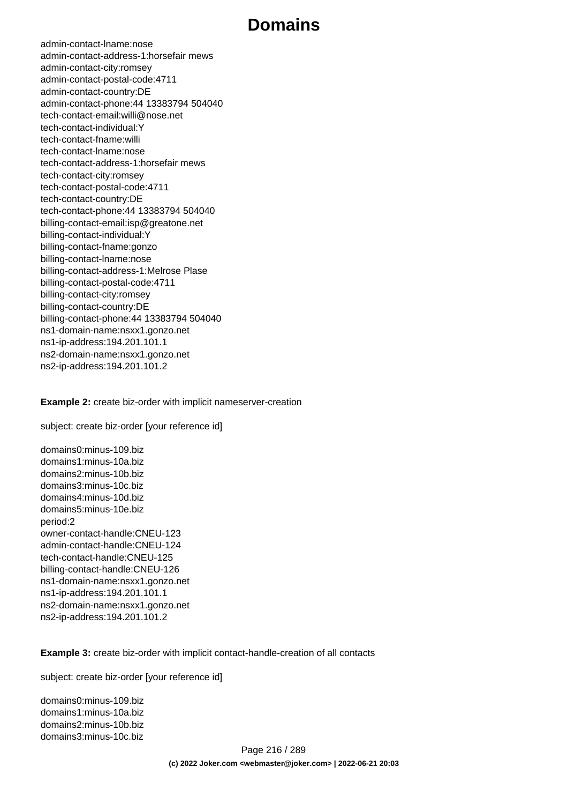admin-contact-lname:nose admin-contact-address-1:horsefair mews admin-contact-city:romsey admin-contact-postal-code:4711 admin-contact-country:DE admin-contact-phone:44 13383794 504040 tech-contact-email:willi@nose.net tech-contact-individual:Y tech-contact-fname:willi tech-contact-lname:nose tech-contact-address-1:horsefair mews tech-contact-city:romsey tech-contact-postal-code:4711 tech-contact-country:DE tech-contact-phone:44 13383794 504040 billing-contact-email:isp@greatone.net billing-contact-individual:Y billing-contact-fname:gonzo billing-contact-lname:nose billing-contact-address-1:Melrose Plase billing-contact-postal-code:4711 billing-contact-city:romsey billing-contact-country:DE billing-contact-phone:44 13383794 504040 ns1-domain-name:nsxx1.gonzo.net ns1-ip-address:194.201.101.1 ns2-domain-name:nsxx1.gonzo.net ns2-ip-address:194.201.101.2

**Example 2:** create biz-order with implicit nameserver-creation

subject: create biz-order [your reference id]

domains0:minus-109.biz domains1:minus-10a.biz domains2:minus-10b.biz domains3:minus-10c.biz domains4:minus-10d.biz domains5:minus-10e.biz period:2 owner-contact-handle:CNEU-123 admin-contact-handle:CNEU-124 tech-contact-handle:CNEU-125 billing-contact-handle:CNEU-126 ns1-domain-name:nsxx1.gonzo.net ns1-ip-address:194.201.101.1 ns2-domain-name:nsxx1.gonzo.net ns2-ip-address:194.201.101.2

**Example 3:** create biz-order with implicit contact-handle-creation of all contacts

subject: create biz-order [your reference id]

domains0:minus-109.biz domains1:minus-10a.biz domains2:minus-10b.biz domains3:minus-10c.biz

> Page 216 / 289 **(c) 2022 Joker.com <webmaster@joker.com> | 2022-06-21 20:03**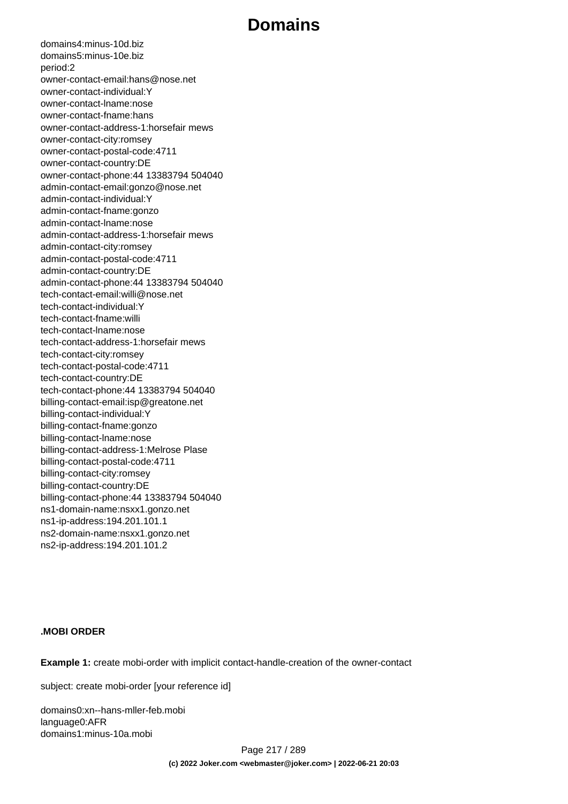domains4:minus-10d.biz domains5:minus-10e.biz period:2 owner-contact-email:hans@nose.net owner-contact-individual:Y owner-contact-lname:nose owner-contact-fname:hans owner-contact-address-1:horsefair mews owner-contact-city:romsey owner-contact-postal-code:4711 owner-contact-country:DE owner-contact-phone:44 13383794 504040 admin-contact-email:gonzo@nose.net admin-contact-individual:Y admin-contact-fname:gonzo admin-contact-lname:nose admin-contact-address-1:horsefair mews admin-contact-city:romsey admin-contact-postal-code:4711 admin-contact-country:DE admin-contact-phone:44 13383794 504040 tech-contact-email:willi@nose.net tech-contact-individual:Y tech-contact-fname:willi tech-contact-lname:nose tech-contact-address-1:horsefair mews tech-contact-city:romsey tech-contact-postal-code:4711 tech-contact-country:DE tech-contact-phone:44 13383794 504040 billing-contact-email:isp@greatone.net billing-contact-individual:Y billing-contact-fname:gonzo billing-contact-lname:nose billing-contact-address-1:Melrose Plase billing-contact-postal-code:4711 billing-contact-city:romsey billing-contact-country:DE billing-contact-phone:44 13383794 504040 ns1-domain-name:nsxx1.gonzo.net ns1-ip-address:194.201.101.1 ns2-domain-name:nsxx1.gonzo.net ns2-ip-address:194.201.101.2

#### **.MOBI ORDER**

**Example 1:** create mobi-order with implicit contact-handle-creation of the owner-contact

subject: create mobi-order [your reference id]

domains0:xn--hans-mller-feb.mobi language0:AFR domains1:minus-10a.mobi

> Page 217 / 289 **(c) 2022 Joker.com <webmaster@joker.com> | 2022-06-21 20:03**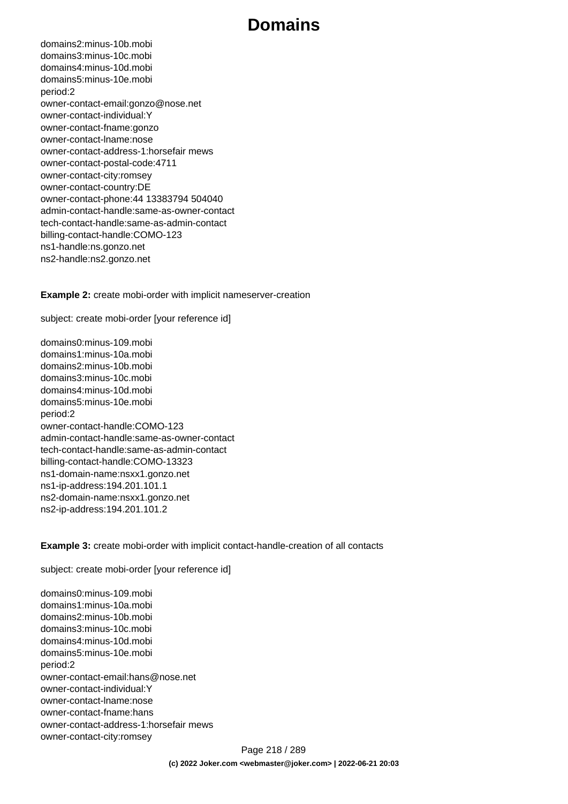domains2:minus-10b.mobi domains3:minus-10c.mobi domains4:minus-10d.mobi domains5:minus-10e.mobi period:2 owner-contact-email:gonzo@nose.net owner-contact-individual:Y owner-contact-fname:gonzo owner-contact-lname:nose owner-contact-address-1:horsefair mews owner-contact-postal-code:4711 owner-contact-city:romsey owner-contact-country:DE owner-contact-phone:44 13383794 504040 admin-contact-handle:same-as-owner-contact tech-contact-handle:same-as-admin-contact billing-contact-handle:COMO-123 ns1-handle:ns.gonzo.net ns2-handle:ns2.gonzo.net

**Example 2:** create mobi-order with implicit nameserver-creation

subject: create mobi-order [your reference id]

domains0:minus-109.mobi domains1:minus-10a.mobi domains2:minus-10b.mobi domains3:minus-10c.mobi domains4:minus-10d.mobi domains5:minus-10e.mobi period:2 owner-contact-handle:COMO-123 admin-contact-handle:same-as-owner-contact tech-contact-handle:same-as-admin-contact billing-contact-handle:COMO-13323 ns1-domain-name:nsxx1.gonzo.net ns1-ip-address:194.201.101.1 ns2-domain-name:nsxx1.gonzo.net ns2-ip-address:194.201.101.2

**Example 3:** create mobi-order with implicit contact-handle-creation of all contacts

subject: create mobi-order [your reference id]

domains0:minus-109.mobi domains1:minus-10a.mobi domains2:minus-10b.mobi domains3:minus-10c.mobi domains4:minus-10d.mobi domains5:minus-10e.mobi period:2 owner-contact-email:hans@nose.net owner-contact-individual:Y owner-contact-lname:nose owner-contact-fname:hans owner-contact-address-1:horsefair mews owner-contact-city:romsey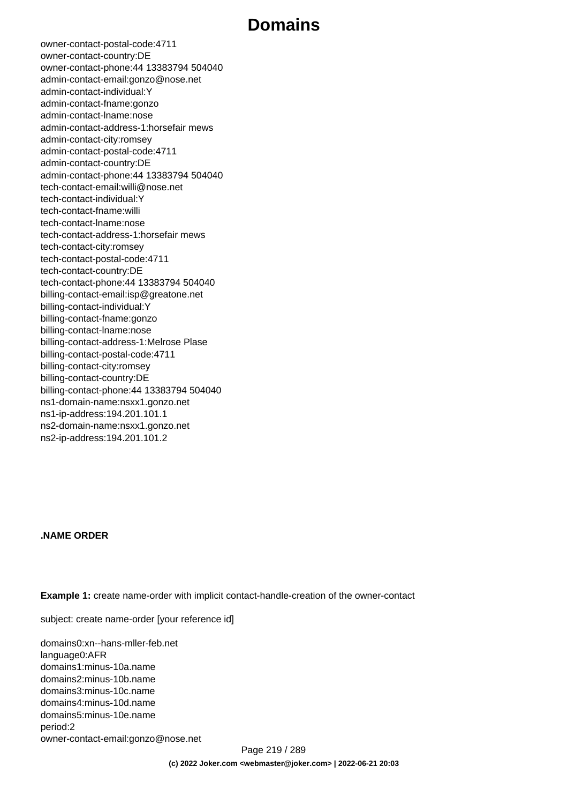owner-contact-postal-code:4711 owner-contact-country:DE owner-contact-phone:44 13383794 504040 admin-contact-email:gonzo@nose.net admin-contact-individual:Y admin-contact-fname:gonzo admin-contact-lname:nose admin-contact-address-1:horsefair mews admin-contact-city:romsey admin-contact-postal-code:4711 admin-contact-country:DE admin-contact-phone:44 13383794 504040 tech-contact-email:willi@nose.net tech-contact-individual:Y tech-contact-fname:willi tech-contact-lname:nose tech-contact-address-1:horsefair mews tech-contact-city:romsey tech-contact-postal-code:4711 tech-contact-country:DE tech-contact-phone:44 13383794 504040 billing-contact-email:isp@greatone.net billing-contact-individual:Y billing-contact-fname:gonzo billing-contact-lname:nose billing-contact-address-1:Melrose Plase billing-contact-postal-code:4711 billing-contact-city:romsey billing-contact-country:DE billing-contact-phone:44 13383794 504040 ns1-domain-name:nsxx1.gonzo.net ns1-ip-address:194.201.101.1 ns2-domain-name:nsxx1.gonzo.net ns2-ip-address:194.201.101.2

#### **.NAME ORDER**

**Example 1:** create name-order with implicit contact-handle-creation of the owner-contact

subject: create name-order [your reference id]

domains0:xn--hans-mller-feb.net language0:AFR domains1:minus-10a.name domains2:minus-10b.name domains3:minus-10c.name domains4:minus-10d.name domains5:minus-10e.name period:2 owner-contact-email:gonzo@nose.net

Page 219 / 289 **(c) 2022 Joker.com <webmaster@joker.com> | 2022-06-21 20:03**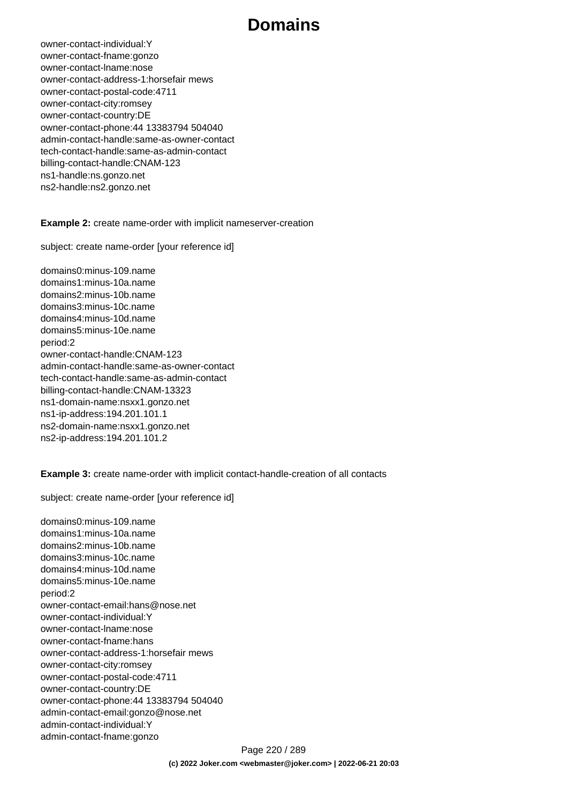owner-contact-individual:Y owner-contact-fname:gonzo owner-contact-lname:nose owner-contact-address-1:horsefair mews owner-contact-postal-code:4711 owner-contact-city:romsey owner-contact-country:DE owner-contact-phone:44 13383794 504040 admin-contact-handle:same-as-owner-contact tech-contact-handle:same-as-admin-contact billing-contact-handle:CNAM-123 ns1-handle:ns.gonzo.net ns2-handle:ns2.gonzo.net

**Example 2:** create name-order with implicit nameserver-creation

subject: create name-order [your reference id]

domains0:minus-109.name domains1:minus-10a.name domains2:minus-10b.name domains3:minus-10c.name domains4:minus-10d.name domains5:minus-10e.name period:2 owner-contact-handle:CNAM-123 admin-contact-handle:same-as-owner-contact tech-contact-handle:same-as-admin-contact billing-contact-handle:CNAM-13323 ns1-domain-name:nsxx1.gonzo.net ns1-ip-address:194.201.101.1 ns2-domain-name:nsxx1.gonzo.net ns2-ip-address:194.201.101.2

**Example 3:** create name-order with implicit contact-handle-creation of all contacts

subject: create name-order [your reference id]

domains0:minus-109.name domains1:minus-10a.name domains2:minus-10b.name domains3:minus-10c.name domains4:minus-10d.name domains5:minus-10e.name period:2 owner-contact-email:hans@nose.net owner-contact-individual:Y owner-contact-lname:nose owner-contact-fname:hans owner-contact-address-1:horsefair mews owner-contact-city:romsey owner-contact-postal-code:4711 owner-contact-country:DE owner-contact-phone:44 13383794 504040 admin-contact-email:gonzo@nose.net admin-contact-individual:Y admin-contact-fname:gonzo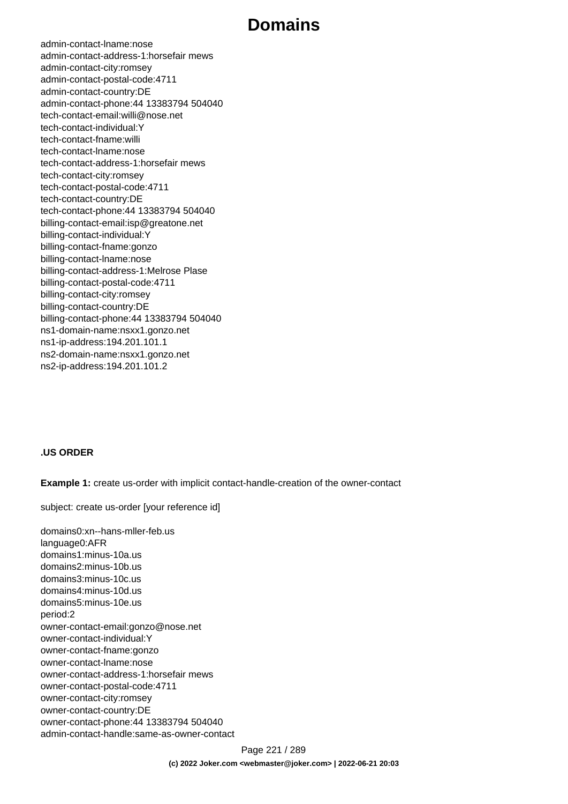admin-contact-lname:nose admin-contact-address-1:horsefair mews admin-contact-city:romsey admin-contact-postal-code:4711 admin-contact-country:DE admin-contact-phone:44 13383794 504040 tech-contact-email:willi@nose.net tech-contact-individual:Y tech-contact-fname:willi tech-contact-lname:nose tech-contact-address-1:horsefair mews tech-contact-city:romsey tech-contact-postal-code:4711 tech-contact-country:DE tech-contact-phone:44 13383794 504040 billing-contact-email:isp@greatone.net billing-contact-individual:Y billing-contact-fname:gonzo billing-contact-lname:nose billing-contact-address-1:Melrose Plase billing-contact-postal-code:4711 billing-contact-city:romsey billing-contact-country:DE billing-contact-phone:44 13383794 504040 ns1-domain-name:nsxx1.gonzo.net ns1-ip-address:194.201.101.1 ns2-domain-name:nsxx1.gonzo.net ns2-ip-address:194.201.101.2

#### **.US ORDER**

**Example 1:** create us-order with implicit contact-handle-creation of the owner-contact

subject: create us-order [your reference id]

domains0:xn--hans-mller-feb.us language0:AFR domains1:minus-10a.us domains2:minus-10b.us domains3:minus-10c.us domains4:minus-10d.us domains5:minus-10e.us period:2 owner-contact-email:gonzo@nose.net owner-contact-individual:Y owner-contact-fname:gonzo owner-contact-lname:nose owner-contact-address-1:horsefair mews owner-contact-postal-code:4711 owner-contact-city:romsey owner-contact-country:DE owner-contact-phone:44 13383794 504040 admin-contact-handle:same-as-owner-contact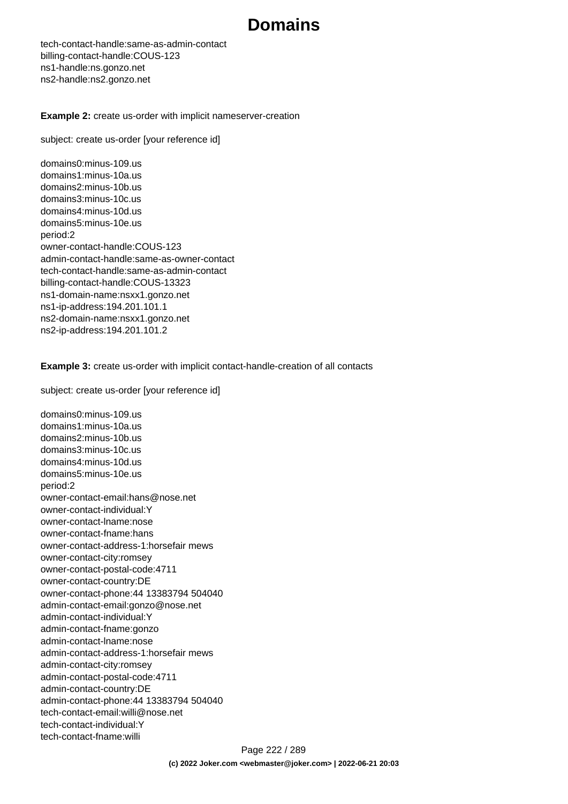tech-contact-handle:same-as-admin-contact billing-contact-handle:COUS-123 ns1-handle:ns.gonzo.net ns2-handle:ns2.gonzo.net

**Example 2:** create us-order with implicit nameserver-creation

subject: create us-order [your reference id]

domains0:minus-109.us domains1:minus-10a.us domains2:minus-10b.us domains3:minus-10c.us domains4:minus-10d.us domains5:minus-10e.us period:2 owner-contact-handle:COUS-123 admin-contact-handle:same-as-owner-contact tech-contact-handle:same-as-admin-contact billing-contact-handle:COUS-13323 ns1-domain-name:nsxx1.gonzo.net ns1-ip-address:194.201.101.1 ns2-domain-name:nsxx1.gonzo.net ns2-ip-address:194.201.101.2

**Example 3:** create us-order with implicit contact-handle-creation of all contacts

subject: create us-order [your reference id]

domains0:minus-109.us domains1:minus-10a.us domains2:minus-10b.us domains3:minus-10c.us domains4:minus-10d.us domains5:minus-10e.us period:2 owner-contact-email:hans@nose.net owner-contact-individual:Y owner-contact-lname:nose owner-contact-fname:hans owner-contact-address-1:horsefair mews owner-contact-city:romsey owner-contact-postal-code:4711 owner-contact-country:DE owner-contact-phone:44 13383794 504040 admin-contact-email:gonzo@nose.net admin-contact-individual:Y admin-contact-fname:gonzo admin-contact-lname:nose admin-contact-address-1:horsefair mews admin-contact-city:romsey admin-contact-postal-code:4711 admin-contact-country:DE admin-contact-phone:44 13383794 504040 tech-contact-email:willi@nose.net tech-contact-individual:Y tech-contact-fname:willi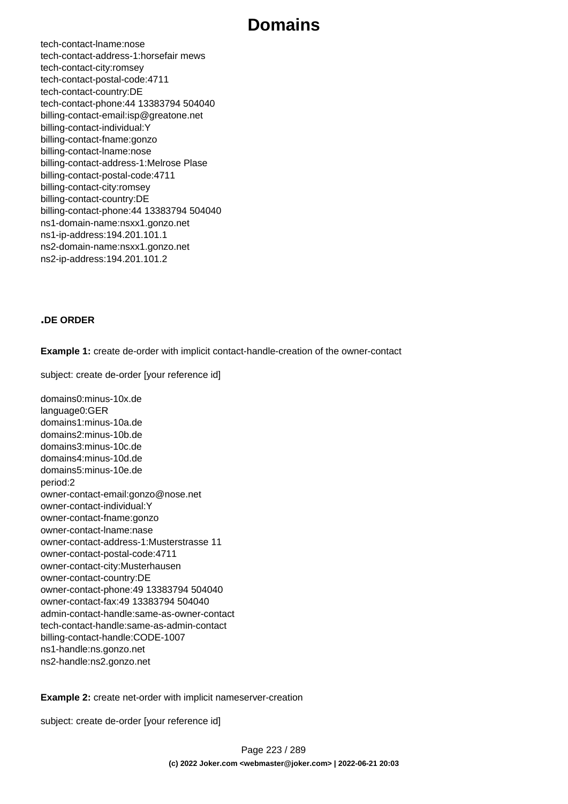tech-contact-lname:nose tech-contact-address-1:horsefair mews tech-contact-city:romsey tech-contact-postal-code:4711 tech-contact-country:DE tech-contact-phone:44 13383794 504040 billing-contact-email:isp@greatone.net billing-contact-individual:Y billing-contact-fname:gonzo billing-contact-lname:nose billing-contact-address-1:Melrose Plase billing-contact-postal-code:4711 billing-contact-city:romsey billing-contact-country:DE billing-contact-phone:44 13383794 504040 ns1-domain-name:nsxx1.gonzo.net ns1-ip-address:194.201.101.1 ns2-domain-name:nsxx1.gonzo.net ns2-ip-address:194.201.101.2

#### **.DE ORDER**

**Example 1:** create de-order with implicit contact-handle-creation of the owner-contact

subject: create de-order [your reference id]

domains0:minus-10x.de language0:GER domains1:minus-10a.de domains2:minus-10b.de domains3:minus-10c.de domains4:minus-10d.de domains5:minus-10e.de period:2 owner-contact-email:gonzo@nose.net owner-contact-individual:Y owner-contact-fname:gonzo owner-contact-lname:nase owner-contact-address-1:Musterstrasse 11 owner-contact-postal-code:4711 owner-contact-city:Musterhausen owner-contact-country:DE owner-contact-phone:49 13383794 504040 owner-contact-fax:49 13383794 504040 admin-contact-handle:same-as-owner-contact tech-contact-handle:same-as-admin-contact billing-contact-handle:CODE-1007 ns1-handle:ns.gonzo.net ns2-handle:ns2.gonzo.net

**Example 2:** create net-order with implicit nameserver-creation

subject: create de-order [your reference id]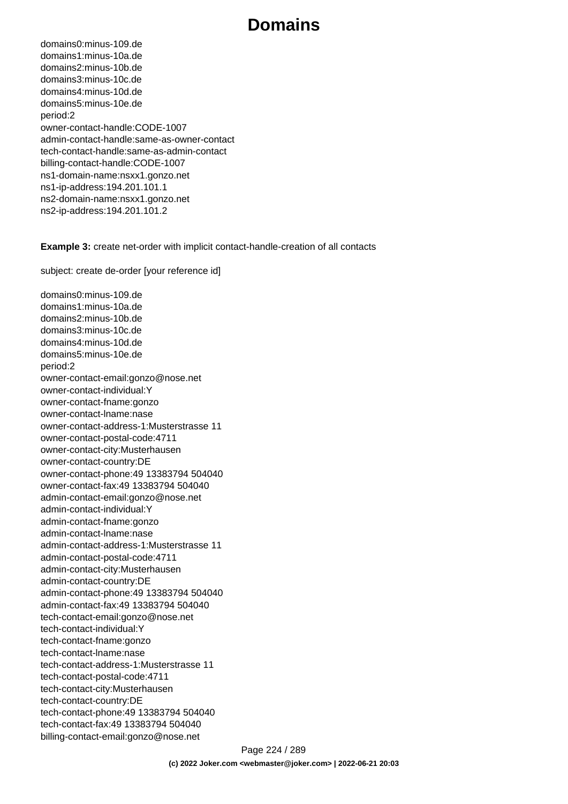domains0:minus-109.de domains1:minus-10a.de domains2:minus-10b.de domains3:minus-10c.de domains4:minus-10d.de domains5:minus-10e.de period:2 owner-contact-handle:CODE-1007 admin-contact-handle:same-as-owner-contact tech-contact-handle:same-as-admin-contact billing-contact-handle:CODE-1007 ns1-domain-name:nsxx1.gonzo.net ns1-ip-address:194.201.101.1 ns2-domain-name:nsxx1.gonzo.net ns2-ip-address:194.201.101.2

**Example 3:** create net-order with implicit contact-handle-creation of all contacts

subject: create de-order [your reference id]

domains0:minus-109.de domains1:minus-10a.de domains2:minus-10b.de domains3:minus-10c.de domains4:minus-10d.de domains5:minus-10e.de period:2 owner-contact-email:gonzo@nose.net owner-contact-individual:Y owner-contact-fname:gonzo owner-contact-lname:nase owner-contact-address-1:Musterstrasse 11 owner-contact-postal-code:4711 owner-contact-city:Musterhausen owner-contact-country:DE owner-contact-phone:49 13383794 504040 owner-contact-fax:49 13383794 504040 admin-contact-email:gonzo@nose.net admin-contact-individual:Y admin-contact-fname:gonzo admin-contact-lname:nase admin-contact-address-1:Musterstrasse 11 admin-contact-postal-code:4711 admin-contact-city:Musterhausen admin-contact-country:DE admin-contact-phone:49 13383794 504040 admin-contact-fax:49 13383794 504040 tech-contact-email:gonzo@nose.net tech-contact-individual:Y tech-contact-fname:gonzo tech-contact-lname:nase tech-contact-address-1:Musterstrasse 11 tech-contact-postal-code:4711 tech-contact-city:Musterhausen tech-contact-country:DE tech-contact-phone:49 13383794 504040 tech-contact-fax:49 13383794 504040 billing-contact-email:gonzo@nose.net

> Page 224 / 289 **(c) 2022 Joker.com <webmaster@joker.com> | 2022-06-21 20:03**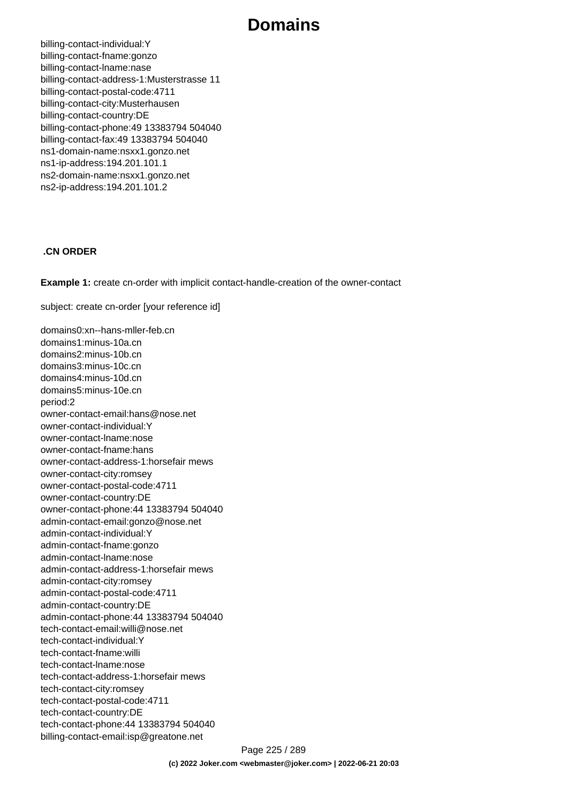billing-contact-individual:Y billing-contact-fname:gonzo billing-contact-lname:nase billing-contact-address-1:Musterstrasse 11 billing-contact-postal-code:4711 billing-contact-city:Musterhausen billing-contact-country:DE billing-contact-phone:49 13383794 504040 billing-contact-fax:49 13383794 504040 ns1-domain-name:nsxx1.gonzo.net ns1-ip-address:194.201.101.1 ns2-domain-name:nsxx1.gonzo.net ns2-ip-address:194.201.101.2

#### **.CN ORDER**

**Example 1:** create cn-order with implicit contact-handle-creation of the owner-contact

subject: create cn-order [your reference id]

domains0:xn--hans-mller-feb.cn domains1:minus-10a.cn domains2:minus-10b.cn domains3:minus-10c.cn domains4:minus-10d.cn domains5:minus-10e.cn period:2 owner-contact-email:hans@nose.net owner-contact-individual:Y owner-contact-lname:nose owner-contact-fname:hans owner-contact-address-1:horsefair mews owner-contact-city:romsey owner-contact-postal-code:4711 owner-contact-country:DE owner-contact-phone:44 13383794 504040 admin-contact-email:gonzo@nose.net admin-contact-individual:Y admin-contact-fname:gonzo admin-contact-lname:nose admin-contact-address-1:horsefair mews admin-contact-city:romsey admin-contact-postal-code:4711 admin-contact-country:DE admin-contact-phone:44 13383794 504040 tech-contact-email:willi@nose.net tech-contact-individual:Y tech-contact-fname:willi tech-contact-lname:nose tech-contact-address-1:horsefair mews tech-contact-city:romsey tech-contact-postal-code:4711 tech-contact-country:DE tech-contact-phone:44 13383794 504040 billing-contact-email:isp@greatone.net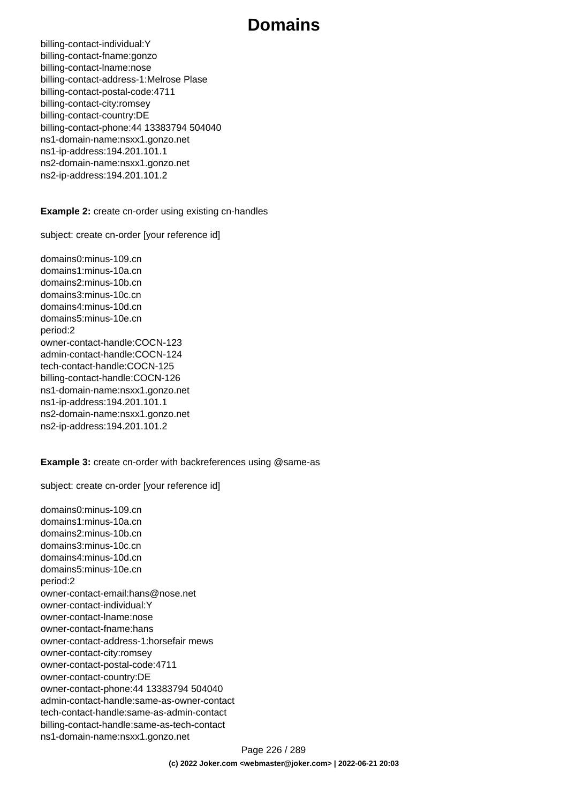billing-contact-individual:Y billing-contact-fname:gonzo billing-contact-lname:nose billing-contact-address-1:Melrose Plase billing-contact-postal-code:4711 billing-contact-city:romsey billing-contact-country:DE billing-contact-phone:44 13383794 504040 ns1-domain-name:nsxx1.gonzo.net ns1-ip-address:194.201.101.1 ns2-domain-name:nsxx1.gonzo.net ns2-ip-address:194.201.101.2

**Example 2:** create cn-order using existing cn-handles

subject: create cn-order [your reference id]

domains0:minus-109.cn domains1:minus-10a.cn domains2:minus-10b.cn domains3:minus-10c.cn domains4:minus-10d.cn domains5:minus-10e.cn period:2 owner-contact-handle:COCN-123 admin-contact-handle:COCN-124 tech-contact-handle:COCN-125 billing-contact-handle:COCN-126 ns1-domain-name:nsxx1.gonzo.net ns1-ip-address:194.201.101.1 ns2-domain-name:nsxx1.gonzo.net ns2-ip-address:194.201.101.2

#### **Example 3:** create cn-order with backreferences using @same-as

subject: create cn-order [your reference id]

domains0:minus-109.cn domains1:minus-10a.cn domains2:minus-10b.cn domains3:minus-10c.cn domains4:minus-10d.cn domains5:minus-10e.cn period:2 owner-contact-email:hans@nose.net owner-contact-individual:Y owner-contact-lname:nose owner-contact-fname:hans owner-contact-address-1:horsefair mews owner-contact-city:romsey owner-contact-postal-code:4711 owner-contact-country:DE owner-contact-phone:44 13383794 504040 admin-contact-handle:same-as-owner-contact tech-contact-handle:same-as-admin-contact billing-contact-handle:same-as-tech-contact ns1-domain-name:nsxx1.gonzo.net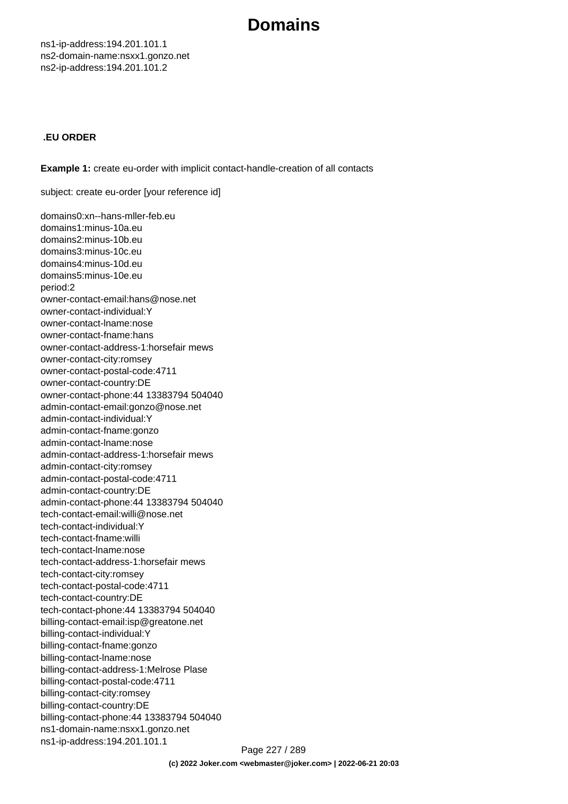ns1-ip-address:194.201.101.1 ns2-domain-name:nsxx1.gonzo.net ns2-ip-address:194.201.101.2

#### **.EU ORDER**

**Example 1:** create eu-order with implicit contact-handle-creation of all contacts

subject: create eu-order [your reference id]

domains0:xn--hans-mller-feb.eu domains1:minus-10a.eu domains2:minus-10b.eu domains3:minus-10c.eu domains4:minus-10d.eu domains5:minus-10e.eu period:2 owner-contact-email:hans@nose.net owner-contact-individual:Y owner-contact-lname:nose owner-contact-fname:hans owner-contact-address-1:horsefair mews owner-contact-city:romsey owner-contact-postal-code:4711 owner-contact-country:DE owner-contact-phone:44 13383794 504040 admin-contact-email:gonzo@nose.net admin-contact-individual:Y admin-contact-fname:gonzo admin-contact-lname:nose admin-contact-address-1:horsefair mews admin-contact-city:romsey admin-contact-postal-code:4711 admin-contact-country:DE admin-contact-phone:44 13383794 504040 tech-contact-email:willi@nose.net tech-contact-individual:Y tech-contact-fname:willi tech-contact-lname:nose tech-contact-address-1:horsefair mews tech-contact-city:romsey tech-contact-postal-code:4711 tech-contact-country:DE tech-contact-phone:44 13383794 504040 billing-contact-email:isp@greatone.net billing-contact-individual:Y billing-contact-fname:gonzo billing-contact-lname:nose billing-contact-address-1:Melrose Plase billing-contact-postal-code:4711 billing-contact-city:romsey billing-contact-country:DE billing-contact-phone:44 13383794 504040 ns1-domain-name:nsxx1.gonzo.net ns1-ip-address:194.201.101.1

Page 227 / 289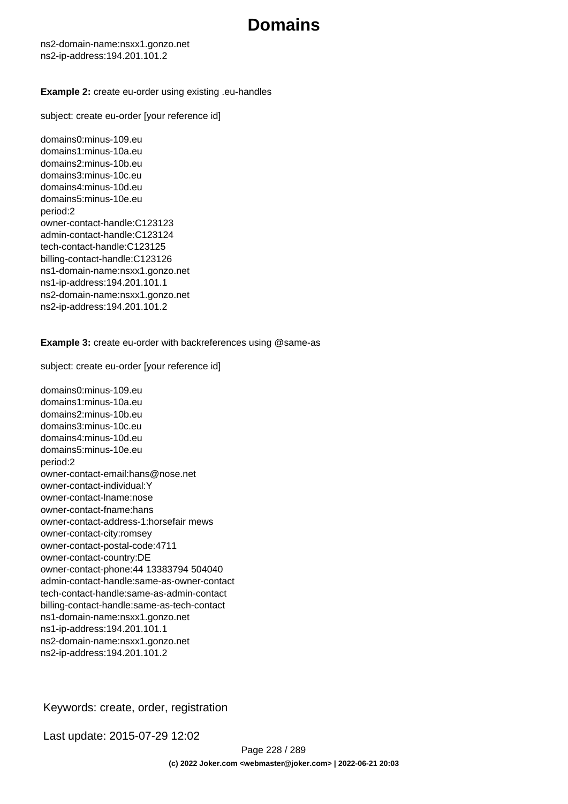ns2-domain-name:nsxx1.gonzo.net ns2-ip-address:194.201.101.2

#### **Example 2:** create eu-order using existing .eu-handles

subject: create eu-order [your reference id]

domains0:minus-109.eu domains1:minus-10a.eu domains2:minus-10b.eu domains3:minus-10c.eu domains4:minus-10d.eu domains5:minus-10e.eu period:2 owner-contact-handle:C123123 admin-contact-handle:C123124 tech-contact-handle:C123125 billing-contact-handle:C123126 ns1-domain-name:nsxx1.gonzo.net ns1-ip-address:194.201.101.1 ns2-domain-name:nsxx1.gonzo.net ns2-ip-address:194.201.101.2

**Example 3:** create eu-order with backreferences using @same-as

subject: create eu-order [your reference id]

domains0:minus-109.eu domains1:minus-10a.eu domains2:minus-10b.eu domains3:minus-10c.eu domains4:minus-10d.eu domains5:minus-10e.eu period:2 owner-contact-email:hans@nose.net owner-contact-individual:Y owner-contact-lname:nose owner-contact-fname:hans owner-contact-address-1:horsefair mews owner-contact-city:romsey owner-contact-postal-code:4711 owner-contact-country:DE owner-contact-phone:44 13383794 504040 admin-contact-handle:same-as-owner-contact tech-contact-handle:same-as-admin-contact billing-contact-handle:same-as-tech-contact ns1-domain-name:nsxx1.gonzo.net ns1-ip-address:194.201.101.1 ns2-domain-name:nsxx1.gonzo.net ns2-ip-address:194.201.101.2

Keywords: create, order, registration

Last update: 2015-07-29 12:02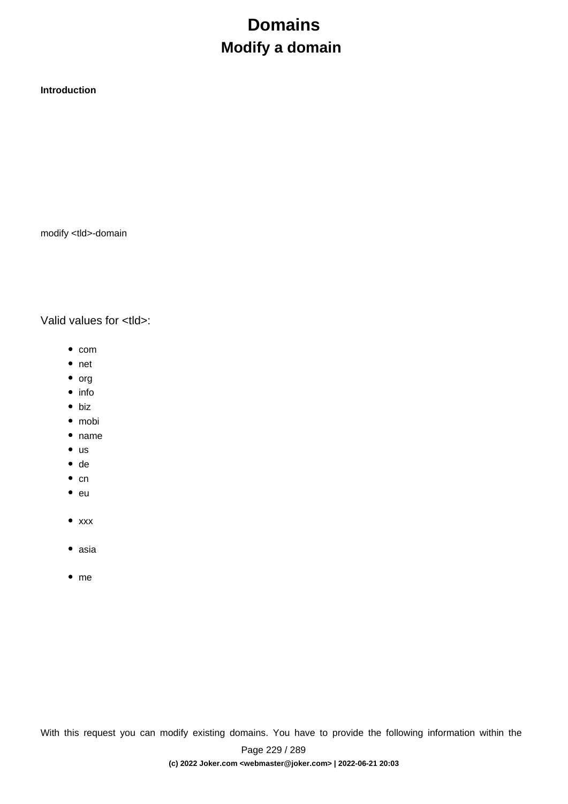# **Domains Modify a domain**

**Introduction**

modify <tld>-domain

Valid values for <tld>:

- $\bullet$  com
- net
- $\bullet$  org
- $\bullet$  info
- biz
- mobi
- name
- $\bullet$  us
- de
- $\bullet$  cn
- $^-$ eu
- $\bullet$  xxx
- asia
- me

With this request you can modify existing domains. You have to provide the following information within the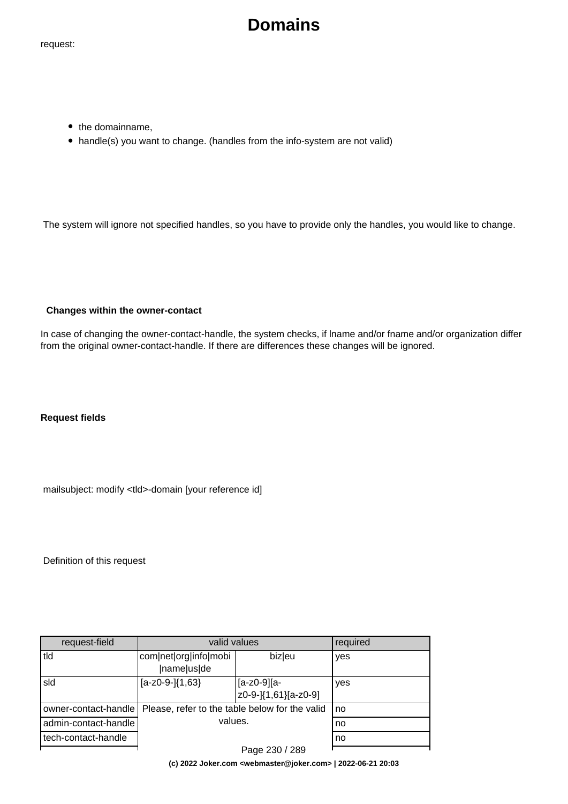request:

# **Domains**

- the domainname,
- handle(s) you want to change. (handles from the info-system are not valid)

The system will ignore not specified handles, so you have to provide only the handles, you would like to change.

#### **Changes within the owner-contact**

In case of changing the owner-contact-handle, the system checks, if lname and/or fname and/or organization differ from the original owner-contact-handle. If there are differences these changes will be ignored.

**Request fields**

mailsubject: modify <tld>-domain [your reference id]

Definition of this request

| request-field        | valid values                                   |                                     | required |
|----------------------|------------------------------------------------|-------------------------------------|----------|
| tld                  | com net org info mobi<br> name us de           | biz eu                              | yes      |
| sld                  | $[a-z0-9-1]$ {1,63}                            | [a-z0-9][a-<br>z0-9-]{1,61}[a-z0-9] | yes      |
| owner-contact-handle | Please, refer to the table below for the valid |                                     | no       |
| admin-contact-handle | values.                                        |                                     | no       |
| tech-contact-handle  |                                                |                                     | no       |
|                      |                                                | Page 230 / 289                      |          |

**(c) 2022 Joker.com <webmaster@joker.com> | 2022-06-21 20:03**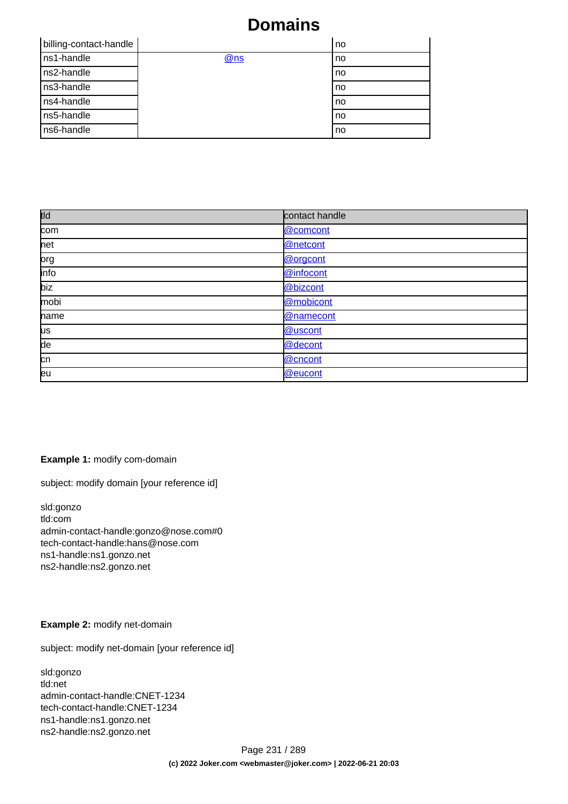| billing-contact-handle |     | no |
|------------------------|-----|----|
| ns1-handle             | @ns | no |
| ns2-handle             |     | no |
| ns3-handle             |     | no |
| ns4-handle             |     | no |
| ns5-handle             |     | no |
| ns6-handle             |     | no |

| tld       | contact handle |
|-----------|----------------|
| com       | @comcont       |
| net       | @netcont       |
| prg       | @orgcont       |
| info      | @infocont      |
| biz       | @bizcont       |
| mobi      | @mobicont      |
| name      | @namecont      |
| <b>us</b> | @uscont        |
| de        | @decont        |
| cn        | @cncont        |
| leu       | @eucont        |

#### **Example 1:** modify com-domain

subject: modify domain [your reference id]

sld:gonzo tld:com admin-contact-handle:gonzo@nose.com#0 tech-contact-handle:hans@nose.com ns1-handle:ns1.gonzo.net ns2-handle:ns2.gonzo.net

#### **Example 2:** modify net-domain

subject: modify net-domain [your reference id]

sld:gonzo tld:net admin-contact-handle:CNET-1234 tech-contact-handle:CNET-1234 ns1-handle:ns1.gonzo.net ns2-handle:ns2.gonzo.net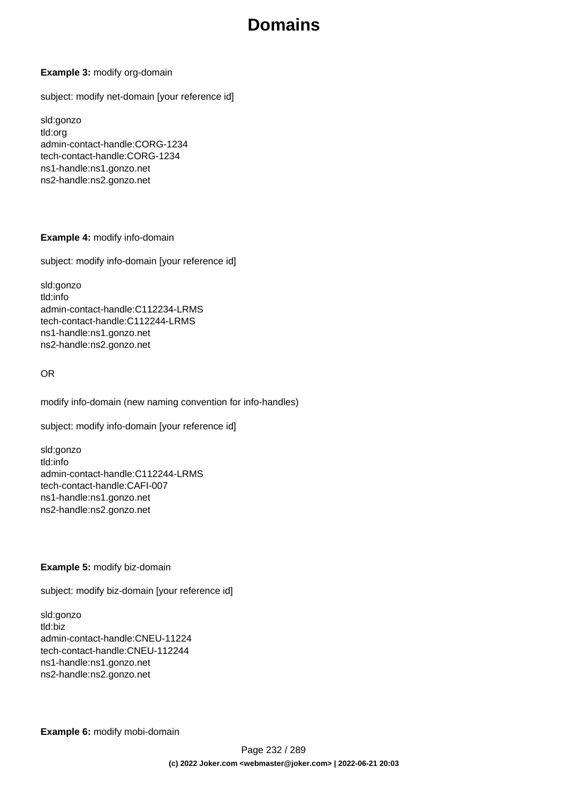#### **Example 3:** modify org-domain

subject: modify net-domain [your reference id]

sld:gonzo tld:org admin-contact-handle:CORG-1234 tech-contact-handle:CORG-1234 ns1-handle:ns1.gonzo.net ns2-handle:ns2.gonzo.net

#### **Example 4:** modify info-domain

subject: modify info-domain [your reference id]

sld:gonzo tld:info admin-contact-handle:C112234-LRMS tech-contact-handle:C112244-LRMS ns1-handle:ns1.gonzo.net ns2-handle:ns2.gonzo.net

#### OR

modify info-domain (new naming convention for info-handles)

subject: modify info-domain [your reference id]

sld:gonzo tld:info admin-contact-handle:C112244-LRMS tech-contact-handle:CAFI-007 ns1-handle:ns1.gonzo.net ns2-handle:ns2.gonzo.net

#### **Example 5:** modify biz-domain

subject: modify biz-domain [your reference id]

sld:gonzo tld:biz admin-contact-handle:CNEU-11224 tech-contact-handle:CNEU-112244 ns1-handle:ns1.gonzo.net ns2-handle:ns2.gonzo.net

**Example 6:** modify mobi-domain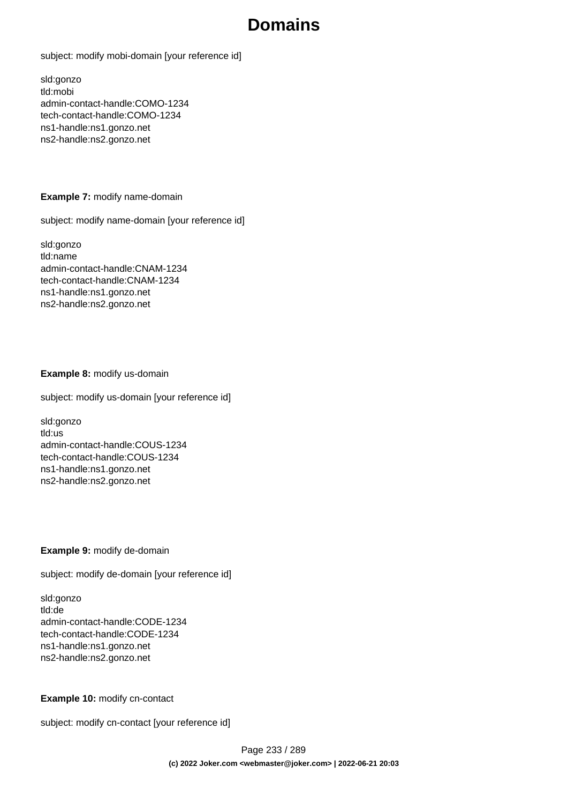subject: modify mobi-domain [your reference id]

sld:gonzo tld:mobi admin-contact-handle:COMO-1234 tech-contact-handle:COMO-1234 ns1-handle:ns1.gonzo.net ns2-handle:ns2.gonzo.net

#### **Example 7:** modify name-domain

subject: modify name-domain [your reference id]

sld:gonzo tld:name admin-contact-handle:CNAM-1234 tech-contact-handle:CNAM-1234 ns1-handle:ns1.gonzo.net ns2-handle:ns2.gonzo.net

#### **Example 8:** modify us-domain

subject: modify us-domain [your reference id]

sld:gonzo tld:us admin-contact-handle:COUS-1234 tech-contact-handle:COUS-1234 ns1-handle:ns1.gonzo.net ns2-handle:ns2.gonzo.net

#### **Example 9:** modify de-domain

subject: modify de-domain [your reference id]

sld:gonzo tld:de admin-contact-handle:CODE-1234 tech-contact-handle:CODE-1234 ns1-handle:ns1.gonzo.net ns2-handle:ns2.gonzo.net

#### **Example 10:** modify cn-contact

subject: modify cn-contact [your reference id]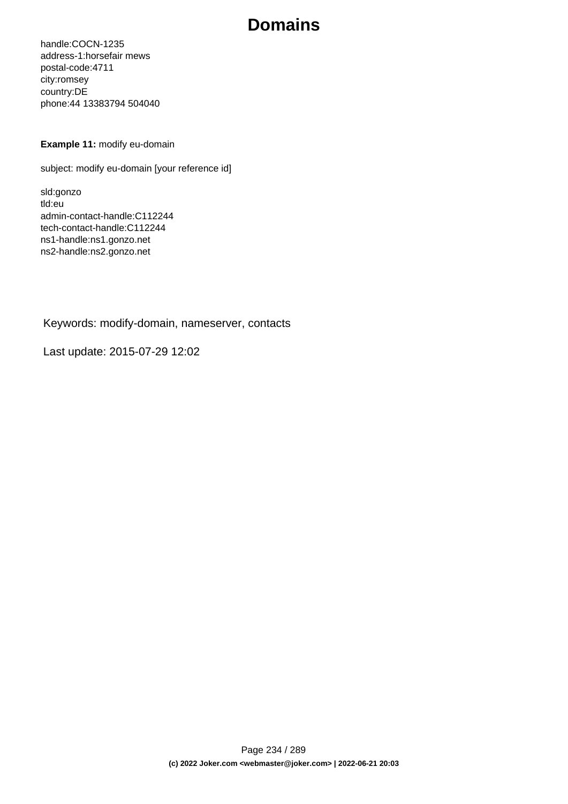handle:COCN-1235 address-1:horsefair mews postal-code:4711 city:romsey country:DE phone:44 13383794 504040

#### **Example 11:** modify eu-domain

subject: modify eu-domain [your reference id]

sld:gonzo tld:eu admin-contact-handle:C112244 tech-contact-handle:C112244 ns1-handle:ns1.gonzo.net ns2-handle:ns2.gonzo.net

Keywords: modify-domain, nameserver, contacts

Last update: 2015-07-29 12:02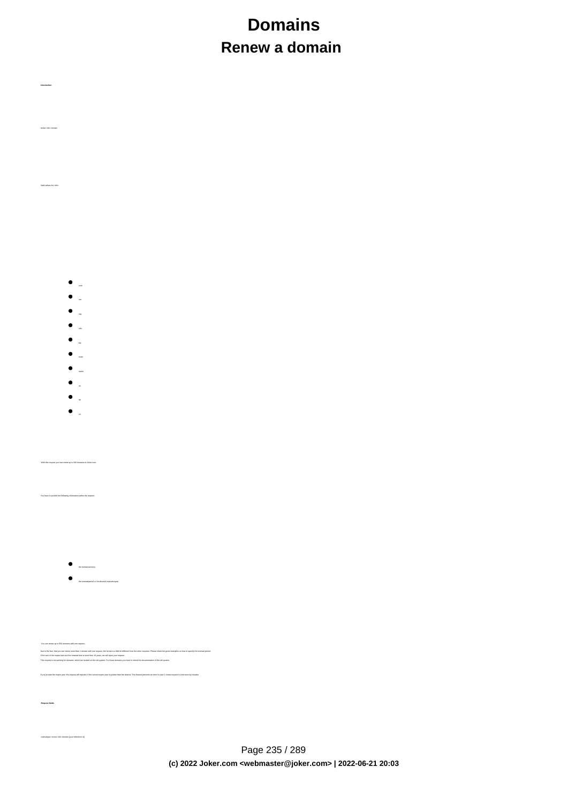# **Domains Renew a domain**

- $\bullet$
- $\bullet$
- 
- info
- $\bullet$ biz
- mobi
- $\bullet$
- name
- 

**Introduction**

renew <tld>-domain

Valid values for <tld>:

- $\bullet$
- $\bullet$

With this request you can renew up to 500 domains at Joker.com.

have to provide the following information within the request:

 **Request fields**

.<br>pject: renew <tld>-domain [your reference id]

 $\bullet$  the domainname(s),

the renewalperiod or the desired expirationyear

You are we give 20 desim who we want to an example to trad a ble to different too to also waged. Please what is a desimate to have been a started in the topological states and a monot provide the topological states and a m

If you provide the expert of the current expire year is creater than the desired. This feature prevents an error in case 1 renew-request is sent twi

Page 235 / 289 **(c) 2022 Joker.com <webmaster@joker.com> | 2022-06-21 20:03**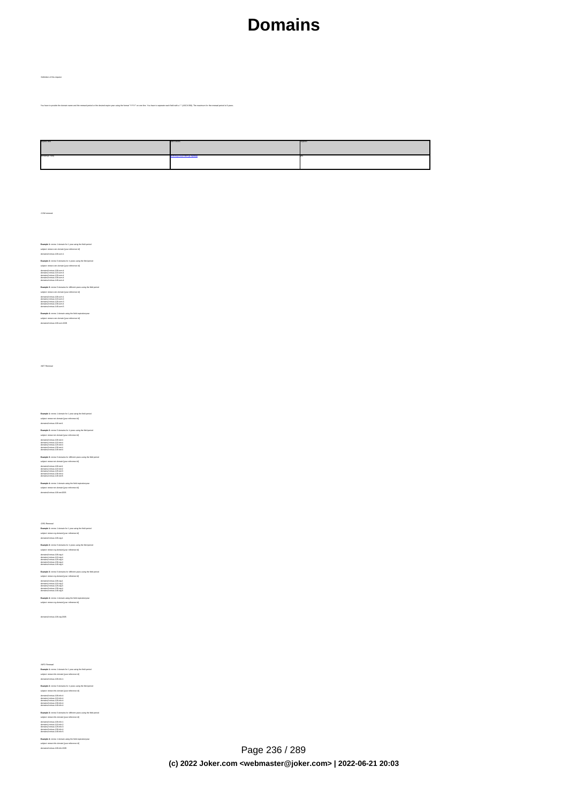You have to provide the domain rame and the renewal period or the desired expire year using the format "YYY" on one line. You have to seperate each field with a ":" (ASCII 058). The maximum for the re

| bial-teacpe    | and values | douin |
|----------------|------------|-------|
| lomains[0, 500 |            |       |

.COM renewal

Definition of this request

**Example 1:** renew 1 domain for 1 year using the field period<br>subject: renew com-domain [your reference id]<br>domains0:minus-109.com:1 **Example 2:** renew 5 domains for 4 years using the field period subject: renew com-domain [your reference id] domains0:minus-109.com:4 domains1:minus-119.com:4 domains2:minus-129.com:4 domains3:minus-139.com:4 domains4:minus-149.com:4

**Example 3:** renew 5 domains for different years using the field period<br>subject renew care-domain (pur reference id)<br>domains? minus-105 com:1<br>domains? minus-105 com:1<br>domains? minus-105 com:2<br>domains? minus-105 com:5<br>domai

**Example 4:** renew 1 domain using the field expirationyear<br>subject: renew com-domain [your reference id]<br>domains0:minus-109.com:2005

.NET Renewal

**Example 1:** renew 1 domain for 1 year using the field period<br>subject renew red-domain (pur reference id)<br>domainstrainme-108 nest<br>**Example 2:** renew 5 domains for 4 years using the field period<br>subject: renew red-domain ho domains0:minus-109.net:4<br>domains1:minus-119.net:4<br>domains3:minus-129.net:4<br>domains4:minus-149.net:4 **Example 3:** renew 5 domains for different years using the field period<br>subject: renew rest-domain [pure reference id]<br>domainal: minus-105 net; |<br>domainal: minus-105 net; |<br>domainal: minus-105 net; |<br>domainal: minus-105 ne

**Example 4:** renew 1 domain using the field expirationyear<br>subject: renew net-domain [your reference id]<br>domains0:minus-109.net:2005

.ORG Renewal<br>**Example 1:** renew 1 domain for 1 year using the field period<br>subject: renew org-domain [your reference id]<br>domains0:minus-109.org:1

**Example 2:** nenew 5 domains for 4 years using the field period<br>subject renew ong-domain how reference id]<br>domainali minus- 118 org 4<br>domainali minus- 118 org 4<br>domainali minus-128 org 4<br>domainali minus-128 org 4<br>domainali **Example 3:** renew 5 domains for different years using the field period<br>subject renew ong-dimension poor reference id]<br>domainst initiate CO cary 5<br>domainst minus - 130 cary 5<br>domainst minus - 130 cary 4<br>domainst minus - 14

**Example 4:** renew 1 domain using the field expirationyear<br>subject: renew org-domain [your reference id]

domains0:minus-109.org:2005

.INFO Renewal **Example 1:** renew 1 domain for 1 year using the field period subject: renew info-domain [your reference id] domains0:minus-109.info:1 **Example 2:** renew 5 domains for 4 years using the field period<br>subject: renew info-domain [your reference id] domains0:minus-109.info:4 domains1:minus-119.info:4 domains2:minus-129.info:4 domains3:minus-139.info:4 domains4:minus-149.info:4 **Example 3:** renew 5 domains for different years using the field period subject: renew info-domain [your reference id]

domains0:minus-109.info:1 domains1:minus-119.info:2 domains2:minus-129.info:3 domains3:minus-139.info:4 domains4:minus-149.info:5 **Example 4:** renew 1 domain using the field expirationyear<br>subject: renew info-domain [your reference id]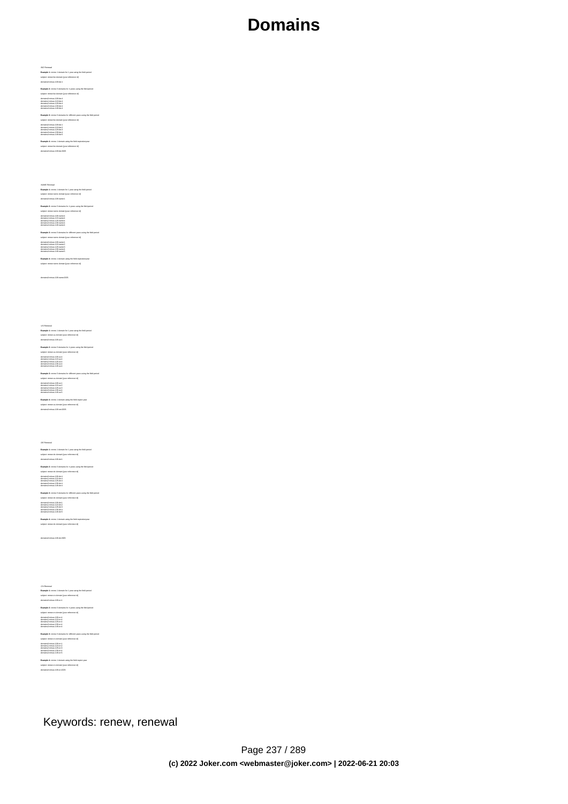# Bill Flowend<br>In Character 1 (means 1 distration for 1 year calory the field pastod<br>Kamapier 1: means 1 distration for relations and<br>place terminal field distribution of the space sating the field pastod<br>Rampigar 2: means 6

**Example 3:** renew 5 domains for different years using the field period subject: renew biz-domain [your reference id] domains0:minus-109.biz:1 domains1:minus-119.biz:2 domains2:minus-129.biz:3 domains3:minus-139.biz:4 domains4:minus-149.biz:5

**Example 4:** renew 1 domain using the field expirationyear<br>subject: renew biz-domain [your reference id]<br>domains0:minus-109.biz:2005

XHANE Renowal<br>Example 1: neew 1 domain for 1 year using the field period<br>subject renow name-domain (your reference id)<br>domainal minus-100 name:1<br>Example 2: neew 5 domains for 4 years using the field period<br>subject renow na

### domains0:minus-109.name:4 domains1:minus-119.name:4 domains2:minus-129.name:4 domains3:minus-139.name:4 domains4:minus-149.name:4

**Example 3:** renew 5 domains for different years using the field period<br>subject renew rame-domain gour selected inf<br>domains? minut-105 name: 1<br>domains? minut-105 name: 1<br>domains? minut-135 name:3<br>domains? minut-135 name:3<br>

**Example 4:** renew 1 domain using the field expirationyear<br>subject: renew name-domain [your reference id]

domains0:minus-109.name:2005

US Reversal<br>Ramagnet 1: menor i dormain for 1 year using the field period<br>Ramagnet 1: menor us-dormain force relations of<br>place terminal field (Sicart)<br>Ramagnet 2: menor is dormain for a 4 years using the field period<br>dorm

**Example 3:** new a Somain lot on there is a proposition of the field period<br>interact revenue on-demand four information of the control of the state<br>demander means of the control<br>demander means in the control<br>demander means

.DE Renewal **Example 1:** renew 1 domain for 1 year using the field period<br>subject: renew de-domain [your reference id]<br>domains0:minus-109.de:1 **Example 2:** renew 5 domains for 4 years using the field period<br>subject renew de-domain [now releasence id]<br>domains? minus-105 de 4<br>domains? minus-105 de 4<br>domains? minus-126 de 4<br>domains? minus-126 de 4<br>domains? minus-146

**Example 3:** renew 5 domains for different years using the field period<br>subject: renew de-domain Ivour reference id] domains0:minus-109.de:1 domains1:minus-119.de:2 domains2:minus-129.de:3 domains3:minus-139.de:4 domains4:minus-149.de:5

**Example 4:** renew 1 domain using the field expirationyear subject: renew de-domain [your reference id]

domains0:minus-109.de:2005

Chi Kenewal<br>Champel 1: newer i domain for 1 year using the field period<br>Bampel 1: newer chamain force releases by<br>adjust newer chamain force releases by<br>Bampled 2: newer chamain force speed on the period<br>domain divisor is

**Example 3:** renew 5 domains for different years using the field period<br>subject renew cri-domain (your reference id)<br>domainst initiate (30 cm)<br>domainst minus (10 cm)<br>domainst minus (18 cm)<br>domainst minus (48 cm)<br>domainst m **Example 4:** renew 1 domain using the field expire year<br>subject: renew cn-domain [your reference id]<br>domains0:minus-109.cn:2005

#### Keywords: renew, renewal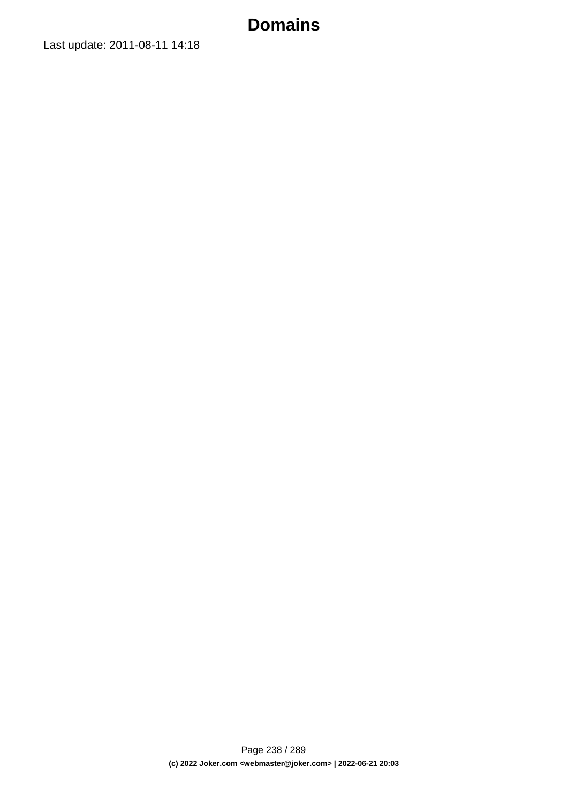Last update: 2011-08-11 14:18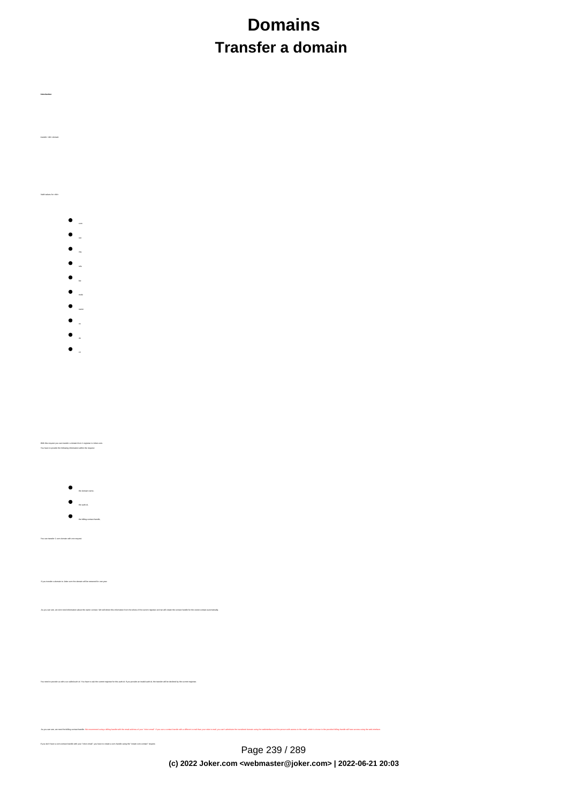# **Domains Transfer a domain**

- 
- com
- 
- 
- info
- biz
- mobi
- name
- 
- de
- $\bullet$

With this request you can transfer a domain from 1 registrar to Joker.com. You have to provide the following information within the request:

**Introduction**

transfer <tld>-domain

Valid values for <tld>:

- 
- 
- the auth-id, the billing-contact-handle,

You can transfer 1 com domain with one request.

If you transfer a domain to Joker.com the domain will be renewed for one year.

.<br>And the owner-contact. We will detect this information from the whois of the current registrar and we will create the contact-handle for the owner-co

You need to provide us with a so called auth-id. You have to ask the current registrar for this auth-id. If you provide an invalid auth-id, the transfer will be declined by the current registrar.

If you don't have a com-contact-handle with your "robot-email", you have to create a com-handle using the "create com-contact" request.

Page 239 / 289 **(c) 2022 Joker.com <webmaster@joker.com> | 2022-06-21 20:03**

As you can see, we need the billing-contact-bandle, We recommend using a billing-bandle with the email-address of you"robot-email. If you use a contact-bandle with a different e-mail from your robot e-mail, you can't admin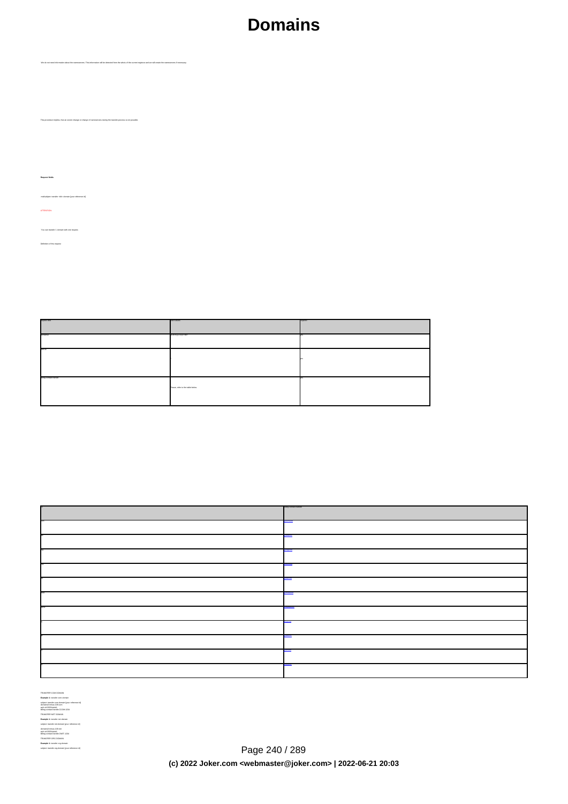We do not need information about the nameservers. This information will be detected from the whois of the current registrar and we will create the nameservers if necessary.

Implies, that an owner change or change of nameservers during the transfer-process is

**Request fields**

 mailsubject: transfer <tld>-domain [your reference id] ATTENTION:

 You can transfer 1 domain with one request. Definition of this request

request-field values request-field values request-field values request-field values request-field values required values of the control of the control of the control of the control of the control of the control of the cont  $\mathbf{b}$  and  $\mathbf{c}$  are a set of  $\mathbf{a}$  and  $\mathbf{b}$  and  $\mathbf{c}$  yes  $\mathbf{b}$  and  $\mathbf{c}$  yes  $\mathbf{b}$  and  $\mathbf{c}$  and  $\mathbf{c}$  and  $\mathbf{c}$  and  $\mathbf{c}$  and  $\mathbf{c}$  and  $\mathbf{c}$  and  $\mathbf{c}$  and  $\mathbf{c}$  and  $\mathbf$ auth-id .\* yes a second control of the second control of the second control of the second control of the second control of the second control of the second control of the second control of the second control of the second control billing-contact-handle Please, refer to the table below. yes

| <b>Block of Baltimore</b> |
|---------------------------|
|                           |
|                           |
|                           |
|                           |
|                           |
|                           |
| <b>BASE 0000</b>          |
|                           |
|                           |
|                           |
|                           |

TER COM DOMAIN **Example 1:** transfer com-domain subject: transfer com-domain [your reference id]<br>domains0:minus-109.com<br>auth-id:0293XaAdA<br>billing-contact-handle:CCOM-1234<br>Example 1: transfer net-domain<br>**Example 1:** transfer net-domain subject: transfer net-domain [your reference id] domains0:minus-109.net billing-contact-handle:CNET-1234 **Example 1:** transfer org-domain

Page 240 / 289 **(c) 2022 Joker.com <webmaster@joker.com> | 2022-06-21 20:03**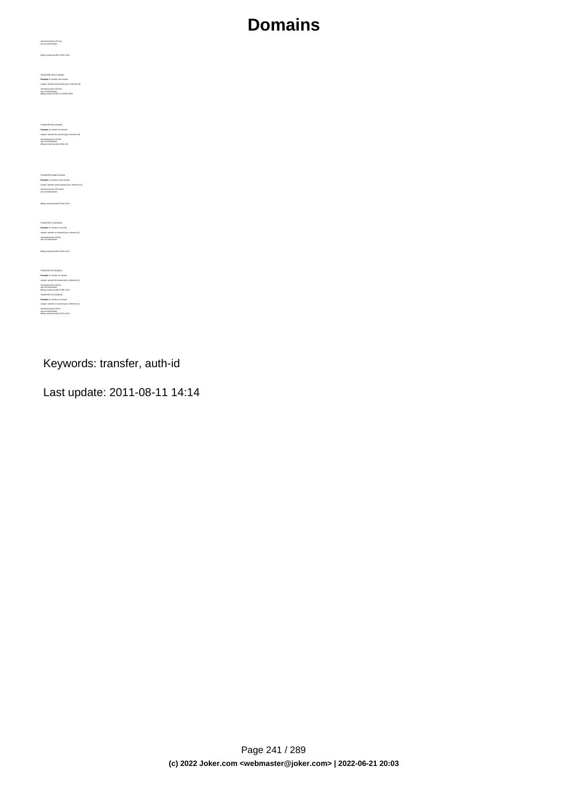billing-contact-handle:CORG-1234 TRANSFER INFO DOMAIN<br>**Example 1:** transfer info-domain<br>subject: transfer info-domain [your reference id]<br>domains0:minus-109.info<br>billing-contact-handle:C176269-LRMS **Example 1:** transfer biz-domain subject: transfer biz-domain [your reference id] domains0:minus-109.biz auth-id:0293XaAdA billing-contact-handle:CNEU-123 TRANSFER NAME DOMAIN<br>**Example 1:** transfer name-domain<br>subject: transfer name-domain [your reference id]<br>domains0:minus-109.name<br>suth-id:0293XaAdA<br>suth-id:0293XaAdA billing-contact-handle:CNAM-1234 TRANSFER US DOMAIN<br>**Example 1:** transfer us-domain<br>subject: transfer us-domain [your reference id]<br>domains0:minus-109.us<br>auth-id:0293XaAdA billing-contact-handle:COUS-1234 TRANSFIER DE DOMAIN<br>Example 1: Insular de domain<br>subject transler de domain (your reference id)<br>domaine2: minux - 100.de<br>subject transler on domain<br>Example 1: transler on domain<br>TRANSFIER CN DOMAIN<br>subject transler on doma domains0:minus-109.cn auth-id:0293XaAdA billing-contact-handle:COCN-1234

domains0:minus-109.org auth-id:0293XaAdA

Keywords: transfer, auth-id

Last update: 2011-08-11 14:14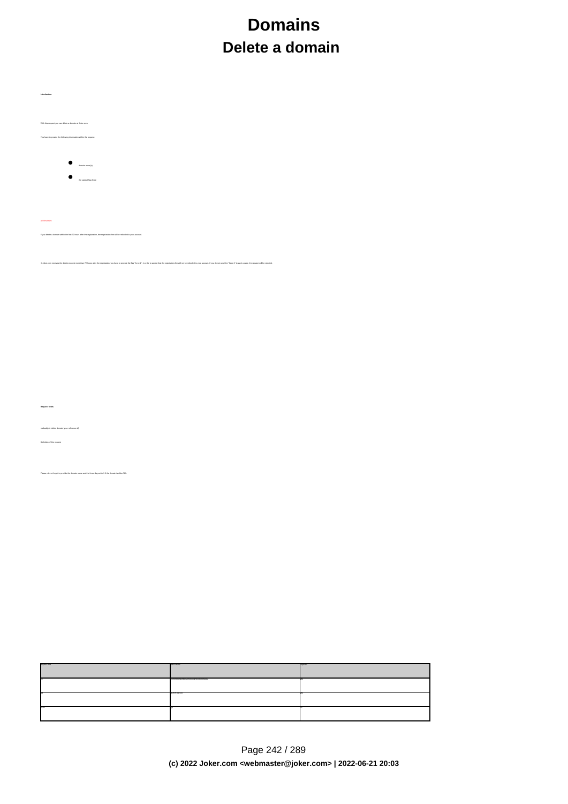# **Domains Delete a domain**

| With this request you can delete a domain at Joker.com.                                                                                                                                                                                                                                                                                                     |  |
|-------------------------------------------------------------------------------------------------------------------------------------------------------------------------------------------------------------------------------------------------------------------------------------------------------------------------------------------------------------|--|
| You have to provide the following information within the request:                                                                                                                                                                                                                                                                                           |  |
|                                                                                                                                                                                                                                                                                                                                                             |  |
| $\begin{array}{c} \bullet \\ \bullet \\ \bullet \end{array}$                                                                                                                                                                                                                                                                                                |  |
| $\begin{array}{ c } \hline \rule{0.3cm}{1.1ex} \rule{0.1cm}{1.1ex} \rule{0.1cm}{1.1ex} \rule{0.1cm}{1.1ex} \rule{0.1cm}{1.1ex} \rule{0.1cm}{1.1ex} \rule{0.1cm}{1.1ex} \rule{0.1cm}{1.1ex} \rule{0.1cm}{1.1ex} \rule{0.1cm}{1.1ex} \rule{0.1cm}{1.1ex} \rule{0.1cm}{1.1ex} \rule{0.1cm}{1.1ex} \rule{0.1cm}{1.1ex} \rule{0.1cm}{1.1ex} \rule{0.1cm}{1.1ex}$ |  |
|                                                                                                                                                                                                                                                                                                                                                             |  |
|                                                                                                                                                                                                                                                                                                                                                             |  |
| <b>ATTENTION</b>                                                                                                                                                                                                                                                                                                                                            |  |
|                                                                                                                                                                                                                                                                                                                                                             |  |
| ete a domain within the first 72 hours after the registration, the registration-fee will be refunded to your account.<br>If you do                                                                                                                                                                                                                          |  |
|                                                                                                                                                                                                                                                                                                                                                             |  |
| If Johns commencions the delete-request more than 72 hours after the registration, you have to provide the flog "force:1", in order to accept that the registration-lee will not be refunded to your account. If you do not ne                                                                                                                              |  |
|                                                                                                                                                                                                                                                                                                                                                             |  |
|                                                                                                                                                                                                                                                                                                                                                             |  |
|                                                                                                                                                                                                                                                                                                                                                             |  |
|                                                                                                                                                                                                                                                                                                                                                             |  |
|                                                                                                                                                                                                                                                                                                                                                             |  |
|                                                                                                                                                                                                                                                                                                                                                             |  |
|                                                                                                                                                                                                                                                                                                                                                             |  |
|                                                                                                                                                                                                                                                                                                                                                             |  |
|                                                                                                                                                                                                                                                                                                                                                             |  |
|                                                                                                                                                                                                                                                                                                                                                             |  |
| Request fields                                                                                                                                                                                                                                                                                                                                              |  |
|                                                                                                                                                                                                                                                                                                                                                             |  |
| stject delete domain (your reference id)                                                                                                                                                                                                                                                                                                                    |  |
| Definition of this request                                                                                                                                                                                                                                                                                                                                  |  |
|                                                                                                                                                                                                                                                                                                                                                             |  |
| do not forget to provide the domain name and the force-flag set to 1 if the domain is older 72h.                                                                                                                                                                                                                                                            |  |
|                                                                                                                                                                                                                                                                                                                                                             |  |
|                                                                                                                                                                                                                                                                                                                                                             |  |
|                                                                                                                                                                                                                                                                                                                                                             |  |
|                                                                                                                                                                                                                                                                                                                                                             |  |
|                                                                                                                                                                                                                                                                                                                                                             |  |
|                                                                                                                                                                                                                                                                                                                                                             |  |
|                                                                                                                                                                                                                                                                                                                                                             |  |
|                                                                                                                                                                                                                                                                                                                                                             |  |
|                                                                                                                                                                                                                                                                                                                                                             |  |
|                                                                                                                                                                                                                                                                                                                                                             |  |
|                                                                                                                                                                                                                                                                                                                                                             |  |
|                                                                                                                                                                                                                                                                                                                                                             |  |
|                                                                                                                                                                                                                                                                                                                                                             |  |
|                                                                                                                                                                                                                                                                                                                                                             |  |
|                                                                                                                                                                                                                                                                                                                                                             |  |
|                                                                                                                                                                                                                                                                                                                                                             |  |
|                                                                                                                                                                                                                                                                                                                                                             |  |
|                                                                                                                                                                                                                                                                                                                                                             |  |
|                                                                                                                                                                                                                                                                                                                                                             |  |

**Introduction**

п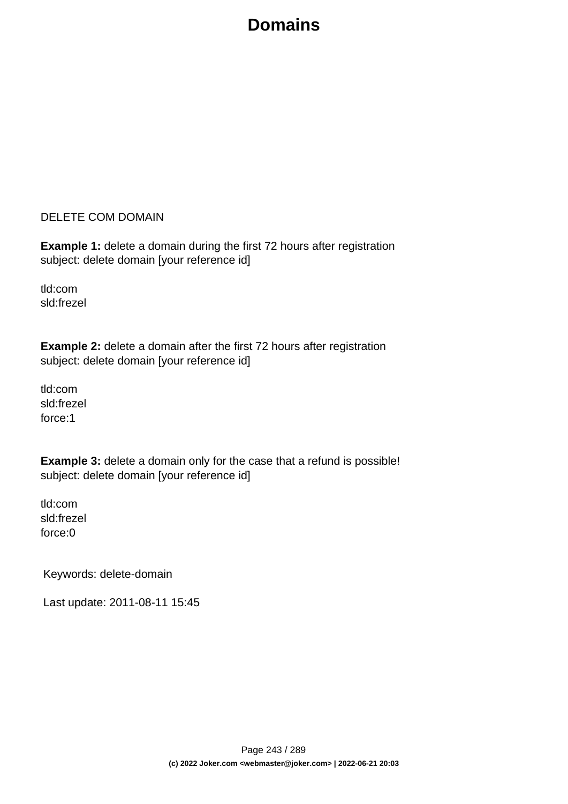#### DELETE COM DOMAIN

**Example 1:** delete a domain during the first 72 hours after registration subject: delete domain [your reference id]

tld:com sld:frezel

**Example 2:** delete a domain after the first 72 hours after registration subject: delete domain [your reference id]

tld:com sld:frezel force:1

**Example 3:** delete a domain only for the case that a refund is possible! subject: delete domain [your reference id]

tld:com sld:frezel force:0

Keywords: delete-domain

Last update: 2011-08-11 15:45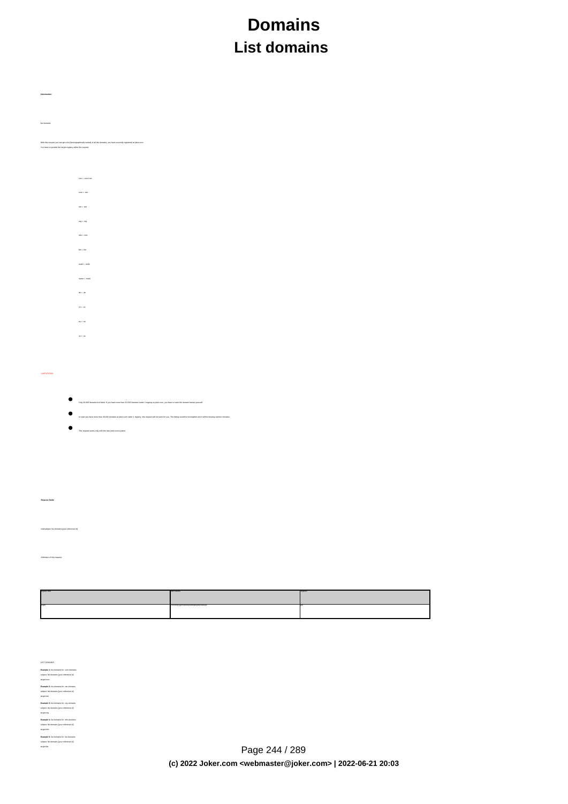# **Domains List domains**

| lat domains  |                                                                                                                                                                                               |  |  |  |  |
|--------------|-----------------------------------------------------------------------------------------------------------------------------------------------------------------------------------------------|--|--|--|--|
|              | With this request you can get a lat (lexicographically sorted) of all the domains, you have currently registered at joker.com.<br>You have to provide the target-registry within the request: |  |  |  |  |
|              |                                                                                                                                                                                               |  |  |  |  |
|              | $\cos$ = $\cos \theta$ and                                                                                                                                                                    |  |  |  |  |
|              | $\cos$ = $\sin$                                                                                                                                                                               |  |  |  |  |
|              | $\mathsf{net} \circ \mathsf{net}$                                                                                                                                                             |  |  |  |  |
|              | $\alpha q$ = $\alpha q$                                                                                                                                                                       |  |  |  |  |
|              | $\sin\omega$ , $\sin\theta$                                                                                                                                                                   |  |  |  |  |
|              | $b\bar{x}$ = $b\bar{x}$                                                                                                                                                                       |  |  |  |  |
|              | $\mathsf{mods}$ - $\mathsf{mods}$                                                                                                                                                             |  |  |  |  |
|              | $\mathsf{nans}$ = $\mathsf{nols}$                                                                                                                                                             |  |  |  |  |
|              | $\delta s$ = .00                                                                                                                                                                              |  |  |  |  |
|              | $\alpha$ = .cn                                                                                                                                                                                |  |  |  |  |
|              | $\alpha=0.0$                                                                                                                                                                                  |  |  |  |  |
|              | $\alpha$ . $\alpha$                                                                                                                                                                           |  |  |  |  |
|              |                                                                                                                                                                                               |  |  |  |  |
|              |                                                                                                                                                                                               |  |  |  |  |
| LIMITATIONS: |                                                                                                                                                                                               |  |  |  |  |
| ٠            |                                                                                                                                                                                               |  |  |  |  |
|              | Only 20.000 domains are listed. If you have more than 20.000 domains under 1 registry at joker.com, you have to track the domain names yourself.                                              |  |  |  |  |
|              | In case you have more than 20.000 domains at jokecom under 1 registry, this request will not work for you. The listing would be incomplete and it will be missing random domains.             |  |  |  |  |
|              | This request works only with the new joker.com system.                                                                                                                                        |  |  |  |  |
|              |                                                                                                                                                                                               |  |  |  |  |
|              |                                                                                                                                                                                               |  |  |  |  |
|              |                                                                                                                                                                                               |  |  |  |  |
|              |                                                                                                                                                                                               |  |  |  |  |

 **Request fields** mailsubject: list domains [your reference id]

e<br>Definition of the third

**Introduction**

| cast target | <b>SECTIONS</b>                                  | 500.00 |
|-------------|--------------------------------------------------|--------|
|             | contributions and contribution of the control of |        |

LaTi Colubusa<br>Examples II: In denomina for conveniente<br>Bangagia: In denomina for conveniente conveniente<br>Inseption de States (por references III)<br>Bangagia: In denomina for references III)<br>Bangagia: In denomina for referenc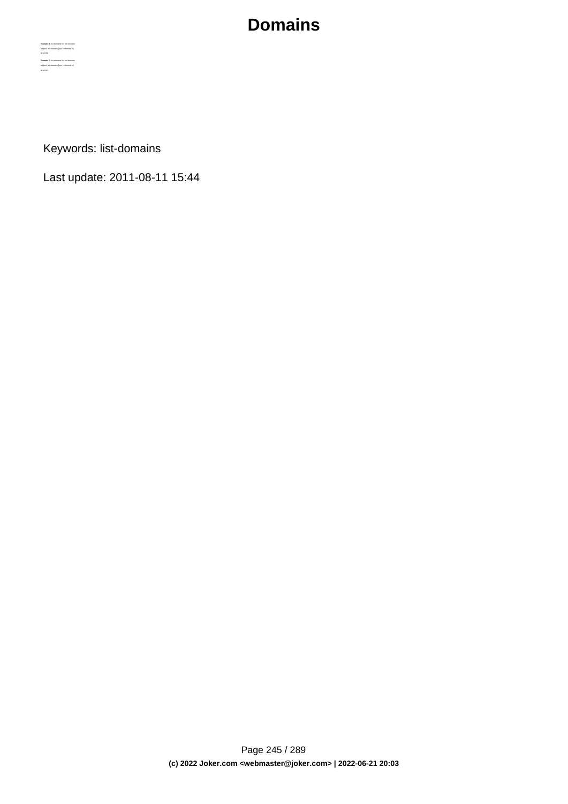**Example 6:** list domains for .de-domains subject: list domains [your reference id] **Example 7:** list domains for .cn-domains subject: list domains **[your reference id]** target:cn

Keywords: list-domains

Last update: 2011-08-11 15:44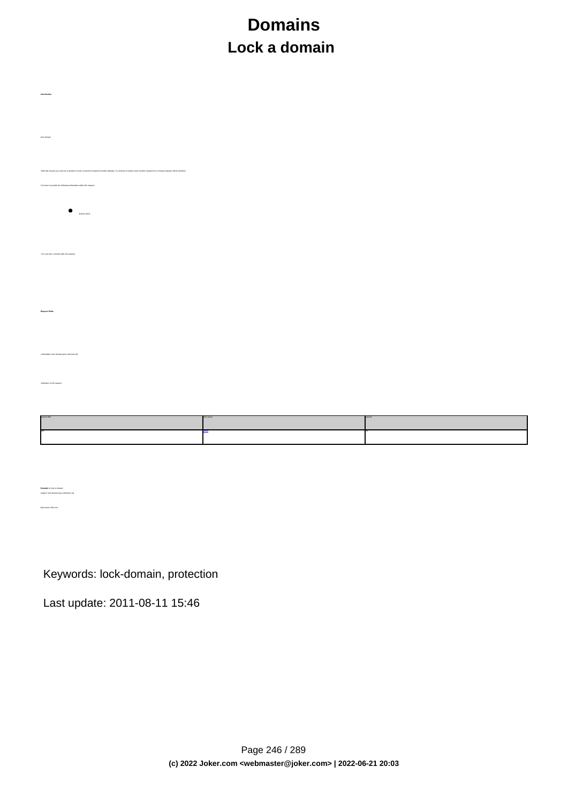# **Domains Lock a domain**

| Introduction                                                                                                                                                                      |
|-----------------------------------------------------------------------------------------------------------------------------------------------------------------------------------|
|                                                                                                                                                                                   |
|                                                                                                                                                                                   |
|                                                                                                                                                                                   |
|                                                                                                                                                                                   |
|                                                                                                                                                                                   |
|                                                                                                                                                                                   |
| lack domain                                                                                                                                                                       |
|                                                                                                                                                                                   |
|                                                                                                                                                                                   |
|                                                                                                                                                                                   |
|                                                                                                                                                                                   |
| With this request you can lock a domain in order to prevent fraudulent transfer attempts. If a domain is locked, each transfer-request from a foreign registrar will be declined. |
|                                                                                                                                                                                   |
| You have to provide the following information within the request                                                                                                                  |
|                                                                                                                                                                                   |
|                                                                                                                                                                                   |
|                                                                                                                                                                                   |
|                                                                                                                                                                                   |
| $\qquad \qquad \bullet$ . $\qquad \qquad \bullet$                                                                                                                                 |
|                                                                                                                                                                                   |
|                                                                                                                                                                                   |
|                                                                                                                                                                                   |
|                                                                                                                                                                                   |
|                                                                                                                                                                                   |
|                                                                                                                                                                                   |
| You can lock 1 domain with one request.                                                                                                                                           |
|                                                                                                                                                                                   |
|                                                                                                                                                                                   |
|                                                                                                                                                                                   |
|                                                                                                                                                                                   |
|                                                                                                                                                                                   |
|                                                                                                                                                                                   |
|                                                                                                                                                                                   |
|                                                                                                                                                                                   |
| Request fields                                                                                                                                                                    |
|                                                                                                                                                                                   |
|                                                                                                                                                                                   |
|                                                                                                                                                                                   |
|                                                                                                                                                                                   |
|                                                                                                                                                                                   |
|                                                                                                                                                                                   |
| malisubject lock domain (your reference id)                                                                                                                                       |
|                                                                                                                                                                                   |
|                                                                                                                                                                                   |
|                                                                                                                                                                                   |
| Definition of this request                                                                                                                                                        |
|                                                                                                                                                                                   |
|                                                                                                                                                                                   |
|                                                                                                                                                                                   |
|                                                                                                                                                                                   |
|                                                                                                                                                                                   |

| alid values |  |
|-------------|--|
|             |  |
|             |  |
|             |  |

Keywords: lock-domain, protection

Last update: 2011-08-11 15:46

**Example 1:** lock a domain<br>subject: lock domain [your reference id] fqdn:minus-109.com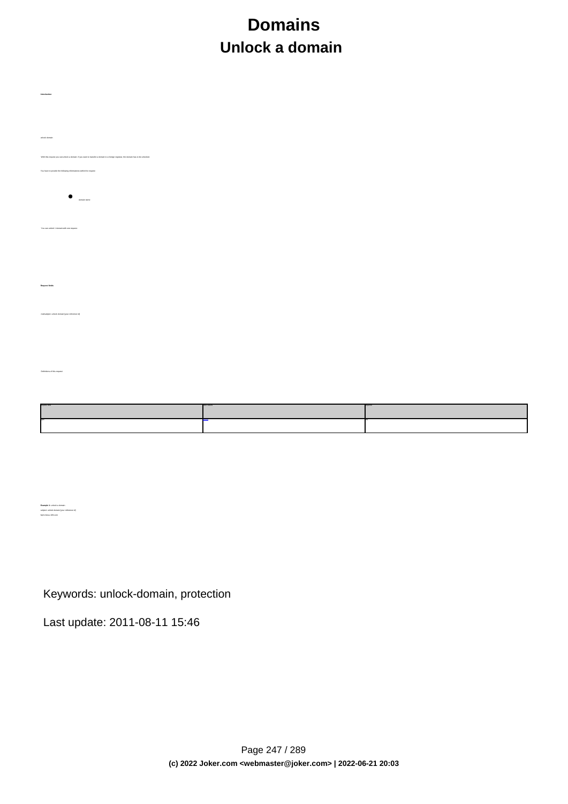# **Domains Unlock a domain**

| unlock domain                                                                                                                      |  |
|------------------------------------------------------------------------------------------------------------------------------------|--|
|                                                                                                                                    |  |
| With this request you can unlock a domain. If you want to transfer a domain to a foreign registrar, the domain has to be unlocked. |  |
| You have to provide the following informations within the request                                                                  |  |
|                                                                                                                                    |  |
| $\bullet$<br>domain name                                                                                                           |  |
|                                                                                                                                    |  |
| You can unlock 1 domain with one request.                                                                                          |  |
|                                                                                                                                    |  |
|                                                                                                                                    |  |
|                                                                                                                                    |  |
| <b>Request fields</b>                                                                                                              |  |
|                                                                                                                                    |  |
|                                                                                                                                    |  |
| malisztject unlock domain (your reference id)                                                                                      |  |
|                                                                                                                                    |  |
|                                                                                                                                    |  |
|                                                                                                                                    |  |
| Definitions of this request                                                                                                        |  |
|                                                                                                                                    |  |
|                                                                                                                                    |  |
|                                                                                                                                    |  |
|                                                                                                                                    |  |

Keywords: unlock-domain, protection

Last update: 2011-08-11 15:46

**Introduction**

**Example 1:** unlock a domain fqdn:minus-109.com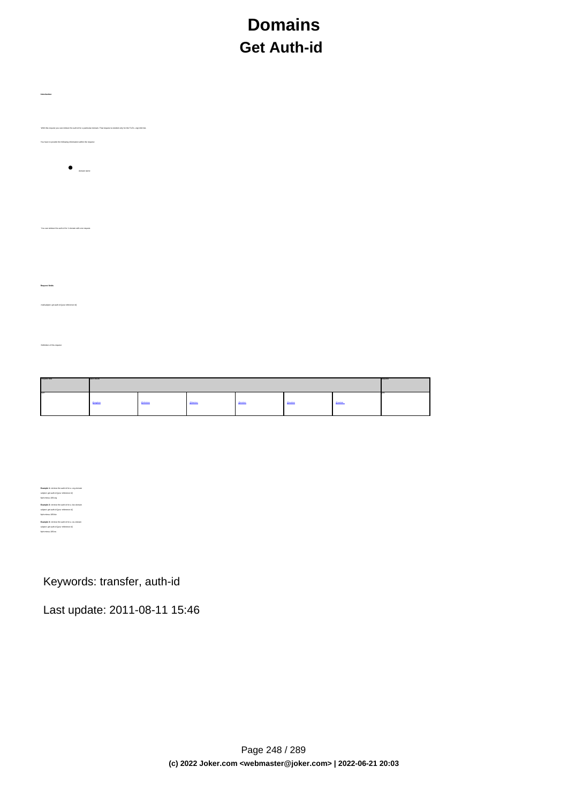# **Domains Get Auth-id**

| Introduction                                                                                                                      |  |
|-----------------------------------------------------------------------------------------------------------------------------------|--|
| With this request you can retrieve the auth-id for a particular domain. That request is needed only for the TLD's .org/info/.biz. |  |
| You have to provide the following information within the request:                                                                 |  |
| $\bullet$ $\bullet$ $\bullet$ $\bullet$ $\bullet$ $\bullet$ $\bullet$ $\bullet$                                                   |  |
|                                                                                                                                   |  |
| You can retrieve the auth-id for 1 domain with one request.                                                                       |  |
|                                                                                                                                   |  |
| Request fields                                                                                                                    |  |
| mailsubject: get auth-id [your reference id]                                                                                      |  |
| Definition of this request                                                                                                        |  |
|                                                                                                                                   |  |
|                                                                                                                                   |  |

| <b>Constitution Comments</b> | ---------      | _____            |          |                  |                                 |                            |  |
|------------------------------|----------------|------------------|----------|------------------|---------------------------------|----------------------------|--|
| <b>com</b>                   | <b>Brandon</b> | <b>Glasboton</b> | distants | <b>Glynoleum</b> | <b><i><u>Republican</u></i></b> | <b><i>Changed come</i></b> |  |

**Example 1:** retrieve the auth-id for a .org-domain subject: get auth-id [your reference id] fqdn:minus-109.org **Example 2:** retrieve the auth-id for a .biz-domain subject: get auth-id [your reference id] fqdn:minus-109.biz **Example 3:** retrieve the auth-id for a .eu-domain subject: get auth-id [your reference id] fqdn:minus-109.eu

Keywords: transfer, auth-id

Last update: 2011-08-11 15:46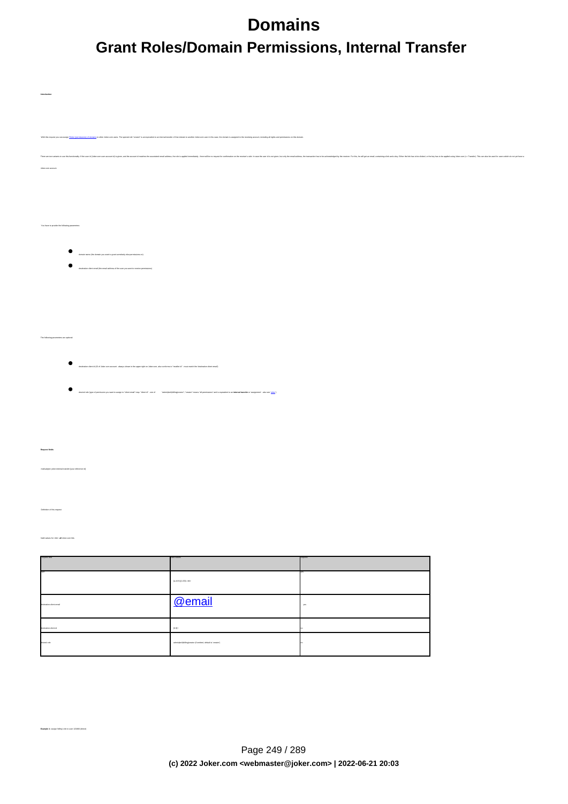# **Domains Grant Roles/Domain Permissions, Internal Transfer**

**Introduction**

**Example 1:** assign 'billing'-role to user 123456 (direct)

| With this request you can assign 3                                                                                                                                                                                             | exti of domains to other Joker.com users. The special role "creator" is an equivalent to an internal transfer of that domain to another Joker.com user.In this case, the domain is assigned to the receiving account, includin |        |                                                               |
|--------------------------------------------------------------------------------------------------------------------------------------------------------------------------------------------------------------------------------|--------------------------------------------------------------------------------------------------------------------------------------------------------------------------------------------------------------------------------|--------|---------------------------------------------------------------|
| There are two variants to use this tunctionity. If the user of (John conte users account) in a pay account of maches as account of maches descent action and the in separation of the non-terminon of the machematic phent and |                                                                                                                                                                                                                                |        | der). This can also be used for users which do not yet have a |
| Joket com account.                                                                                                                                                                                                             |                                                                                                                                                                                                                                |        |                                                               |
|                                                                                                                                                                                                                                |                                                                                                                                                                                                                                |        |                                                               |
|                                                                                                                                                                                                                                |                                                                                                                                                                                                                                |        |                                                               |
| You have to provide the following parameters:                                                                                                                                                                                  |                                                                                                                                                                                                                                |        |                                                               |
|                                                                                                                                                                                                                                |                                                                                                                                                                                                                                |        |                                                               |
| $\begin{minipage}{0.9\linewidth} \textbf{domain name (the domain you want to great amethod) also permission on: } \end{minipage}$                                                                                              |                                                                                                                                                                                                                                |        |                                                               |
| destrution client email (the email address of the user you want to receive permissions)                                                                                                                                        |                                                                                                                                                                                                                                |        |                                                               |
|                                                                                                                                                                                                                                |                                                                                                                                                                                                                                |        |                                                               |
|                                                                                                                                                                                                                                |                                                                                                                                                                                                                                |        |                                                               |
|                                                                                                                                                                                                                                |                                                                                                                                                                                                                                |        |                                                               |
| The following parameters are optional:                                                                                                                                                                                         |                                                                                                                                                                                                                                |        |                                                               |
| ٠<br>destrustion client id (ID of Joken com account - always shown in the upper right on Joken com, also conforms to "reseller id" - must match the 'destination client email')                                                |                                                                                                                                                                                                                                |        |                                                               |
| $\bullet$                                                                                                                                                                                                                      |                                                                                                                                                                                                                                |        |                                                               |
|                                                                                                                                                                                                                                | desired role (good permission you won'ts assign to "deter email" map. "deter inf "-cons of " "indentybed(politectly consider means "all permission" and a equivater to an internal transfer or heighter of a supporter" - also |        |                                                               |
|                                                                                                                                                                                                                                |                                                                                                                                                                                                                                |        |                                                               |
|                                                                                                                                                                                                                                |                                                                                                                                                                                                                                |        |                                                               |
|                                                                                                                                                                                                                                |                                                                                                                                                                                                                                |        |                                                               |
| malisabject: joken-internal-transfer [your reference id]                                                                                                                                                                       |                                                                                                                                                                                                                                |        |                                                               |
|                                                                                                                                                                                                                                |                                                                                                                                                                                                                                |        |                                                               |
| Definition of this request                                                                                                                                                                                                     |                                                                                                                                                                                                                                |        |                                                               |
|                                                                                                                                                                                                                                |                                                                                                                                                                                                                                |        |                                                               |
| Valid values for -did - all Joker.com tids                                                                                                                                                                                     |                                                                                                                                                                                                                                |        |                                                               |
|                                                                                                                                                                                                                                |                                                                                                                                                                                                                                |        |                                                               |
|                                                                                                                                                                                                                                | $[0.05\,0.1]1,0.3]1$ , elds                                                                                                                                                                                                    |        |                                                               |
| <b>Instrucion cleri email</b>                                                                                                                                                                                                  | @email                                                                                                                                                                                                                         | $y$ un |                                                               |
|                                                                                                                                                                                                                                |                                                                                                                                                                                                                                |        |                                                               |
| lestration-clere id                                                                                                                                                                                                            | $[0.0]$ +                                                                                                                                                                                                                      |        |                                                               |
| saired-tale<br>                                                                                                                                                                                                                | adminisch(billing)creator (if omited, default is 'creator')                                                                                                                                                                    |        |                                                               |
|                                                                                                                                                                                                                                |                                                                                                                                                                                                                                |        |                                                               |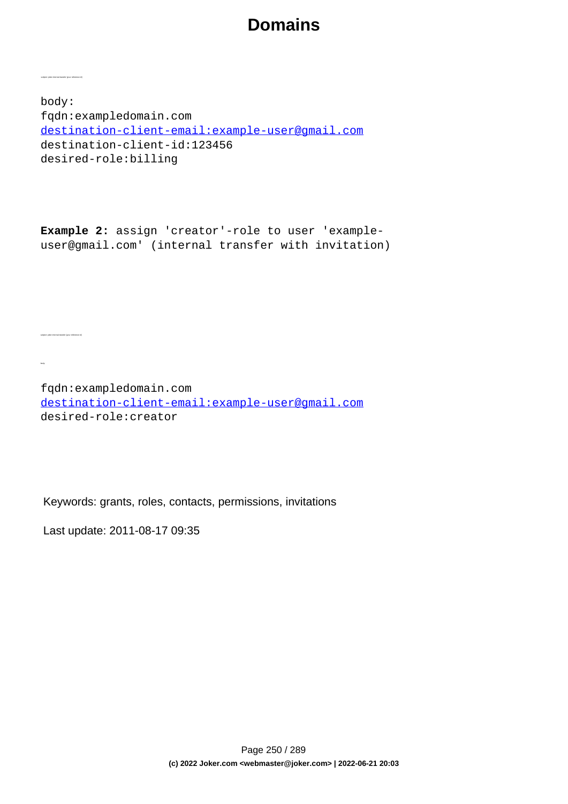body: fqdn:exampledomain.com destination-client-email:example-user@gmail.com destination-client-id:123456 desired-role:billing

**Example 2:** assign 'creator'-role to user 'exampleuser@gmail.com' (internal transfer with invitation)

fqdn:exampledomain.com destination-client-email:example-user@gmail.com desired-role:creator

Keywords: grants, roles, contacts, permissions, invitations

Last update: 2011-08-17 09:35

subject: joker-internal-transfer [your reference id]

subject: joker-internal-transfer [your reference id]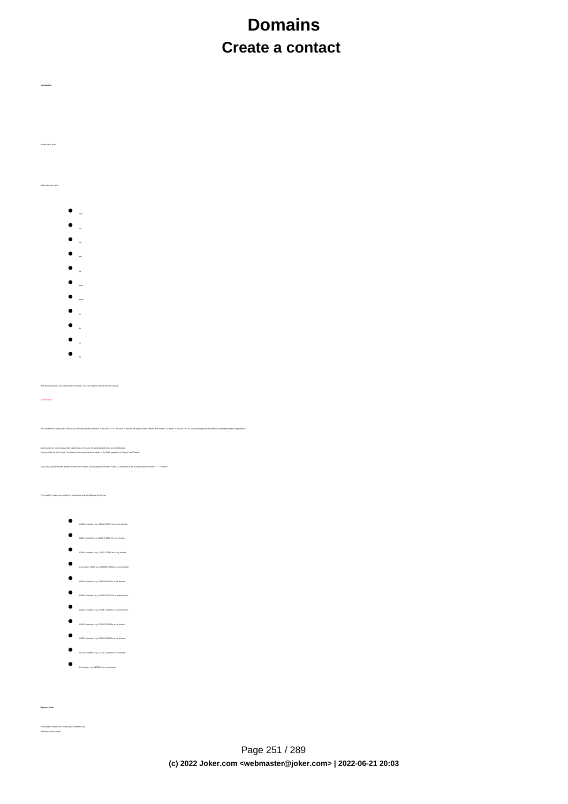# **Domains Create a contact**

Valid values for <tld>:

create clid-order

**Introduction**

 $\bullet$ 

- 
- 
- 
- 
- 
- mobi
- 
- name
- 
- de
- $\bullet$
- $\bullet$

With this request you can create person contacts. You can create 1 contact with one request.

ATTENTION:

finition. If you set it to "Y", you have to provide the request-fields "Insme" and "Insme" or "name". If you set it to "M", you have to provide information in the reques

As the whols for .com shows a field called person, the rules for generating this field are the following:<br>If you provide the field "rame". the whols is showing always the values of this field. recandless of "frame" and "in

If you only provide the field "fname" and the field "lname", we will generate the field "name" as the result of the concatenation of "fname" + " " + "lname".

The result of "create com-contact" is a reference which is following the format:

- $\bullet$  CCOM-crumber> e.g. CCOM-176269 for a .com domain.
- $\begin{tabular}{ll} \hline \multicolumn{3}{l}{} & \multicolumn{3}{l}{} & \multicolumn{3}{l}{} \\ & \multicolumn{3}{l}{} & \multicolumn{3}{l}{} & \multicolumn{3}{l}{} \\ & \multicolumn{3}{l}{} & \multicolumn{3}{l}{} & \multicolumn{3}{l}{} \\ \multicolumn{3}{l}{} & \multicolumn{3}{l}{} & \multicolumn{3}{l}{} & \multicolumn{3}{l}{} \\ \multicolumn{3}{l}{} & \multicolumn{3}{l}{} & \multicolumn{3}{l}{} & \multicolumn{3}{l}{} \\ \multicolumn{3}{l}{} & \multicolumn{3}{l}$
- CORG-<number> e.g. CORG-176269 for a .org domain.
- $\bullet$  Conumber>-LRMS e.g. C176269-LRMS for a .info domain.
- 
- $\begin{minipage}{1.5\linewidth} \begin{tabular}{l} \multicolumn{2}{l}{} & \multicolumn{2}{l}{} \\ \multicolumn{2}{l}{} & \multicolumn{2}{l}{} \\ \multicolumn{2}{l}{} & \multicolumn{2}{l}{} \\ \multicolumn{2}{l}{} & \multicolumn{2}{l}{} \\ \multicolumn{2}{l}{} & \multicolumn{2}{l}{} \\ \multicolumn{2}{l}{} & \multicolumn{2}{l}{} \\ \multicolumn{2}{l}{} & \multicolumn{2}{l}{} \\ \multicolumn{2}{l}{} & \multicolumn{2}{l}{} \\ \multicolumn{2}{l}{} & \multicolumn{2}{l}{} \\ \$
- COMO-<number> e.g. COMO-176269 for a .mobi domain.
- $\bullet$  CNAM-crumber> e.g. CNAM-176269 for a .name domain
- $\bullet$  COUS-crumber> e.g. COUS-176269 for a .us domain.
- CODE-<number> e.g. CODE-176269 for a .de domain.
- COCN-<number> e.g. COCN-176269 for a .cn domain.
- $\bullet$  Conumber> e.g. C176269 for a .eu domain.
- 

mailsubject: create <tld>-contact [your reference id] Definition of this request

**Request fields**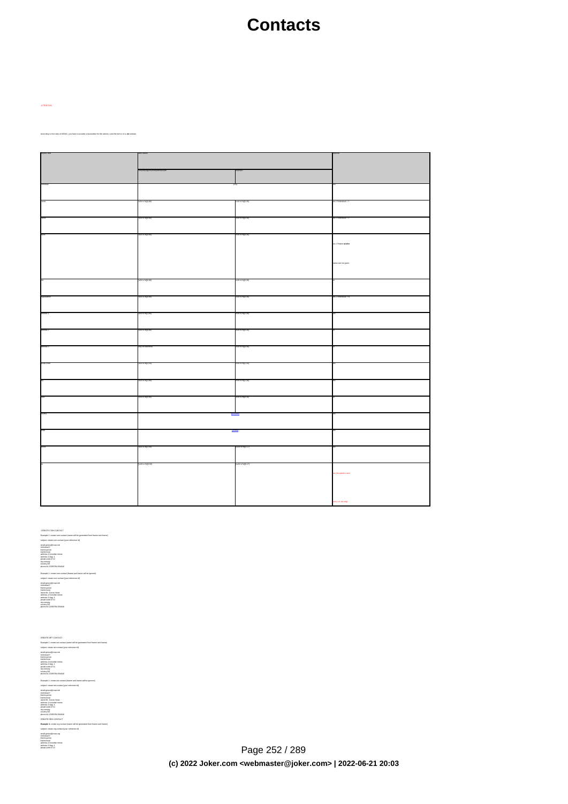# **Contacts**

According to the rules of DENIC, you have to provide a faxnumber for the admin-c and the tech-c of a **.de** domain.

| <b>STO VALUES</b> |             |                      |
|-------------------|-------------|----------------------|
|                   |             |                      |
|                   |             |                      |
|                   |             |                      |
|                   |             |                      |
|                   |             |                      |
|                   |             |                      |
|                   |             |                      |
|                   |             |                      |
|                   |             |                      |
|                   |             |                      |
|                   |             |                      |
|                   |             | es, if frame and/or  |
|                   |             |                      |
|                   |             |                      |
|                   |             | nevig ton ess amor   |
|                   |             |                      |
|                   |             |                      |
|                   |             |                      |
|                   |             |                      |
|                   |             |                      |
|                   |             |                      |
|                   |             |                      |
|                   |             |                      |
|                   |             |                      |
|                   |             |                      |
|                   |             |                      |
|                   |             |                      |
|                   |             |                      |
|                   |             |                      |
|                   |             |                      |
| 0-5x7e((1,80)     | 74(11,30)   |                      |
|                   |             |                      |
|                   |             |                      |
|                   | \x7e(j)2,30 |                      |
|                   |             |                      |
|                   |             |                      |
|                   |             |                      |
|                   |             |                      |
|                   |             |                      |
|                   |             |                      |
|                   |             |                      |
|                   |             |                      |
|                   |             |                      |
|                   |             | es (for admin-cland) |
|                   |             |                      |
|                   |             |                      |
|                   |             |                      |
|                   |             | c of de only)        |
|                   |             |                      |

 CREATE COM CONTACT Example 1: create com-contact (name will be generated from fname and lname) subject: create com-contact [your reference id]<br>email:gonzo@nose.net<br>hame:gonzo<br>individual:Y<br>postal-code:4711<br>postal-code:4711<br>city:romsey<br>country:DE<br>city:romsey<br>phone:44 13383794 504040<br>phone:44 13383794 504040 Example 2: create com-contact (fname and lname will be ignored) subject: create com-contact [your reference id]<br>email:gonzo@nose.net<br>individual:Y<br>hame.gonzo<br>hame:gonzo<br>hame:Mr. Gonzo Nose<br>address-2:App. 1<br>postal-code:4711<br>city:romsey. country:DE

CREATE NET CONTACT Example 1: create net-contact (name will be generated from fname and lname) adapa como sin comezular<br>antigar de la comezular de la comezular de la comezular<br>antigar de la comezular de la comezular de la comezular de la comezular<br>antigar de la comezula de la comezular de la comezular de la comezula

Page 252 / 289 **(c) 2022 Joker.com <webmaster@joker.com> | 2022-06-21 20:03**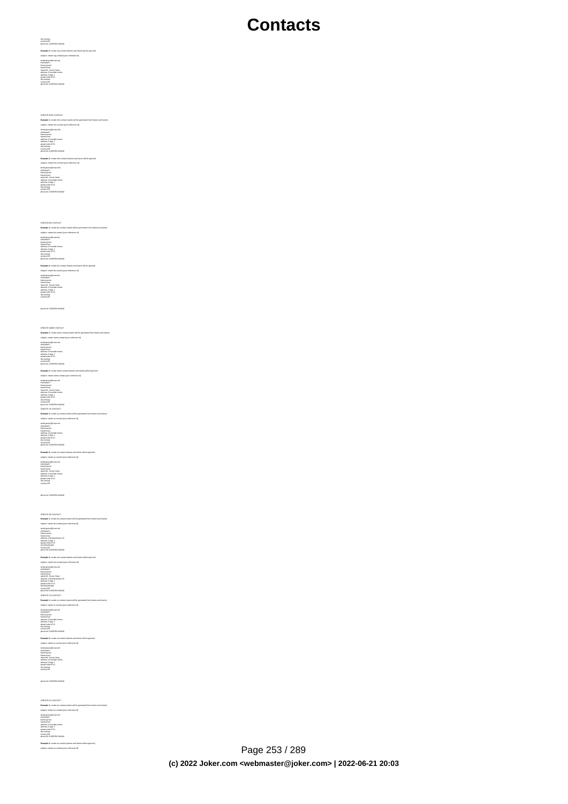city:romsey country:DE phone:44 13383794 504040

**Example 2:** create org-contact (fname and lname will be ignored)<br>subject: create org-contact [your reference id]

email:gonzo@nose.org<br>individual:Y<br>fname:gonzo<br>iname:Mr. Gonzo Nose<br>name:Mr. Gonzo Nose<br>address-2:App. 1<br>postal-code:4711<br>city:romsey<br>country:DE<br>phone:44 13383794 504040<br>phone:44 13383794 504040

CREATE INFO CONTACT **Example 1:** create info-contact (name will be generated from fname and lname) subject: create info-contact [your reference id]

email:gonzo@nose.info<br>individual:Y<br>fname:gonzo<br>address-1:horsefair mews<br>address-2:App. 1<br>address-2:App. 1<br>postal-code:4711

city:romsey country:DE phone:44 13383794 504040

**Example 2:** create info-contact (fname and lname will be ignored) subject: create info-contact [your reference id]

email:gonzo@nose.info<br>individual:Y<br>fname:gonzo<br>iname:nose<br>name:Mr. Gonzo Nose<br>address-2:App. 1<br>postal-code:4711<br>postal-code:4711<br>city:romsey phone:44 13383794 504040

country:DE

CREATE BIZ CONTACT **Example 1:** create biz-contact (name will be generated from fname and lname) subject: create biz-contact (your reference id) email:gonzo@nose.biz

fname:gonzo lname:nose address-2:App. 1 postal-code:4711 country:DE phone:44 13383794 504040

**Example 2:** create biz-contact (fname and lname will be ignored) subject: create biz-contact [your reference id] email:gonzo@nose.biz<br>individual:Y<br>fname:gonzo<br>hame:nose<br>address-2:App. 1<br>address-2:App. 1<br>postal-code:4711<br>postal-code:4711

city:romsey country:DE phone:44 13383794 504040

CREATE NAME CONTACT **Example 1:** create name-contact (name will be generated from fname and lname) subject: create name-contact [your reference id] email:gonzo@nose.net<br>individual:Y<br>fname:gonzo<br>address-1:horsefair mews<br>address-2:App. 1<br>aostal-code:4711

city:romsey country:DE phone:44 13383794 504040 **Example 2:** create name-contact (fname and lname will be ignored) subject: create name-contact [your reference id] email:gonzo@nose.net individual:Y

fname:gonzo lname:nose name:Mr. Gonzo Nose address-1:horsefair mews address-2:App. 1 postal-code:4711 city:romsey country:DE phone:44 13383794 504040 **Example 1:** create us-contact (name will be generated from fname and lname) subject: create us-contact [your reference id]

fname:gonzo lname:nose address-1:horsefair mews address-2:App. 1 postal-code:4711 city:romsey country:DE

**Example 2:** create us-contact (fname and lname will be ignored) subject: create us-contact [your reference id] email:gonzo@nose.net individual:Y fname:gonzo lname:nose name:Mr. Gonzo Nose address-2:App. 1 postal-code:4711

phone:44 13383794 504040

country:DE

email:gonzo@nose.net individual:Y

CREATE DE CONTACT **Example 1:** create de-contact (name will be generated from fname and lname) subject: create de-contact [your reference id] email:gonzo@nose.net<br>individual:Y<br>fname:nose<br>indress-1:Musterstrasse 19<br>address-1:Musterstrasse 19<br>address-2:App. 1<br>postal-code:4711<br>country:DE<br>phone:49 13383794 504040<br>phone:49 13383794 504040 **Example 2:** create net-contact (fname and lname will be ignored) subject: create net-contact [your reference id]<br>email:gonzo@nose.net<br>hairudual:Y<br>hame:gonzo<br>hame:gonzo<br>hame:Musterstadt<br>address-2:App. 1<br>postal-code:4711<br>postal-code:4711<br>postal-code:4711<br>postal-code:4711 country:DE phone:49 13383794 504040 CREATE CN CONTACT **Example 1:** create cn-contact (name will be generated from fname and lname) subject: create cn-contact [your reference id]<br>email:gonzo@nose.net<br>thame:gonzo<br>banne:gonzo<br>postal-code:4711<br>postal-code:4711<br>city:romsey<br>country:DE<br>code:44 13383794 504040<br>phone:44 13383794 504040 **Example 2:** creatio cr-context (Frame and frome will be ignored)<br>aubject creation cr-context (Four reference id)<br>redukativity creation creation (Four reference id)<br>redukativity<br>harme-context (Counce)<br>thermatic (Counce)<br>st city:romsey country:DE

**Example 1:** create eu-contact (name will be generated from fname and lname) subject: create eu-contact [your reference id] email:gonzo@nose.net<br>individual:Y<br>fname:gonzo<br>address-1:horsefair mews<br>address-2:App. 1<br>aostal-code:4711 city:romsey country:DE **Example 2:** create eu-contact (fname and lname will be ignored)

phone:44 13383794 504040

 $\text{Page }253 \text{ / }289$ **(c) 2022 Joker.com <webmaster@joker.com> | 2022-06-21 20:03**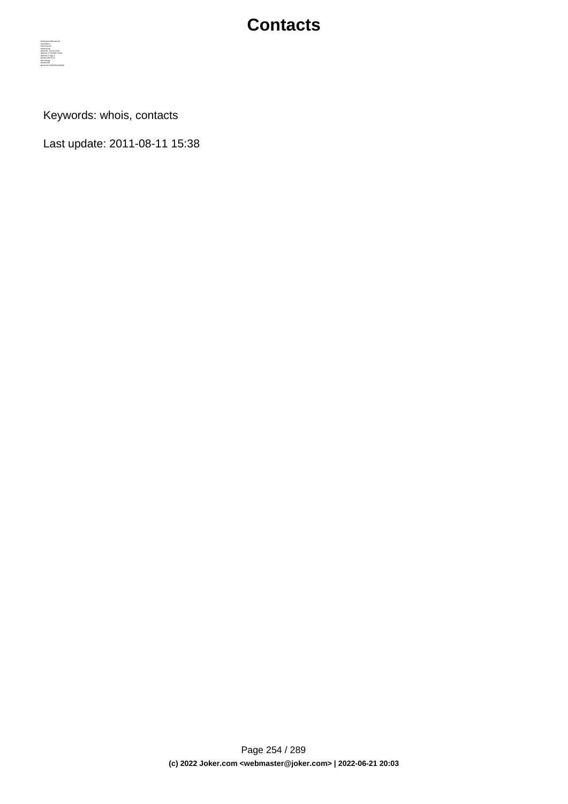

Keywords: whois, contacts

Last update: 2011-08-11 15:38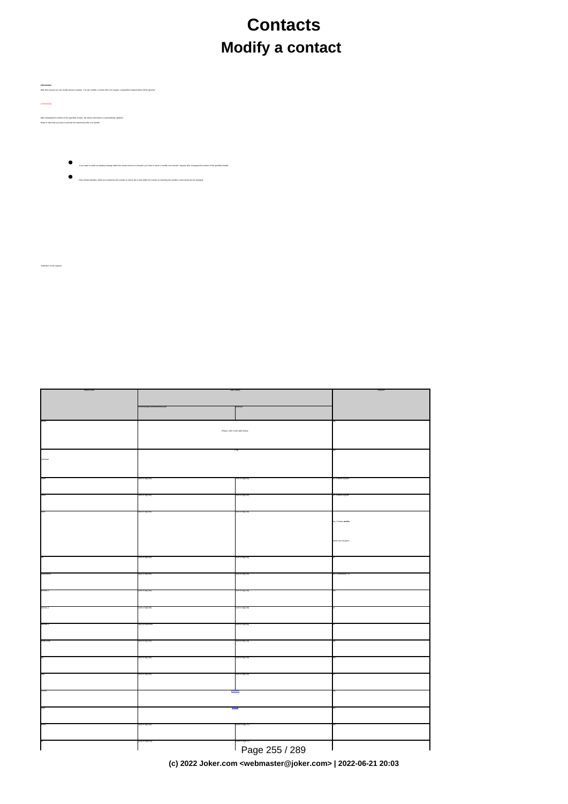# **Contacts Modify a contact**

**Introduction** With this request you can modify person contacts. You can modify 1 contact with one request. Unspecified request-fields will be ignored. ATTENTION: After changing the content of the specified contact, the whois information is automatically updated.<br>Keep in mind that you have to provide the numerical suffix of a handle.

Definition of this request

- If you want to make an address change within the owner-record of a domain, you have to send a "modify com-domain"-request after changing the content of the specified handle.
- Only contact-handles, which are created by the reseller or where the e-mail within the contact is matching the reseller's robot-email can be changed.  $\bullet$

| Yoase, refer to the to |                |             |
|------------------------|----------------|-------------|
|                        |                |             |
|                        |                |             |
|                        |                |             |
|                        |                |             |
|                        |                |             |
|                        |                |             |
|                        |                |             |
|                        |                | a sea not o |
|                        |                |             |
|                        |                |             |
|                        |                |             |
|                        |                |             |
|                        |                |             |
|                        |                |             |
|                        |                |             |
|                        |                |             |
|                        |                |             |
|                        |                |             |
|                        |                |             |
|                        |                |             |
|                        |                |             |
|                        | Page 255 / 289 |             |

request-field values required values required values required values required values required values required values

**(c) 2022 Joker.com <webmaster@joker.com> | 2022-06-21 20:03**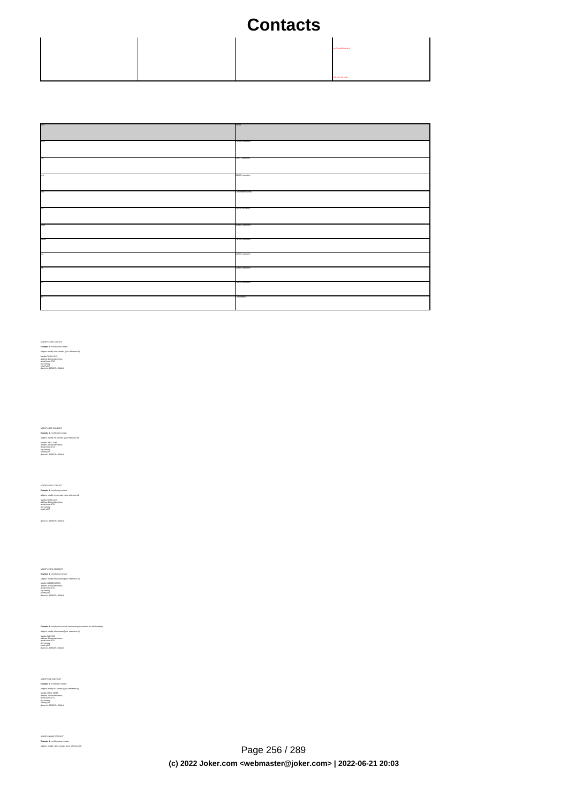|  | es thr admin-cand   |
|--|---------------------|
|  | inch-c of use only) |

| <b>COMPA</b> | CCOM-mumbers         |
|--------------|----------------------|
|              |                      |
|              |                      |
|              |                      |
|              |                      |
|              |                      |
|              | CNET-crumber>        |
|              |                      |
|              |                      |
|              |                      |
|              |                      |
|              |                      |
|              | CORG-chumbars        |
|              |                      |
|              |                      |
|              |                      |
|              |                      |
|              |                      |
|              | Counters-LRMS        |
|              |                      |
|              |                      |
|              |                      |
|              |                      |
|              |                      |
|              | CNEU-cnumber>        |
|              |                      |
|              |                      |
|              |                      |
|              |                      |
|              |                      |
|              | <b>COMO-crumbers</b> |
|              |                      |
|              |                      |
|              |                      |
|              |                      |
| <b>COM</b>   | <b>UWW-crumbers</b>  |
|              |                      |
|              |                      |
|              |                      |
|              |                      |
|              | <b>LUUS-chargers</b> |
|              |                      |
|              |                      |
|              |                      |
|              |                      |
|              | CODE-chambers        |
|              |                      |
|              |                      |
|              |                      |
|              |                      |
|              | <b>COCN-chambers</b> |
|              |                      |
|              |                      |
|              |                      |
|              |                      |
|              |                      |
|              | <b>COMMERCY</b>      |
|              |                      |
|              |                      |
|              |                      |

MODIFY COM CONTACT **Example 1:** modify com-contact subject: modify com-contact [your reference id] handle:CCOM-1235 address-1:horsefair mews postal-code:4711 city:romsey country:DE

MODIFY NET CONTACT **Example 1:** modify net-contact subject: modify net-contact [your reference id] handle:CNET-1235 address-1:horsefair mews postal-code:4711 city:romsey country:DE

MODIFY ORG CONTACT **Example 1:** modify org-contact subject: modify org-contact [your reference id] handle:CORG-1235 address-1:horsefair mews postal-code:4711 city:romsey

phone:44 13383794 504040

country:DE

MODIFY INFO CONTACT **Example 1:** modify info-contact subject: modify info-contact [your reference id] handle:C293829-LRMS address-1:horsefair mews postal-code:4711 city:romsey country:DE

**Example 2:** modify info-contact (new naming convention for info-handles) subject: modify info-contact [your reference id] handle:CAFI-007 address-1:horsefair mews postal-code:4711 city:romsey country:DE phone:44 13383794 504040

MODIFY BIZ CONTACT **Example 1:** modify biz-contact subject: modify biz-contact [your reference id] handle:CNEU-12345 postal-code:4711 city:romsey country:DE phone:44 13383794 504040

MODIFY NAME CONTACT **Example 1:** modify name-contact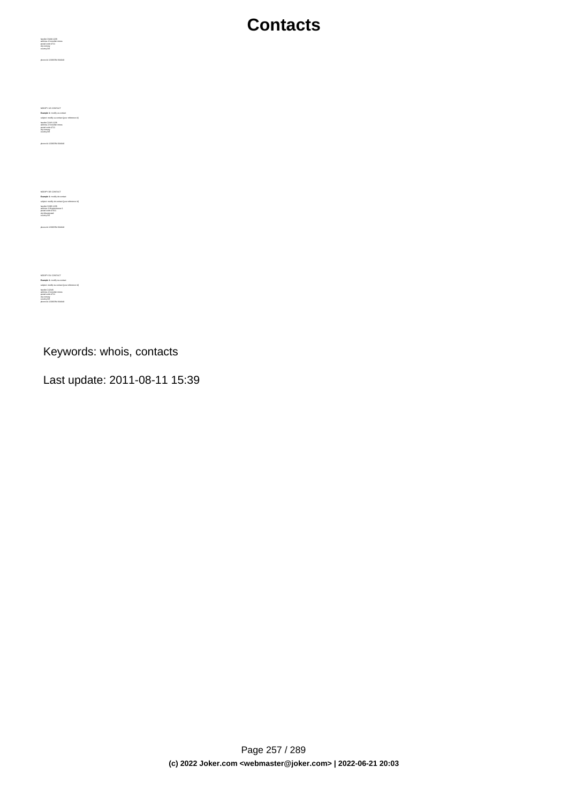MODIFY US CONTACT **Example 1:** modify us-contact subject: modify us-contact [your reference id] handle:COUS-1235 postal-code:4711 city:romsey country:DE

phone:44 13383794 504040

handle:CNAM-1235 address-1:horsefair mews postal-code:4711 city:romsey country:DE phone:44 13383794 504040

MODIFY DE CONTACT **Example 1:** modify de-contact<br>subject: modify de-contact [your reference id]<br>handle:CODE-1235<br>address-1:Musterstrasse 1<br>city:Musterstadt<br>cly.Musterstadt<br>country:DE

phone:44 13383794 504040

MODIFY EU CONTACT<br>subject: modify eu-contact<br>subject: modify eu-contact [your reference id]<br>handle:C12345<br>sadress-1:horsefair mews<br>country:DE<br>country:DE<br>country:DE phone:44 13383794 504040

Keywords: whois, contacts

Last update: 2011-08-11 15:39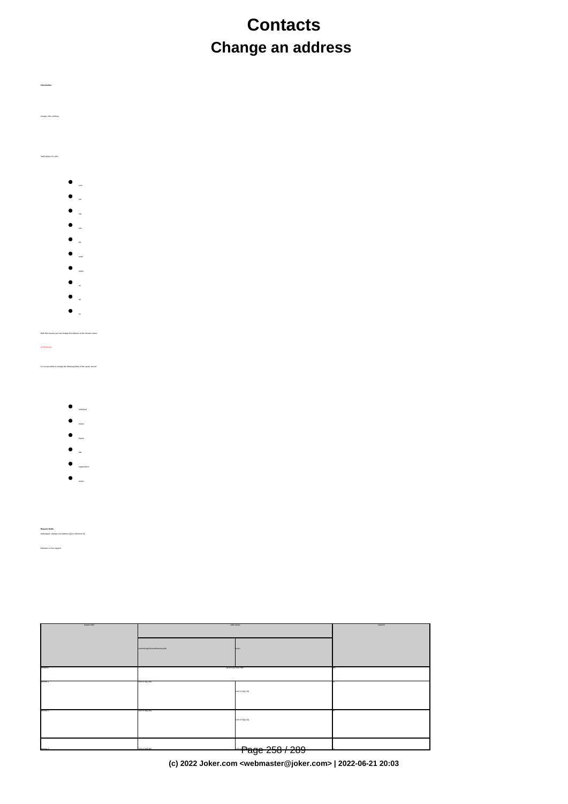# **Contacts Change an address**

change <tld>-address Valid values for <tld>:

- 
- 
- 
- 
- 
- 
- 
- 
- de
- 

## With this request you can change the address of the domain owner.

**Introduction**

It is not possible to change the following fields of the owner-record:

- individual
- lname
- fname
- title
- organization
- email

**Request fields** mailsubject: change com-address [your reference id]

com|net|org|info|mobilitame|us|de biz|cn biz|cn biz|cn biz|cn biz|cn biz|cn biz|cn biz|cn biz|cn biz|cn biz|cn domains0 [a-z0-9-l1,63}\.com and all contracts of the contracts of the contracts of the contracts of the contracts of the contracts of the contracts of the contracts of the contracts of the contracts of the contracts of th address-1 [\x20-\x7e]{1,80}} [\x20-\x7e]{1,30} no address-2 [\x20-\x7e]{0,80} [\x20-\x7e]{0,30} no  $\textcolor{red}{\blacksquare}$  Page 258 / 289

request-field values request-field values request-field values request-field values request-field values request-

**(c) 2022 Joker.com <webmaster@joker.com> | 2022-06-21 20:03**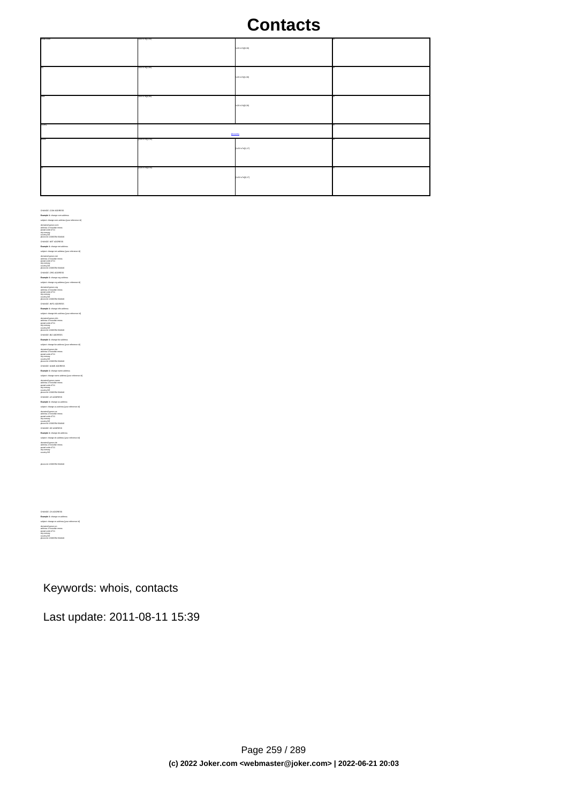| scutai-code | 320-3276((1,50) | yac.ciga/tx/-ccs |  |
|-------------|-----------------|------------------|--|
|             | v20-5/reg 1,80) | (00.1))eTx/-05x  |  |
|             | sco-screggiato) | yac.crys.ccs     |  |
| contry      | <b>Boostry</b>  |                  |  |
| hane.       | 020-27431.50    | [u20-lu7e](1,17) |  |
|             | 020-27430.50    | (u20-lx7e)(0,17) |  |

CHANGE .COM ADDRESS<br>**Example 1:** change com-address<br>subject: change com-address [your reference id]<br>domains-1:horsefair mews<br>address-1:horsefair mews postal-code:4711<br>city:romsey<br>country:DE<br>phone:44 13383794 504040 CHANGE .NET ADDRESS **Example 1:** change net-address subject: change net-address [your reference id]<br>domains0:gonzo.net<br>postal-code:4711<br>postal-code:4711<br>city:romsey<br>chy.net=44 13383794 504040<br>ch4NGE .ORG ADDRESS **Example 1:** change org-address subject: change org-address [your reference id]<br>domains0:gonzo.org<br>address-1:horsefair mews<br>postel-code:4711<br>city:romsey<br>chorse:44 13383794 504040<br>phone:44 13383794 504040  $G$  and and a first control of the state of the state of the state of the state of the state point was stated point when the state of the state of the state of the state of the state of the state of the state of the state phone:44 13383794 504040 CHANGE .US ADDRESS **Example 1:** change us-address subject change us-address (your reference id)<br>domainal gonos.us<br>politic colorates<br>politic changes<br>dyname<br>dyname + 13263764 504040<br>County:CE<br>Change de-address<br>Change for ADDRESS<br>Change de-address<br>Right change de-address<br>Rig domains0:gonzo.de address-1:horsefair mews postal-code:4711 city:romsey country:DE

CHANGE .CN ADDRESS **Example 1:** change cn-address subject: change cn-address [your reference id] domains0:gonzo.cn address-1:horsefair mews postal-code:4711 city:romsey country:DE

phone:44 13383794 504040

Keywords: whois, contacts

Last update: 2011-08-11 15:39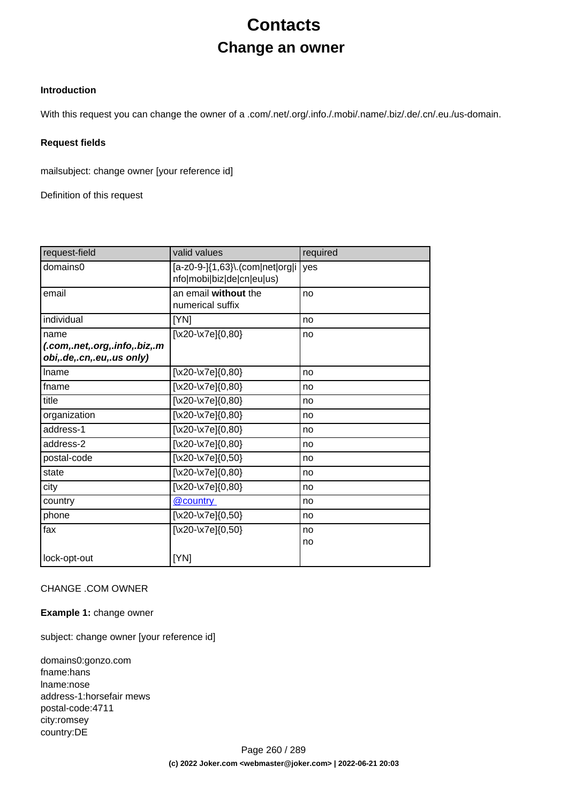# **Contacts Change an owner**

## **Introduction**

With this request you can change the owner of a .com/.net/.org/.info./.mobi/.name/.biz/.de/.cn/.eu./us-domain.

#### **Request fields**

mailsubject: change owner [your reference id]

Definition of this request

| request-field                                              | valid values                                                 | required |
|------------------------------------------------------------|--------------------------------------------------------------|----------|
| domains0                                                   | [a-z0-9-]{1,63}\.(com net org i<br>nfo mobi biz de cn eu us) | yes      |
| email                                                      | an email without the<br>numerical suffix                     | no       |
| individual                                                 | [YN]                                                         | no       |
| name                                                       | [\x20-\x7e]{0,80}                                            | no       |
| (.com,.net,.org,.info,.biz,.m<br>obi,.de,.cn,.eu,.us only) |                                                              |          |
| Iname                                                      | [\x20-\x7e] $\{0,80\}$                                       | no       |
| fname                                                      | [\x20-\x7e] $\{0,80\}$                                       | no       |
| title                                                      | $[\x20-\x7e]\{0,80\}$                                        | no       |
| organization                                               | $[\x20-\x7e]\{0,80\}$                                        | no       |
| address-1                                                  | $[\x20-\x7e]\{0,80\}$                                        | no       |
| address-2                                                  | [\x20-\x7e] $\{0,80\}$                                       | no       |
| postal-code                                                | [\x20-\x7e] $\{0,50\}$                                       | no       |
| state                                                      | $[\x20-\x7e]\{0,80\}$                                        | no       |
| city                                                       | $[\x20-\x7e]\{0,80\}$                                        | no       |
| country                                                    | @country                                                     | no       |
| phone                                                      | [\x20-\x7e] $\{0,50\}$                                       | no       |
| fax                                                        | $[\x20-\x7e]\{0,50\}$                                        | no       |
|                                                            |                                                              | no       |
| lock-opt-out                                               | [YN]                                                         |          |

## CHANGE .COM OWNER

#### **Example 1:** change owner

subject: change owner [your reference id]

domains0:gonzo.com fname:hans lname:nose address-1:horsefair mews postal-code:4711 city:romsey country:DE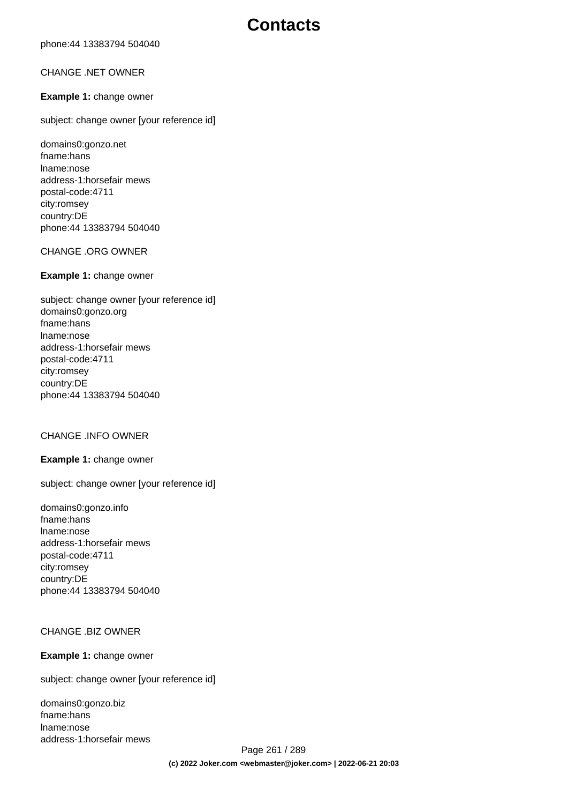phone:44 13383794 504040

### CHANGE .NET OWNER

#### **Example 1:** change owner

subject: change owner [your reference id]

domains0:gonzo.net fname:hans lname:nose address-1:horsefair mews postal-code:4711 city:romsey country:DE phone:44 13383794 504040

#### CHANGE .ORG OWNER

#### **Example 1:** change owner

subject: change owner [your reference id] domains0:gonzo.org fname:hans lname:nose address-1:horsefair mews postal-code:4711 city:romsey country:DE phone:44 13383794 504040

## CHANGE .INFO OWNER

#### **Example 1:** change owner

subject: change owner [your reference id]

domains0:gonzo.info fname:hans lname:nose address-1:horsefair mews postal-code:4711 city:romsey country:DE phone:44 13383794 504040

### CHANGE .BIZ OWNER

#### **Example 1:** change owner

subject: change owner [your reference id]

domains0:gonzo.biz fname:hans lname:nose address-1:horsefair mews

Page 261 / 289 **(c) 2022 Joker.com <webmaster@joker.com> | 2022-06-21 20:03**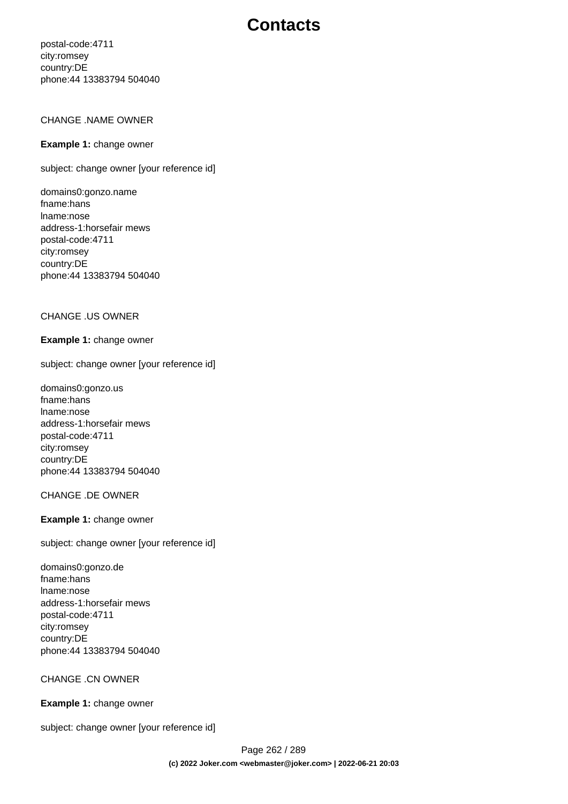postal-code:4711 city:romsey country:DE phone:44 13383794 504040

### CHANGE .NAME OWNER

#### **Example 1:** change owner

subject: change owner [your reference id]

domains0:gonzo.name fname:hans lname:nose address-1:horsefair mews postal-code:4711 city:romsey country:DE phone:44 13383794 504040

#### CHANGE .US OWNER

#### **Example 1:** change owner

subject: change owner [your reference id]

domains0:gonzo.us fname:hans lname:nose address-1:horsefair mews postal-code:4711 city:romsey country:DE phone:44 13383794 504040

#### CHANGE .DE OWNER

#### **Example 1:** change owner

subject: change owner [your reference id]

domains0:gonzo.de fname:hans lname:nose address-1:horsefair mews postal-code:4711 city:romsey country:DE phone:44 13383794 504040

CHANGE .CN OWNER

#### **Example 1:** change owner

subject: change owner [your reference id]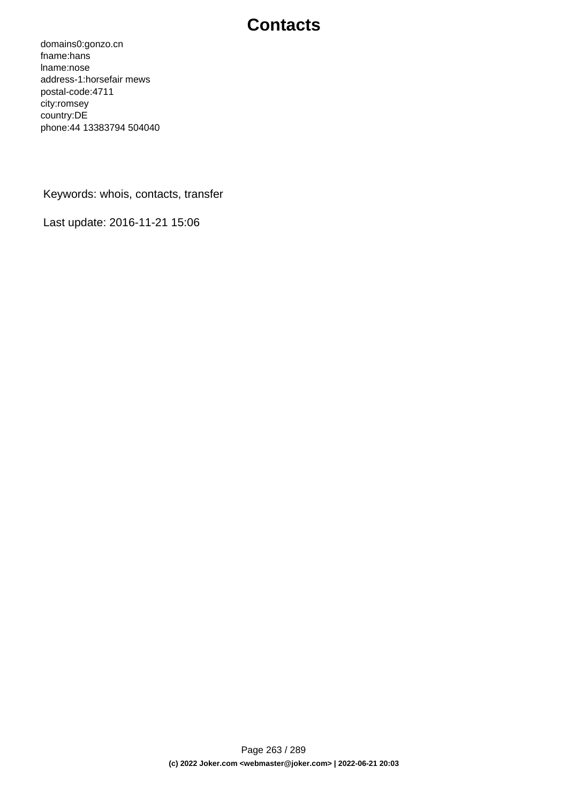domains0:gonzo.cn fname:hans lname:nose address-1:horsefair mews postal-code:4711 city:romsey country:DE phone:44 13383794 504040

Keywords: whois, contacts, transfer

Last update: 2016-11-21 15:06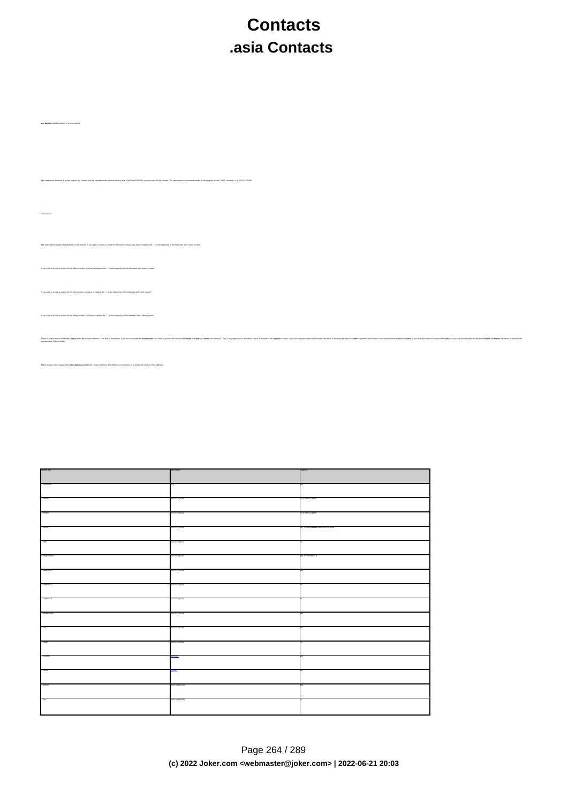# **Contacts .asia Contacts**

The international man and a man the internation. The international man international man international man international man international man international man international man international man international man interna

**new-handle** (implicit creation of a new contact)

ATTENTION:

.<br>IDASE, a new contact will be created. The reference for the created handle is to

.<br>The context. If you want to create a contact for the owner-contact, you have to replace the ".." at the beginning

If you want to create a contact for the admin-contact, you have to replace the ".." at the beginning of the fieldname with "admin-contact".

If you want to create a contact for the billing-contact, you have to replace the ".." at the beginning of the fieldname with "billing-contact".

There is also a new request field called **address-3** within the contact definition. This field is not mandatory, it is simply the 3rd line of the address.

.<br>In you a contact for the tech-contact, you have to replace the "..." at the beginning of the field

| equest fait         |                 |                                 |
|---------------------|-----------------|---------------------------------|
|                     |                 |                                 |
| -navaal             |                 |                                 |
|                     |                 |                                 |
| <b>CONG</b>         |                 | o, it name is give              |
| . - maya            |                 | if name is given                |
|                     | 00-07430.003    |                                 |
| . <sup>2</sup> came | 320-074310.003  | L II FORDO ADOROS FORDO ANO COS |
|                     |                 |                                 |
| $-400$              |                 |                                 |
|                     |                 |                                 |
| . - organization    |                 |                                 |
| . . 900000-1        |                 |                                 |
|                     |                 |                                 |
| - 4001111-2         |                 |                                 |
|                     |                 |                                 |
| $-3559844 - 3$      |                 |                                 |
| . game cos          | XAX-01/88.1.00  |                                 |
|                     |                 |                                 |
| ."-aty              | y20-b/7e)(1,02) |                                 |
|                     |                 |                                 |
| <b>Called</b>       | u20-u7e)(0,80)  |                                 |
|                     |                 |                                 |
| .'-country          |                 |                                 |
| Jensi               |                 |                                 |
|                     |                 |                                 |
| ."phone             | x20-1x7e((1,50) |                                 |
|                     |                 |                                 |
| . dax               | (u20-u7e((0,50) |                                 |
|                     |                 |                                 |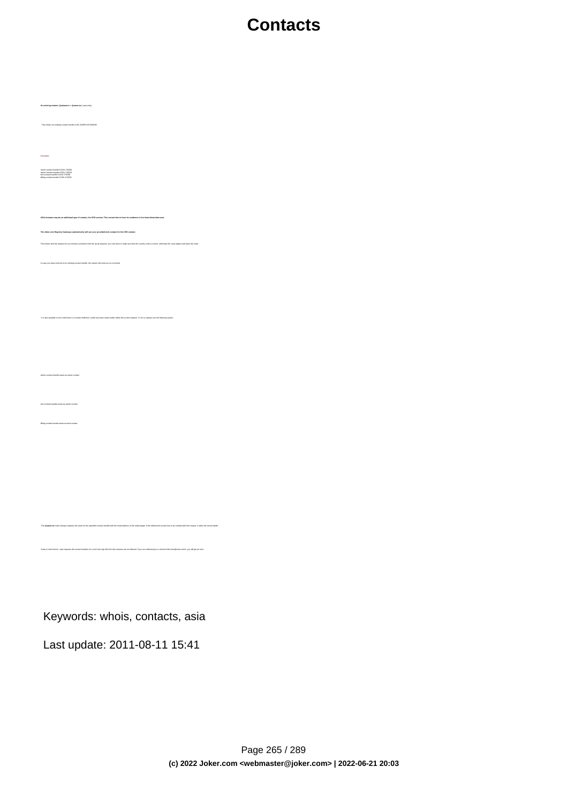**An existing contact** (**@asiacont** or **@same-as**) (.asia only) This means an existing contact handle in the JOKER-DATABASE. Examples: owner-contact-handle:COAS-176269 admin-contact-handle:COAA-176229 tech-contact-handle:COAS-176269 billing-contact-handle:COAS-176269 **ASIA-domains require an additional type of contact, the CED contact. This contact has to have its residence in the Asian/Australian area. The Joker.com Registry Gateways automatically will use your provided tech-contact for the CED contact.**  If the you remains consistent with the usual requests, you only have to make sure that the country code is correct, otherwise the .asia registry will reject the order In case you have entered a non-existing contact handle, the system will send you an errormail. It is also possible to set a reference to a contact definition, which has been made earlier within the current request. To do so, please use the following syntax: admin-contact-handle:same-as-owner-contact tech-contact-handle:same-as-admin-contact billing-contact-handle:same-as-tech-contact The **@same-as** makro always replaces the value for the specified contact handle with the email address of the makrotarget. If the referenced contact has to be created with this request, it takes the result handle. Keep in mind that for .asia-requests the contact handles for (.com/.net/.org/.info/.biz/.de)-contacts are not allowed. If you are referencing to a shortcut like hans@nose.net#1, you will get an error.

Keywords: whois, contacts, asia

Last update: 2011-08-11 15:41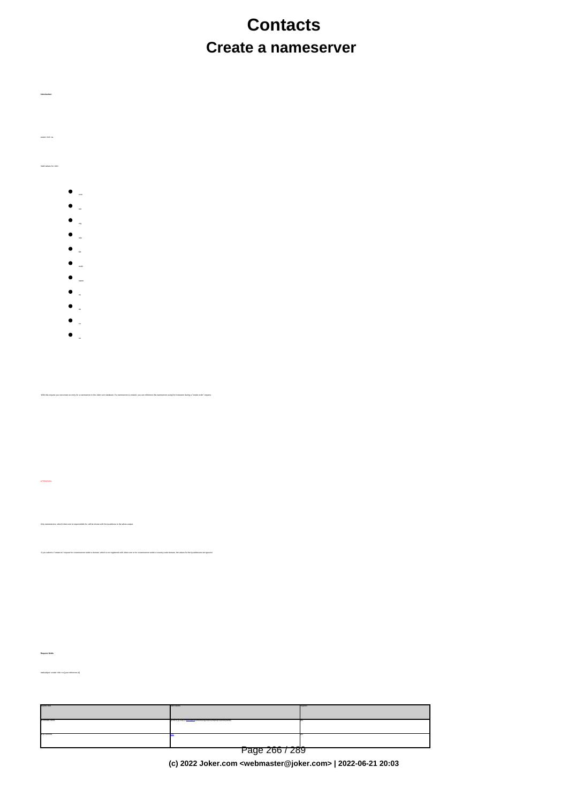# **Contacts Create a nameserver**

create <tld>-ns

Valid values for <tld>:

**Introduction**

- com
- 
- 
- info
- biz

with the create an entry for a nameserver in the Joker.com database. If a nameserver is created, you can reference this nameserver using the hostname during a "create

If you submit a "create-ns"-request for a nameserver under a domain, which is not registered with Joker.com or for a nameserver under a country-code-domain, the values for the ip-addresses are ignored.

- mobi
- name
- 
- de
- 

Only nameservers, which Joker.com is respondsible for, will be shown with the ip-address in the whois-output.

eu

mailsubject: create <tld>-ns [your reference id]

**Request fields**

ATTENTION:

| bia3-teacpa   | and values                                                      | equired |
|---------------|-----------------------------------------------------------------|---------|
| a-domain-rame | 3-20-9-31.035.1+1st course com/nation/intedum/biblindomobiname) |         |
| 3-2-3024SL    |                                                                 |         |
|               | Page 266 / 289                                                  |         |

**(c) 2022 Joker.com <webmaster@joker.com> | 2022-06-21 20:03**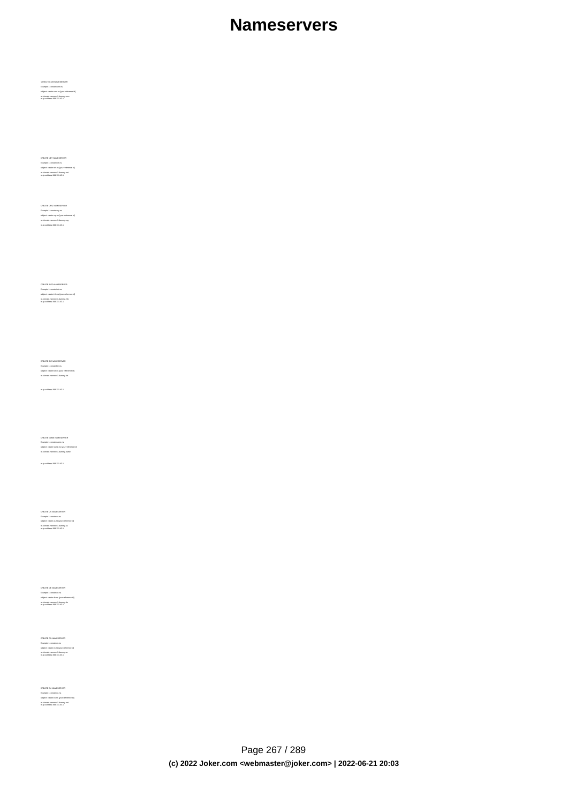## **Nameservers**

CREATE COM NAMESERVER Example 1: create com-ns subject: create com-ns [your reference id] ns-domain-name:ns1.dummy.com ns-ip-address:194.111.43.1

CREATE NET NAMESERVER Example 1: create net-ns subject: create net-ns [your reference id] ns-domain-name:ns1.dummy.net ns-ip-address:194.111.43.1

CREATE ORG NAMESERVER Example 1: create org-ns subject: create org-ns [your reference id] ns-domain-name:ns1.dummy.org ns-ip-address:194.111.43.1

CREATE INFO NAMESERVER Example 1: create info-ns subject: create info-ns [your reference id] ns-domain-name:ns1.dummy.info ns-ip-address:194.111.43.1

ns-ip-address:194.111.43.1

CREATE BIZ NAMESERVER Example 1: create biz-ns subject: create biz-ns [your reference id] ns-domain-name:ns1.dummy.biz

CREATE NAME NAMESERVER Example 1: create name-ns subject: create name-ns [your reference id] ns-domain-name:ns1.dummy.name

ns-ip-address:194.111.43.1

CREATE US NAMESERVER Example 1: create us-ns subject: create us-ns [your reference id] ns-domain-name:ns1.dummy.us ns-ip-address:194.111.43.1

CREATE DE NAMESERVER Example 1: create de-ns subject: create de-ns [your reference id] ns-domain-name:ns1.dummy.de ns-ip-address:194.111.43.1

CREATE CN NAMESERVER Example 1: create cn-ns subject: create cn-ns [your reference id] ns-domain-name:ns1.dummy.cn ns-ip-address:194.111.43.1

CREATE EU NAMESERVER Example 1: create eu-ns subject: create eu-ns [your reference id] ns-domain-name:ns1.dummy.net ns-ip-address:194.111.43.1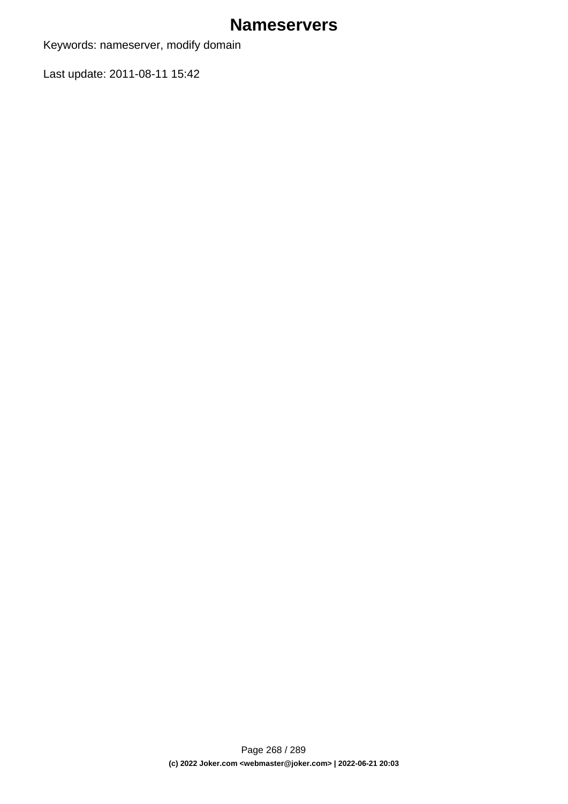## **Nameservers**

Keywords: nameserver, modify domain

Last update: 2011-08-11 15:42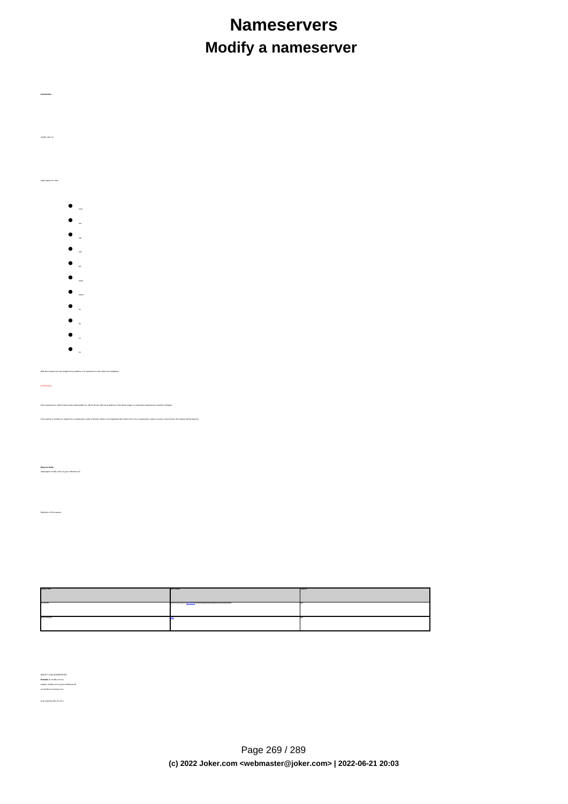# **Nameservers Modify a nameserver**

modify <tld>-ns

Valid values for <tld>:

- $\bullet$ com
- 
- 
- info
- 
- biz
- mobi
- name
- 
- de
- 
- $\bullet$

eu .<br>Xith the standard the ip-address of a nameserver in the Joker.com data

Only nameservers, which Joker.comis respondsible for, will be shown with the ip-address in the whois-output, so only these nameservers could be changed.

.<br>If you submit a domain, which is not registered with Joker.com or for a nameserver under a country-code-domain, this request will

**Request fields** mailsubject: modify <tld>-ns [your reference id]

ATTENTION:

**Introduction**

requested values of the control of the control of the control of the control of the control of the control of the control of the control of the control of the control of the control of the control of the control of the con n-handle ([a-z0-9-]{1,63}).)+([@country](index.php?action=artikel&cat=67&id=400&artlang=en)|company|military|info@country|comes (info@country|ame) yes ns-ip-address [@ip](index.php?action=artikel&cat=67&id=398&artlang=en) yes were also assumed that in the contract of the contract of the contract of the contract of the contract of the contract of the contract of the contract of the contract of the contract of the contract o

MODIFY COM NAMESERVER **Example 1:** modify com-ns subject: modify com-ns [your reference id] ns-handle:ns1.dummy.com

ns-ip-address:194.111.43.1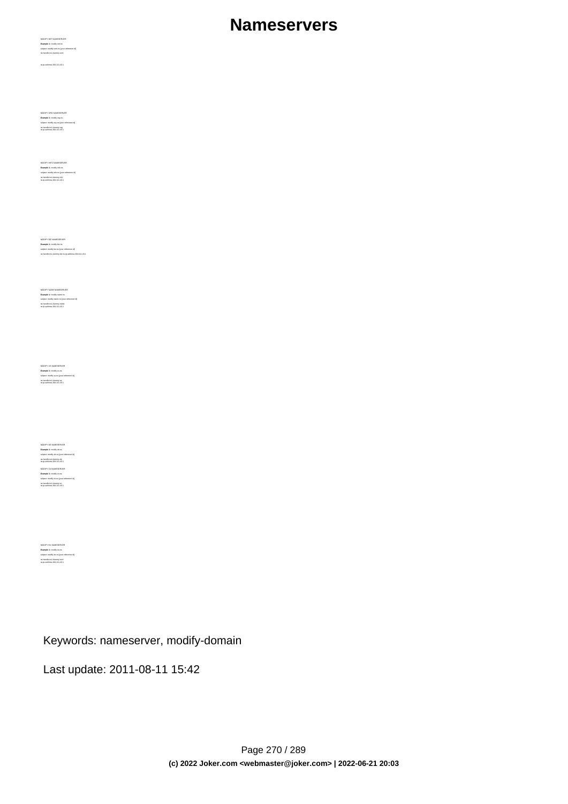# **Nameservers**

MODIFY NET NAMESERVER **Example 1:** modify net-ns subject: modify com-ns [your reference id] ns-handle:ns1.dummy.com

ns-ip-address:194.111.43.1

MODIFY ORG NAMESERVER<br>**Example 1:** modify org-ns<br>subject: modify org-ns [your reference id]<br>ns-ip-address:194.111.43.1<br>ns-ip-address:194.111.43.1

MODIFY INFO NAMESERVER **Example 1:** modify info-ns subject: modify info-ns [your reference id] ns-handle:ns1.dummy.info ns-ip-address:194.111.43.1

MOONTY BIZ NAMESERVER<br>**Example 1:** modify biz-ns<br>subject: modify biz-ns [your reference id]<br>ns-handle:ns1.dummy.biz ns-ip-address:194.111.43.1

MODIFY NAME NAMESERVER **Example 1:** modify name-ns subject: modify name-ns [your reference id] ns-handle:ns1.dummy.name ns-ip-address:194.111.43.1

MODIFY US NAMESERVER **Example 1:** modify us-ns subject: modify us-ns [your reference id] ns-handle:ns1.dummy.us ns-ip-address:194.111.43.1

MODIFY DE NAMESERVER **Example 1:** modify de-ns subject: modify de-ns [your reference id] ns-handle:ns1.dummy.de ns-ip-address:194.111.43.1 MODIFY CN NAMESERVER **Example 1:** modify cn-ns subject: modify cn-ns [your reference id] ns-handle:ns1.dummy.cn ns-ip-address:194.111.43.1

**Example 1:** modify eu-ns subject: modify eu-ns [your reference id] ns-handle:ns1.dummy.com ns-ip-address:194.111.43.1

## Keywords: nameserver, modify-domain

Last update: 2011-08-11 15:42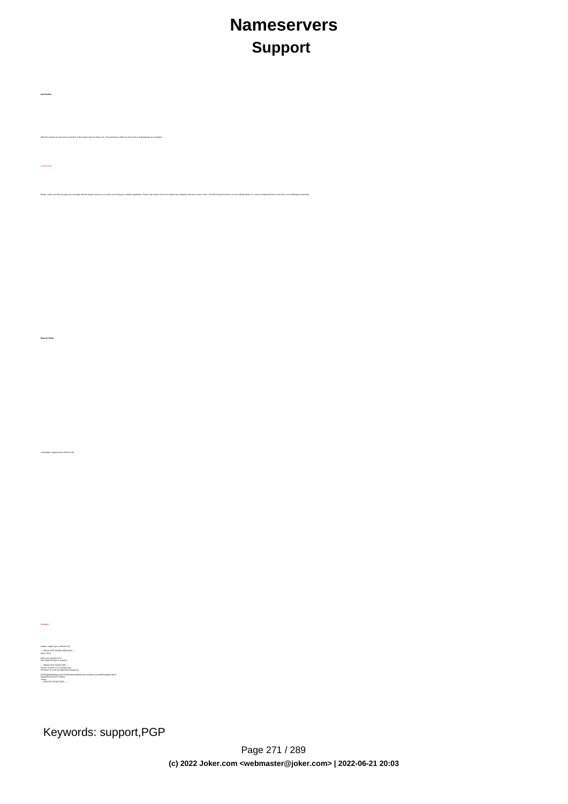# **Nameservers Support**

subject: support [your reference id] ---- BEGIN PGP SIGNED MESSAGE-----Hash: SHA1 Enter your question here. Dont forget the fqdn in question ---- BEGIN PGP SIGNATURE----Version: GnuPG v1.0.2 (GNU/Linux) Comment: For info see http://www.gnupg.org iD7DBQE6ZtMfzWqd+drNYRURAuW4AJ4nRewOrNc+yLMmmCouVcMP3v5nWQCdHUlf tJk/gOuFmDnIs3JS+7eRjnA= =Fwmc

Example 1

-----END PGP SIGNATURE-----

**Introduction**

ATTENTION:

**Request fields**

mailsubject: support lyour reference id]

With this request you can send a question to the support team at Joker.com. Only questions, which are sent to the e-mail gateway are accepted.

your reseller registration. Please, also make sure not to include any characters that are not part of the 7-bit ASCII standard and do not use

Keywords: support,PGP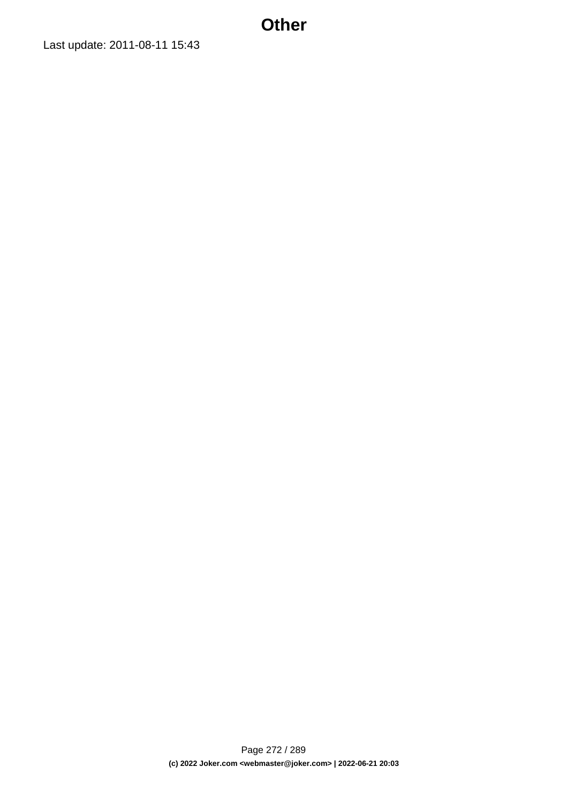## **Other**

Last update: 2011-08-11 15:43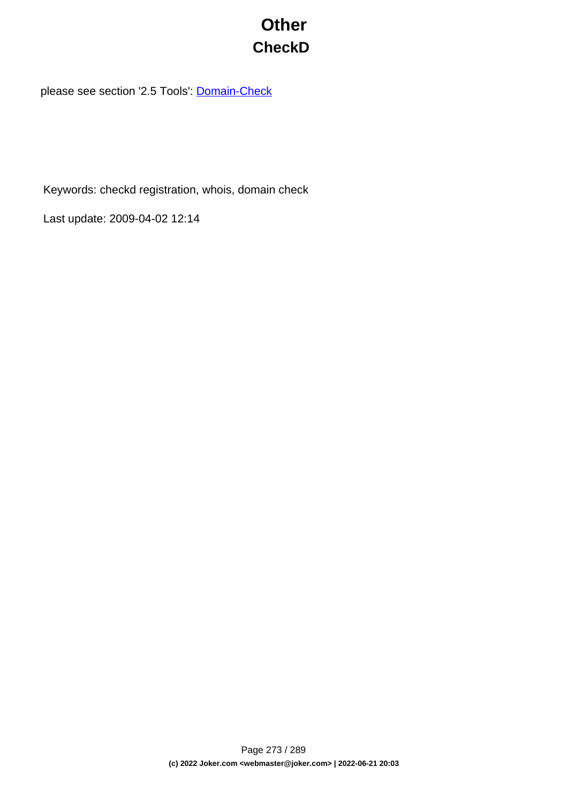# **Other CheckD**

please see section '2.5 Tools': **[Domain-Check](index.php?action=artikel&cat=77&id=437&artlang=en)** 

Keywords: checkd registration, whois, domain check

Last update: 2009-04-02 12:14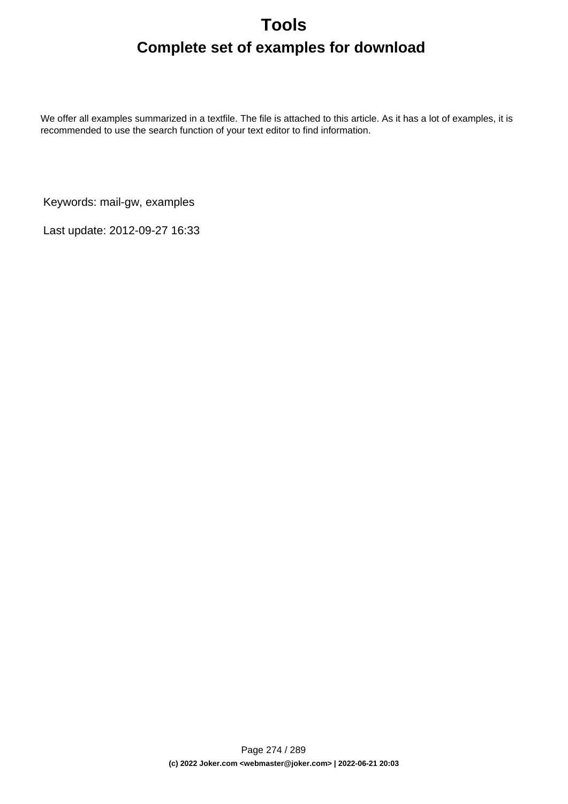# **Tools Complete set of examples for download**

We offer all examples summarized in a textfile. The file is attached to this article. As it has a lot of examples, it is recommended to use the search function of your text editor to find information.

Keywords: mail-gw, examples

Last update: 2012-09-27 16:33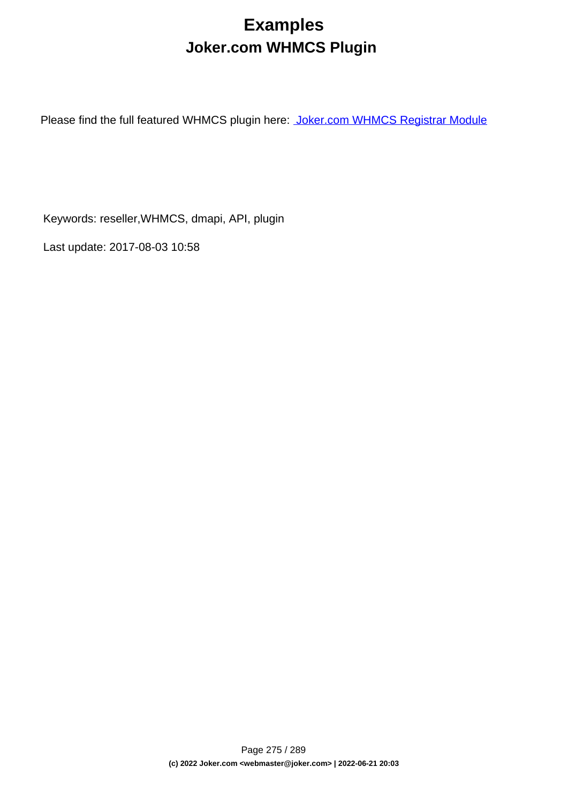# **Examples Joker.com WHMCS Plugin**

Please find the full featured WHMCS plugin here: [Joker.com WHMCS Registrar Module](index.php?action=artikel&cat=84&id=488&artlang=en)

Keywords: reseller,WHMCS, dmapi, API, plugin

Last update: 2017-08-03 10:58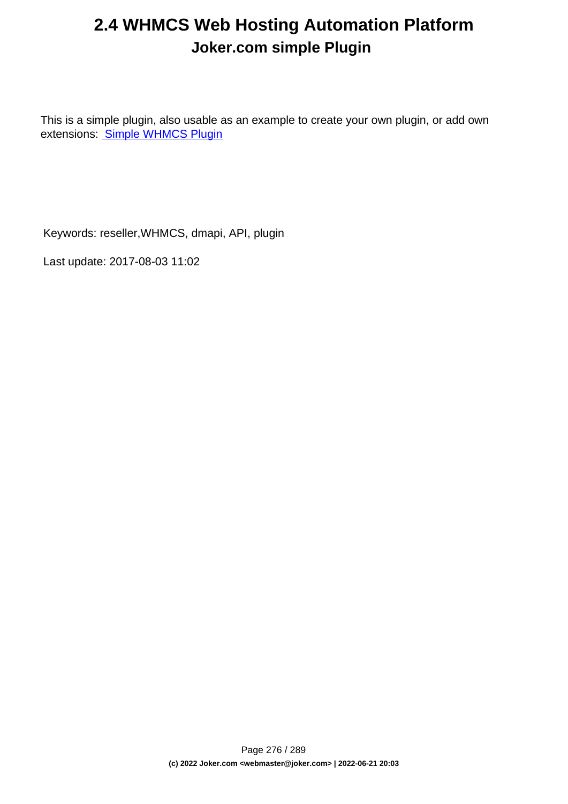# **2.4 WHMCS Web Hosting Automation Platform Joker.com simple Plugin**

This is a simple plugin, also usable as an example to create your own plugin, or add own extensions: [Simple WHMCS Plugin](index.php?action=artikel&cat=84&id=487&artlang=en)

Keywords: reseller,WHMCS, dmapi, API, plugin

Last update: 2017-08-03 11:02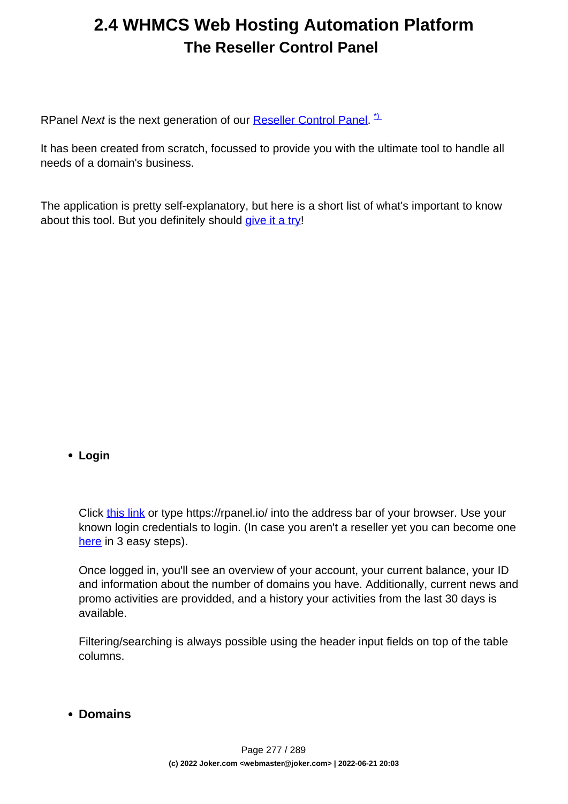# **2.4 WHMCS Web Hosting Automation Platform The Reseller Control Panel**

RPanel Next is the next generation of our **Reseller Control Panel.**<sup>1</sup>

It has been created from scratch, focussed to provide you with the ultimate tool to handle all needs of a domain's business.

The application is pretty self-explanatory, but here is a short list of what's important to know about this tool. But you definitely should [give it a try](https://rpanel.io)!

## **Login**

Click [this link](https://rpanel.io/login) or type https://rpanel.io/ into the address bar of your browser. Use your known login credentials to login. (In case you aren't a reseller yet you can become one [here](https://joker.com/index.joker?mode=reseller&do_next=step13a) in 3 easy steps).

Once logged in, you'll see an overview of your account, your current balance, your ID and information about the number of domains you have. Additionally, current news and promo activities are providded, and a history your activities from the last 30 days is available.

Filtering/searching is always possible using the header input fields on top of the table columns.

**Domains**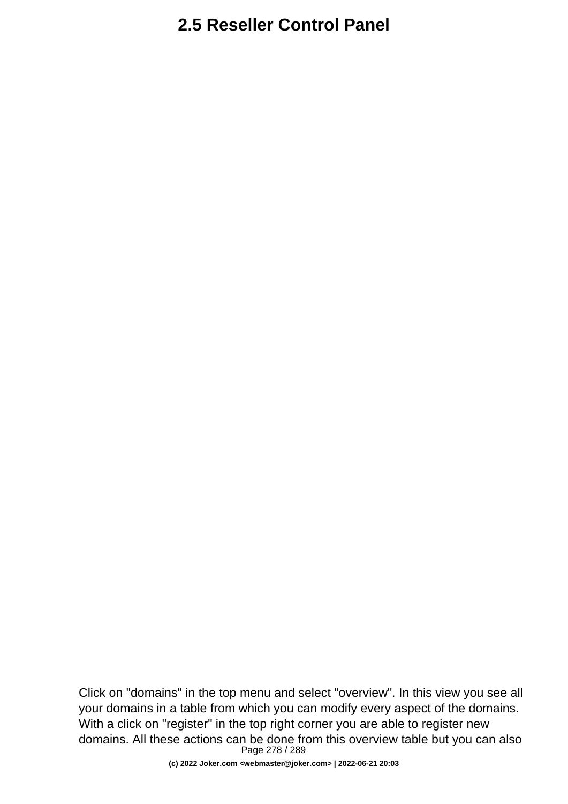Click on "domains" in the top menu and select "overview". In this view you see all your domains in a table from which you can modify every aspect of the domains. With a click on "register" in the top right corner you are able to register new domains. All these actions can be done from this overview table but you can also Page 278 / 289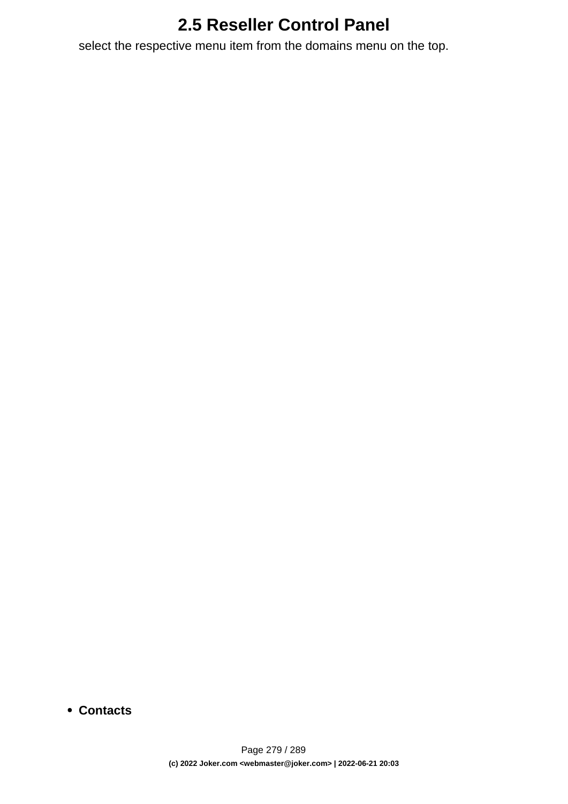select the respective menu item from the domains menu on the top.

**Contacts**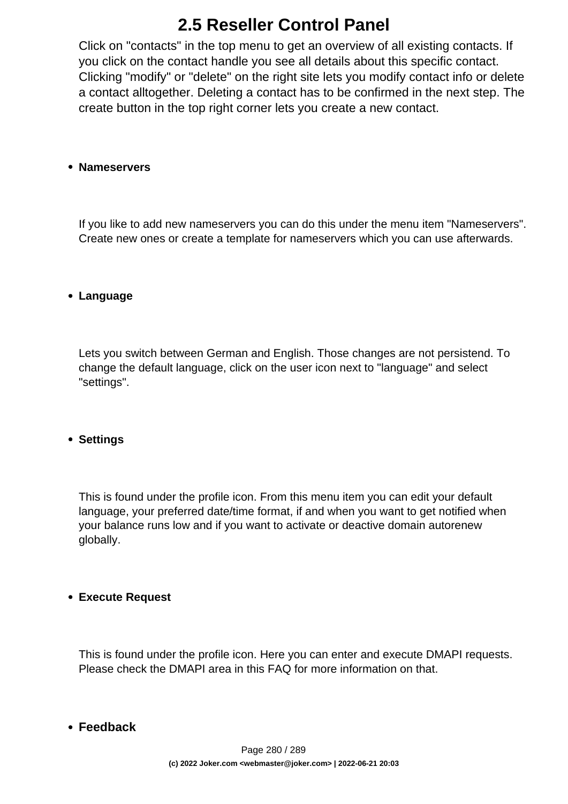Click on "contacts" in the top menu to get an overview of all existing contacts. If you click on the contact handle you see all details about this specific contact. Clicking "modify" or "delete" on the right site lets you modify contact info or delete a contact alltogether. Deleting a contact has to be confirmed in the next step. The create button in the top right corner lets you create a new contact.

## **Nameservers**

If you like to add new nameservers you can do this under the menu item "Nameservers". Create new ones or create a template for nameservers which you can use afterwards.

## **Language**

Lets you switch between German and English. Those changes are not persistend. To change the default language, click on the user icon next to "language" and select "settings".

## **Settings**

This is found under the profile icon. From this menu item you can edit your default language, your preferred date/time format, if and when you want to get notified when your balance runs low and if you want to activate or deactive domain autorenew globally.

## **Execute Request**

This is found under the profile icon. Here you can enter and execute DMAPI requests. Please check the DMAPI area in this FAQ for more information on that.

## **Feedback**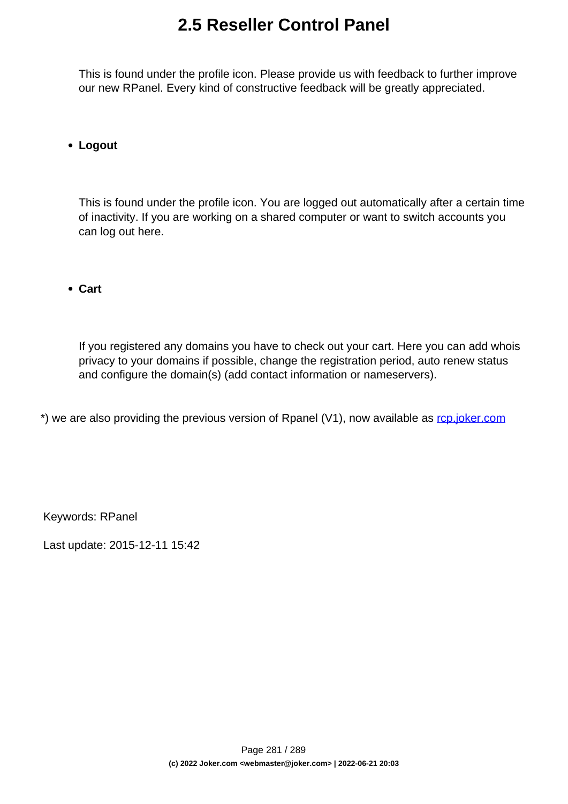This is found under the profile icon. Please provide us with feedback to further improve our new RPanel. Every kind of constructive feedback will be greatly appreciated.

## **Logout**

This is found under the profile icon. You are logged out automatically after a certain time of inactivity. If you are working on a shared computer or want to switch accounts you can log out here.

**Cart**

If you registered any domains you have to check out your cart. Here you can add whois privacy to your domains if possible, change the registration period, auto renew status and configure the domain(s) (add contact information or nameservers).

\*) we are also providing the previous version of Rpanel (V1), now available as [rcp.joker.com](https://rcp.joker.com/)

Keywords: RPanel

Last update: 2015-12-11 15:42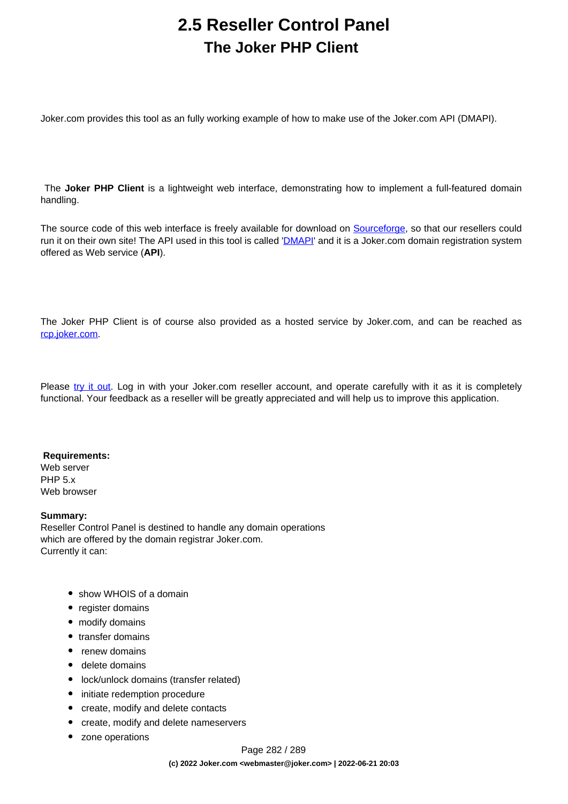# **2.5 Reseller Control Panel The Joker PHP Client**

Joker.com provides this tool as an fully working example of how to make use of the Joker.com API (DMAPI).

 The **Joker PHP Client** is a lightweight web interface, demonstrating how to implement a full-featured domain handling.

The source code of this web interface is freely available for download on [Sourceforge,](http://sourceforge.net/projects/joker-client) so that our resellers could run it on their own site! The API used in this tool is called '*[DMAPI](/faq/category/39/22-dmapi.html)*' and it is a Joker.com domain registration system offered as Web service (**API**).

The Joker PHP Client is of course also provided as a hosted service by Joker.com, and can be reached as [rcp.joker.com.](https://rcp.joker.com/)

Please [try it out.](https://rpanel.joker.com/) Log in with your Joker.com reseller account, and operate carefully with it as it is completely functional. Your feedback as a reseller will be greatly appreciated and will help us to improve this application.

### **Requirements:**

Web server PHP 5.x Web browser

### **Summary:**

Reseller Control Panel is destined to handle any domain operations which are offered by the domain registrar Joker.com. Currently it can:

- show WHOIS of a domain
- register domains
- modify domains
- transfer domains
- renew domains
- delete domains
- lock/unlock domains (transfer related)
- initiate redemption procedure
- create, modify and delete contacts
- create, modify and delete nameservers
- zone operations

Page 282 / 289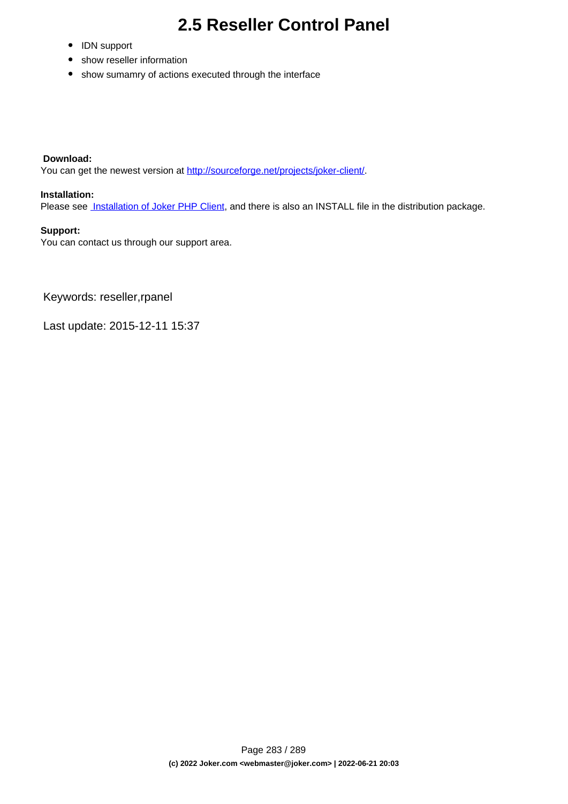- IDN support
- show reseller information
- show sumamry of actions executed through the interface

### **Download:**

You can get the newest version at <http://sourceforge.net/projects/joker-client/>.

### **Installation:**

Please see **[Installation of Joker PHP Client](index.php?action=artikel&cat=75&id=429&artlang=en)**, and there is also an INSTALL file in the distribution package.

### **Support:**

You can contact us through our support area.

Keywords: reseller,rpanel

Last update: 2015-12-11 15:37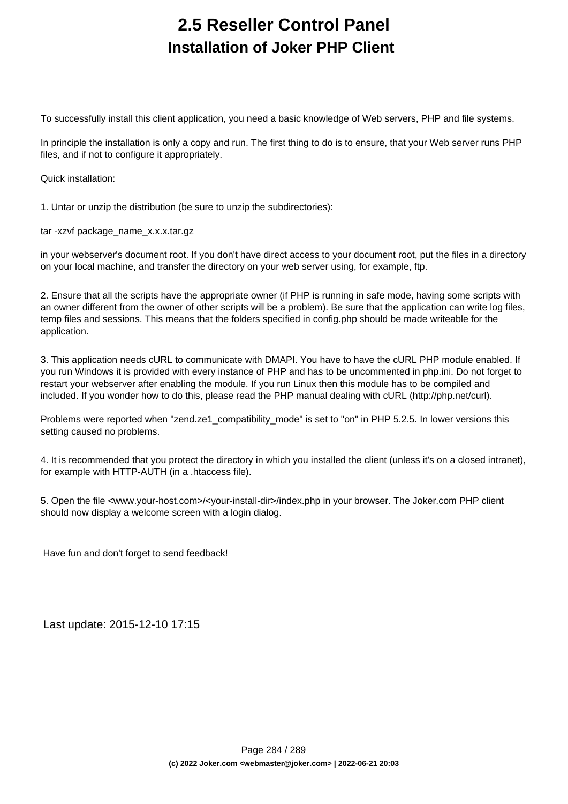# **2.5 Reseller Control Panel Installation of Joker PHP Client**

To successfully install this client application, you need a basic knowledge of Web servers, PHP and file systems.

In principle the installation is only a copy and run. The first thing to do is to ensure, that your Web server runs PHP files, and if not to configure it appropriately.

Quick installation:

1. Untar or unzip the distribution (be sure to unzip the subdirectories):

tar -xzvf package\_name\_x.x.x.tar.gz

in your webserver's document root. If you don't have direct access to your document root, put the files in a directory on your local machine, and transfer the directory on your web server using, for example, ftp.

2. Ensure that all the scripts have the appropriate owner (if PHP is running in safe mode, having some scripts with an owner different from the owner of other scripts will be a problem). Be sure that the application can write log files, temp files and sessions. This means that the folders specified in config.php should be made writeable for the application.

3. This application needs cURL to communicate with DMAPI. You have to have the cURL PHP module enabled. If you run Windows it is provided with every instance of PHP and has to be uncommented in php.ini. Do not forget to restart your webserver after enabling the module. If you run Linux then this module has to be compiled and included. If you wonder how to do this, please read the PHP manual dealing with cURL (http://php.net/curl).

Problems were reported when "zend.ze1\_compatibility\_mode" is set to "on" in PHP 5.2.5. In lower versions this setting caused no problems.

4. It is recommended that you protect the directory in which you installed the client (unless it's on a closed intranet), for example with HTTP-AUTH (in a .htaccess file).

5. Open the file <www.your-host.com>/<your-install-dir>/index.php in your browser. The Joker.com PHP client should now display a welcome screen with a login dialog.

Have fun and don't forget to send feedback!

Last update: 2015-12-10 17:15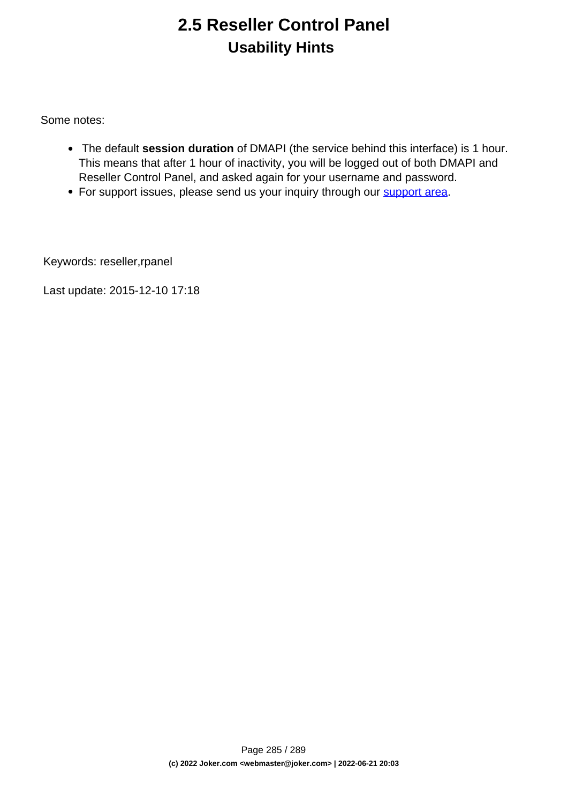# **2.5 Reseller Control Panel Usability Hints**

Some notes:

- The default **session duration** of DMAPI (the service behind this interface) is 1 hour. This means that after 1 hour of inactivity, you will be logged out of both DMAPI and Reseller Control Panel, and asked again for your username and password.
- For support issues, please send us your inquiry through our [support area](/goto/support/).

Keywords: reseller,rpanel

Last update: 2015-12-10 17:18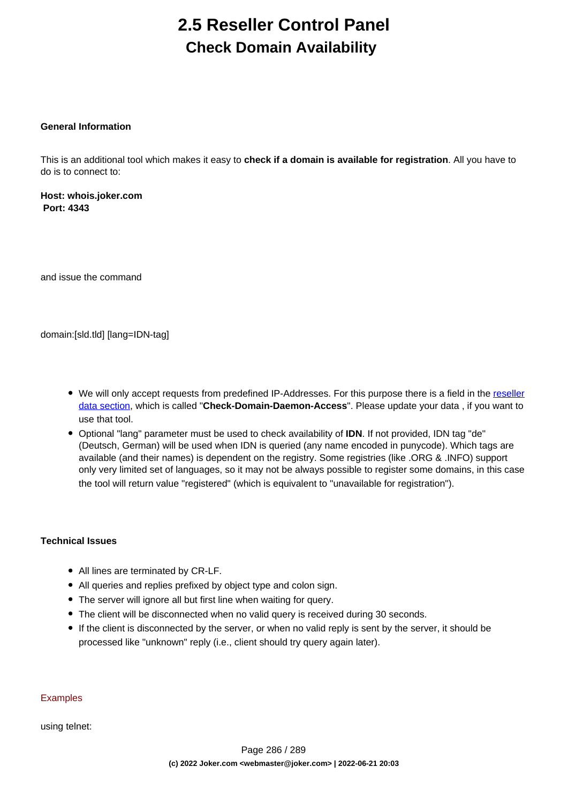# **2.5 Reseller Control Panel Check Domain Availability**

## **General Information**

This is an additional tool which makes it easy to **check if a domain is available for registration**. All you have to do is to connect to:

**Host: whois.joker.com Port: 4343**

and issue the command

domain:[sld.tld] [lang=IDN-tag]

- We will only accept requests from predefined IP-Addresses. For this purpose there is a field in the [reseller](/goto/resprefs) [data section](/goto/resprefs), which is called "**Check-Domain-Daemon-Access**". Please update your data , if you want to use that tool.
- Optional "lang" parameter must be used to check availability of **IDN**. If not provided, IDN tag "de" (Deutsch, German) will be used when IDN is queried (any name encoded in punycode). Which tags are available (and their names) is dependent on the registry. Some registries (like .ORG & .INFO) support only very limited set of languages, so it may not be always possible to register some domains, in this case the tool will return value "registered" (which is equivalent to "unavailable for registration").

### **Technical Issues**

- All lines are terminated by CR-LF.
- All queries and replies prefixed by object type and colon sign.
- The server will ignore all but first line when waiting for query.
- The client will be disconnected when no valid query is received during 30 seconds.
- If the client is disconnected by the server, or when no valid reply is sent by the server, it should be processed like "unknown" reply (i.e., client should try query again later).

### **Examples**

using telnet: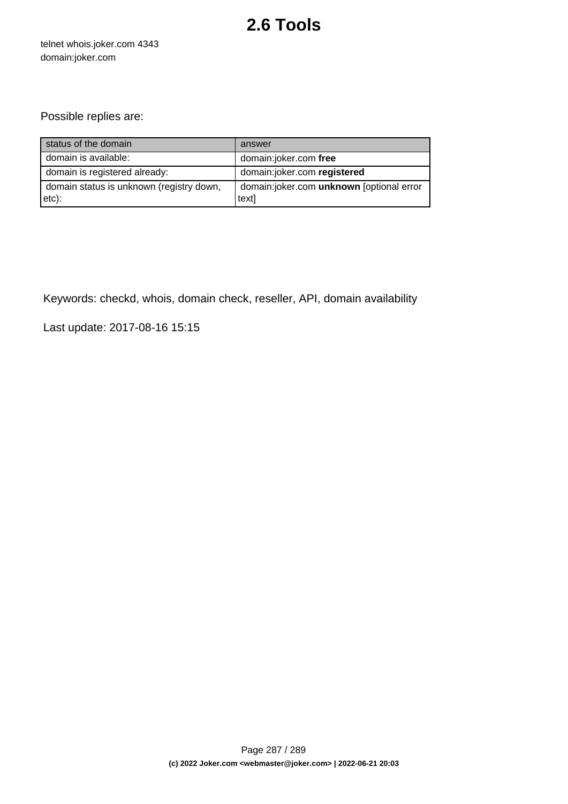# **2.6 Tools**

telnet whois.joker.com 4343 domain:joker.com

## Possible replies are:

| status of the domain                              | answer                                            |
|---------------------------------------------------|---------------------------------------------------|
| domain is available:                              | domain:joker.com free                             |
| domain is registered already:                     | domain:joker.com registered                       |
| domain status is unknown (registry down,<br>etc): | domain:joker.com unknown [optional error<br>text] |

Keywords: checkd, whois, domain check, reseller, API, domain availability

Last update: 2017-08-16 15:15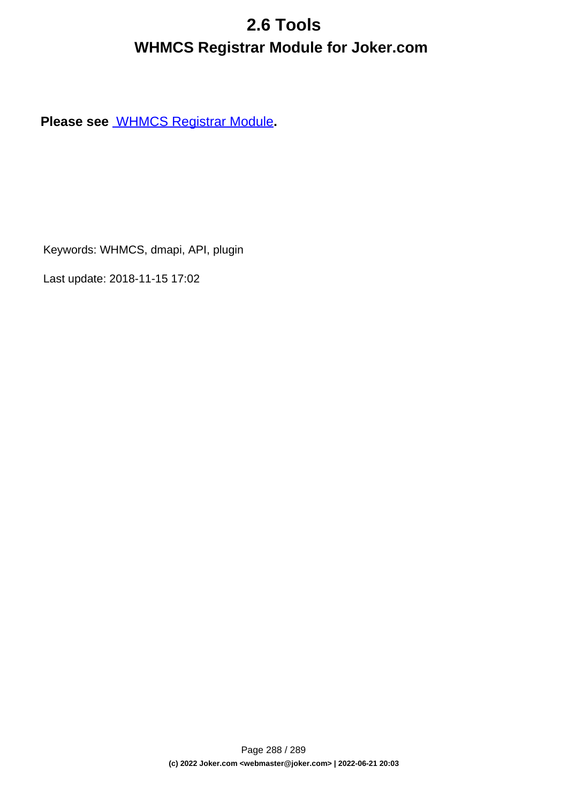# **2.6 Tools WHMCS Registrar Module for Joker.com**

**Please see** [WHMCS Registrar Module](index.php?action=artikel&cat=84&id=488&artlang=en)**.**

Keywords: WHMCS, dmapi, API, plugin

Last update: 2018-11-15 17:02